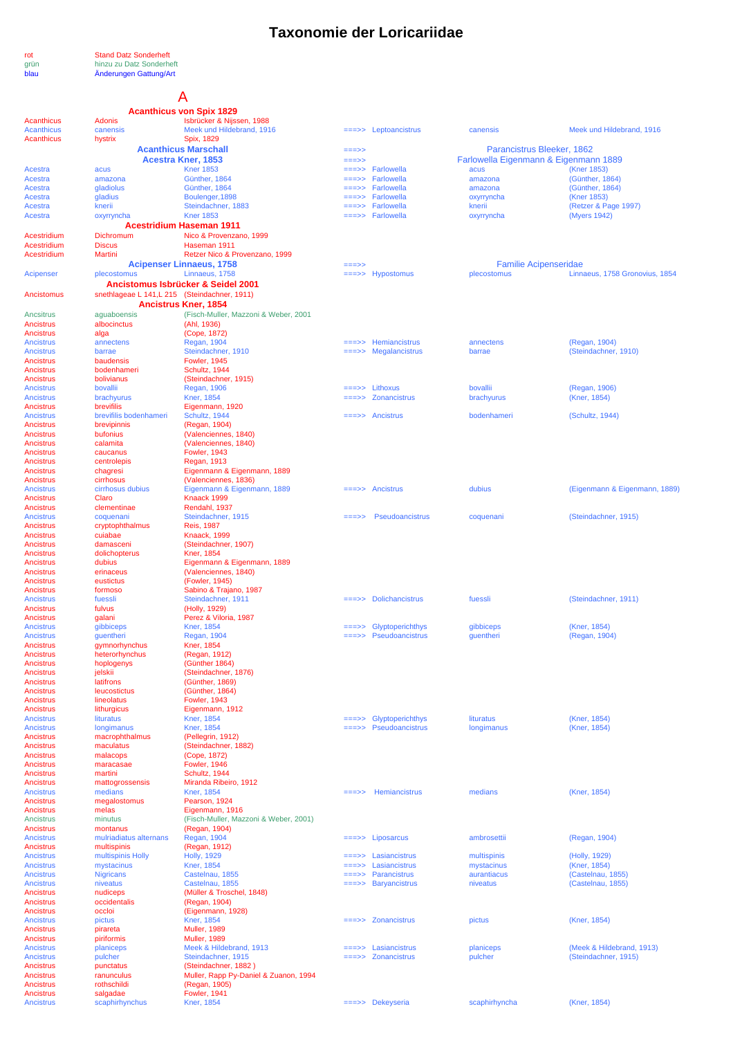# **Taxonomie der Loricariidae**

rot Stand Datz Sonderheft grün hinzu zu Datz Sonderheft blau Änderungen Gattung/Art

# A

|                                 |                                               | <b>Acanthicus von Spix 1829</b>                               |                   |                                             |                                       |                                    |
|---------------------------------|-----------------------------------------------|---------------------------------------------------------------|-------------------|---------------------------------------------|---------------------------------------|------------------------------------|
| <b>Acanthicus</b>               | <b>Adonis</b>                                 | Isbrücker & Nijssen, 1988<br>Meek und Hildebrand, 1916        |                   |                                             |                                       | Meek und Hildebrand, 1916          |
| <b>Acanthicus</b><br>Acanthicus | canensis<br>hystrix                           | Spix, 1829                                                    | $=$ ==>>          | Leptoancistrus                              | canensis                              |                                    |
|                                 |                                               | <b>Acanthicus Marschall</b>                                   | $==->>$           |                                             | Parancistrus Bleeker, 1862            |                                    |
|                                 |                                               | <b>Acestra Kner, 1853</b>                                     | $==->>$           |                                             | Farlowella Eigenmann & Eigenmann 1889 |                                    |
| Acestra                         | acus                                          | <b>Kner 1853</b>                                              | $==->>$           | Farlowella                                  | acus                                  | (Kner 1853)                        |
| Acestra<br>Acestra              | amazona<br>gladiolus                          | Günther, 1864<br>Günther, 1864                                | $=$ ==>><br>===>> | Farlowella<br>Farlowella                    | amazona<br>amazona                    | (Günther, 1864)<br>(Günther, 1864) |
| Acestra                         | gladius                                       | Boulenger, 1898                                               |                   | Farlowella                                  | oxyrryncha                            | (Kner 1853)                        |
| Acestra                         | knerii                                        | Steindachner, 1883                                            |                   | Farlowella                                  | knerii                                | (Retzer & Page 1997)               |
| Acestra                         | oxyrryncha                                    | <b>Kner 1853</b>                                              |                   | ===>> Farlowella                            | oxyrryncha                            | (Myers 1942)                       |
|                                 |                                               | <b>Acestridium Haseman 1911</b>                               |                   |                                             |                                       |                                    |
| Acestridium<br>Acestridium      | Dichromum<br><b>Discus</b>                    | Nico & Provenzano, 1999<br>Haseman 1911                       |                   |                                             |                                       |                                    |
| Acestridium                     | Martini                                       | Retzer Nico & Provenzano, 1999                                |                   |                                             |                                       |                                    |
|                                 |                                               | <b>Acipenser Linnaeus, 1758</b>                               | $==->>$           |                                             | <b>Familie Acipenseridae</b>          |                                    |
| Acipenser                       | plecostomus                                   | Linnaeus, 1758                                                |                   | $\equiv \equiv \Rightarrow$ Hypostomus      | plecostomus                           | Linnaeus, 1758 Gronovius, 1854     |
|                                 |                                               | Ancistomus Isbrücker & Seidel 2001                            |                   |                                             |                                       |                                    |
| Ancistomus                      | snethlageae L 141, L 215 (Steindachner, 1911) | <b>Ancistrus Kner, 1854</b>                                   |                   |                                             |                                       |                                    |
| Ancsitrus                       | aguaboensis                                   | (Fisch-Muller, Mazzoni & Weber, 2001                          |                   |                                             |                                       |                                    |
| Ancistrus                       | albocinctus                                   | (Ahl, 1936)                                                   |                   |                                             |                                       |                                    |
| Ancistrus                       | alga                                          | (Cope, 1872)                                                  |                   |                                             |                                       |                                    |
| <b>Ancistrus</b>                | annectens                                     | <b>Regan, 1904</b>                                            |                   | $\equiv \equiv \Rightarrow$ Hemiancistrus   | annectens                             | (Regan, 1904)                      |
| <b>Ancistrus</b><br>Ancistrus   | barrae<br>baudensis                           | Steindachner, 1910<br><b>Fowler, 1945</b>                     |                   | $\equiv = \Rightarrow$ Megalancistrus       | barrae                                | (Steindachner, 1910)               |
| Ancistrus                       | bodenhameri                                   | Schultz, 1944                                                 |                   |                                             |                                       |                                    |
| Ancistrus                       | bolivianus                                    | (Steindachner, 1915)                                          |                   |                                             |                                       |                                    |
| Ancistrus                       | bovallii                                      | Regan, 1906                                                   | $=$ $=$ $>$ $>$   | Lithoxus                                    | bovallii                              | (Regan, 1906)                      |
| Ancistrus                       | brachyurus<br>brevifilis                      | <b>Kner. 1854</b>                                             | $==>>$            | Zonancistrus                                | brachyurus                            | (Kner, 1854)                       |
| Ancistrus<br><b>Ancistrus</b>   | brevifilis bodenhameri                        | Eigenmann, 1920<br>Schultz, 1944                              |                   | ===>> Ancistrus                             | bodenhameri                           | (Schultz, 1944)                    |
| Ancistrus                       | brevipinnis                                   | (Regan, 1904)                                                 |                   |                                             |                                       |                                    |
| Ancistrus                       | bufonius                                      | (Valenciennes, 1840)                                          |                   |                                             |                                       |                                    |
| Ancistrus                       | calamita                                      | (Valenciennes, 1840)                                          |                   |                                             |                                       |                                    |
| Ancistrus<br>Ancistrus          | caucanus<br>centrolepis                       | <b>Fowler, 1943</b><br>Regan, 1913                            |                   |                                             |                                       |                                    |
| Ancistrus                       | chagresi                                      | Eigenmann & Eigenmann, 1889                                   |                   |                                             |                                       |                                    |
| Ancistrus                       | cirrhosus                                     | (Valenciennes, 1836)                                          |                   |                                             |                                       |                                    |
| Ancistrus                       | cirrhosus dubius                              | Eigenmann & Eigenmann, 1889                                   |                   | $=\equiv \Rightarrow$ Ancistrus             | dubius                                | (Eigenmann & Eigenmann, 1889)      |
| Ancistrus                       | Claro                                         | Knaack 1999                                                   |                   |                                             |                                       |                                    |
| Ancistrus<br>Ancistrus          | clementinae<br>coquenani                      | Rendahl, 1937<br>Steindachner, 1915                           |                   | Pseudoancistrus                             | coquenani                             | (Steindachner, 1915)               |
| Ancistrus                       | cryptophthalmus                               | <b>Reis, 1987</b>                                             |                   |                                             |                                       |                                    |
| Ancistrus                       | cuiabae                                       | Knaack, 1999                                                  |                   |                                             |                                       |                                    |
| Ancistrus                       | damasceni                                     | (Steindachner, 1907)                                          |                   |                                             |                                       |                                    |
| Ancistrus<br>Ancistrus          | dolichopterus<br>dubius                       | Kner, 1854                                                    |                   |                                             |                                       |                                    |
| Ancistrus                       | erinaceus                                     | Eigenmann & Eigenmann, 1889<br>(Valenciennes, 1840)           |                   |                                             |                                       |                                    |
| Ancistrus                       | eustictus                                     | (Fowler, 1945)                                                |                   |                                             |                                       |                                    |
| Ancistrus                       | formoso                                       | Sabino & Trajano, 1987                                        |                   |                                             |                                       |                                    |
| Ancistrus                       | fuessli                                       | Steindachner, 1911                                            |                   | $=\equiv\equiv\equiv\equiv$ Dolichancistrus | fuessli                               | (Steindachner, 1911)               |
| Ancistrus<br>Ancistrus          | fulvus<br>galani                              | (Holly, 1929)<br>Perez & Viloria, 1987                        |                   |                                             |                                       |                                    |
| <b>Ancistrus</b>                | gibbiceps                                     | <b>Kner, 1854</b>                                             | ===>>             | Glyptoperichthys                            | gibbiceps                             | (Kner, 1854)                       |
| Ancistrus                       | guentheri                                     | <b>Regan, 1904</b>                                            |                   | $\equiv \equiv \Rightarrow$ Pseudoancistrus | guentheri                             | (Regan, 1904)                      |
| Ancistrus                       | gymnorhynchus                                 | Kner, 1854                                                    |                   |                                             |                                       |                                    |
| Ancistrus                       | heterorhynchus                                | (Regan, 1912)<br>(Günther 1864)                               |                   |                                             |                                       |                                    |
| Ancistrus<br>Ancistrus          | hoplogenys<br>jelskii                         | (Steindachner, 1876)                                          |                   |                                             |                                       |                                    |
| Ancistrus                       | latifrons                                     | (Günther, 1869)                                               |                   |                                             |                                       |                                    |
| Ancistrus                       | leucostictus                                  | (Günther, 1864)                                               |                   |                                             |                                       |                                    |
| Ancistrus                       | lineolatus                                    | <b>Fowler, 1943</b>                                           |                   |                                             |                                       |                                    |
| Ancistrus<br>Ancistrus          | lithurgicus<br>lituratus                      | Eigenmann, 1912<br><b>Kner, 1854</b>                          |                   | Glyptoperichthys                            | lituratus                             | (Kner, 1854)                       |
| Ancistrus                       | longimanus                                    | <b>Kner, 1854</b>                                             | ===>>             | Pseudoancistrus                             | longimanus                            | (Kner, 1854)                       |
| Ancistrus                       | macrophthalmus                                | (Pellegrin, 1912)                                             |                   |                                             |                                       |                                    |
| Ancistrus                       | maculatus                                     | (Steindachner, 1882)                                          |                   |                                             |                                       |                                    |
| Ancistrus<br>Ancistrus          | malacops<br>maracasae                         | (Cope, 1872)<br><b>Fowler, 1946</b>                           |                   |                                             |                                       |                                    |
| Ancistrus                       | martini                                       | Schultz, 1944                                                 |                   |                                             |                                       |                                    |
| Ancistrus                       | mattogrossensis                               | Miranda Ribeiro, 1912                                         |                   |                                             |                                       |                                    |
| <b>Ancistrus</b>                | medians                                       | <b>Kner, 1854</b>                                             | $=$ ==>>          | Hemiancistrus                               | medians                               | (Kner, 1854)                       |
| Ancistrus                       | megalostomus                                  | Pearson, 1924                                                 |                   |                                             |                                       |                                    |
| Ancistrus<br>Ancistrus          | melas<br>minutus                              | Eigenmann, 1916<br>(Fisch-Muller, Mazzoni & Weber, 2001)      |                   |                                             |                                       |                                    |
| Ancistrus                       | montanus                                      | (Regan, 1904)                                                 |                   |                                             |                                       |                                    |
| Ancistrus                       | mulriadiatus alternans                        | Regan, 1904                                                   |                   | $=\Rightarrow$ Liposarcus                   | ambrosettii                           | (Regan, 1904)                      |
| Ancistrus                       | multispinis                                   | (Regan, 1912)                                                 |                   |                                             |                                       |                                    |
| Ancistrus                       | multispinis Holly                             | <b>Holly, 1929</b>                                            | $==->>$           | Lasiancistrus                               | multispinis                           | (Holly, 1929)                      |
| Ancistrus<br>Ancistrus          | mystacinus<br><b>Nigricans</b>                | <b>Kner, 1854</b><br>Castelnau, 1855                          | $==->>$<br>$==->$ | Lasiancistrus<br>Parancistrus               | mystacinus<br>aurantiacus             | (Kner, 1854)<br>(Castelnau, 1855)  |
| Ancistrus                       | niveatus                                      | Castelnau, 1855                                               | $==->>$           | <b>Baryancistrus</b>                        | niveatus                              | (Castelnau, 1855)                  |
| Ancistrus                       | nudiceps                                      | (Müller & Troschel, 1848)                                     |                   |                                             |                                       |                                    |
| Ancistrus                       | occidentalis                                  | (Regan, 1904)                                                 |                   |                                             |                                       |                                    |
| Ancistrus<br>Ancistrus          | occloi<br>pictus                              | (Eigenmann, 1928)<br><b>Kner, 1854</b>                        | $==->>$           | <b>Zonancistrus</b>                         | pictus                                | (Kner, 1854)                       |
| Ancistrus                       | pirareta                                      | <b>Muller, 1989</b>                                           |                   |                                             |                                       |                                    |
| Ancistrus                       | piriformis                                    | <b>Muller, 1989</b>                                           |                   |                                             |                                       |                                    |
| Ancistrus                       | planiceps                                     | Meek & Hildebrand, 1913                                       | $=$ ==>>          | Lasiancistrus                               | planiceps                             | (Meek & Hildebrand, 1913)          |
| Ancistrus                       | pulcher                                       | Steindachner, 1915                                            |                   | Zonancistrus                                | pulcher                               | (Steindachner, 1915)               |
| Ancistrus<br>Ancistrus          | punctatus<br>ranunculus                       | (Steindachner, 1882)<br>Muller, Rapp Py-Daniel & Zuanon, 1994 |                   |                                             |                                       |                                    |
| Ancistrus                       | rothschildi                                   | (Regan, 1905)                                                 |                   |                                             |                                       |                                    |
| Ancistrus                       | salgadae                                      | <b>Fowler, 1941</b>                                           |                   |                                             |                                       |                                    |
| <b>Ancistrus</b>                | scaphirhynchus                                | <b>Kner, 1854</b>                                             |                   | ===>> Dekeyseria                            | scaphirhyncha                         | (Kner, 1854)                       |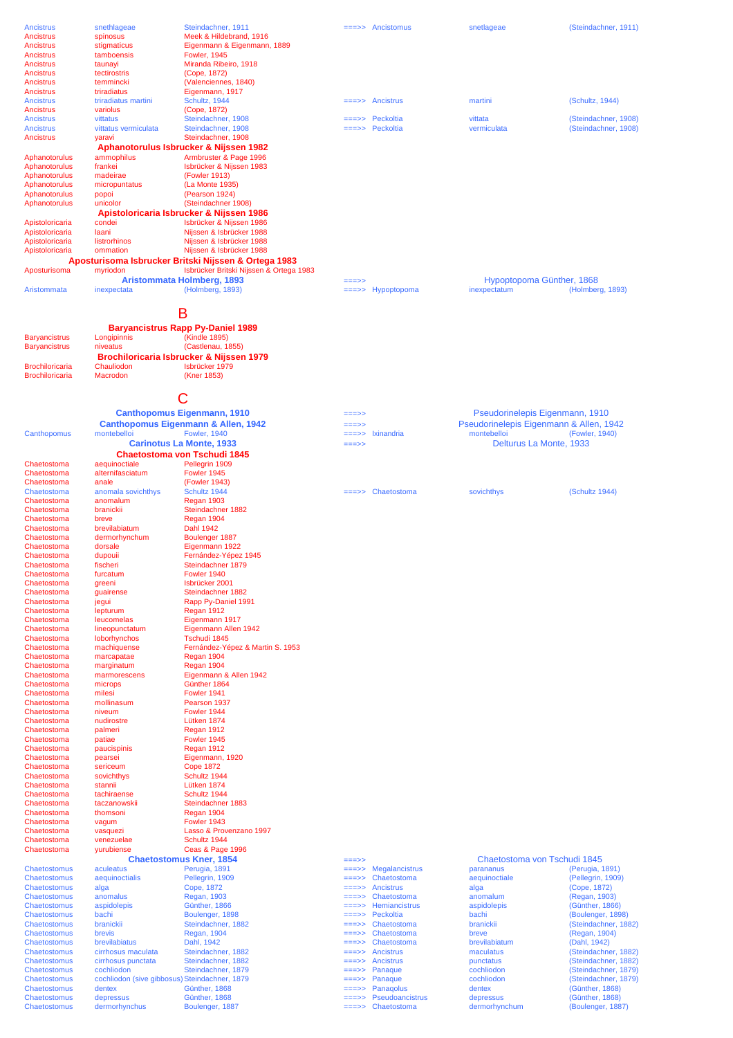| Ancistrus                    | snethlageae                                   | Steindachner, 1911                                   |                                  | $\equiv \equiv \Rightarrow$ Ancistomus | snetlageae                              | (Steindachner, 1911)                 |
|------------------------------|-----------------------------------------------|------------------------------------------------------|----------------------------------|----------------------------------------|-----------------------------------------|--------------------------------------|
| Ancistrus                    | spinosus                                      | Meek & Hildebrand, 1916                              |                                  |                                        |                                         |                                      |
| Ancistrus                    | stigmaticus                                   | Eigenmann & Eigenmann, 1889                          |                                  |                                        |                                         |                                      |
| Ancistrus                    | tamboensis                                    | <b>Fowler, 1945</b>                                  |                                  |                                        |                                         |                                      |
| Ancistrus                    | taunayi                                       | Miranda Ribeiro, 1918                                |                                  |                                        |                                         |                                      |
| Ancistrus<br>Ancistrus       | tectirostris<br>temmincki                     | (Cope, 1872)<br>(Valenciennes, 1840)                 |                                  |                                        |                                         |                                      |
| Ancistrus                    | triradiatus                                   | Eigenmann, 1917                                      |                                  |                                        |                                         |                                      |
| <b>Ancistrus</b>             | triradiatus martini                           | Schultz, 1944                                        | $=$ ==>>                         | <b>Ancistrus</b>                       | martini                                 | (Schultz, 1944)                      |
| Ancistrus                    | variolus                                      | (Cope, 1872)                                         |                                  |                                        |                                         |                                      |
| <b>Ancistrus</b>             | vittatus                                      | Steindachner, 1908                                   | =>>                              | Peckoltia                              | vittata                                 | (Steindachner, 1908)                 |
| <b>Ancistrus</b>             | vittatus vermiculata                          | Steindachner, 1908                                   | $=$ ==>>                         | Peckoltia                              | vermiculata                             | (Steindachner, 1908)                 |
| Ancistrus                    | yaravi                                        | Steindachner, 1908                                   |                                  |                                        |                                         |                                      |
|                              |                                               | Aphanotorulus Isbrucker & Nijssen 1982               |                                  |                                        |                                         |                                      |
| Aphanotorulus                | ammophilus                                    | Armbruster & Page 1996                               |                                  |                                        |                                         |                                      |
| Aphanotorulus                | frankei                                       | Isbrücker & Nijssen 1983                             |                                  |                                        |                                         |                                      |
| Aphanotorulus                | madeirae                                      | (Fowler 1913)                                        |                                  |                                        |                                         |                                      |
| Aphanotorulus                | micropuntatus                                 | (La Monte 1935)                                      |                                  |                                        |                                         |                                      |
| Aphanotorulus                | popoi                                         | (Pearson 1924)                                       |                                  |                                        |                                         |                                      |
| Aphanotorulus                | unicolor                                      | (Steindachner 1908)                                  |                                  |                                        |                                         |                                      |
|                              |                                               | Apistoloricaria Isbrucker & Nijssen 1986             |                                  |                                        |                                         |                                      |
| Apistoloricaria              | condei                                        | Isbrücker & Nijssen 1986                             |                                  |                                        |                                         |                                      |
| Apistoloricaria              | laani                                         | Nijssen & Isbrücker 1988                             |                                  |                                        |                                         |                                      |
| Apistoloricaria              | listrorhinos                                  | Nijssen & Isbrücker 1988                             |                                  |                                        |                                         |                                      |
| Apistoloricaria              | ommation                                      | Nijssen & Isbrücker 1988                             |                                  |                                        |                                         |                                      |
|                              |                                               | Aposturisoma Isbrucker Britski Nijssen & Ortega 1983 |                                  |                                        |                                         |                                      |
| Aposturisoma                 | myriodon                                      | Isbrücker Britski Nijssen & Ortega 1983              |                                  |                                        |                                         |                                      |
|                              |                                               | Aristommata Holmberg, 1893                           | $==->>$                          |                                        | Hypoptopoma Günther, 1868               |                                      |
| Aristommata                  | inexpectata                                   | (Holmberg, 1893)                                     | $=$ ==>>                         | Hypoptopoma                            | inexpectatum                            | (Holmberg, 1893)                     |
|                              |                                               |                                                      |                                  |                                        |                                         |                                      |
|                              |                                               | В                                                    |                                  |                                        |                                         |                                      |
|                              |                                               | <b>Baryancistrus Rapp Py-Daniel 1989</b>             |                                  |                                        |                                         |                                      |
| <b>Baryancistrus</b>         | Longipinnis                                   | (Kindle 1895)                                        |                                  |                                        |                                         |                                      |
| <b>Baryancistrus</b>         | niveatus                                      | (Castlenau, 1855)                                    |                                  |                                        |                                         |                                      |
|                              |                                               | Brochiloricaria Isbrucker & Nijssen 1979             |                                  |                                        |                                         |                                      |
| <b>Brochiloricaria</b>       | Chauliodon                                    | Isbrücker 1979                                       |                                  |                                        |                                         |                                      |
| <b>Brochiloricaria</b>       | Macrodon                                      | (Kner 1853)                                          |                                  |                                        |                                         |                                      |
|                              |                                               |                                                      |                                  |                                        |                                         |                                      |
|                              |                                               |                                                      |                                  |                                        |                                         |                                      |
|                              |                                               | C                                                    |                                  |                                        |                                         |                                      |
|                              |                                               | <b>Canthopomus Eigenmann, 1910</b>                   | $==->$                           |                                        | Pseudorinelepis Eigenmann, 1910         |                                      |
|                              |                                               | Canthopomus Eigenmann & Allen, 1942                  | ===>>                            |                                        | Pseudorinelepis Eigenmann & Allen, 1942 |                                      |
| Canthopomus                  | montebelloi                                   | <b>Fowler, 1940</b>                                  | ===>>                            | Ixinandria                             | montebelloi                             | (Fowler, 1940)                       |
|                              |                                               | <b>Carinotus La Monte, 1933</b>                      | ===>>                            |                                        | Delturus La Monte, 1933                 |                                      |
|                              |                                               | <b>Chaetostoma von Tschudi 1845</b>                  |                                  |                                        |                                         |                                      |
| Chaetostoma                  | aequinoctiale                                 | Pellegrin 1909                                       |                                  |                                        |                                         |                                      |
| Chaetostoma                  | alternifasciatum                              | Fowler 1945                                          |                                  |                                        |                                         |                                      |
| Chaetostoma                  | anale                                         | (Fowler 1943)                                        |                                  |                                        |                                         |                                      |
| Chaetostoma                  | anomala sovichthys                            | Schultz 1944                                         | $=$ ==>>                         | Chaetostoma                            | sovichthys                              | (Schultz 1944)                       |
| Chaetostoma                  | anomalum                                      | Regan 1903                                           |                                  |                                        |                                         |                                      |
| Chaetostoma                  | branickii                                     | Steindachner 1882                                    |                                  |                                        |                                         |                                      |
|                              |                                               |                                                      |                                  |                                        |                                         |                                      |
| Chaetostoma                  | breve                                         | Regan 1904                                           |                                  |                                        |                                         |                                      |
| Chaetostoma                  | brevilabiatum                                 | Dahl 1942                                            |                                  |                                        |                                         |                                      |
| Chaetostoma                  | dermorhynchum                                 | Boulenger 1887                                       |                                  |                                        |                                         |                                      |
| Chaetostoma                  | dorsale                                       | Eigenmann 1922                                       |                                  |                                        |                                         |                                      |
| Chaetostoma                  | dupouii                                       | Fernández-Yépez 1945                                 |                                  |                                        |                                         |                                      |
| Chaetostoma                  | fischeri                                      | Steindachner 1879                                    |                                  |                                        |                                         |                                      |
| Chaetostoma                  | furcatum                                      | Fowler 1940                                          |                                  |                                        |                                         |                                      |
| Chaetostoma                  | greeni                                        | Isbrücker 2001                                       |                                  |                                        |                                         |                                      |
| Chaetostoma                  | guairense                                     | Steindachner 1882                                    |                                  |                                        |                                         |                                      |
| Chaetostoma                  | jegui                                         | Rapp Py-Daniel 1991                                  |                                  |                                        |                                         |                                      |
| Chaetostoma<br>Chaetostoma   | lepturum<br>leucomelas                        | Regan 1912                                           |                                  |                                        |                                         |                                      |
| Chaetostoma                  | lineopunctatum                                | Eigenmann 1917<br>Eigenmann Allen 1942               |                                  |                                        |                                         |                                      |
| Chaetostoma                  | loborhynchos                                  | Tschudi 1845                                         |                                  |                                        |                                         |                                      |
| Chaetostoma                  | machiquense                                   | Fernández-Yépez & Martin S. 1953                     |                                  |                                        |                                         |                                      |
| Chaetostoma                  | marcapatae                                    | Regan 1904                                           |                                  |                                        |                                         |                                      |
| Chaetostoma                  | marginatum                                    | Regan 1904                                           |                                  |                                        |                                         |                                      |
| Chaetostoma                  | marmorescens                                  | Eigenmann & Allen 1942                               |                                  |                                        |                                         |                                      |
| Chaetostoma                  | microps                                       | Günther 1864                                         |                                  |                                        |                                         |                                      |
| Chaetostoma                  | milesi                                        | Fowler 1941                                          |                                  |                                        |                                         |                                      |
| Chaetostoma                  | mollinasum                                    | Pearson 1937                                         |                                  |                                        |                                         |                                      |
| Chaetostoma                  | niveum                                        | Fowler 1944                                          |                                  |                                        |                                         |                                      |
| Chaetostoma<br>Chaetostoma   | nudirostre<br>palmeri                         | Lütken 1874                                          |                                  |                                        |                                         |                                      |
| Chaetostoma                  | patiae                                        | Regan 1912<br>Fowler 1945                            |                                  |                                        |                                         |                                      |
| Chaetostoma                  | paucispinis                                   | Regan 1912                                           |                                  |                                        |                                         |                                      |
| Chaetostoma                  | pearsei                                       | Eigenmann, 1920                                      |                                  |                                        |                                         |                                      |
| Chaetostoma                  | sericeum                                      | <b>Cope 1872</b>                                     |                                  |                                        |                                         |                                      |
| Chaetostoma                  | sovichthys                                    | Schultz 1944                                         |                                  |                                        |                                         |                                      |
| Chaetostoma                  | stannii                                       | Lütken 1874                                          |                                  |                                        |                                         |                                      |
| Chaetostoma                  | tachiraense                                   | Schultz 1944                                         |                                  |                                        |                                         |                                      |
| Chaetostoma                  | taczanowskii                                  | Steindachner 1883                                    |                                  |                                        |                                         |                                      |
| Chaetostoma                  | thomsoni                                      | Regan 1904                                           |                                  |                                        |                                         |                                      |
| Chaetostoma                  | vagum                                         | Fowler 1943                                          |                                  |                                        |                                         |                                      |
| Chaetostoma                  | vasquezi                                      | Lasso & Provenzano 1997                              |                                  |                                        |                                         |                                      |
| Chaetostoma                  | venezuelae                                    | Schultz 1944                                         |                                  |                                        |                                         |                                      |
| Chaetostoma                  | yurubiense                                    | Ceas & Page 1996                                     |                                  |                                        |                                         |                                      |
|                              |                                               | <b>Chaetostomus Kner, 1854</b>                       | $=$ ==>>                         |                                        | Chaetostoma von Tschudi 1845            |                                      |
| Chaetostomus                 | aculeatus                                     | Perugia, 1891                                        | $=\equiv \equiv \gt>$<br>$==->>$ | Megalancistrus                         | parananus                               | (Perugia, 1891)                      |
| Chaetostomus<br>Chaetostomus | aequinoctialis                                | Pellegrin, 1909                                      | $==>>$                           | Chaetostoma<br>Ancistrus               | aequinoctiale                           | (Pellegrin, 1909)                    |
| Chaetostomus                 | alga                                          | Cope, 1872                                           | $=$ ==>>                         | Chaetostoma                            | alga                                    | (Cope, 1872)                         |
| Chaetostomus                 | anomalus<br>aspidolepis                       | <b>Regan, 1903</b><br>Günther, 1866                  | $==->>$                          | Hemiancistrus                          | anomalum<br>aspidolepis                 | (Regan, 1903)<br>(Günther, 1866)     |
| Chaetostomus                 | bachi                                         | Boulenger, 1898                                      | $==->>$                          | Peckoltia                              | bachi                                   | (Boulenger, 1898)                    |
| Chaetostomus                 | branickii                                     | Steindachner, 1882                                   | $==>>$                           | Chaetostoma                            | branickii                               | (Steindachner, 1882)                 |
| Chaetostomus                 | brevis                                        | <b>Regan, 1904</b>                                   | $=$ ==>>                         | Chaetostoma                            | breve                                   | (Regan, 1904)                        |
| Chaetostomus                 | brevilabiatus                                 | Dahl, 1942                                           | $=$ ==>>                         | Chaetostoma                            | brevilabiatum                           | (Dahl, 1942)                         |
| Chaetostomus                 | cirrhosus maculata                            | Steindachner, 1882                                   | $=$ ==>>                         | <b>Ancistrus</b>                       | maculatus                               | (Steindachner, 1882)                 |
| Chaetostomus                 | cirrhosus punctata                            | Steindachner, 1882                                   | $==->>$                          | Ancistrus                              | punctatus                               | (Steindachner, 1882)                 |
| Chaetostomus                 | cochliodon                                    | Steindachner, 1879                                   | $=$ ==>>                         | Panaque                                | cochliodon                              | (Steindachner, 1879)                 |
| Chaetostomus                 | cochliodon (sive gibbosus) Steindachner, 1879 |                                                      | $=\!=\!=\!>>$                    | Panaque                                | cochliodon                              | (Steindachner, 1879)                 |
| Chaetostomus                 | dentex                                        | Günther, 1868                                        | $=\!=\!=\!>>$                    | Panagolus                              | dentex                                  | (Günther, 1868)                      |
| Chaetostomus<br>Chaetostomus | depressus<br>dermorhynchus                    | Günther, 1868<br>Boulenger, 1887                     | $==>>$<br>$=$ ==>>               | Pseudoancistrus<br>Chaetostoma         | depressus<br>dermorhynchum              | (Günther, 1868)<br>(Boulenger, 1887) |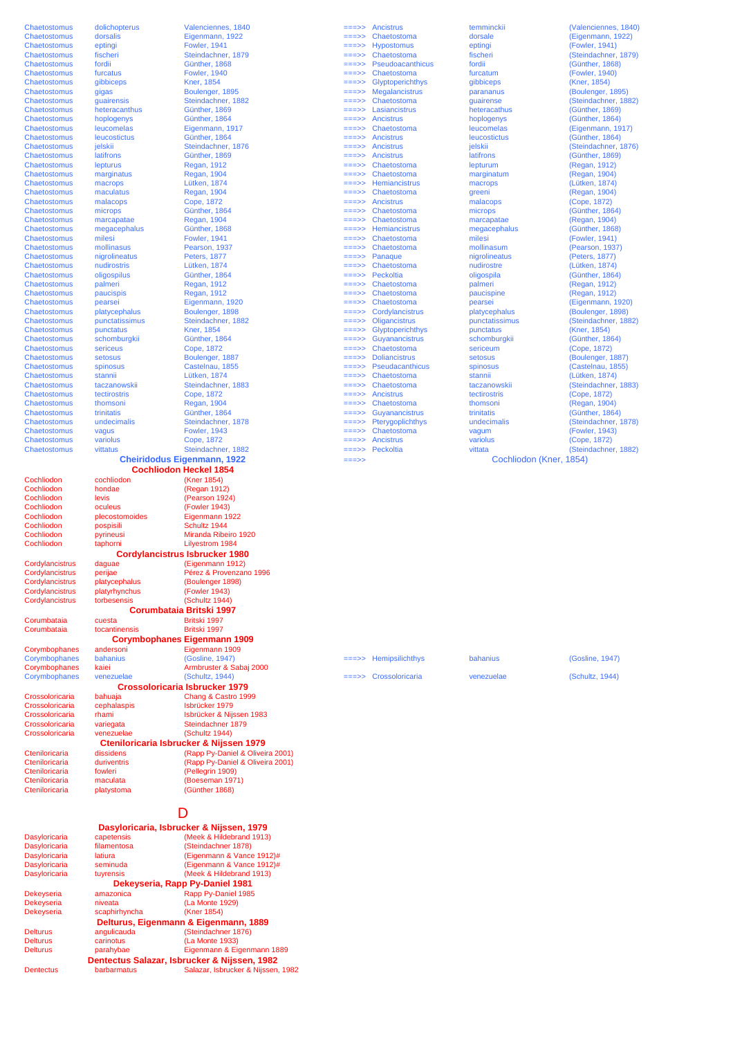.<br>pospisili

Cordylancistrus

**Cochliodon Heckel 1854**

Cochliodon cochliodon (Kner 1854)<br>Cochliodon hondae (Regan 191) Cochliodon hondae (Regan 1912)<br>Cochliodon levis (Pearson 192 Cochliodon levis (Pearson 1924)<br>Cochliodon oculeus (Fowler 1943) Cochliodon oculeus (Fowler 1943)<br>Cochliodon plecostomoides Eigenmann 19 Cochliodon plecostomoides Eigenmann 1922 Cochliodon pyrineusi Miranda Ribeiro 1920<br>Cochliodon pyrineusi Miranda Ribeiro 1920<br>Cochliodon taphorni Lilvestrom 1984 Lilyestrom 1984 Cordylancistrus daguae (Eigenmann 1912)<br>Cordylancistrus perijae – Pérez & Provenzar Pérez & Provenzano 1996 Cordylancistrus platycephalus (Boulenger 1898) Patyrhynchus (Fowler 1943)<br>
torbesensis (Schultz 1944) **Corumbataia** cuesta **Britski 1997**<br> **Corumbataia corumbataia britski** 1997 tocantinensis Corymbophanes andersoni Eigenmann 1909<br>
Corymbophanes bahanius (Gosline, 1947) Corymbophanes bahanius (Gosline, 1947)<br>
Corymbophanes bahanius (Gosline, 1947)<br>
Corymbophanes kaiei Armbruster & Sabaj 2000 **Cordylancistrus Isbrucker 1980 Corumbataia Britski 1997 Corymbophanes Eigenmann 1909**

#### Armbruster & Sabaj 2000 Corymbophanes venezuelae (Schultz, 1944) ===>> Crossoloricaria venezuelae (Schultz, 1944) **Crossoloricaria Isbrucker 1979**

#### Crossoloricaria bahuaja Chang & Castro 1999 Isbrücker 1979 Crossoloricaria rhami Isbrücker & Nijssen 1983<br>Crossoloricaria variegata Steindachner 1879 Crossoloricaria variegata Steindachner 1879<br>Crossoloricaria venezuelae (Schultz 1944) Cromatomica<br>
(Schultz 1944)

Cteniloricaria dissidens (Rapp Py-Daniel & Oliveira 2001) Cteniloricaria duriventris (Rapp Py-Daniel & Oliveira 2001) Cteniloricaria fowleri (Pellegrin 1909)<br>Cteniloricaria maculata (Rosseman 197 Cteniloricaria maculata (Boeseman 1971) (Günther 1868) **Cteniloricaria Isbrucker & Nijssen 1979** 

### D

|               | Dasyloricaria, Isbrucker & Nijssen, 1979     |
|---------------|----------------------------------------------|
| capetensis    | (Meek & Hildebrand 1913)                     |
| filamentosa   | (Steindachner 1878)                          |
| latiura       | (Eigenmann & Vance 1912)#                    |
| seminuda      | (Eigenmann & Vance 1912)#                    |
| tuyrensis     | (Meek & Hildebrand 1913)                     |
|               | Dekeyseria, Rapp Py-Daniel 1981              |
| amazonica     | Rapp Py-Daniel 1985                          |
| niveata       | (La Monte 1929)                              |
| scaphirhyncha | (Kner 1854)                                  |
|               | Delturus, Eigenmann & Eigenmann, 1889        |
| angulicauda   | (Steindachner 1876)                          |
| carinotus     | (La Monte 1933)                              |
| parahybae     | Eigenmann & Eigenmann 1889                   |
|               | Dentectus Salazar, Isbrucker & Nijssen, 1982 |
| barbarmatus   | Salazar, Isbrucker & Nijssen, 1982           |
|               |                                              |

| Chaetostomus        | dolichopterus  | Valenciennes, 1840                 |                 | $=\equiv \Rightarrow$ Ancistrus | temminckii              | (Valenciennes, 1840) |
|---------------------|----------------|------------------------------------|-----------------|---------------------------------|-------------------------|----------------------|
| <b>Chaetostomus</b> | dorsalis       | Eigenmann, 1922                    | $==->>$         | Chaetostoma                     | dorsale                 | (Eigenmann, 1922)    |
| Chaetostomus        | eptingi        | <b>Fowler, 1941</b>                | $=$ $=$ $>$ $>$ | <b>Hypostomus</b>               | eptingi                 | (Fowler, 1941)       |
| Chaetostomus        | fischeri       | Steindachner, 1879                 | $==->>$         | Chaetostoma                     | fischeri                | (Steindachner, 1879) |
| Chaetostomus        | fordii         | Günther, 1868                      | $=$ ==>>        | Pseudoacanthicus                | fordii                  | (Günther, 1868)      |
| Chaetostomus        | furcatus       | <b>Fowler, 1940</b>                | $=$ ==>>        | Chaetostoma                     | furcatum                | (Fowler, 1940)       |
| Chaetostomus        | qibbiceps      | <b>Kner, 1854</b>                  | $=$ ==>>        | Glyptoperichthys                | gibbiceps               | (Kner, 1854)         |
| Chaetostomus        | gigas          | Boulenger, 1895                    | $=$ $=$ $>$ $>$ | <b>Megalancistrus</b>           | parananus               | (Boulenger, 1895)    |
| Chaetostomus        | quairensis     | Steindachner, 1882                 | $==>>$          | Chaetostoma                     | quairense               | (Steindachner, 1882) |
| Chaetostomus        | heteracanthus  | Günther, 1869                      | $=$ ==>>        | Lasiancistrus                   | heteracathus            | (Günther, 1869)      |
| Chaetostomus        | hoplogenys     | Günther, 1864                      | $=$ ==>>        | <b>Ancistrus</b>                | hoplogenys              | (Günther, 1864)      |
| Chaetostomus        | leucomelas     | Eigenmann, 1917                    | $=$ ==>>        | Chaetostoma                     | leucomelas              | (Eigenmann, 1917)    |
| Chaetostomus        | leucostictus   | Günther, 1864                      | $=$ ==>>        | <b>Ancistrus</b>                | <b>leucostictus</b>     | (Günther, 1864)      |
| Chaetostomus        | ielskii        | Steindachner, 1876                 | $=$ ==>>        | Ancistrus                       | jelskii                 | (Steindachner, 1876) |
| Chaetostomus        | latifrons      | Günther, 1869                      | $=$ ==>>        | Ancistrus                       | latifrons               | (Günther, 1869)      |
| Chaetostomus        | lepturus       | Regan, 1912                        | $=$ ==>>        | Chaetostoma                     | lepturum                | (Regan, 1912)        |
| Chaetostomus        | marginatus     | Regan, 1904                        | $=$ $=$ $>$ $>$ | Chaetostoma                     | marginatum              | (Regan, 1904)        |
| Chaetostomus        | macrops        | Lütken, 1874                       | ===>>           | Hemiancistrus                   | macrops                 | (Lütken, 1874)       |
| Chaetostomus        | maculatus      | Regan, 1904                        | $=$ ==>>        | Chaetostoma                     | greeni                  | (Regan, 1904)        |
| Chaetostomus        | malacops       | Cope, 1872                         | $=$ ==>>        | Ancistrus                       | malacops                | (Cope, 1872)         |
| Chaetostomus        | microps        | Günther, 1864                      | $=$ ==>>        | Chaetostoma                     | microps                 | (Günther, 1864)      |
| Chaetostomus        | marcapatae     | <b>Regan, 1904</b>                 | $=$ ==>>        | Chaetostoma                     | marcapatae              | (Regan, 1904)        |
| Chaetostomus        | megacephalus   | Günther, 1868                      | $==->$          | Hemiancistrus                   | megacephalus            | (Günther, 1868)      |
| Chaetostomus        | milesi         | <b>Fowler, 1941</b>                | ===>>           | Chaetostoma                     | milesi                  | (Fowler, 1941)       |
| Chaetostomus        | mollinasus     | Pearson, 1937                      | $==->>$         | Chaetostoma                     | mollinasum              | (Pearson, 1937)      |
| Chaetostomus        | nigrolineatus  | <b>Peters, 1877</b>                | ===>>           | Panaque                         | nigrolineatus           | (Peters, 1877)       |
| Chaetostomus        | nudirostris    | Lütken, 1874                       | $=$ ==>>        | Chaetostoma                     | nudirostre              | (Lütken, 1874)       |
| Chaetostomus        | oligospilus    | Günther, 1864                      | $=$ ==>>        | Peckoltia                       | oligospila              | (Günther, 1864)      |
| Chaetostomus        | palmeri        | Regan, 1912                        | $=$ ==>>        | Chaetostoma                     | palmeri                 | (Regan, 1912)        |
| Chaetostomus        | paucispis      | Regan, 1912                        | $==>>$          | Chaetostoma                     | paucispine              | (Regan, 1912)        |
| Chaetostomus        | pearsei        | Eigenmann, 1920                    | $==>>$          | Chaetostoma                     | pearsei                 | (Eigenmann, 1920)    |
| Chaetostomus        | platycephalus  | Boulenger, 1898                    | $==>>$          | Cordylancistrus                 | platycephalus           | (Boulenger, 1898)    |
| Chaetostomus        | punctatissimus | Steindachner, 1882                 | $=$ ==>>        | <b>Oligancistrus</b>            | punctatissimus          | (Steindachner, 1882) |
| Chaetostomus        | punctatus      | <b>Kner, 1854</b>                  | $=$ $=$ $>$ $>$ | Glyptoperichthys                | punctatus               | (Kner, 1854)         |
| Chaetostomus        | schomburgkii   | Günther, 1864                      | $=$ ==>>        | Guyanancistrus                  | schomburgkii            | (Günther, 1864)      |
| Chaetostomus        | sericeus       | Cope, 1872                         | $=$ ==>>        | Chaetostoma                     | sericeum                | (Cope, 1872)         |
| Chaetostomus        | setosus        | Boulenger, 1887                    | $==->>$         | <b>Doliancistrus</b>            | setosus                 | (Boulenger, 1887)    |
| Chaetostomus        | spinosus       | Castelnau, 1855                    | $=$ ==>>        | Pseudacanthicus                 | spinosus                | (Castelnau, 1855)    |
| Chaetostomus        | stannii        | Lütken, 1874                       | $=$ ==>>        | Chaetostoma                     | stannii                 | (Lütken, 1874)       |
| Chaetostomus        | taczanowskii   | Steindachner, 1883                 | $=$ ==>>        | Chaetostoma                     | taczanowskii            | (Steindachner, 1883) |
| Chaetostomus        | tectirostris   | Cope, 1872                         | ===>>           | Ancistrus                       | tectirostris            | (Cope, 1872)         |
| Chaetostomus        | thomsoni       | <b>Regan, 1904</b>                 | $==>>$          | Chaetostoma                     | thomsoni                | (Regan, 1904)        |
| Chaetostomus        | trinitatis     | Günther, 1864                      | $==>>$          | Guyanancistrus                  | trinitatis              | (Günther, 1864)      |
| Chaetostomus        | undecimalis    | Steindachner, 1878                 | $=$ ==>>        | Pterygoplichthys                | undecimalis             | (Steindachner, 1878) |
| Chaetostomus        | vagus          | <b>Fowler, 1943</b>                | $=$ ==>>        | Chaetostoma                     | vagum                   | (Fowler, 1943)       |
| Chaetostomus        | variolus       | Cope, 1872                         | $=$ ==>>        | Ancistrus                       | variolus                | (Cope, 1872)         |
| Chaetostomus        | vittatus       | Steindachner, 1882                 |                 | $==->$ Peckoltia                | vittata                 | (Steindachner, 1882) |
|                     |                | <b>Cheiridodus Eigenmann, 1922</b> | $==->>$         |                                 | Cochliodon (Kner, 1854) |                      |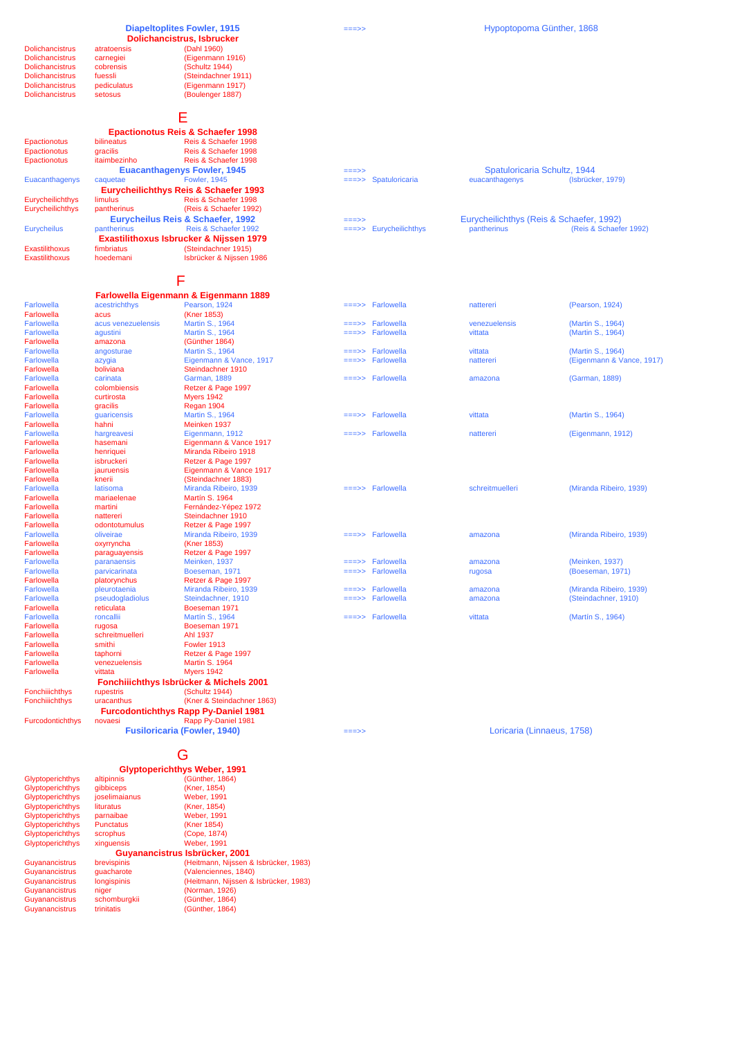#### **Diapeltoplites Fowler, 1915**

Dolichancistrus cobrensis<br>
Dolichancistrus fuessli Dolichancistrus fuessli (Steindachner 1911)<br>Dolichancistrus fuessli (Steindachner 1911)<br>Dolichancistrus pediculatus (Ejgenmann 1917) Dolichancistrus pediculatus (Eigenmann 1917)

**Dolichancistrus, Isbrucker**<br>Dolichancistrus atratoensis (Dahl 1960) <u>Dolichancistrus carnegiei</u> (Eigenmann 1916)<br>Dolichancistrus cobrensis (Schultz 1944)

Dolichancistrus setosus (Boulenger 1887)

E

|                                        |                                                                                                                                                                                                                                      | <b>Epactionotus Reis &amp; Schaefer 1998</b>     |          |                                                       |                                          |                   |
|----------------------------------------|--------------------------------------------------------------------------------------------------------------------------------------------------------------------------------------------------------------------------------------|--------------------------------------------------|----------|-------------------------------------------------------|------------------------------------------|-------------------|
| Epactionotus                           | <b>bilineatus</b>                                                                                                                                                                                                                    | Reis & Schaefer 1998                             |          |                                                       |                                          |                   |
| Epactionotus                           | gracilis                                                                                                                                                                                                                             | Reis & Schaefer 1998                             |          |                                                       |                                          |                   |
| Epactionotus                           | itaimbezinho                                                                                                                                                                                                                         | Reis & Schaefer 1998                             |          |                                                       |                                          |                   |
|                                        |                                                                                                                                                                                                                                      | <b>Euacanthagenys Fowler, 1945</b>               | $==->>$  |                                                       | Spatuloricaria Schultz, 1944             |                   |
| Euacanthagenys                         | caquetae                                                                                                                                                                                                                             | <b>Fowler, 1945</b>                              |          | $\equiv \equiv \Rightarrow$ Spatuloricaria            | euacanthagenys                           | (Isbrücker, 1979) |
|                                        |                                                                                                                                                                                                                                      | <b>Eurycheilichthys Reis &amp; Schaefer 1993</b> |          |                                                       |                                          |                   |
| Eurycheilichthys                       | limulus                                                                                                                                                                                                                              | Reis & Schaefer 1998                             |          |                                                       |                                          |                   |
| Eurycheilichthys                       | pantherinus                                                                                                                                                                                                                          | (Reis & Schaefer 1992)                           |          |                                                       |                                          |                   |
|                                        |                                                                                                                                                                                                                                      | Eurycheilus Reis & Schaefer, 1992                | $=$ ==>> |                                                       | Eurycheilichthys (Reis & Schaefer, 1992) |                   |
| <b>Eurycheilus</b>                     | pantherinus                                                                                                                                                                                                                          | Reis & Schaefer 1992                             |          | $\equiv \equiv \equiv \equiv \equiv$ Eurycheilichthys | pantherinus                              | (Reis & Schaefe   |
|                                        |                                                                                                                                                                                                                                      | Exastilithoxus Isbrucker & Nijssen 1979          |          |                                                       |                                          |                   |
| The concentration of the concentration | <b>Considered and Constanting Constantine Constantine Constantine Constantine Constantine Constantine Constantine Constantine Constantine Constantine Constantine Constantine Constantine Constantine Constantine Constantine Co</b> | <b>CONSTRUCTION AND A CALLY</b>                  |          |                                                       |                                          |                   |

Farlowella acus (Kner 1853)<br>
Farlowella acus venezuelensis Martin S., 1964<br>
Farlowella aqustini Martin S., 1964 Farlowella amazona (Günther 1864) Steindachner 1910<br>Garman, 1889 Farlowella colombiensis Retzer & Page 1997<br>
Farlowella curtirosta Myers 1942 Myers 1942 Farlowella gracilis Regan 1904<br>
Farlowella guaricensis Martin S., 1964 Farlowella Fahni Meinken 1937<br>Farlowella hargreavesi Figenmann, 1912 Farlowella hasemani Eigenmann & Vance 19<br>
Farlowella henriquei Miranda Ribeiro 1918 Miranda Ribeiro 1918 Farlowella isbruckeri Retzer & Page 1997<br>
Farlowella jauruensis Eigenmann & Vance Farlowella jauruensis Eigenmann & Vance 1917 Farlowella (Steindachner 1883)<br>
Iatisoma Miranda Ribeiro, 1939 Martín S. 1964 Farlowella martini martini Fernández-Yépez 1972<br>Farlowella martini Fernández-Yépez 1972<br>Farlowella nattereri Steindachner 1910 Farlowella nattereri Steindachner 1910<br>
Farlowella odontotumulus Retzer & Page 199 Retzer & Page 1997<br>Miranda Ribeiro, 1939 Farlowella oxyrryncha (Kner 1853) Retzer & Page 1997<br>Meinken, 1937 **Retzer & Page 1997<br>
Miranda Ribeiro, 1939** Farlowella pleurotaenia Miranda Ribeiro, 1939 ===>> Farlowella amazona (Miranda Ribeiro, 1939) Farlowella pseudogladiolus Steindachner, 1910<br>
Farlowella pseudogladiolus Steindachner, 1910<br>
Farlowella reficulata Roeseman 1971<br>
Farlowella reficulata Roeseman 1971 Farlowella reticulata Boeseman 1971 Farlowella roncallii Martín S., 1964 ===>> Farlowella vittata (Martín S., 1964) Farlowella rugosa Boeseman 1971 Farlowella schreitmuelleri<br>
Farlowella smithi Farlowella smithing the Form of Fowler 1913<br>Farlowella smithing Fowler 1913<br>Farlowella taphorni Retzer & Pag Retzer & Page 1997 Farlowella venezuelensis Martin S. 1964 Farmer Contract of the Myers 1942 Fonchiiichthys rupestris (Schultz 1944) Fonchiiichthys uracanthus (Kner & Steindachner 1863) Furcodontichthys novaesi Rapp Py-Daniel 1981 **Fusiloricaria (Fowler, 1940)** Loricaria (Linnaeus, 1758) **Fonchiiichthys Isbrücker & Michels 2001 Furcodontichthys Rapp Py-Daniel 1981**

|                       |                    | <b>Eurycheilichthys Reis &amp; Schaefer 1993</b> |                       |                   |               |                                          |
|-----------------------|--------------------|--------------------------------------------------|-----------------------|-------------------|---------------|------------------------------------------|
| Eurycheilichthys      | limulus            | Reis & Schaefer 1998                             |                       |                   |               |                                          |
| Eurycheilichthys      | pantherinus        | (Reis & Schaefer 1992)                           |                       |                   |               |                                          |
|                       |                    | Eurycheilus Reis & Schaefer, 1992                | $==->>$               |                   |               | Eurycheilichthys (Reis & Schaefer, 1992) |
| <b>Eurycheilus</b>    | pantherinus        | Reis & Schaefer 1992                             | $=\equiv \equiv \gt>$ | Eurycheilichthys  | pantherinus   | (Reis & Schaefer 1992)                   |
|                       |                    | Exastilithoxus Isbrucker & Nijssen 1979          |                       |                   |               |                                          |
| <b>Exastilithoxus</b> | fimbriatus         | (Steindachner 1915)                              |                       |                   |               |                                          |
| <b>Exastilithoxus</b> | hoedemani          | Isbrücker & Nijssen 1986                         |                       |                   |               |                                          |
|                       |                    | F                                                |                       |                   |               |                                          |
|                       |                    | Farlowella Eigenmann & Eigenmann 1889            |                       |                   |               |                                          |
| Farlowella            | acestrichthys      | Pearson, 1924                                    |                       | $==->$ Farlowella | nattereri     | (Pearson, 1924)                          |
| Farlowella            | acus               | (Kner 1853)                                      |                       |                   |               |                                          |
| Farlowella            | acus venezuelensis | Martin S., 1964                                  |                       | $===>$ Farlowella | venezuelensis | (Martin S., 1964)                        |
| Farlowella            | aqustini           | Martin S., 1964                                  |                       | $==->$ Farlowella | vittata       | (Martin S., 1964)                        |
| Farlowella            | amazona            | (Günther 1864)                                   |                       |                   |               |                                          |
| Farlowella            | angosturae         | Martin S., 1964                                  |                       | $==->$ Farlowella | vittata       | (Martin S., 1964)                        |
| Farlowella            | azygia             | Eigenmann & Vance, 1917                          |                       | $==->$ Farlowella | nattereri     | (Eigenmann & Vance, 1917)                |
| Farlowella            | boliviana          | Steindachner 1910                                |                       |                   |               |                                          |
| Farlowella            | carinata           | <b>Garman, 1889</b>                              |                       | $==->$ Farlowella | amazona       | (Garman, 1889)                           |
| Farlowella            | colombiensis       | Retzer & Page 1997                               |                       |                   |               |                                          |
| Farlowella            | curtirosta         | <b>Myers 1942</b>                                |                       |                   |               |                                          |
| Farlowella            | gracilis           | Regan 1904                                       |                       |                   |               |                                          |
| Farlowella            | quaricensis        | Martin S., 1964                                  |                       | $==->$ Farlowella | vittata       | (Martin S., 1964)                        |
| Farlowella            | hahni              | Meinken 1937                                     |                       |                   |               |                                          |
| Farlowella            | hargreavesi        | Eigenmann, 1912                                  |                       | $==->$ Farlowella | nattereri     | (Eigenmann, 1912)                        |
| Farlowella            | hasemani           | Eigenmann & Vance 1917                           |                       |                   |               |                                          |
| Farlowella            | henriquei          | Miranda Ribeiro 1918                             |                       |                   |               |                                          |
| Farlowella            | isbruckeri         | Retzer & Page 1997                               |                       |                   |               |                                          |
|                       |                    |                                                  |                       |                   |               |                                          |

| וסווס איטוונג | amazuna       | ודשטו וטווווט           |                                        |                 |                         |
|---------------|---------------|-------------------------|----------------------------------------|-----------------|-------------------------|
| Farlowella    | angosturae    | Martin S., 1964         | $==->$ Farlowella                      | vittata         | (Martin S., 1964)       |
| Farlowella    | azygia        | Eigenmann & Vance, 1917 | $\equiv \equiv \Rightarrow$ Farlowella | nattereri       | (Eigenmann & Vance, 1   |
| Farlowella    | boliviana     | Steindachner 1910       |                                        |                 |                         |
| Farlowella    | carinata      | <b>Garman, 1889</b>     | $==->$ Farlowella                      | amazona         | (Garman, 1889)          |
| Farlowella    | colombiensis  | Retzer & Page 1997      |                                        |                 |                         |
| Farlowella    | curtirosta    | <b>Mvers 1942</b>       |                                        |                 |                         |
| Farlowella    | gracilis      | Regan 1904              |                                        |                 |                         |
| Farlowella    | quaricensis   | Martin S., 1964         | $\equiv \equiv \Rightarrow$ Farlowella | vittata         | (Martin S., 1964)       |
| Farlowella    | hahni         | Meinken 1937            |                                        |                 |                         |
| Farlowella    | hargreavesi   | Eigenmann, 1912         | $==->$ Farlowella                      | nattereri       | (Eigenmann, 1912)       |
| Farlowella    | hasemani      | Eigenmann & Vance 1917  |                                        |                 |                         |
| Farlowella    | henriquei     | Miranda Ribeiro 1918    |                                        |                 |                         |
| Farlowella    | isbruckeri    | Retzer & Page 1997      |                                        |                 |                         |
| Farlowella    | iauruensis    | Eigenmann & Vance 1917  |                                        |                 |                         |
| Farlowella    | knerii        | (Steindachner 1883)     |                                        |                 |                         |
| Farlowella    | latisoma      | Miranda Ribeiro, 1939   | $==->$ Farlowella                      | schreitmuelleri | (Miranda Ribeiro, 1939) |
| Farlowella    | mariaelenae   | <b>Martín S. 1964</b>   |                                        |                 |                         |
| Farlowella    | martini       | Fernández-Yépez 1972    |                                        |                 |                         |
| Farlowella    | nattereri     | Steindachner 1910       |                                        |                 |                         |
| Farlowella    | odontotumulus | Retzer & Page 1997      |                                        |                 |                         |
| Farlowella    | oliveirae     | Miranda Ribeiro, 1939   | $==->$ Farlowella                      | amazona         | (Miranda Ribeiro, 1939) |
| Farlowella    | oxyrryncha    | (Kner 1853)             |                                        |                 |                         |
| Farlowella    | paraquayensis | Retzer & Page 1997      |                                        |                 |                         |
| Farlowella    | paranaensis   | Meinken, 1937           | $==->$ Farlowella                      | amazona         | (Meinken, 1937)         |
| Farlowella    | parvicarinata | Boeseman, 1971          | $==->$ Farlowella                      | rugosa          | (Boeseman, 1971)        |
| Farlowella    | platorynchus  | Retzer & Page 1997      |                                        |                 |                         |
| Farlowella    | pleurotaenia  | Miranda Ribeiro, 1939   | $==->$ Farlowella                      | amazona         | (Miranda Ribeiro, 1939) |
|               |               |                         |                                        |                 |                         |

G

#### **Glyptoperichthys Weber, 1991**

| <b>Glyptoperichthys</b> | altipinnis       | (Günther, 1864)                       |
|-------------------------|------------------|---------------------------------------|
| <b>Glyptoperichthys</b> | qibbiceps        | (Kner, 1854)                          |
| <b>Glyptoperichthys</b> | ioselimaianus    | <b>Weber, 1991</b>                    |
| <b>Glyptoperichthys</b> | lituratus        | (Kner, 1854)                          |
| <b>Glyptoperichthys</b> | parnaibae        | <b>Weber, 1991</b>                    |
| <b>Glyptoperichthys</b> | <b>Punctatus</b> | (Kner 1854)                           |
| <b>Glyptoperichthys</b> | scrophus         | (Cope, 1874)                          |
| <b>Glyptoperichthys</b> | xinquensis       | <b>Weber, 1991</b>                    |
|                         |                  | Guyanancistrus Isbrücker, 2001        |
| Guyanancistrus          | brevispinis      | (Heitmann, Nijssen & Isbrücker, 1983) |
| Guyanancistrus          | quacharote       | (Valenciennes, 1840)                  |
| Guyanancistrus          | longispinis      | (Heitmann, Nijssen & Isbrücker, 1983) |
| Guyanancistrus          | niger            | (Norman, 1926)                        |
| Guyanancistrus          | schomburgkii     | (Günther, 1864)                       |
| Guyanancistrus          | trinitatis       | (Günther, 1864)                       |
|                         |                  |                                       |

===>>

===>>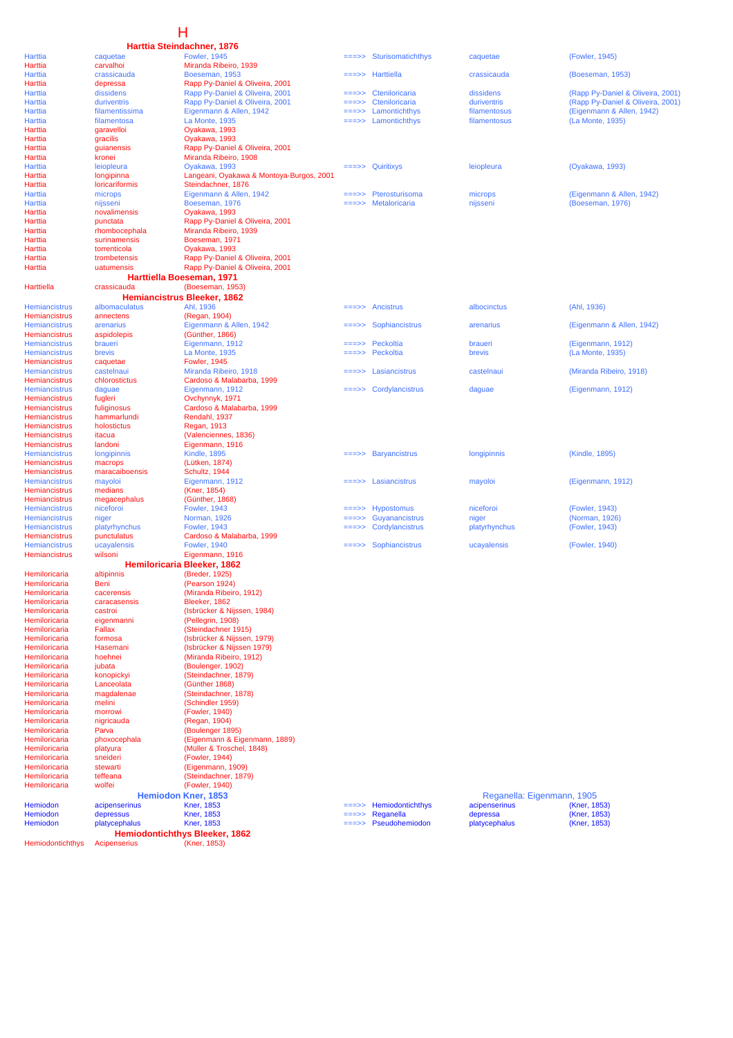# H

|                                              |                                       | Harttia Steindachner, 1876                        |                |                           |                            |                                   |
|----------------------------------------------|---------------------------------------|---------------------------------------------------|----------------|---------------------------|----------------------------|-----------------------------------|
| Harttia                                      | caquetae                              | <b>Fowler, 1945</b>                               | ===>>          | Sturisomatichthys         | caquetae                   | (Fowler, 1945)                    |
| Harttia                                      | carvalhoi<br>crassicauda              | Miranda Ribeiro, 1939                             |                |                           |                            |                                   |
| Harttia<br>Harttia                           | depressa                              | Boeseman, 1953<br>Rapp Py-Daniel & Oliveira, 2001 | ===>>          | Harttiella                | crassicauda                | (Boeseman, 1953)                  |
| Harttia                                      | dissidens                             | Rapp Py-Daniel & Oliveira, 2001                   | ===>>          | Cteniloricaria            | dissidens                  | (Rapp Py-Daniel & Oliveira, 2001) |
| Harttia                                      | duriventris                           | Rapp Py-Daniel & Oliveira, 2001                   | ===>>          | Cteniloricaria            | duriventris                | (Rapp Py-Daniel & Oliveira, 2001) |
| Harttia                                      | filamentissima                        | Eigenmann & Allen, 1942                           | ===>>          | Lamontichthys             | filamentosus               | (Eigenmann & Allen, 1942)         |
| Harttia                                      | filamentosa                           | La Monte, 1935                                    | $=$ ==>>       | Lamontichthys             | filamentosus               | (La Monte, 1935)                  |
| Harttia                                      | garavelloi                            | Oyakawa, 1993                                     |                |                           |                            |                                   |
| Harttia                                      | gracilis                              | Oyakawa, 1993                                     |                |                           |                            |                                   |
| Harttia                                      | guianensis                            | Rapp Py-Daniel & Oliveira, 2001                   |                |                           |                            |                                   |
| Harttia<br>Harttia                           | kronei<br>leiopleura                  | Miranda Ribeiro, 1908<br>Oyakawa, 1993            | ===>>          | Quiritixys                | leiopleura                 | (Oyakawa, 1993)                   |
| Harttia                                      | longipinna                            | Langeani, Oyakawa & Montoya-Burgos, 2001          |                |                           |                            |                                   |
| Harttia                                      | loricariformis                        | Steindachner, 1876                                |                |                           |                            |                                   |
| Harttia                                      | microps                               | Eigenmann & Allen, 1942                           | $==>>$         | Pterosturisoma            | microps                    | (Eigenmann & Allen, 1942)         |
| Harttia                                      | nijsseni                              | Boeseman, 1976                                    |                | Metaloricaria             | nijsseni                   | (Boeseman, 1976)                  |
| Harttia                                      | novalimensis                          | Oyakawa, 1993                                     |                |                           |                            |                                   |
| Harttia                                      | punctata                              | Rapp Py-Daniel & Oliveira, 2001                   |                |                           |                            |                                   |
| Harttia<br>Harttia                           | rhombocephala<br>surinamensis         | Miranda Ribeiro, 1939<br>Boeseman, 1971           |                |                           |                            |                                   |
| Harttia                                      | torrenticola                          | Oyakawa, 1993                                     |                |                           |                            |                                   |
| Harttia                                      | trombetensis                          | Rapp Py-Daniel & Oliveira, 2001                   |                |                           |                            |                                   |
| Harttia                                      | uatumensis                            | Rapp Py-Daniel & Oliveira, 2001                   |                |                           |                            |                                   |
|                                              | Harttiella Boeseman, 1971             |                                                   |                |                           |                            |                                   |
| Harttiella                                   | crassicauda                           | (Boeseman, 1953)                                  |                |                           |                            |                                   |
|                                              |                                       | Hemiancistrus Bleeker, 1862                       |                |                           |                            |                                   |
| Hemiancistrus                                | albomaculatus                         | Ahl, 1936                                         | ===>>          | Ancistrus                 | albocinctus                | (Ahl, 1936)                       |
| <b>Hemiancistrus</b>                         | annectens                             | (Regan, 1904)                                     |                |                           |                            |                                   |
| <b>Hemiancistrus</b>                         | arenarius                             | Eigenmann & Allen, 1942                           |                | Sophiancistrus            | arenarius                  | (Eigenmann & Allen, 1942)         |
| <b>Hemiancistrus</b>                         | aspidolepis                           | (Günther, 1866)<br>Eigenmann, 1912                |                | Peckoltia                 |                            | (Eigenmann, 1912)                 |
| <b>Hemiancistrus</b><br><b>Hemiancistrus</b> | braueri<br>brevis                     | La Monte, 1935                                    | ===>><br>===>> | Peckoltia                 | braueri<br>brevis          | (La Monte, 1935)                  |
| Hemiancistrus                                | caquetae                              | <b>Fowler, 1945</b>                               |                |                           |                            |                                   |
| <b>Hemiancistrus</b>                         | castelnaui                            | Miranda Ribeiro, 1918                             |                | Lasiancistrus             | castelnaui                 | (Miranda Ribeiro, 1918)           |
| <b>Hemiancistrus</b>                         | chlorostictus                         | Cardoso & Malabarba, 1999                         |                |                           |                            |                                   |
| <b>Hemiancistrus</b>                         | daguae                                | Eigenmann, 1912                                   |                | Cordylancistrus           | daguae                     | (Eigenmann, 1912)                 |
| <b>Hemiancistrus</b>                         | fugleri                               | Ovchynnyk, 1971                                   |                |                           |                            |                                   |
| <b>Hemiancistrus</b>                         | fuliginosus                           | Cardoso & Malabarba, 1999                         |                |                           |                            |                                   |
| Hemiancistrus                                | hammarlundi<br>holostictus            | Rendahl, 1937                                     |                |                           |                            |                                   |
| Hemiancistrus<br>Hemiancistrus               | itacua                                | Regan, 1913<br>(Valenciennes, 1836)               |                |                           |                            |                                   |
| Hemiancistrus                                | landoni                               | Eigenmann, 1916                                   |                |                           |                            |                                   |
| <b>Hemiancistrus</b>                         | longipinnis                           | <b>Kindle, 1895</b>                               |                | $=\equiv >$ Baryancistrus | longipinnis                | (Kindle, 1895)                    |
| Hemiancistrus                                | macrops                               | (Lütken, 1874)                                    |                |                           |                            |                                   |
| <b>Hemiancistrus</b>                         | maracaiboensis                        | Schultz, 1944                                     |                |                           |                            |                                   |
| <b>Hemiancistrus</b>                         | mayoloi                               | Eigenmann, 1912                                   |                | Lasiancistrus             | mayoloi                    | (Eigenmann, 1912)                 |
| Hemiancistrus                                | medians                               | (Kner, 1854)                                      |                |                           |                            |                                   |
| Hemiancistrus<br><b>Hemiancistrus</b>        | megacephalus<br>niceforoi             | (Günther, 1868)<br><b>Fowler, 1943</b>            |                | <b>Hypostomus</b>         | niceforoi                  | (Fowler, 1943)                    |
| <b>Hemiancistrus</b>                         | niger                                 | Norman, 1926                                      |                | Guyanancistrus            | niger                      | (Norman, 1926)                    |
| <b>Hemiancistrus</b>                         | platyrhynchus                         | <b>Fowler, 1943</b>                               |                | Cordylancistrus           | platyrhynchus              | (Fowler, 1943)                    |
| Hemiancistrus                                | punctulatus                           | Cardoso & Malabarba, 1999                         |                |                           |                            |                                   |
| <b>Hemiancistrus</b>                         | ucayalensis                           | <b>Fowler, 1940</b>                               | ===>>          | Sophiancistrus            | ucayalensis                | (Fowler, 1940)                    |
| Hemiancistrus                                | wilsoni                               | Eigenmann, 1916                                   |                |                           |                            |                                   |
|                                              |                                       | Hemiloricaria Bleeker, 1862                       |                |                           |                            |                                   |
| Hemiloricaria                                | altipinnis                            | (Breder, 1925)                                    |                |                           |                            |                                   |
| Hemiloricaria                                | Beni                                  | (Pearson 1924)                                    |                |                           |                            |                                   |
| Hemiloricaria<br>Hemiloricaria               | cacerensis<br>caracasensis            | (Miranda Ribeiro, 1912)<br>Bleeker, 1862          |                |                           |                            |                                   |
| Hemiloricaria                                | castroi                               | (Isbrücker & Nijssen, 1984)                       |                |                           |                            |                                   |
| Hemiloricaria                                | eigenmanni                            | (Pellegrin, 1908)                                 |                |                           |                            |                                   |
| Hemiloricaria                                | Fallax                                | (Steindachner 1915)                               |                |                           |                            |                                   |
| Hemiloricaria                                | formosa                               | (Isbrücker & Nijssen, 1979)                       |                |                           |                            |                                   |
| Hemiloricaria                                | Hasemani                              | (Isbrücker & Nijssen 1979)                        |                |                           |                            |                                   |
| Hemiloricaria                                | hoehnei                               | (Miranda Ribeiro, 1912)                           |                |                           |                            |                                   |
| Hemiloricaria                                | jubata                                | (Boulenger, 1902)                                 |                |                           |                            |                                   |
| Hemiloricaria                                | konopickyi                            | (Steindachner, 1879)<br>(Günther 1868)            |                |                           |                            |                                   |
| Hemiloricaria<br>Hemiloricaria               | Lanceolata<br>magdalenae              | (Steindachner, 1878)                              |                |                           |                            |                                   |
| Hemiloricaria                                | melini                                | (Schindler 1959)                                  |                |                           |                            |                                   |
| Hemiloricaria                                | morrowi                               | (Fowler, 1940)                                    |                |                           |                            |                                   |
| Hemiloricaria                                | nigricauda                            | (Regan, 1904)                                     |                |                           |                            |                                   |
| Hemiloricaria                                | Parva                                 | (Boulenger 1895)                                  |                |                           |                            |                                   |
| Hemiloricaria                                | phoxocephala                          | (Eigenmann & Eigenmann, 1889)                     |                |                           |                            |                                   |
| Hemiloricaria                                | platyura                              | (Müller & Troschel, 1848)                         |                |                           |                            |                                   |
| Hemiloricaria<br>Hemiloricaria               | sneideri<br>stewarti                  | (Fowler, 1944)<br>(Eigenmann, 1909)               |                |                           |                            |                                   |
| Hemiloricaria                                | teffeana                              | (Steindachner, 1879)                              |                |                           |                            |                                   |
| Hemiloricaria                                | wolfei                                | (Fowler, 1940)                                    |                |                           |                            |                                   |
|                                              | <b>Hemiodon Kner, 1853</b>            |                                                   |                |                           | Reganella: Eigenmann, 1905 |                                   |
| Hemiodon                                     | acipenserinus                         | <b>Kner, 1853</b>                                 | ===>>          | Hemiodontichthys          | acipenserinus              | (Kner, 1853)                      |
| Hemiodon                                     | depressus                             | <b>Kner, 1853</b>                                 | ===>>          | Reganella                 | depressa                   | (Kner, 1853)                      |
| Hemiodon                                     | platycephalus                         | <b>Kner, 1853</b>                                 | ===>>          | Pseudohemiodon            | platycephalus              | (Kner, 1853)                      |
|                                              | <b>Hemiodontichthys Bleeker, 1862</b> |                                                   |                |                           |                            |                                   |
| Hemiodontichthys                             | Acipenserius                          | (Kner, 1853)                                      |                |                           |                            |                                   |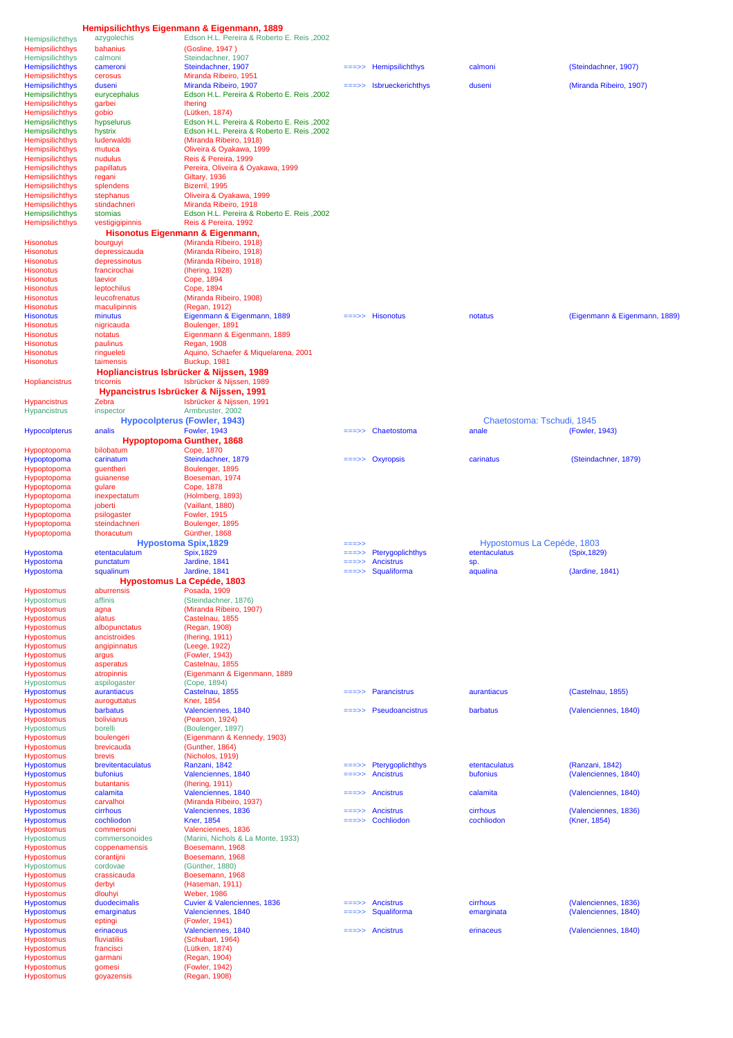| Hemipsilichthys        | azygolechis                              | Edson H.L. Pereira & Roberto E. Reis, 2002 |          |                                 |                            |                               |
|------------------------|------------------------------------------|--------------------------------------------|----------|---------------------------------|----------------------------|-------------------------------|
| <b>Hemipsilichthys</b> | bahanius                                 | (Gosline, 1947)                            |          |                                 |                            |                               |
| Hemipsilichthys        | calmoni                                  | Steindachner, 1907                         |          |                                 |                            |                               |
| <b>Hemipsilichthys</b> | cameroni                                 | Steindachner, 1907                         |          | Hemipsilichthys                 | calmoni                    | (Steindachner, 1907)          |
| <b>Hemipsilichthys</b> | cerosus                                  | Miranda Ribeiro, 1951                      |          |                                 |                            |                               |
| <b>Hemipsilichthys</b> | duseni                                   | Miranda Ribeiro, 1907                      |          | Isbrueckerichthys               | duseni                     | (Miranda Ribeiro, 1907)       |
| Hemipsilichthys        | eurycephalus                             | Edson H.L. Pereira & Roberto E. Reis, 2002 |          |                                 |                            |                               |
| Hemipsilichthys        | garbei                                   | <b>Ihering</b>                             |          |                                 |                            |                               |
| <b>Hemipsilichthys</b> | gobio                                    | (Lütken, 1874)                             |          |                                 |                            |                               |
| Hemipsilichthys        | hypselurus                               | Edson H.L. Pereira & Roberto E. Reis, 2002 |          |                                 |                            |                               |
| <b>Hemipsilichthys</b> | hystrix                                  | Edson H.L. Pereira & Roberto E. Reis, 2002 |          |                                 |                            |                               |
| Hemipsilichthys        | luderwaldti                              | (Miranda Ribeiro, 1918)                    |          |                                 |                            |                               |
| Hemipsilichthys        | mutuca                                   | Oliveira & Oyakawa, 1999                   |          |                                 |                            |                               |
| Hemipsilichthys        | nudulus                                  | Reis & Pereira, 1999                       |          |                                 |                            |                               |
| Hemipsilichthys        | papillatus                               | Pereira, Oliveira & Oyakawa, 1999          |          |                                 |                            |                               |
| Hemipsilichthys        | regani                                   | Giltary, 1936                              |          |                                 |                            |                               |
| Hemipsilichthys        | splendens                                | Bizerril, 1995                             |          |                                 |                            |                               |
| Hemipsilichthys        | stephanus                                | Oliveira & Oyakawa, 1999                   |          |                                 |                            |                               |
|                        | stindachneri                             | Miranda Ribeiro, 1918                      |          |                                 |                            |                               |
| Hemipsilichthys        | stomias                                  | Edson H.L. Pereira & Roberto E. Reis, 2002 |          |                                 |                            |                               |
| Hemipsilichthys        |                                          |                                            |          |                                 |                            |                               |
| Hemipsilichthys        | vestigigipinnis                          | Reis & Pereira, 1992                       |          |                                 |                            |                               |
|                        | Hisonotus Eigenmann & Eigenmann,         |                                            |          |                                 |                            |                               |
| Hisonotus              | bourguyi                                 | (Miranda Ribeiro, 1918)                    |          |                                 |                            |                               |
| Hisonotus              | depressicauda                            | (Miranda Ribeiro, 1918)                    |          |                                 |                            |                               |
| Hisonotus              | depressinotus                            | (Miranda Ribeiro, 1918)                    |          |                                 |                            |                               |
| Hisonotus              | francirochai                             | (Ihering, 1928)                            |          |                                 |                            |                               |
| Hisonotus              | laevior                                  | Cope, 1894                                 |          |                                 |                            |                               |
| Hisonotus              | leptochilus                              | Cope, 1894                                 |          |                                 |                            |                               |
| <b>Hisonotus</b>       | leucofrenatus                            | (Miranda Ribeiro, 1908)                    |          |                                 |                            |                               |
| Hisonotus              | maculipinnis                             | (Regan, 1912)                              |          |                                 |                            |                               |
| <b>Hisonotus</b>       | minutus                                  | Eigenmann & Eigenmann, 1889                |          | $=\equiv \Rightarrow$ Hisonotus | notatus                    | (Eigenmann & Eigenmann, 1889) |
| Hisonotus              | nigricauda                               | Boulenger, 1891                            |          |                                 |                            |                               |
| Hisonotus              | notatus                                  | Eigenmann & Eigenmann, 1889                |          |                                 |                            |                               |
| Hisonotus              | paulinus                                 | <b>Regan, 1908</b>                         |          |                                 |                            |                               |
| <b>Hisonotus</b>       | ringueleti                               | Aquino, Schaefer & Miquelarena, 2001       |          |                                 |                            |                               |
| <b>Hisonotus</b>       | taimensis                                | Buckup, 1981                               |          |                                 |                            |                               |
|                        |                                          |                                            |          |                                 |                            |                               |
|                        | Hopliancistrus Isbrücker & Nijssen, 1989 |                                            |          |                                 |                            |                               |
| Hopliancistrus         | tricornis                                | Isbrücker & Nijssen, 1989                  |          |                                 |                            |                               |
|                        | Hypancistrus Isbrücker & Nijssen, 1991   |                                            |          |                                 |                            |                               |
| <b>Hypancistrus</b>    | Zebra                                    | Isbrücker & Nijssen, 1991                  |          |                                 |                            |                               |
| <b>Hypancistrus</b>    | inspector                                | Armbruster, 2002                           |          |                                 |                            |                               |
|                        | <b>Hypocolpterus (Fowler, 1943)</b>      |                                            |          |                                 | Chaetostoma: Tschudi, 1845 |                               |
| <b>Hypocolpterus</b>   | analis                                   | <b>Fowler, 1943</b>                        |          | ===>> Chaetostoma               | anale                      | (Fowler, 1943)                |
|                        | <b>Hypoptopoma Gunther, 1868</b>         |                                            |          |                                 |                            |                               |
| Hypoptopoma            | bilobatum                                | Cope, 1870                                 |          |                                 |                            |                               |
| Hypoptopoma            | carinatum                                | Steindachner, 1879                         |          | ===>> Oxyropsis                 | carinatus                  | (Steindachner, 1879)          |
| Hypoptopoma            | guentheri                                | Boulenger, 1895                            |          |                                 |                            |                               |
|                        |                                          | Boeseman, 1974                             |          |                                 |                            |                               |
| Hypoptopoma            | guianense                                |                                            |          |                                 |                            |                               |
| Hypoptopoma            | gulare                                   | Cope, 1878                                 |          |                                 |                            |                               |
| Hypoptopoma            | inexpectatum                             | (Holmberg, 1893)                           |          |                                 |                            |                               |
| Hypoptopoma            | joberti                                  | (Vaillant, 1880)                           |          |                                 |                            |                               |
| Hypoptopoma            | psilogaster                              | <b>Fowler, 1915</b>                        |          |                                 |                            |                               |
| Hypoptopoma            | steindachneri                            | Boulenger, 1895                            |          |                                 |                            |                               |
| Hypoptopoma            | thoracutum                               | Günther, 1868                              |          |                                 |                            |                               |
|                        | <b>Hypostoma Spix, 1829</b>              |                                            | ===>>    |                                 | Hypostomus La Cepéde, 1803 |                               |
| Hypostoma              | etentaculatum                            | <b>Spix, 1829</b>                          | ===>>    | Pterygoplichthys                | etentaculatus              | (Spix, 1829)                  |
| <b>Hypostoma</b>       | punctatum                                | Jardine, 1841                              |          | <b>Ancistrus</b>                | sp.                        |                               |
| <b>Hypostoma</b>       | squalinum                                | Jardine, 1841                              |          | $==->$ Squaliforma              | aqualina                   | (Jardine, 1841)               |
|                        | Hypostomus La Cepéde, 1803               |                                            |          |                                 |                            |                               |
| Hypostomus             | aburrensis                               | Posada, 1909                               |          |                                 |                            |                               |
| Hypostomus             | affinis                                  | (Steindachner, 1876)                       |          |                                 |                            |                               |
| <b>Hypostomus</b>      |                                          | (Miranda Ribeiro, 1907)                    |          |                                 |                            |                               |
| <b>Hypostomus</b>      | agna                                     |                                            |          |                                 |                            |                               |
|                        | alatus                                   | Castelnau, 1855                            |          |                                 |                            |                               |
| Hypostomus             | albopunctatus                            | (Regan, 1908)                              |          |                                 |                            |                               |
| <b>Hypostomus</b>      | ancistroides                             | (Ihering, 1911)                            |          |                                 |                            |                               |
| <b>Hypostomus</b>      | angipinnatus                             | (Leege, 1922)                              |          |                                 |                            |                               |
| <b>Hypostomus</b>      | argus                                    | (Fowler, 1943)                             |          |                                 |                            |                               |
| Hypostomus             | asperatus                                | Castelnau, 1855                            |          |                                 |                            |                               |
| <b>Hypostomus</b>      | atropinnis                               | (Eigenmann & Eigenmann, 1889               |          |                                 |                            |                               |
| Hypostomus             | aspilogaster                             | (Cope, 1894)                               |          |                                 |                            |                               |
| <b>Hypostomus</b>      | aurantiacus                              | Castelnau, 1855                            | ===>>    | Parancistrus                    | aurantiacus                | (Castelnau, 1855)             |
| <b>Hypostomus</b>      | auroguttatus                             | <b>Kner. 1854</b>                          |          |                                 |                            |                               |
| <b>Hypostomus</b>      | barbatus                                 | Valenciennes, 1840                         | $=$ ==>> | Pseudoancistrus                 | barbatus                   | (Valenciennes, 1840)          |
| <b>Hypostomus</b>      | bolivianus                               | (Pearson, 1924)                            |          |                                 |                            |                               |
| Hypostomus             | borelli                                  | (Boulenger, 1897)                          |          |                                 |                            |                               |
| <b>Hypostomus</b>      | boulengeri                               | (Eigenmann & Kennedy, 1903)                |          |                                 |                            |                               |
| Hypostomus             | brevicauda                               | (Gunther, 1864)                            |          |                                 |                            |                               |
| <b>Hypostomus</b>      | brevis                                   | (Nicholos, 1919)                           |          |                                 |                            |                               |
| <b>Hypostomus</b>      | brevitentaculatus                        | Ranzani, 1842                              |          | ===>> Pterygoplichthys          | etentaculatus              | (Ranzani, 1842)               |
| <b>Hypostomus</b>      | bufonius                                 | Valenciennes, 1840                         | $==->>$  | <b>Ancistrus</b>                | bufonius                   | (Valenciennes, 1840)          |
| <b>Hypostomus</b>      | butantanis                               | (Ihering, 1911)                            |          |                                 |                            |                               |
| <b>Hypostomus</b>      | calamita                                 | Valenciennes, 1840                         |          | $=\equiv \Rightarrow$ Ancistrus | calamita                   | (Valenciennes, 1840)          |
| <b>Hypostomus</b>      | carvalhoi                                | (Miranda Ribeiro, 1937)                    |          |                                 |                            |                               |
| <b>Hypostomus</b>      | cirrhous                                 | Valenciennes, 1836                         | ===>>    | Ancistrus                       | cirrhous                   | (Valenciennes, 1836)          |
| <b>Hypostomus</b>      | cochliodon                               | <b>Kner, 1854</b>                          |          | $==->$ Cochliodon               | cochliodon                 | (Kner, 1854)                  |
| Hypostomus             | commersoni                               | Valenciennes, 1836                         |          |                                 |                            |                               |
| Hypostomus             | commersonoides                           | (Marini, Nichols & La Monte, 1933)         |          |                                 |                            |                               |
| <b>Hypostomus</b>      | coppenamensis                            | Boesemann, 1968                            |          |                                 |                            |                               |
| Hypostomus             | corantijni                               | Boesemann, 1968                            |          |                                 |                            |                               |
| Hypostomus             | cordovae                                 | (Günther, 1880)                            |          |                                 |                            |                               |
|                        | crassicauda                              | Boesemann, 1968                            |          |                                 |                            |                               |
| Hypostomus             |                                          |                                            |          |                                 |                            |                               |
| <b>Hypostomus</b>      | derbyi                                   | (Haseman, 1911)<br><b>Weber, 1986</b>      |          |                                 |                            |                               |
| Hypostomus             | dlouhyi                                  |                                            |          |                                 |                            |                               |
| <b>Hypostomus</b>      | duodecimalis                             | Cuvier & Valenciennes, 1836                |          | $=\equiv \Rightarrow$ Ancistrus | cirrhous                   | (Valenciennes, 1836)          |
| <b>Hypostomus</b>      | emarginatus                              | Valenciennes, 1840                         | $==->>$  | Squaliforma                     | emarginata                 | (Valenciennes, 1840)          |
| <b>Hypostomus</b>      | eptingi                                  | (Fowler, 1941)                             |          |                                 |                            |                               |
| <b>Hypostomus</b>      | erinaceus                                | Valenciennes, 1840                         | ===>>    | Ancistrus                       | erinaceus                  | (Valenciennes, 1840)          |
| <b>Hypostomus</b>      | fluviatilis                              | (Schubart, 1964)                           |          |                                 |                            |                               |
| <b>Hypostomus</b>      | francisci                                | (Lütken, 1874)                             |          |                                 |                            |                               |
| <b>Hypostomus</b>      | garmani                                  | (Regan, 1904)                              |          |                                 |                            |                               |
| <b>Hypostomus</b>      | gomesi                                   | (Fowler, 1942)                             |          |                                 |                            |                               |
| <b>Hypostomus</b>      | goyazensis                               | (Regan, 1908)                              |          |                                 |                            |                               |
|                        |                                          |                                            |          |                                 |                            |                               |

**Hemipsilichthys Eigenmann & Eigenmann, 1889**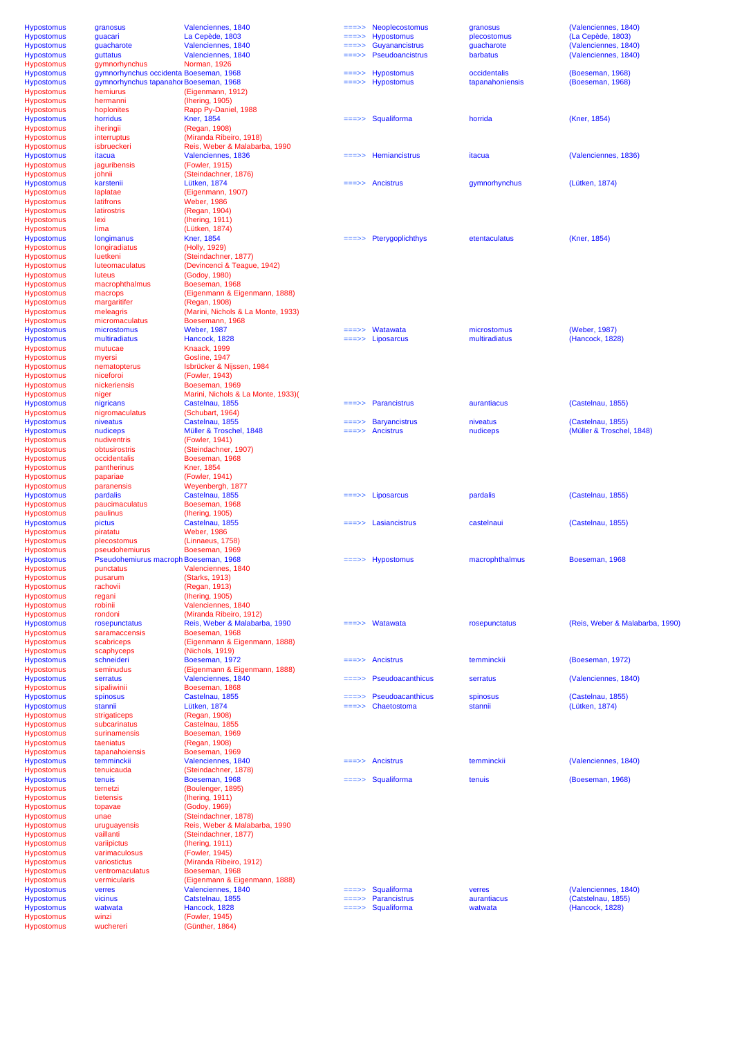| Neoplecostomus<br><b>Hypostomus</b><br>Valenciennes, 1840<br>(Valenciennes, 1840)<br>granosus<br>granosus<br>$==->>$<br><b>Hypostomus</b><br>La Cepède, 1803<br><b>Hypostomus</b><br>(La Cepède, 1803)<br>guacari<br>plecostomus<br>===>><br>Guyanancistrus<br>(Valenciennes, 1840)<br><b>Hypostomus</b><br>guacharote<br>Valenciennes, 1840<br>guacharote<br><b>Hypostomus</b><br>quttatus<br>Valenciennes, 1840<br>Pseudoancistrus<br>barbatus<br>(Valenciennes, 1840)<br>===>><br>gymnorhynchus<br>Hypostomus<br>Norman, 1926<br><b>Hypostomus</b><br>gymnorhynchus occidenta Boeseman, 1968<br>Hypostomus<br>occidentalis<br>(Boeseman, 1968)<br>$==->>$<br>gymnorhynchus tapanahor Boeseman, 1968<br>Hypostomus<br>tapanahoniensis<br>(Boeseman, 1968)<br><b>Hypostomus</b><br>$==->>$<br>(Eigenmann, 1912)<br>Hypostomus<br>hemiurus<br>hermanni<br>(Ihering, 1905)<br>Hypostomus<br>Rapp Py-Daniel, 1988<br>Hypostomus<br>hoplonites<br><b>Kner, 1854</b><br>$=\equiv -\rangle$ Squaliforma<br>horrida<br>(Kner, 1854)<br><b>Hypostomus</b><br>horridus<br>(Regan, 1908)<br>Hypostomus<br>iheringii<br>(Miranda Ribeiro, 1918)<br>Hypostomus<br>interruptus<br>Reis, Weber & Malabarba, 1990<br>Hypostomus<br>isbrueckeri<br>Valenciennes, 1836<br>Hemiancistrus<br>(Valenciennes, 1836)<br><b>Hypostomus</b><br>itacua<br>itacua<br>$=$ ==>><br><b>Hypostomus</b><br>(Fowler, 1915)<br>jaguribensis<br>Hypostomus<br>johnii<br>(Steindachner, 1876)<br><b>Hypostomus</b><br>karstenii<br>Lütken, 1874<br>Ancistrus<br>gymnorhynchus<br>(Lütken, 1874)<br>Hypostomus<br>laplatae<br>(Eigenmann, 1907)<br>Hypostomus<br>latifrons<br><b>Weber, 1986</b><br>Hypostomus<br>latirostris<br>(Regan, 1904)<br>Hypostomus<br>lexi<br>(Ihering, 1911)<br><b>Hypostomus</b><br>lima<br>(Lütken, 1874)<br>Pterygoplichthys<br>(Kner, 1854)<br><b>Hypostomus</b><br><b>Kner, 1854</b><br>etentaculatus<br>longimanus<br>$==->>$<br><b>Hypostomus</b><br>longiradiatus<br>(Holly, 1929)<br>luetkeni<br>Hypostomus<br>(Steindachner, 1877)<br>(Devincenci & Teague, 1942)<br>Hypostomus<br><b>luteomaculatus</b><br>(Godoy, 1980)<br><b>Hypostomus</b><br>luteus<br>Hypostomus<br>macrophthalmus<br>Boeseman, 1968<br>(Eigenmann & Eigenmann, 1888)<br>Hypostomus<br>macrops<br>Hypostomus<br>margaritifer<br>(Regan, 1908)<br>(Marini, Nichols & La Monte, 1933)<br>Hypostomus<br>meleagris<br>Boesemann, 1968<br>micromaculatus<br><b>Weber, 1987</b><br>Watawata<br>(Weber, 1987)<br>microstomus<br>microstomus<br>$==->>$<br>Hancock, 1828<br>Liposarcus<br>multiradiatus<br>(Hancock, 1828)<br>multiradiatus<br>$=\equiv \equiv \gt> \gt$<br>Knaack, 1999<br>mutucae<br>myersi<br>Gosline, 1947<br>nematopterus<br>Isbrücker & Nijssen, 1984<br>niceforoi<br>(Fowler, 1943)<br>Boeseman, 1969<br>nickeriensis<br>Marini, Nichols & La Monte, 1933)(<br>niger<br>Castelnau, 1855<br><b>Parancistrus</b><br>(Castelnau, 1855)<br>nigricans<br>aurantiacus<br>$==>>$<br>nigromaculatus<br>(Schubart, 1964)<br>(Castelnau, 1855)<br>niveatus<br>Castelnau, 1855<br><b>Baryancistrus</b><br>niveatus<br>$==->>$<br>nudiceps<br>Müller & Troschel, 1848<br>Ancistrus<br>nudiceps<br>(Müller & Troschel, 1848)<br>(Fowler, 1941)<br>nudiventris<br>obtusirostris<br>(Steindachner, 1907)<br>Boeseman, 1968<br>occidentalis<br><b>Kner, 1854</b><br>pantherinus<br>papariae<br>(Fowler, 1941)<br>paranensis<br>Weyenbergh, 1877<br>(Castelnau, 1855)<br>pardalis<br>Castelnau, 1855<br>$=\equiv \Rightarrow$ Liposarcus<br>pardalis<br>paucimaculatus<br>Boeseman, 1968<br>paulinus<br>(Ihering, 1905)<br>Castelnau, 1855<br>pictus<br>Lasiancistrus<br>castelnaui<br>(Castelnau, 1855)<br><b>Weber, 1986</b><br>piratatu<br>plecostomus<br>(Linnaeus, 1758)<br>Boeseman, 1969<br>pseudohemiurus<br>Pseudohemiurus macroph Boeseman, 1968<br>macrophthalmus<br>$==->$ Hypostomus<br>Boeseman, 1968<br>Valenciennes, 1840<br>punctatus<br>(Starks, 1913)<br>pusarum<br>rachovii<br>(Regan, 1913)<br>(Ihering, 1905)<br>regani<br>Valenciennes, 1840<br>robinii<br>(Miranda Ribeiro, 1912)<br>rondoni<br>Reis, Weber & Malabarba, 1990<br>Watawata<br>(Reis, Weber & Malabarba, 1990)<br>rosepunctatus<br>rosepunctatus<br>$==->>$<br>Boeseman, 1968<br>saramaccensis<br>(Eigenmann & Eigenmann, 1888)<br>scabriceps<br>scaphyceps<br>(Nichols, 1919)<br>(Boeseman, 1972)<br>schneideri<br>Boeseman, 1972<br>Ancistrus<br>temminckii<br>$==->>$<br>(Eigenmann & Eigenmann, 1888)<br>seminudus<br>Valenciennes, 1840<br>(Valenciennes, 1840)<br>serratus<br><b>Pseudoacanthicus</b><br>serratus<br>===>><br>Boeseman, 1868<br>sipaliwinii<br>Castelnau, 1855<br>(Castelnau, 1855)<br>spinosus<br><b>Pseudoacanthicus</b><br>spinosus<br>$=$ ==>><br>Chaetostoma<br>(Lütken, 1874)<br>stannii<br>Lütken, 1874<br>stannii<br>strigaticeps<br>(Regan, 1908)<br>subcarinatus<br>Castelnau, 1855<br>Boeseman, 1969<br>surinamensis |  |
|-------------------------------------------------------------------------------------------------------------------------------------------------------------------------------------------------------------------------------------------------------------------------------------------------------------------------------------------------------------------------------------------------------------------------------------------------------------------------------------------------------------------------------------------------------------------------------------------------------------------------------------------------------------------------------------------------------------------------------------------------------------------------------------------------------------------------------------------------------------------------------------------------------------------------------------------------------------------------------------------------------------------------------------------------------------------------------------------------------------------------------------------------------------------------------------------------------------------------------------------------------------------------------------------------------------------------------------------------------------------------------------------------------------------------------------------------------------------------------------------------------------------------------------------------------------------------------------------------------------------------------------------------------------------------------------------------------------------------------------------------------------------------------------------------------------------------------------------------------------------------------------------------------------------------------------------------------------------------------------------------------------------------------------------------------------------------------------------------------------------------------------------------------------------------------------------------------------------------------------------------------------------------------------------------------------------------------------------------------------------------------------------------------------------------------------------------------------------------------------------------------------------------------------------------------------------------------------------------------------------------------------------------------------------------------------------------------------------------------------------------------------------------------------------------------------------------------------------------------------------------------------------------------------------------------------------------------------------------------------------------------------------------------------------------------------------------------------------------------------------------------------------------------------------------------------------------------------------------------------------------------------------------------------------------------------------------------------------------------------------------------------------------------------------------------------------------------------------------------------------------------------------------------------------------------------------------------------------------------------------------------------------------------------------------------------------------------------------------------------------------------------------------------------------------------------------------------------------------------------------------------------------------------------------------------------------------------------------------------------------------------------------------------------------------------------------------------------------------------------------------------------------------------------------------------------------------------------------------------------------------------------------------------------------------------------------------------------------------------------------------------------------------------------------------------------------------------------------------------------------------------------------------------------------------------------------------------------------------------------------------------------------------------------------------------------------------------------------------------------------------------------------------------------------------------------------------------------------------------------------------------------------------------------------|--|
|                                                                                                                                                                                                                                                                                                                                                                                                                                                                                                                                                                                                                                                                                                                                                                                                                                                                                                                                                                                                                                                                                                                                                                                                                                                                                                                                                                                                                                                                                                                                                                                                                                                                                                                                                                                                                                                                                                                                                                                                                                                                                                                                                                                                                                                                                                                                                                                                                                                                                                                                                                                                                                                                                                                                                                                                                                                                                                                                                                                                                                                                                                                                                                                                                                                                                                                                                                                                                                                                                                                                                                                                                                                                                                                                                                                                                                                                                                                                                                                                                                                                                                                                                                                                                                                                                                                                                                                                                                                                                                                                                                                                                                                                                                                                                                                                                                                                                                                   |  |
|                                                                                                                                                                                                                                                                                                                                                                                                                                                                                                                                                                                                                                                                                                                                                                                                                                                                                                                                                                                                                                                                                                                                                                                                                                                                                                                                                                                                                                                                                                                                                                                                                                                                                                                                                                                                                                                                                                                                                                                                                                                                                                                                                                                                                                                                                                                                                                                                                                                                                                                                                                                                                                                                                                                                                                                                                                                                                                                                                                                                                                                                                                                                                                                                                                                                                                                                                                                                                                                                                                                                                                                                                                                                                                                                                                                                                                                                                                                                                                                                                                                                                                                                                                                                                                                                                                                                                                                                                                                                                                                                                                                                                                                                                                                                                                                                                                                                                                                   |  |
|                                                                                                                                                                                                                                                                                                                                                                                                                                                                                                                                                                                                                                                                                                                                                                                                                                                                                                                                                                                                                                                                                                                                                                                                                                                                                                                                                                                                                                                                                                                                                                                                                                                                                                                                                                                                                                                                                                                                                                                                                                                                                                                                                                                                                                                                                                                                                                                                                                                                                                                                                                                                                                                                                                                                                                                                                                                                                                                                                                                                                                                                                                                                                                                                                                                                                                                                                                                                                                                                                                                                                                                                                                                                                                                                                                                                                                                                                                                                                                                                                                                                                                                                                                                                                                                                                                                                                                                                                                                                                                                                                                                                                                                                                                                                                                                                                                                                                                                   |  |
|                                                                                                                                                                                                                                                                                                                                                                                                                                                                                                                                                                                                                                                                                                                                                                                                                                                                                                                                                                                                                                                                                                                                                                                                                                                                                                                                                                                                                                                                                                                                                                                                                                                                                                                                                                                                                                                                                                                                                                                                                                                                                                                                                                                                                                                                                                                                                                                                                                                                                                                                                                                                                                                                                                                                                                                                                                                                                                                                                                                                                                                                                                                                                                                                                                                                                                                                                                                                                                                                                                                                                                                                                                                                                                                                                                                                                                                                                                                                                                                                                                                                                                                                                                                                                                                                                                                                                                                                                                                                                                                                                                                                                                                                                                                                                                                                                                                                                                                   |  |
|                                                                                                                                                                                                                                                                                                                                                                                                                                                                                                                                                                                                                                                                                                                                                                                                                                                                                                                                                                                                                                                                                                                                                                                                                                                                                                                                                                                                                                                                                                                                                                                                                                                                                                                                                                                                                                                                                                                                                                                                                                                                                                                                                                                                                                                                                                                                                                                                                                                                                                                                                                                                                                                                                                                                                                                                                                                                                                                                                                                                                                                                                                                                                                                                                                                                                                                                                                                                                                                                                                                                                                                                                                                                                                                                                                                                                                                                                                                                                                                                                                                                                                                                                                                                                                                                                                                                                                                                                                                                                                                                                                                                                                                                                                                                                                                                                                                                                                                   |  |
|                                                                                                                                                                                                                                                                                                                                                                                                                                                                                                                                                                                                                                                                                                                                                                                                                                                                                                                                                                                                                                                                                                                                                                                                                                                                                                                                                                                                                                                                                                                                                                                                                                                                                                                                                                                                                                                                                                                                                                                                                                                                                                                                                                                                                                                                                                                                                                                                                                                                                                                                                                                                                                                                                                                                                                                                                                                                                                                                                                                                                                                                                                                                                                                                                                                                                                                                                                                                                                                                                                                                                                                                                                                                                                                                                                                                                                                                                                                                                                                                                                                                                                                                                                                                                                                                                                                                                                                                                                                                                                                                                                                                                                                                                                                                                                                                                                                                                                                   |  |
|                                                                                                                                                                                                                                                                                                                                                                                                                                                                                                                                                                                                                                                                                                                                                                                                                                                                                                                                                                                                                                                                                                                                                                                                                                                                                                                                                                                                                                                                                                                                                                                                                                                                                                                                                                                                                                                                                                                                                                                                                                                                                                                                                                                                                                                                                                                                                                                                                                                                                                                                                                                                                                                                                                                                                                                                                                                                                                                                                                                                                                                                                                                                                                                                                                                                                                                                                                                                                                                                                                                                                                                                                                                                                                                                                                                                                                                                                                                                                                                                                                                                                                                                                                                                                                                                                                                                                                                                                                                                                                                                                                                                                                                                                                                                                                                                                                                                                                                   |  |
|                                                                                                                                                                                                                                                                                                                                                                                                                                                                                                                                                                                                                                                                                                                                                                                                                                                                                                                                                                                                                                                                                                                                                                                                                                                                                                                                                                                                                                                                                                                                                                                                                                                                                                                                                                                                                                                                                                                                                                                                                                                                                                                                                                                                                                                                                                                                                                                                                                                                                                                                                                                                                                                                                                                                                                                                                                                                                                                                                                                                                                                                                                                                                                                                                                                                                                                                                                                                                                                                                                                                                                                                                                                                                                                                                                                                                                                                                                                                                                                                                                                                                                                                                                                                                                                                                                                                                                                                                                                                                                                                                                                                                                                                                                                                                                                                                                                                                                                   |  |
|                                                                                                                                                                                                                                                                                                                                                                                                                                                                                                                                                                                                                                                                                                                                                                                                                                                                                                                                                                                                                                                                                                                                                                                                                                                                                                                                                                                                                                                                                                                                                                                                                                                                                                                                                                                                                                                                                                                                                                                                                                                                                                                                                                                                                                                                                                                                                                                                                                                                                                                                                                                                                                                                                                                                                                                                                                                                                                                                                                                                                                                                                                                                                                                                                                                                                                                                                                                                                                                                                                                                                                                                                                                                                                                                                                                                                                                                                                                                                                                                                                                                                                                                                                                                                                                                                                                                                                                                                                                                                                                                                                                                                                                                                                                                                                                                                                                                                                                   |  |
|                                                                                                                                                                                                                                                                                                                                                                                                                                                                                                                                                                                                                                                                                                                                                                                                                                                                                                                                                                                                                                                                                                                                                                                                                                                                                                                                                                                                                                                                                                                                                                                                                                                                                                                                                                                                                                                                                                                                                                                                                                                                                                                                                                                                                                                                                                                                                                                                                                                                                                                                                                                                                                                                                                                                                                                                                                                                                                                                                                                                                                                                                                                                                                                                                                                                                                                                                                                                                                                                                                                                                                                                                                                                                                                                                                                                                                                                                                                                                                                                                                                                                                                                                                                                                                                                                                                                                                                                                                                                                                                                                                                                                                                                                                                                                                                                                                                                                                                   |  |
|                                                                                                                                                                                                                                                                                                                                                                                                                                                                                                                                                                                                                                                                                                                                                                                                                                                                                                                                                                                                                                                                                                                                                                                                                                                                                                                                                                                                                                                                                                                                                                                                                                                                                                                                                                                                                                                                                                                                                                                                                                                                                                                                                                                                                                                                                                                                                                                                                                                                                                                                                                                                                                                                                                                                                                                                                                                                                                                                                                                                                                                                                                                                                                                                                                                                                                                                                                                                                                                                                                                                                                                                                                                                                                                                                                                                                                                                                                                                                                                                                                                                                                                                                                                                                                                                                                                                                                                                                                                                                                                                                                                                                                                                                                                                                                                                                                                                                                                   |  |
|                                                                                                                                                                                                                                                                                                                                                                                                                                                                                                                                                                                                                                                                                                                                                                                                                                                                                                                                                                                                                                                                                                                                                                                                                                                                                                                                                                                                                                                                                                                                                                                                                                                                                                                                                                                                                                                                                                                                                                                                                                                                                                                                                                                                                                                                                                                                                                                                                                                                                                                                                                                                                                                                                                                                                                                                                                                                                                                                                                                                                                                                                                                                                                                                                                                                                                                                                                                                                                                                                                                                                                                                                                                                                                                                                                                                                                                                                                                                                                                                                                                                                                                                                                                                                                                                                                                                                                                                                                                                                                                                                                                                                                                                                                                                                                                                                                                                                                                   |  |
|                                                                                                                                                                                                                                                                                                                                                                                                                                                                                                                                                                                                                                                                                                                                                                                                                                                                                                                                                                                                                                                                                                                                                                                                                                                                                                                                                                                                                                                                                                                                                                                                                                                                                                                                                                                                                                                                                                                                                                                                                                                                                                                                                                                                                                                                                                                                                                                                                                                                                                                                                                                                                                                                                                                                                                                                                                                                                                                                                                                                                                                                                                                                                                                                                                                                                                                                                                                                                                                                                                                                                                                                                                                                                                                                                                                                                                                                                                                                                                                                                                                                                                                                                                                                                                                                                                                                                                                                                                                                                                                                                                                                                                                                                                                                                                                                                                                                                                                   |  |
|                                                                                                                                                                                                                                                                                                                                                                                                                                                                                                                                                                                                                                                                                                                                                                                                                                                                                                                                                                                                                                                                                                                                                                                                                                                                                                                                                                                                                                                                                                                                                                                                                                                                                                                                                                                                                                                                                                                                                                                                                                                                                                                                                                                                                                                                                                                                                                                                                                                                                                                                                                                                                                                                                                                                                                                                                                                                                                                                                                                                                                                                                                                                                                                                                                                                                                                                                                                                                                                                                                                                                                                                                                                                                                                                                                                                                                                                                                                                                                                                                                                                                                                                                                                                                                                                                                                                                                                                                                                                                                                                                                                                                                                                                                                                                                                                                                                                                                                   |  |
|                                                                                                                                                                                                                                                                                                                                                                                                                                                                                                                                                                                                                                                                                                                                                                                                                                                                                                                                                                                                                                                                                                                                                                                                                                                                                                                                                                                                                                                                                                                                                                                                                                                                                                                                                                                                                                                                                                                                                                                                                                                                                                                                                                                                                                                                                                                                                                                                                                                                                                                                                                                                                                                                                                                                                                                                                                                                                                                                                                                                                                                                                                                                                                                                                                                                                                                                                                                                                                                                                                                                                                                                                                                                                                                                                                                                                                                                                                                                                                                                                                                                                                                                                                                                                                                                                                                                                                                                                                                                                                                                                                                                                                                                                                                                                                                                                                                                                                                   |  |
|                                                                                                                                                                                                                                                                                                                                                                                                                                                                                                                                                                                                                                                                                                                                                                                                                                                                                                                                                                                                                                                                                                                                                                                                                                                                                                                                                                                                                                                                                                                                                                                                                                                                                                                                                                                                                                                                                                                                                                                                                                                                                                                                                                                                                                                                                                                                                                                                                                                                                                                                                                                                                                                                                                                                                                                                                                                                                                                                                                                                                                                                                                                                                                                                                                                                                                                                                                                                                                                                                                                                                                                                                                                                                                                                                                                                                                                                                                                                                                                                                                                                                                                                                                                                                                                                                                                                                                                                                                                                                                                                                                                                                                                                                                                                                                                                                                                                                                                   |  |
|                                                                                                                                                                                                                                                                                                                                                                                                                                                                                                                                                                                                                                                                                                                                                                                                                                                                                                                                                                                                                                                                                                                                                                                                                                                                                                                                                                                                                                                                                                                                                                                                                                                                                                                                                                                                                                                                                                                                                                                                                                                                                                                                                                                                                                                                                                                                                                                                                                                                                                                                                                                                                                                                                                                                                                                                                                                                                                                                                                                                                                                                                                                                                                                                                                                                                                                                                                                                                                                                                                                                                                                                                                                                                                                                                                                                                                                                                                                                                                                                                                                                                                                                                                                                                                                                                                                                                                                                                                                                                                                                                                                                                                                                                                                                                                                                                                                                                                                   |  |
|                                                                                                                                                                                                                                                                                                                                                                                                                                                                                                                                                                                                                                                                                                                                                                                                                                                                                                                                                                                                                                                                                                                                                                                                                                                                                                                                                                                                                                                                                                                                                                                                                                                                                                                                                                                                                                                                                                                                                                                                                                                                                                                                                                                                                                                                                                                                                                                                                                                                                                                                                                                                                                                                                                                                                                                                                                                                                                                                                                                                                                                                                                                                                                                                                                                                                                                                                                                                                                                                                                                                                                                                                                                                                                                                                                                                                                                                                                                                                                                                                                                                                                                                                                                                                                                                                                                                                                                                                                                                                                                                                                                                                                                                                                                                                                                                                                                                                                                   |  |
|                                                                                                                                                                                                                                                                                                                                                                                                                                                                                                                                                                                                                                                                                                                                                                                                                                                                                                                                                                                                                                                                                                                                                                                                                                                                                                                                                                                                                                                                                                                                                                                                                                                                                                                                                                                                                                                                                                                                                                                                                                                                                                                                                                                                                                                                                                                                                                                                                                                                                                                                                                                                                                                                                                                                                                                                                                                                                                                                                                                                                                                                                                                                                                                                                                                                                                                                                                                                                                                                                                                                                                                                                                                                                                                                                                                                                                                                                                                                                                                                                                                                                                                                                                                                                                                                                                                                                                                                                                                                                                                                                                                                                                                                                                                                                                                                                                                                                                                   |  |
|                                                                                                                                                                                                                                                                                                                                                                                                                                                                                                                                                                                                                                                                                                                                                                                                                                                                                                                                                                                                                                                                                                                                                                                                                                                                                                                                                                                                                                                                                                                                                                                                                                                                                                                                                                                                                                                                                                                                                                                                                                                                                                                                                                                                                                                                                                                                                                                                                                                                                                                                                                                                                                                                                                                                                                                                                                                                                                                                                                                                                                                                                                                                                                                                                                                                                                                                                                                                                                                                                                                                                                                                                                                                                                                                                                                                                                                                                                                                                                                                                                                                                                                                                                                                                                                                                                                                                                                                                                                                                                                                                                                                                                                                                                                                                                                                                                                                                                                   |  |
|                                                                                                                                                                                                                                                                                                                                                                                                                                                                                                                                                                                                                                                                                                                                                                                                                                                                                                                                                                                                                                                                                                                                                                                                                                                                                                                                                                                                                                                                                                                                                                                                                                                                                                                                                                                                                                                                                                                                                                                                                                                                                                                                                                                                                                                                                                                                                                                                                                                                                                                                                                                                                                                                                                                                                                                                                                                                                                                                                                                                                                                                                                                                                                                                                                                                                                                                                                                                                                                                                                                                                                                                                                                                                                                                                                                                                                                                                                                                                                                                                                                                                                                                                                                                                                                                                                                                                                                                                                                                                                                                                                                                                                                                                                                                                                                                                                                                                                                   |  |
|                                                                                                                                                                                                                                                                                                                                                                                                                                                                                                                                                                                                                                                                                                                                                                                                                                                                                                                                                                                                                                                                                                                                                                                                                                                                                                                                                                                                                                                                                                                                                                                                                                                                                                                                                                                                                                                                                                                                                                                                                                                                                                                                                                                                                                                                                                                                                                                                                                                                                                                                                                                                                                                                                                                                                                                                                                                                                                                                                                                                                                                                                                                                                                                                                                                                                                                                                                                                                                                                                                                                                                                                                                                                                                                                                                                                                                                                                                                                                                                                                                                                                                                                                                                                                                                                                                                                                                                                                                                                                                                                                                                                                                                                                                                                                                                                                                                                                                                   |  |
|                                                                                                                                                                                                                                                                                                                                                                                                                                                                                                                                                                                                                                                                                                                                                                                                                                                                                                                                                                                                                                                                                                                                                                                                                                                                                                                                                                                                                                                                                                                                                                                                                                                                                                                                                                                                                                                                                                                                                                                                                                                                                                                                                                                                                                                                                                                                                                                                                                                                                                                                                                                                                                                                                                                                                                                                                                                                                                                                                                                                                                                                                                                                                                                                                                                                                                                                                                                                                                                                                                                                                                                                                                                                                                                                                                                                                                                                                                                                                                                                                                                                                                                                                                                                                                                                                                                                                                                                                                                                                                                                                                                                                                                                                                                                                                                                                                                                                                                   |  |
|                                                                                                                                                                                                                                                                                                                                                                                                                                                                                                                                                                                                                                                                                                                                                                                                                                                                                                                                                                                                                                                                                                                                                                                                                                                                                                                                                                                                                                                                                                                                                                                                                                                                                                                                                                                                                                                                                                                                                                                                                                                                                                                                                                                                                                                                                                                                                                                                                                                                                                                                                                                                                                                                                                                                                                                                                                                                                                                                                                                                                                                                                                                                                                                                                                                                                                                                                                                                                                                                                                                                                                                                                                                                                                                                                                                                                                                                                                                                                                                                                                                                                                                                                                                                                                                                                                                                                                                                                                                                                                                                                                                                                                                                                                                                                                                                                                                                                                                   |  |
|                                                                                                                                                                                                                                                                                                                                                                                                                                                                                                                                                                                                                                                                                                                                                                                                                                                                                                                                                                                                                                                                                                                                                                                                                                                                                                                                                                                                                                                                                                                                                                                                                                                                                                                                                                                                                                                                                                                                                                                                                                                                                                                                                                                                                                                                                                                                                                                                                                                                                                                                                                                                                                                                                                                                                                                                                                                                                                                                                                                                                                                                                                                                                                                                                                                                                                                                                                                                                                                                                                                                                                                                                                                                                                                                                                                                                                                                                                                                                                                                                                                                                                                                                                                                                                                                                                                                                                                                                                                                                                                                                                                                                                                                                                                                                                                                                                                                                                                   |  |
|                                                                                                                                                                                                                                                                                                                                                                                                                                                                                                                                                                                                                                                                                                                                                                                                                                                                                                                                                                                                                                                                                                                                                                                                                                                                                                                                                                                                                                                                                                                                                                                                                                                                                                                                                                                                                                                                                                                                                                                                                                                                                                                                                                                                                                                                                                                                                                                                                                                                                                                                                                                                                                                                                                                                                                                                                                                                                                                                                                                                                                                                                                                                                                                                                                                                                                                                                                                                                                                                                                                                                                                                                                                                                                                                                                                                                                                                                                                                                                                                                                                                                                                                                                                                                                                                                                                                                                                                                                                                                                                                                                                                                                                                                                                                                                                                                                                                                                                   |  |
|                                                                                                                                                                                                                                                                                                                                                                                                                                                                                                                                                                                                                                                                                                                                                                                                                                                                                                                                                                                                                                                                                                                                                                                                                                                                                                                                                                                                                                                                                                                                                                                                                                                                                                                                                                                                                                                                                                                                                                                                                                                                                                                                                                                                                                                                                                                                                                                                                                                                                                                                                                                                                                                                                                                                                                                                                                                                                                                                                                                                                                                                                                                                                                                                                                                                                                                                                                                                                                                                                                                                                                                                                                                                                                                                                                                                                                                                                                                                                                                                                                                                                                                                                                                                                                                                                                                                                                                                                                                                                                                                                                                                                                                                                                                                                                                                                                                                                                                   |  |
|                                                                                                                                                                                                                                                                                                                                                                                                                                                                                                                                                                                                                                                                                                                                                                                                                                                                                                                                                                                                                                                                                                                                                                                                                                                                                                                                                                                                                                                                                                                                                                                                                                                                                                                                                                                                                                                                                                                                                                                                                                                                                                                                                                                                                                                                                                                                                                                                                                                                                                                                                                                                                                                                                                                                                                                                                                                                                                                                                                                                                                                                                                                                                                                                                                                                                                                                                                                                                                                                                                                                                                                                                                                                                                                                                                                                                                                                                                                                                                                                                                                                                                                                                                                                                                                                                                                                                                                                                                                                                                                                                                                                                                                                                                                                                                                                                                                                                                                   |  |
|                                                                                                                                                                                                                                                                                                                                                                                                                                                                                                                                                                                                                                                                                                                                                                                                                                                                                                                                                                                                                                                                                                                                                                                                                                                                                                                                                                                                                                                                                                                                                                                                                                                                                                                                                                                                                                                                                                                                                                                                                                                                                                                                                                                                                                                                                                                                                                                                                                                                                                                                                                                                                                                                                                                                                                                                                                                                                                                                                                                                                                                                                                                                                                                                                                                                                                                                                                                                                                                                                                                                                                                                                                                                                                                                                                                                                                                                                                                                                                                                                                                                                                                                                                                                                                                                                                                                                                                                                                                                                                                                                                                                                                                                                                                                                                                                                                                                                                                   |  |
|                                                                                                                                                                                                                                                                                                                                                                                                                                                                                                                                                                                                                                                                                                                                                                                                                                                                                                                                                                                                                                                                                                                                                                                                                                                                                                                                                                                                                                                                                                                                                                                                                                                                                                                                                                                                                                                                                                                                                                                                                                                                                                                                                                                                                                                                                                                                                                                                                                                                                                                                                                                                                                                                                                                                                                                                                                                                                                                                                                                                                                                                                                                                                                                                                                                                                                                                                                                                                                                                                                                                                                                                                                                                                                                                                                                                                                                                                                                                                                                                                                                                                                                                                                                                                                                                                                                                                                                                                                                                                                                                                                                                                                                                                                                                                                                                                                                                                                                   |  |
|                                                                                                                                                                                                                                                                                                                                                                                                                                                                                                                                                                                                                                                                                                                                                                                                                                                                                                                                                                                                                                                                                                                                                                                                                                                                                                                                                                                                                                                                                                                                                                                                                                                                                                                                                                                                                                                                                                                                                                                                                                                                                                                                                                                                                                                                                                                                                                                                                                                                                                                                                                                                                                                                                                                                                                                                                                                                                                                                                                                                                                                                                                                                                                                                                                                                                                                                                                                                                                                                                                                                                                                                                                                                                                                                                                                                                                                                                                                                                                                                                                                                                                                                                                                                                                                                                                                                                                                                                                                                                                                                                                                                                                                                                                                                                                                                                                                                                                                   |  |
|                                                                                                                                                                                                                                                                                                                                                                                                                                                                                                                                                                                                                                                                                                                                                                                                                                                                                                                                                                                                                                                                                                                                                                                                                                                                                                                                                                                                                                                                                                                                                                                                                                                                                                                                                                                                                                                                                                                                                                                                                                                                                                                                                                                                                                                                                                                                                                                                                                                                                                                                                                                                                                                                                                                                                                                                                                                                                                                                                                                                                                                                                                                                                                                                                                                                                                                                                                                                                                                                                                                                                                                                                                                                                                                                                                                                                                                                                                                                                                                                                                                                                                                                                                                                                                                                                                                                                                                                                                                                                                                                                                                                                                                                                                                                                                                                                                                                                                                   |  |
|                                                                                                                                                                                                                                                                                                                                                                                                                                                                                                                                                                                                                                                                                                                                                                                                                                                                                                                                                                                                                                                                                                                                                                                                                                                                                                                                                                                                                                                                                                                                                                                                                                                                                                                                                                                                                                                                                                                                                                                                                                                                                                                                                                                                                                                                                                                                                                                                                                                                                                                                                                                                                                                                                                                                                                                                                                                                                                                                                                                                                                                                                                                                                                                                                                                                                                                                                                                                                                                                                                                                                                                                                                                                                                                                                                                                                                                                                                                                                                                                                                                                                                                                                                                                                                                                                                                                                                                                                                                                                                                                                                                                                                                                                                                                                                                                                                                                                                                   |  |
|                                                                                                                                                                                                                                                                                                                                                                                                                                                                                                                                                                                                                                                                                                                                                                                                                                                                                                                                                                                                                                                                                                                                                                                                                                                                                                                                                                                                                                                                                                                                                                                                                                                                                                                                                                                                                                                                                                                                                                                                                                                                                                                                                                                                                                                                                                                                                                                                                                                                                                                                                                                                                                                                                                                                                                                                                                                                                                                                                                                                                                                                                                                                                                                                                                                                                                                                                                                                                                                                                                                                                                                                                                                                                                                                                                                                                                                                                                                                                                                                                                                                                                                                                                                                                                                                                                                                                                                                                                                                                                                                                                                                                                                                                                                                                                                                                                                                                                                   |  |
|                                                                                                                                                                                                                                                                                                                                                                                                                                                                                                                                                                                                                                                                                                                                                                                                                                                                                                                                                                                                                                                                                                                                                                                                                                                                                                                                                                                                                                                                                                                                                                                                                                                                                                                                                                                                                                                                                                                                                                                                                                                                                                                                                                                                                                                                                                                                                                                                                                                                                                                                                                                                                                                                                                                                                                                                                                                                                                                                                                                                                                                                                                                                                                                                                                                                                                                                                                                                                                                                                                                                                                                                                                                                                                                                                                                                                                                                                                                                                                                                                                                                                                                                                                                                                                                                                                                                                                                                                                                                                                                                                                                                                                                                                                                                                                                                                                                                                                                   |  |
| Hypostomus<br><b>Hypostomus</b><br><b>Hypostomus</b><br><b>Hypostomus</b><br>Hypostomus<br>Hypostomus<br>Hypostomus<br>Hypostomus<br>Hypostomus<br><b>Hypostomus</b><br>Hypostomus<br>Hypostomus<br>Hypostomus<br>Hypostomus<br>Hypostomus<br>Hypostomus<br><b>Hypostomus</b><br><b>Hypostomus</b><br><b>Hypostomus</b><br><b>Hypostomus</b><br><b>Hypostomus</b><br>Hypostomus<br><b>Hypostomus</b><br><b>Hypostomus</b><br>Hypostomus<br>Hypostomus<br><b>Hypostomus</b><br>Hypostomus<br><b>Hypostomus</b><br><b>Hypostomus</b><br><b>Hypostomus</b><br><b>Hypostomus</b><br><b>Hypostomus</b><br><b>Hypostomus</b><br><b>Hypostomus</b><br><b>Hypostomus</b><br>Hypostomus<br>Hypostomus<br>Hypostomus<br>Hypostomus<br>Hypostomus<br><b>Hypostomus</b><br><b>Hypostomus</b><br>Hypostomus<br><b>Hypostomus</b><br><b>Hypostomus</b>                                                                                                                                                                                                                                                                                                                                                                                                                                                                                                                                                                                                                                                                                                                                                                                                                                                                                                                                                                                                                                                                                                                                                                                                                                                                                                                                                                                                                                                                                                                                                                                                                                                                                                                                                                                                                                                                                                                                                                                                                                                                                                                                                                                                                                                                                                                                                                                                                                                                                                                                                                                                                                                                                                                                                                                                                                                                                                                                                                                                                                                                                                                                                                                                                                                                                                                                                                                                                                                                                                                                                                                                                                                                                                                                                                                                                                                                                                                                                                                                                                                                          |  |
|                                                                                                                                                                                                                                                                                                                                                                                                                                                                                                                                                                                                                                                                                                                                                                                                                                                                                                                                                                                                                                                                                                                                                                                                                                                                                                                                                                                                                                                                                                                                                                                                                                                                                                                                                                                                                                                                                                                                                                                                                                                                                                                                                                                                                                                                                                                                                                                                                                                                                                                                                                                                                                                                                                                                                                                                                                                                                                                                                                                                                                                                                                                                                                                                                                                                                                                                                                                                                                                                                                                                                                                                                                                                                                                                                                                                                                                                                                                                                                                                                                                                                                                                                                                                                                                                                                                                                                                                                                                                                                                                                                                                                                                                                                                                                                                                                                                                                                                   |  |
|                                                                                                                                                                                                                                                                                                                                                                                                                                                                                                                                                                                                                                                                                                                                                                                                                                                                                                                                                                                                                                                                                                                                                                                                                                                                                                                                                                                                                                                                                                                                                                                                                                                                                                                                                                                                                                                                                                                                                                                                                                                                                                                                                                                                                                                                                                                                                                                                                                                                                                                                                                                                                                                                                                                                                                                                                                                                                                                                                                                                                                                                                                                                                                                                                                                                                                                                                                                                                                                                                                                                                                                                                                                                                                                                                                                                                                                                                                                                                                                                                                                                                                                                                                                                                                                                                                                                                                                                                                                                                                                                                                                                                                                                                                                                                                                                                                                                                                                   |  |
|                                                                                                                                                                                                                                                                                                                                                                                                                                                                                                                                                                                                                                                                                                                                                                                                                                                                                                                                                                                                                                                                                                                                                                                                                                                                                                                                                                                                                                                                                                                                                                                                                                                                                                                                                                                                                                                                                                                                                                                                                                                                                                                                                                                                                                                                                                                                                                                                                                                                                                                                                                                                                                                                                                                                                                                                                                                                                                                                                                                                                                                                                                                                                                                                                                                                                                                                                                                                                                                                                                                                                                                                                                                                                                                                                                                                                                                                                                                                                                                                                                                                                                                                                                                                                                                                                                                                                                                                                                                                                                                                                                                                                                                                                                                                                                                                                                                                                                                   |  |
|                                                                                                                                                                                                                                                                                                                                                                                                                                                                                                                                                                                                                                                                                                                                                                                                                                                                                                                                                                                                                                                                                                                                                                                                                                                                                                                                                                                                                                                                                                                                                                                                                                                                                                                                                                                                                                                                                                                                                                                                                                                                                                                                                                                                                                                                                                                                                                                                                                                                                                                                                                                                                                                                                                                                                                                                                                                                                                                                                                                                                                                                                                                                                                                                                                                                                                                                                                                                                                                                                                                                                                                                                                                                                                                                                                                                                                                                                                                                                                                                                                                                                                                                                                                                                                                                                                                                                                                                                                                                                                                                                                                                                                                                                                                                                                                                                                                                                                                   |  |
|                                                                                                                                                                                                                                                                                                                                                                                                                                                                                                                                                                                                                                                                                                                                                                                                                                                                                                                                                                                                                                                                                                                                                                                                                                                                                                                                                                                                                                                                                                                                                                                                                                                                                                                                                                                                                                                                                                                                                                                                                                                                                                                                                                                                                                                                                                                                                                                                                                                                                                                                                                                                                                                                                                                                                                                                                                                                                                                                                                                                                                                                                                                                                                                                                                                                                                                                                                                                                                                                                                                                                                                                                                                                                                                                                                                                                                                                                                                                                                                                                                                                                                                                                                                                                                                                                                                                                                                                                                                                                                                                                                                                                                                                                                                                                                                                                                                                                                                   |  |
|                                                                                                                                                                                                                                                                                                                                                                                                                                                                                                                                                                                                                                                                                                                                                                                                                                                                                                                                                                                                                                                                                                                                                                                                                                                                                                                                                                                                                                                                                                                                                                                                                                                                                                                                                                                                                                                                                                                                                                                                                                                                                                                                                                                                                                                                                                                                                                                                                                                                                                                                                                                                                                                                                                                                                                                                                                                                                                                                                                                                                                                                                                                                                                                                                                                                                                                                                                                                                                                                                                                                                                                                                                                                                                                                                                                                                                                                                                                                                                                                                                                                                                                                                                                                                                                                                                                                                                                                                                                                                                                                                                                                                                                                                                                                                                                                                                                                                                                   |  |
|                                                                                                                                                                                                                                                                                                                                                                                                                                                                                                                                                                                                                                                                                                                                                                                                                                                                                                                                                                                                                                                                                                                                                                                                                                                                                                                                                                                                                                                                                                                                                                                                                                                                                                                                                                                                                                                                                                                                                                                                                                                                                                                                                                                                                                                                                                                                                                                                                                                                                                                                                                                                                                                                                                                                                                                                                                                                                                                                                                                                                                                                                                                                                                                                                                                                                                                                                                                                                                                                                                                                                                                                                                                                                                                                                                                                                                                                                                                                                                                                                                                                                                                                                                                                                                                                                                                                                                                                                                                                                                                                                                                                                                                                                                                                                                                                                                                                                                                   |  |
|                                                                                                                                                                                                                                                                                                                                                                                                                                                                                                                                                                                                                                                                                                                                                                                                                                                                                                                                                                                                                                                                                                                                                                                                                                                                                                                                                                                                                                                                                                                                                                                                                                                                                                                                                                                                                                                                                                                                                                                                                                                                                                                                                                                                                                                                                                                                                                                                                                                                                                                                                                                                                                                                                                                                                                                                                                                                                                                                                                                                                                                                                                                                                                                                                                                                                                                                                                                                                                                                                                                                                                                                                                                                                                                                                                                                                                                                                                                                                                                                                                                                                                                                                                                                                                                                                                                                                                                                                                                                                                                                                                                                                                                                                                                                                                                                                                                                                                                   |  |
|                                                                                                                                                                                                                                                                                                                                                                                                                                                                                                                                                                                                                                                                                                                                                                                                                                                                                                                                                                                                                                                                                                                                                                                                                                                                                                                                                                                                                                                                                                                                                                                                                                                                                                                                                                                                                                                                                                                                                                                                                                                                                                                                                                                                                                                                                                                                                                                                                                                                                                                                                                                                                                                                                                                                                                                                                                                                                                                                                                                                                                                                                                                                                                                                                                                                                                                                                                                                                                                                                                                                                                                                                                                                                                                                                                                                                                                                                                                                                                                                                                                                                                                                                                                                                                                                                                                                                                                                                                                                                                                                                                                                                                                                                                                                                                                                                                                                                                                   |  |
|                                                                                                                                                                                                                                                                                                                                                                                                                                                                                                                                                                                                                                                                                                                                                                                                                                                                                                                                                                                                                                                                                                                                                                                                                                                                                                                                                                                                                                                                                                                                                                                                                                                                                                                                                                                                                                                                                                                                                                                                                                                                                                                                                                                                                                                                                                                                                                                                                                                                                                                                                                                                                                                                                                                                                                                                                                                                                                                                                                                                                                                                                                                                                                                                                                                                                                                                                                                                                                                                                                                                                                                                                                                                                                                                                                                                                                                                                                                                                                                                                                                                                                                                                                                                                                                                                                                                                                                                                                                                                                                                                                                                                                                                                                                                                                                                                                                                                                                   |  |
|                                                                                                                                                                                                                                                                                                                                                                                                                                                                                                                                                                                                                                                                                                                                                                                                                                                                                                                                                                                                                                                                                                                                                                                                                                                                                                                                                                                                                                                                                                                                                                                                                                                                                                                                                                                                                                                                                                                                                                                                                                                                                                                                                                                                                                                                                                                                                                                                                                                                                                                                                                                                                                                                                                                                                                                                                                                                                                                                                                                                                                                                                                                                                                                                                                                                                                                                                                                                                                                                                                                                                                                                                                                                                                                                                                                                                                                                                                                                                                                                                                                                                                                                                                                                                                                                                                                                                                                                                                                                                                                                                                                                                                                                                                                                                                                                                                                                                                                   |  |
|                                                                                                                                                                                                                                                                                                                                                                                                                                                                                                                                                                                                                                                                                                                                                                                                                                                                                                                                                                                                                                                                                                                                                                                                                                                                                                                                                                                                                                                                                                                                                                                                                                                                                                                                                                                                                                                                                                                                                                                                                                                                                                                                                                                                                                                                                                                                                                                                                                                                                                                                                                                                                                                                                                                                                                                                                                                                                                                                                                                                                                                                                                                                                                                                                                                                                                                                                                                                                                                                                                                                                                                                                                                                                                                                                                                                                                                                                                                                                                                                                                                                                                                                                                                                                                                                                                                                                                                                                                                                                                                                                                                                                                                                                                                                                                                                                                                                                                                   |  |
|                                                                                                                                                                                                                                                                                                                                                                                                                                                                                                                                                                                                                                                                                                                                                                                                                                                                                                                                                                                                                                                                                                                                                                                                                                                                                                                                                                                                                                                                                                                                                                                                                                                                                                                                                                                                                                                                                                                                                                                                                                                                                                                                                                                                                                                                                                                                                                                                                                                                                                                                                                                                                                                                                                                                                                                                                                                                                                                                                                                                                                                                                                                                                                                                                                                                                                                                                                                                                                                                                                                                                                                                                                                                                                                                                                                                                                                                                                                                                                                                                                                                                                                                                                                                                                                                                                                                                                                                                                                                                                                                                                                                                                                                                                                                                                                                                                                                                                                   |  |
|                                                                                                                                                                                                                                                                                                                                                                                                                                                                                                                                                                                                                                                                                                                                                                                                                                                                                                                                                                                                                                                                                                                                                                                                                                                                                                                                                                                                                                                                                                                                                                                                                                                                                                                                                                                                                                                                                                                                                                                                                                                                                                                                                                                                                                                                                                                                                                                                                                                                                                                                                                                                                                                                                                                                                                                                                                                                                                                                                                                                                                                                                                                                                                                                                                                                                                                                                                                                                                                                                                                                                                                                                                                                                                                                                                                                                                                                                                                                                                                                                                                                                                                                                                                                                                                                                                                                                                                                                                                                                                                                                                                                                                                                                                                                                                                                                                                                                                                   |  |
|                                                                                                                                                                                                                                                                                                                                                                                                                                                                                                                                                                                                                                                                                                                                                                                                                                                                                                                                                                                                                                                                                                                                                                                                                                                                                                                                                                                                                                                                                                                                                                                                                                                                                                                                                                                                                                                                                                                                                                                                                                                                                                                                                                                                                                                                                                                                                                                                                                                                                                                                                                                                                                                                                                                                                                                                                                                                                                                                                                                                                                                                                                                                                                                                                                                                                                                                                                                                                                                                                                                                                                                                                                                                                                                                                                                                                                                                                                                                                                                                                                                                                                                                                                                                                                                                                                                                                                                                                                                                                                                                                                                                                                                                                                                                                                                                                                                                                                                   |  |
|                                                                                                                                                                                                                                                                                                                                                                                                                                                                                                                                                                                                                                                                                                                                                                                                                                                                                                                                                                                                                                                                                                                                                                                                                                                                                                                                                                                                                                                                                                                                                                                                                                                                                                                                                                                                                                                                                                                                                                                                                                                                                                                                                                                                                                                                                                                                                                                                                                                                                                                                                                                                                                                                                                                                                                                                                                                                                                                                                                                                                                                                                                                                                                                                                                                                                                                                                                                                                                                                                                                                                                                                                                                                                                                                                                                                                                                                                                                                                                                                                                                                                                                                                                                                                                                                                                                                                                                                                                                                                                                                                                                                                                                                                                                                                                                                                                                                                                                   |  |
|                                                                                                                                                                                                                                                                                                                                                                                                                                                                                                                                                                                                                                                                                                                                                                                                                                                                                                                                                                                                                                                                                                                                                                                                                                                                                                                                                                                                                                                                                                                                                                                                                                                                                                                                                                                                                                                                                                                                                                                                                                                                                                                                                                                                                                                                                                                                                                                                                                                                                                                                                                                                                                                                                                                                                                                                                                                                                                                                                                                                                                                                                                                                                                                                                                                                                                                                                                                                                                                                                                                                                                                                                                                                                                                                                                                                                                                                                                                                                                                                                                                                                                                                                                                                                                                                                                                                                                                                                                                                                                                                                                                                                                                                                                                                                                                                                                                                                                                   |  |
|                                                                                                                                                                                                                                                                                                                                                                                                                                                                                                                                                                                                                                                                                                                                                                                                                                                                                                                                                                                                                                                                                                                                                                                                                                                                                                                                                                                                                                                                                                                                                                                                                                                                                                                                                                                                                                                                                                                                                                                                                                                                                                                                                                                                                                                                                                                                                                                                                                                                                                                                                                                                                                                                                                                                                                                                                                                                                                                                                                                                                                                                                                                                                                                                                                                                                                                                                                                                                                                                                                                                                                                                                                                                                                                                                                                                                                                                                                                                                                                                                                                                                                                                                                                                                                                                                                                                                                                                                                                                                                                                                                                                                                                                                                                                                                                                                                                                                                                   |  |
|                                                                                                                                                                                                                                                                                                                                                                                                                                                                                                                                                                                                                                                                                                                                                                                                                                                                                                                                                                                                                                                                                                                                                                                                                                                                                                                                                                                                                                                                                                                                                                                                                                                                                                                                                                                                                                                                                                                                                                                                                                                                                                                                                                                                                                                                                                                                                                                                                                                                                                                                                                                                                                                                                                                                                                                                                                                                                                                                                                                                                                                                                                                                                                                                                                                                                                                                                                                                                                                                                                                                                                                                                                                                                                                                                                                                                                                                                                                                                                                                                                                                                                                                                                                                                                                                                                                                                                                                                                                                                                                                                                                                                                                                                                                                                                                                                                                                                                                   |  |
|                                                                                                                                                                                                                                                                                                                                                                                                                                                                                                                                                                                                                                                                                                                                                                                                                                                                                                                                                                                                                                                                                                                                                                                                                                                                                                                                                                                                                                                                                                                                                                                                                                                                                                                                                                                                                                                                                                                                                                                                                                                                                                                                                                                                                                                                                                                                                                                                                                                                                                                                                                                                                                                                                                                                                                                                                                                                                                                                                                                                                                                                                                                                                                                                                                                                                                                                                                                                                                                                                                                                                                                                                                                                                                                                                                                                                                                                                                                                                                                                                                                                                                                                                                                                                                                                                                                                                                                                                                                                                                                                                                                                                                                                                                                                                                                                                                                                                                                   |  |
|                                                                                                                                                                                                                                                                                                                                                                                                                                                                                                                                                                                                                                                                                                                                                                                                                                                                                                                                                                                                                                                                                                                                                                                                                                                                                                                                                                                                                                                                                                                                                                                                                                                                                                                                                                                                                                                                                                                                                                                                                                                                                                                                                                                                                                                                                                                                                                                                                                                                                                                                                                                                                                                                                                                                                                                                                                                                                                                                                                                                                                                                                                                                                                                                                                                                                                                                                                                                                                                                                                                                                                                                                                                                                                                                                                                                                                                                                                                                                                                                                                                                                                                                                                                                                                                                                                                                                                                                                                                                                                                                                                                                                                                                                                                                                                                                                                                                                                                   |  |
|                                                                                                                                                                                                                                                                                                                                                                                                                                                                                                                                                                                                                                                                                                                                                                                                                                                                                                                                                                                                                                                                                                                                                                                                                                                                                                                                                                                                                                                                                                                                                                                                                                                                                                                                                                                                                                                                                                                                                                                                                                                                                                                                                                                                                                                                                                                                                                                                                                                                                                                                                                                                                                                                                                                                                                                                                                                                                                                                                                                                                                                                                                                                                                                                                                                                                                                                                                                                                                                                                                                                                                                                                                                                                                                                                                                                                                                                                                                                                                                                                                                                                                                                                                                                                                                                                                                                                                                                                                                                                                                                                                                                                                                                                                                                                                                                                                                                                                                   |  |
|                                                                                                                                                                                                                                                                                                                                                                                                                                                                                                                                                                                                                                                                                                                                                                                                                                                                                                                                                                                                                                                                                                                                                                                                                                                                                                                                                                                                                                                                                                                                                                                                                                                                                                                                                                                                                                                                                                                                                                                                                                                                                                                                                                                                                                                                                                                                                                                                                                                                                                                                                                                                                                                                                                                                                                                                                                                                                                                                                                                                                                                                                                                                                                                                                                                                                                                                                                                                                                                                                                                                                                                                                                                                                                                                                                                                                                                                                                                                                                                                                                                                                                                                                                                                                                                                                                                                                                                                                                                                                                                                                                                                                                                                                                                                                                                                                                                                                                                   |  |
|                                                                                                                                                                                                                                                                                                                                                                                                                                                                                                                                                                                                                                                                                                                                                                                                                                                                                                                                                                                                                                                                                                                                                                                                                                                                                                                                                                                                                                                                                                                                                                                                                                                                                                                                                                                                                                                                                                                                                                                                                                                                                                                                                                                                                                                                                                                                                                                                                                                                                                                                                                                                                                                                                                                                                                                                                                                                                                                                                                                                                                                                                                                                                                                                                                                                                                                                                                                                                                                                                                                                                                                                                                                                                                                                                                                                                                                                                                                                                                                                                                                                                                                                                                                                                                                                                                                                                                                                                                                                                                                                                                                                                                                                                                                                                                                                                                                                                                                   |  |
|                                                                                                                                                                                                                                                                                                                                                                                                                                                                                                                                                                                                                                                                                                                                                                                                                                                                                                                                                                                                                                                                                                                                                                                                                                                                                                                                                                                                                                                                                                                                                                                                                                                                                                                                                                                                                                                                                                                                                                                                                                                                                                                                                                                                                                                                                                                                                                                                                                                                                                                                                                                                                                                                                                                                                                                                                                                                                                                                                                                                                                                                                                                                                                                                                                                                                                                                                                                                                                                                                                                                                                                                                                                                                                                                                                                                                                                                                                                                                                                                                                                                                                                                                                                                                                                                                                                                                                                                                                                                                                                                                                                                                                                                                                                                                                                                                                                                                                                   |  |
|                                                                                                                                                                                                                                                                                                                                                                                                                                                                                                                                                                                                                                                                                                                                                                                                                                                                                                                                                                                                                                                                                                                                                                                                                                                                                                                                                                                                                                                                                                                                                                                                                                                                                                                                                                                                                                                                                                                                                                                                                                                                                                                                                                                                                                                                                                                                                                                                                                                                                                                                                                                                                                                                                                                                                                                                                                                                                                                                                                                                                                                                                                                                                                                                                                                                                                                                                                                                                                                                                                                                                                                                                                                                                                                                                                                                                                                                                                                                                                                                                                                                                                                                                                                                                                                                                                                                                                                                                                                                                                                                                                                                                                                                                                                                                                                                                                                                                                                   |  |
|                                                                                                                                                                                                                                                                                                                                                                                                                                                                                                                                                                                                                                                                                                                                                                                                                                                                                                                                                                                                                                                                                                                                                                                                                                                                                                                                                                                                                                                                                                                                                                                                                                                                                                                                                                                                                                                                                                                                                                                                                                                                                                                                                                                                                                                                                                                                                                                                                                                                                                                                                                                                                                                                                                                                                                                                                                                                                                                                                                                                                                                                                                                                                                                                                                                                                                                                                                                                                                                                                                                                                                                                                                                                                                                                                                                                                                                                                                                                                                                                                                                                                                                                                                                                                                                                                                                                                                                                                                                                                                                                                                                                                                                                                                                                                                                                                                                                                                                   |  |
|                                                                                                                                                                                                                                                                                                                                                                                                                                                                                                                                                                                                                                                                                                                                                                                                                                                                                                                                                                                                                                                                                                                                                                                                                                                                                                                                                                                                                                                                                                                                                                                                                                                                                                                                                                                                                                                                                                                                                                                                                                                                                                                                                                                                                                                                                                                                                                                                                                                                                                                                                                                                                                                                                                                                                                                                                                                                                                                                                                                                                                                                                                                                                                                                                                                                                                                                                                                                                                                                                                                                                                                                                                                                                                                                                                                                                                                                                                                                                                                                                                                                                                                                                                                                                                                                                                                                                                                                                                                                                                                                                                                                                                                                                                                                                                                                                                                                                                                   |  |
|                                                                                                                                                                                                                                                                                                                                                                                                                                                                                                                                                                                                                                                                                                                                                                                                                                                                                                                                                                                                                                                                                                                                                                                                                                                                                                                                                                                                                                                                                                                                                                                                                                                                                                                                                                                                                                                                                                                                                                                                                                                                                                                                                                                                                                                                                                                                                                                                                                                                                                                                                                                                                                                                                                                                                                                                                                                                                                                                                                                                                                                                                                                                                                                                                                                                                                                                                                                                                                                                                                                                                                                                                                                                                                                                                                                                                                                                                                                                                                                                                                                                                                                                                                                                                                                                                                                                                                                                                                                                                                                                                                                                                                                                                                                                                                                                                                                                                                                   |  |
|                                                                                                                                                                                                                                                                                                                                                                                                                                                                                                                                                                                                                                                                                                                                                                                                                                                                                                                                                                                                                                                                                                                                                                                                                                                                                                                                                                                                                                                                                                                                                                                                                                                                                                                                                                                                                                                                                                                                                                                                                                                                                                                                                                                                                                                                                                                                                                                                                                                                                                                                                                                                                                                                                                                                                                                                                                                                                                                                                                                                                                                                                                                                                                                                                                                                                                                                                                                                                                                                                                                                                                                                                                                                                                                                                                                                                                                                                                                                                                                                                                                                                                                                                                                                                                                                                                                                                                                                                                                                                                                                                                                                                                                                                                                                                                                                                                                                                                                   |  |
|                                                                                                                                                                                                                                                                                                                                                                                                                                                                                                                                                                                                                                                                                                                                                                                                                                                                                                                                                                                                                                                                                                                                                                                                                                                                                                                                                                                                                                                                                                                                                                                                                                                                                                                                                                                                                                                                                                                                                                                                                                                                                                                                                                                                                                                                                                                                                                                                                                                                                                                                                                                                                                                                                                                                                                                                                                                                                                                                                                                                                                                                                                                                                                                                                                                                                                                                                                                                                                                                                                                                                                                                                                                                                                                                                                                                                                                                                                                                                                                                                                                                                                                                                                                                                                                                                                                                                                                                                                                                                                                                                                                                                                                                                                                                                                                                                                                                                                                   |  |
|                                                                                                                                                                                                                                                                                                                                                                                                                                                                                                                                                                                                                                                                                                                                                                                                                                                                                                                                                                                                                                                                                                                                                                                                                                                                                                                                                                                                                                                                                                                                                                                                                                                                                                                                                                                                                                                                                                                                                                                                                                                                                                                                                                                                                                                                                                                                                                                                                                                                                                                                                                                                                                                                                                                                                                                                                                                                                                                                                                                                                                                                                                                                                                                                                                                                                                                                                                                                                                                                                                                                                                                                                                                                                                                                                                                                                                                                                                                                                                                                                                                                                                                                                                                                                                                                                                                                                                                                                                                                                                                                                                                                                                                                                                                                                                                                                                                                                                                   |  |
|                                                                                                                                                                                                                                                                                                                                                                                                                                                                                                                                                                                                                                                                                                                                                                                                                                                                                                                                                                                                                                                                                                                                                                                                                                                                                                                                                                                                                                                                                                                                                                                                                                                                                                                                                                                                                                                                                                                                                                                                                                                                                                                                                                                                                                                                                                                                                                                                                                                                                                                                                                                                                                                                                                                                                                                                                                                                                                                                                                                                                                                                                                                                                                                                                                                                                                                                                                                                                                                                                                                                                                                                                                                                                                                                                                                                                                                                                                                                                                                                                                                                                                                                                                                                                                                                                                                                                                                                                                                                                                                                                                                                                                                                                                                                                                                                                                                                                                                   |  |
|                                                                                                                                                                                                                                                                                                                                                                                                                                                                                                                                                                                                                                                                                                                                                                                                                                                                                                                                                                                                                                                                                                                                                                                                                                                                                                                                                                                                                                                                                                                                                                                                                                                                                                                                                                                                                                                                                                                                                                                                                                                                                                                                                                                                                                                                                                                                                                                                                                                                                                                                                                                                                                                                                                                                                                                                                                                                                                                                                                                                                                                                                                                                                                                                                                                                                                                                                                                                                                                                                                                                                                                                                                                                                                                                                                                                                                                                                                                                                                                                                                                                                                                                                                                                                                                                                                                                                                                                                                                                                                                                                                                                                                                                                                                                                                                                                                                                                                                   |  |
|                                                                                                                                                                                                                                                                                                                                                                                                                                                                                                                                                                                                                                                                                                                                                                                                                                                                                                                                                                                                                                                                                                                                                                                                                                                                                                                                                                                                                                                                                                                                                                                                                                                                                                                                                                                                                                                                                                                                                                                                                                                                                                                                                                                                                                                                                                                                                                                                                                                                                                                                                                                                                                                                                                                                                                                                                                                                                                                                                                                                                                                                                                                                                                                                                                                                                                                                                                                                                                                                                                                                                                                                                                                                                                                                                                                                                                                                                                                                                                                                                                                                                                                                                                                                                                                                                                                                                                                                                                                                                                                                                                                                                                                                                                                                                                                                                                                                                                                   |  |
|                                                                                                                                                                                                                                                                                                                                                                                                                                                                                                                                                                                                                                                                                                                                                                                                                                                                                                                                                                                                                                                                                                                                                                                                                                                                                                                                                                                                                                                                                                                                                                                                                                                                                                                                                                                                                                                                                                                                                                                                                                                                                                                                                                                                                                                                                                                                                                                                                                                                                                                                                                                                                                                                                                                                                                                                                                                                                                                                                                                                                                                                                                                                                                                                                                                                                                                                                                                                                                                                                                                                                                                                                                                                                                                                                                                                                                                                                                                                                                                                                                                                                                                                                                                                                                                                                                                                                                                                                                                                                                                                                                                                                                                                                                                                                                                                                                                                                                                   |  |
|                                                                                                                                                                                                                                                                                                                                                                                                                                                                                                                                                                                                                                                                                                                                                                                                                                                                                                                                                                                                                                                                                                                                                                                                                                                                                                                                                                                                                                                                                                                                                                                                                                                                                                                                                                                                                                                                                                                                                                                                                                                                                                                                                                                                                                                                                                                                                                                                                                                                                                                                                                                                                                                                                                                                                                                                                                                                                                                                                                                                                                                                                                                                                                                                                                                                                                                                                                                                                                                                                                                                                                                                                                                                                                                                                                                                                                                                                                                                                                                                                                                                                                                                                                                                                                                                                                                                                                                                                                                                                                                                                                                                                                                                                                                                                                                                                                                                                                                   |  |
|                                                                                                                                                                                                                                                                                                                                                                                                                                                                                                                                                                                                                                                                                                                                                                                                                                                                                                                                                                                                                                                                                                                                                                                                                                                                                                                                                                                                                                                                                                                                                                                                                                                                                                                                                                                                                                                                                                                                                                                                                                                                                                                                                                                                                                                                                                                                                                                                                                                                                                                                                                                                                                                                                                                                                                                                                                                                                                                                                                                                                                                                                                                                                                                                                                                                                                                                                                                                                                                                                                                                                                                                                                                                                                                                                                                                                                                                                                                                                                                                                                                                                                                                                                                                                                                                                                                                                                                                                                                                                                                                                                                                                                                                                                                                                                                                                                                                                                                   |  |
|                                                                                                                                                                                                                                                                                                                                                                                                                                                                                                                                                                                                                                                                                                                                                                                                                                                                                                                                                                                                                                                                                                                                                                                                                                                                                                                                                                                                                                                                                                                                                                                                                                                                                                                                                                                                                                                                                                                                                                                                                                                                                                                                                                                                                                                                                                                                                                                                                                                                                                                                                                                                                                                                                                                                                                                                                                                                                                                                                                                                                                                                                                                                                                                                                                                                                                                                                                                                                                                                                                                                                                                                                                                                                                                                                                                                                                                                                                                                                                                                                                                                                                                                                                                                                                                                                                                                                                                                                                                                                                                                                                                                                                                                                                                                                                                                                                                                                                                   |  |
|                                                                                                                                                                                                                                                                                                                                                                                                                                                                                                                                                                                                                                                                                                                                                                                                                                                                                                                                                                                                                                                                                                                                                                                                                                                                                                                                                                                                                                                                                                                                                                                                                                                                                                                                                                                                                                                                                                                                                                                                                                                                                                                                                                                                                                                                                                                                                                                                                                                                                                                                                                                                                                                                                                                                                                                                                                                                                                                                                                                                                                                                                                                                                                                                                                                                                                                                                                                                                                                                                                                                                                                                                                                                                                                                                                                                                                                                                                                                                                                                                                                                                                                                                                                                                                                                                                                                                                                                                                                                                                                                                                                                                                                                                                                                                                                                                                                                                                                   |  |
|                                                                                                                                                                                                                                                                                                                                                                                                                                                                                                                                                                                                                                                                                                                                                                                                                                                                                                                                                                                                                                                                                                                                                                                                                                                                                                                                                                                                                                                                                                                                                                                                                                                                                                                                                                                                                                                                                                                                                                                                                                                                                                                                                                                                                                                                                                                                                                                                                                                                                                                                                                                                                                                                                                                                                                                                                                                                                                                                                                                                                                                                                                                                                                                                                                                                                                                                                                                                                                                                                                                                                                                                                                                                                                                                                                                                                                                                                                                                                                                                                                                                                                                                                                                                                                                                                                                                                                                                                                                                                                                                                                                                                                                                                                                                                                                                                                                                                                                   |  |
|                                                                                                                                                                                                                                                                                                                                                                                                                                                                                                                                                                                                                                                                                                                                                                                                                                                                                                                                                                                                                                                                                                                                                                                                                                                                                                                                                                                                                                                                                                                                                                                                                                                                                                                                                                                                                                                                                                                                                                                                                                                                                                                                                                                                                                                                                                                                                                                                                                                                                                                                                                                                                                                                                                                                                                                                                                                                                                                                                                                                                                                                                                                                                                                                                                                                                                                                                                                                                                                                                                                                                                                                                                                                                                                                                                                                                                                                                                                                                                                                                                                                                                                                                                                                                                                                                                                                                                                                                                                                                                                                                                                                                                                                                                                                                                                                                                                                                                                   |  |
|                                                                                                                                                                                                                                                                                                                                                                                                                                                                                                                                                                                                                                                                                                                                                                                                                                                                                                                                                                                                                                                                                                                                                                                                                                                                                                                                                                                                                                                                                                                                                                                                                                                                                                                                                                                                                                                                                                                                                                                                                                                                                                                                                                                                                                                                                                                                                                                                                                                                                                                                                                                                                                                                                                                                                                                                                                                                                                                                                                                                                                                                                                                                                                                                                                                                                                                                                                                                                                                                                                                                                                                                                                                                                                                                                                                                                                                                                                                                                                                                                                                                                                                                                                                                                                                                                                                                                                                                                                                                                                                                                                                                                                                                                                                                                                                                                                                                                                                   |  |
|                                                                                                                                                                                                                                                                                                                                                                                                                                                                                                                                                                                                                                                                                                                                                                                                                                                                                                                                                                                                                                                                                                                                                                                                                                                                                                                                                                                                                                                                                                                                                                                                                                                                                                                                                                                                                                                                                                                                                                                                                                                                                                                                                                                                                                                                                                                                                                                                                                                                                                                                                                                                                                                                                                                                                                                                                                                                                                                                                                                                                                                                                                                                                                                                                                                                                                                                                                                                                                                                                                                                                                                                                                                                                                                                                                                                                                                                                                                                                                                                                                                                                                                                                                                                                                                                                                                                                                                                                                                                                                                                                                                                                                                                                                                                                                                                                                                                                                                   |  |
|                                                                                                                                                                                                                                                                                                                                                                                                                                                                                                                                                                                                                                                                                                                                                                                                                                                                                                                                                                                                                                                                                                                                                                                                                                                                                                                                                                                                                                                                                                                                                                                                                                                                                                                                                                                                                                                                                                                                                                                                                                                                                                                                                                                                                                                                                                                                                                                                                                                                                                                                                                                                                                                                                                                                                                                                                                                                                                                                                                                                                                                                                                                                                                                                                                                                                                                                                                                                                                                                                                                                                                                                                                                                                                                                                                                                                                                                                                                                                                                                                                                                                                                                                                                                                                                                                                                                                                                                                                                                                                                                                                                                                                                                                                                                                                                                                                                                                                                   |  |
|                                                                                                                                                                                                                                                                                                                                                                                                                                                                                                                                                                                                                                                                                                                                                                                                                                                                                                                                                                                                                                                                                                                                                                                                                                                                                                                                                                                                                                                                                                                                                                                                                                                                                                                                                                                                                                                                                                                                                                                                                                                                                                                                                                                                                                                                                                                                                                                                                                                                                                                                                                                                                                                                                                                                                                                                                                                                                                                                                                                                                                                                                                                                                                                                                                                                                                                                                                                                                                                                                                                                                                                                                                                                                                                                                                                                                                                                                                                                                                                                                                                                                                                                                                                                                                                                                                                                                                                                                                                                                                                                                                                                                                                                                                                                                                                                                                                                                                                   |  |
|                                                                                                                                                                                                                                                                                                                                                                                                                                                                                                                                                                                                                                                                                                                                                                                                                                                                                                                                                                                                                                                                                                                                                                                                                                                                                                                                                                                                                                                                                                                                                                                                                                                                                                                                                                                                                                                                                                                                                                                                                                                                                                                                                                                                                                                                                                                                                                                                                                                                                                                                                                                                                                                                                                                                                                                                                                                                                                                                                                                                                                                                                                                                                                                                                                                                                                                                                                                                                                                                                                                                                                                                                                                                                                                                                                                                                                                                                                                                                                                                                                                                                                                                                                                                                                                                                                                                                                                                                                                                                                                                                                                                                                                                                                                                                                                                                                                                                                                   |  |
|                                                                                                                                                                                                                                                                                                                                                                                                                                                                                                                                                                                                                                                                                                                                                                                                                                                                                                                                                                                                                                                                                                                                                                                                                                                                                                                                                                                                                                                                                                                                                                                                                                                                                                                                                                                                                                                                                                                                                                                                                                                                                                                                                                                                                                                                                                                                                                                                                                                                                                                                                                                                                                                                                                                                                                                                                                                                                                                                                                                                                                                                                                                                                                                                                                                                                                                                                                                                                                                                                                                                                                                                                                                                                                                                                                                                                                                                                                                                                                                                                                                                                                                                                                                                                                                                                                                                                                                                                                                                                                                                                                                                                                                                                                                                                                                                                                                                                                                   |  |
|                                                                                                                                                                                                                                                                                                                                                                                                                                                                                                                                                                                                                                                                                                                                                                                                                                                                                                                                                                                                                                                                                                                                                                                                                                                                                                                                                                                                                                                                                                                                                                                                                                                                                                                                                                                                                                                                                                                                                                                                                                                                                                                                                                                                                                                                                                                                                                                                                                                                                                                                                                                                                                                                                                                                                                                                                                                                                                                                                                                                                                                                                                                                                                                                                                                                                                                                                                                                                                                                                                                                                                                                                                                                                                                                                                                                                                                                                                                                                                                                                                                                                                                                                                                                                                                                                                                                                                                                                                                                                                                                                                                                                                                                                                                                                                                                                                                                                                                   |  |
|                                                                                                                                                                                                                                                                                                                                                                                                                                                                                                                                                                                                                                                                                                                                                                                                                                                                                                                                                                                                                                                                                                                                                                                                                                                                                                                                                                                                                                                                                                                                                                                                                                                                                                                                                                                                                                                                                                                                                                                                                                                                                                                                                                                                                                                                                                                                                                                                                                                                                                                                                                                                                                                                                                                                                                                                                                                                                                                                                                                                                                                                                                                                                                                                                                                                                                                                                                                                                                                                                                                                                                                                                                                                                                                                                                                                                                                                                                                                                                                                                                                                                                                                                                                                                                                                                                                                                                                                                                                                                                                                                                                                                                                                                                                                                                                                                                                                                                                   |  |
|                                                                                                                                                                                                                                                                                                                                                                                                                                                                                                                                                                                                                                                                                                                                                                                                                                                                                                                                                                                                                                                                                                                                                                                                                                                                                                                                                                                                                                                                                                                                                                                                                                                                                                                                                                                                                                                                                                                                                                                                                                                                                                                                                                                                                                                                                                                                                                                                                                                                                                                                                                                                                                                                                                                                                                                                                                                                                                                                                                                                                                                                                                                                                                                                                                                                                                                                                                                                                                                                                                                                                                                                                                                                                                                                                                                                                                                                                                                                                                                                                                                                                                                                                                                                                                                                                                                                                                                                                                                                                                                                                                                                                                                                                                                                                                                                                                                                                                                   |  |
|                                                                                                                                                                                                                                                                                                                                                                                                                                                                                                                                                                                                                                                                                                                                                                                                                                                                                                                                                                                                                                                                                                                                                                                                                                                                                                                                                                                                                                                                                                                                                                                                                                                                                                                                                                                                                                                                                                                                                                                                                                                                                                                                                                                                                                                                                                                                                                                                                                                                                                                                                                                                                                                                                                                                                                                                                                                                                                                                                                                                                                                                                                                                                                                                                                                                                                                                                                                                                                                                                                                                                                                                                                                                                                                                                                                                                                                                                                                                                                                                                                                                                                                                                                                                                                                                                                                                                                                                                                                                                                                                                                                                                                                                                                                                                                                                                                                                                                                   |  |
| (Regan, 1908)<br>Hypostomus<br>taeniatus                                                                                                                                                                                                                                                                                                                                                                                                                                                                                                                                                                                                                                                                                                                                                                                                                                                                                                                                                                                                                                                                                                                                                                                                                                                                                                                                                                                                                                                                                                                                                                                                                                                                                                                                                                                                                                                                                                                                                                                                                                                                                                                                                                                                                                                                                                                                                                                                                                                                                                                                                                                                                                                                                                                                                                                                                                                                                                                                                                                                                                                                                                                                                                                                                                                                                                                                                                                                                                                                                                                                                                                                                                                                                                                                                                                                                                                                                                                                                                                                                                                                                                                                                                                                                                                                                                                                                                                                                                                                                                                                                                                                                                                                                                                                                                                                                                                                          |  |
| Boeseman, 1969<br>Hypostomus<br>tapanahoiensis                                                                                                                                                                                                                                                                                                                                                                                                                                                                                                                                                                                                                                                                                                                                                                                                                                                                                                                                                                                                                                                                                                                                                                                                                                                                                                                                                                                                                                                                                                                                                                                                                                                                                                                                                                                                                                                                                                                                                                                                                                                                                                                                                                                                                                                                                                                                                                                                                                                                                                                                                                                                                                                                                                                                                                                                                                                                                                                                                                                                                                                                                                                                                                                                                                                                                                                                                                                                                                                                                                                                                                                                                                                                                                                                                                                                                                                                                                                                                                                                                                                                                                                                                                                                                                                                                                                                                                                                                                                                                                                                                                                                                                                                                                                                                                                                                                                                    |  |
|                                                                                                                                                                                                                                                                                                                                                                                                                                                                                                                                                                                                                                                                                                                                                                                                                                                                                                                                                                                                                                                                                                                                                                                                                                                                                                                                                                                                                                                                                                                                                                                                                                                                                                                                                                                                                                                                                                                                                                                                                                                                                                                                                                                                                                                                                                                                                                                                                                                                                                                                                                                                                                                                                                                                                                                                                                                                                                                                                                                                                                                                                                                                                                                                                                                                                                                                                                                                                                                                                                                                                                                                                                                                                                                                                                                                                                                                                                                                                                                                                                                                                                                                                                                                                                                                                                                                                                                                                                                                                                                                                                                                                                                                                                                                                                                                                                                                                                                   |  |
| <b>Hypostomus</b><br>Valenciennes, 1840<br>(Valenciennes, 1840)<br>temminckii<br>$=\equiv \Rightarrow$ Ancistrus<br>temminckii                                                                                                                                                                                                                                                                                                                                                                                                                                                                                                                                                                                                                                                                                                                                                                                                                                                                                                                                                                                                                                                                                                                                                                                                                                                                                                                                                                                                                                                                                                                                                                                                                                                                                                                                                                                                                                                                                                                                                                                                                                                                                                                                                                                                                                                                                                                                                                                                                                                                                                                                                                                                                                                                                                                                                                                                                                                                                                                                                                                                                                                                                                                                                                                                                                                                                                                                                                                                                                                                                                                                                                                                                                                                                                                                                                                                                                                                                                                                                                                                                                                                                                                                                                                                                                                                                                                                                                                                                                                                                                                                                                                                                                                                                                                                                                                    |  |
| (Steindachner, 1878)<br>Hypostomus<br>tenuicauda                                                                                                                                                                                                                                                                                                                                                                                                                                                                                                                                                                                                                                                                                                                                                                                                                                                                                                                                                                                                                                                                                                                                                                                                                                                                                                                                                                                                                                                                                                                                                                                                                                                                                                                                                                                                                                                                                                                                                                                                                                                                                                                                                                                                                                                                                                                                                                                                                                                                                                                                                                                                                                                                                                                                                                                                                                                                                                                                                                                                                                                                                                                                                                                                                                                                                                                                                                                                                                                                                                                                                                                                                                                                                                                                                                                                                                                                                                                                                                                                                                                                                                                                                                                                                                                                                                                                                                                                                                                                                                                                                                                                                                                                                                                                                                                                                                                                  |  |
| <b>Hypostomus</b><br>tenuis<br>Boeseman, 1968<br>Squaliforma<br>(Boeseman, 1968)<br>tenuis<br>===>>                                                                                                                                                                                                                                                                                                                                                                                                                                                                                                                                                                                                                                                                                                                                                                                                                                                                                                                                                                                                                                                                                                                                                                                                                                                                                                                                                                                                                                                                                                                                                                                                                                                                                                                                                                                                                                                                                                                                                                                                                                                                                                                                                                                                                                                                                                                                                                                                                                                                                                                                                                                                                                                                                                                                                                                                                                                                                                                                                                                                                                                                                                                                                                                                                                                                                                                                                                                                                                                                                                                                                                                                                                                                                                                                                                                                                                                                                                                                                                                                                                                                                                                                                                                                                                                                                                                                                                                                                                                                                                                                                                                                                                                                                                                                                                                                               |  |
| (Boulenger, 1895)<br>Hypostomus<br>ternetzi                                                                                                                                                                                                                                                                                                                                                                                                                                                                                                                                                                                                                                                                                                                                                                                                                                                                                                                                                                                                                                                                                                                                                                                                                                                                                                                                                                                                                                                                                                                                                                                                                                                                                                                                                                                                                                                                                                                                                                                                                                                                                                                                                                                                                                                                                                                                                                                                                                                                                                                                                                                                                                                                                                                                                                                                                                                                                                                                                                                                                                                                                                                                                                                                                                                                                                                                                                                                                                                                                                                                                                                                                                                                                                                                                                                                                                                                                                                                                                                                                                                                                                                                                                                                                                                                                                                                                                                                                                                                                                                                                                                                                                                                                                                                                                                                                                                                       |  |
| (Ihering, 1911)<br>Hypostomus<br>tietensis                                                                                                                                                                                                                                                                                                                                                                                                                                                                                                                                                                                                                                                                                                                                                                                                                                                                                                                                                                                                                                                                                                                                                                                                                                                                                                                                                                                                                                                                                                                                                                                                                                                                                                                                                                                                                                                                                                                                                                                                                                                                                                                                                                                                                                                                                                                                                                                                                                                                                                                                                                                                                                                                                                                                                                                                                                                                                                                                                                                                                                                                                                                                                                                                                                                                                                                                                                                                                                                                                                                                                                                                                                                                                                                                                                                                                                                                                                                                                                                                                                                                                                                                                                                                                                                                                                                                                                                                                                                                                                                                                                                                                                                                                                                                                                                                                                                                        |  |
| (Godoy, 1969)<br>Hypostomus<br>topavae                                                                                                                                                                                                                                                                                                                                                                                                                                                                                                                                                                                                                                                                                                                                                                                                                                                                                                                                                                                                                                                                                                                                                                                                                                                                                                                                                                                                                                                                                                                                                                                                                                                                                                                                                                                                                                                                                                                                                                                                                                                                                                                                                                                                                                                                                                                                                                                                                                                                                                                                                                                                                                                                                                                                                                                                                                                                                                                                                                                                                                                                                                                                                                                                                                                                                                                                                                                                                                                                                                                                                                                                                                                                                                                                                                                                                                                                                                                                                                                                                                                                                                                                                                                                                                                                                                                                                                                                                                                                                                                                                                                                                                                                                                                                                                                                                                                                            |  |
| <b>Hypostomus</b><br>(Steindachner, 1878)<br>unae                                                                                                                                                                                                                                                                                                                                                                                                                                                                                                                                                                                                                                                                                                                                                                                                                                                                                                                                                                                                                                                                                                                                                                                                                                                                                                                                                                                                                                                                                                                                                                                                                                                                                                                                                                                                                                                                                                                                                                                                                                                                                                                                                                                                                                                                                                                                                                                                                                                                                                                                                                                                                                                                                                                                                                                                                                                                                                                                                                                                                                                                                                                                                                                                                                                                                                                                                                                                                                                                                                                                                                                                                                                                                                                                                                                                                                                                                                                                                                                                                                                                                                                                                                                                                                                                                                                                                                                                                                                                                                                                                                                                                                                                                                                                                                                                                                                                 |  |
| Reis, Weber & Malabarba, 1990                                                                                                                                                                                                                                                                                                                                                                                                                                                                                                                                                                                                                                                                                                                                                                                                                                                                                                                                                                                                                                                                                                                                                                                                                                                                                                                                                                                                                                                                                                                                                                                                                                                                                                                                                                                                                                                                                                                                                                                                                                                                                                                                                                                                                                                                                                                                                                                                                                                                                                                                                                                                                                                                                                                                                                                                                                                                                                                                                                                                                                                                                                                                                                                                                                                                                                                                                                                                                                                                                                                                                                                                                                                                                                                                                                                                                                                                                                                                                                                                                                                                                                                                                                                                                                                                                                                                                                                                                                                                                                                                                                                                                                                                                                                                                                                                                                                                                     |  |
| Hypostomus<br>uruguayensis                                                                                                                                                                                                                                                                                                                                                                                                                                                                                                                                                                                                                                                                                                                                                                                                                                                                                                                                                                                                                                                                                                                                                                                                                                                                                                                                                                                                                                                                                                                                                                                                                                                                                                                                                                                                                                                                                                                                                                                                                                                                                                                                                                                                                                                                                                                                                                                                                                                                                                                                                                                                                                                                                                                                                                                                                                                                                                                                                                                                                                                                                                                                                                                                                                                                                                                                                                                                                                                                                                                                                                                                                                                                                                                                                                                                                                                                                                                                                                                                                                                                                                                                                                                                                                                                                                                                                                                                                                                                                                                                                                                                                                                                                                                                                                                                                                                                                        |  |
| Hypostomus<br>vaillanti<br>(Steindachner, 1877)                                                                                                                                                                                                                                                                                                                                                                                                                                                                                                                                                                                                                                                                                                                                                                                                                                                                                                                                                                                                                                                                                                                                                                                                                                                                                                                                                                                                                                                                                                                                                                                                                                                                                                                                                                                                                                                                                                                                                                                                                                                                                                                                                                                                                                                                                                                                                                                                                                                                                                                                                                                                                                                                                                                                                                                                                                                                                                                                                                                                                                                                                                                                                                                                                                                                                                                                                                                                                                                                                                                                                                                                                                                                                                                                                                                                                                                                                                                                                                                                                                                                                                                                                                                                                                                                                                                                                                                                                                                                                                                                                                                                                                                                                                                                                                                                                                                                   |  |
| <b>Hypostomus</b><br>variipictus<br>(Ihering, 1911)                                                                                                                                                                                                                                                                                                                                                                                                                                                                                                                                                                                                                                                                                                                                                                                                                                                                                                                                                                                                                                                                                                                                                                                                                                                                                                                                                                                                                                                                                                                                                                                                                                                                                                                                                                                                                                                                                                                                                                                                                                                                                                                                                                                                                                                                                                                                                                                                                                                                                                                                                                                                                                                                                                                                                                                                                                                                                                                                                                                                                                                                                                                                                                                                                                                                                                                                                                                                                                                                                                                                                                                                                                                                                                                                                                                                                                                                                                                                                                                                                                                                                                                                                                                                                                                                                                                                                                                                                                                                                                                                                                                                                                                                                                                                                                                                                                                               |  |
| <b>Hypostomus</b><br>varimaculosus<br>(Fowler, 1945)                                                                                                                                                                                                                                                                                                                                                                                                                                                                                                                                                                                                                                                                                                                                                                                                                                                                                                                                                                                                                                                                                                                                                                                                                                                                                                                                                                                                                                                                                                                                                                                                                                                                                                                                                                                                                                                                                                                                                                                                                                                                                                                                                                                                                                                                                                                                                                                                                                                                                                                                                                                                                                                                                                                                                                                                                                                                                                                                                                                                                                                                                                                                                                                                                                                                                                                                                                                                                                                                                                                                                                                                                                                                                                                                                                                                                                                                                                                                                                                                                                                                                                                                                                                                                                                                                                                                                                                                                                                                                                                                                                                                                                                                                                                                                                                                                                                              |  |
| <b>Hypostomus</b><br>(Miranda Ribeiro, 1912)<br>variostictus                                                                                                                                                                                                                                                                                                                                                                                                                                                                                                                                                                                                                                                                                                                                                                                                                                                                                                                                                                                                                                                                                                                                                                                                                                                                                                                                                                                                                                                                                                                                                                                                                                                                                                                                                                                                                                                                                                                                                                                                                                                                                                                                                                                                                                                                                                                                                                                                                                                                                                                                                                                                                                                                                                                                                                                                                                                                                                                                                                                                                                                                                                                                                                                                                                                                                                                                                                                                                                                                                                                                                                                                                                                                                                                                                                                                                                                                                                                                                                                                                                                                                                                                                                                                                                                                                                                                                                                                                                                                                                                                                                                                                                                                                                                                                                                                                                                      |  |
| <b>Hypostomus</b><br>Boeseman, 1968<br>ventromaculatus                                                                                                                                                                                                                                                                                                                                                                                                                                                                                                                                                                                                                                                                                                                                                                                                                                                                                                                                                                                                                                                                                                                                                                                                                                                                                                                                                                                                                                                                                                                                                                                                                                                                                                                                                                                                                                                                                                                                                                                                                                                                                                                                                                                                                                                                                                                                                                                                                                                                                                                                                                                                                                                                                                                                                                                                                                                                                                                                                                                                                                                                                                                                                                                                                                                                                                                                                                                                                                                                                                                                                                                                                                                                                                                                                                                                                                                                                                                                                                                                                                                                                                                                                                                                                                                                                                                                                                                                                                                                                                                                                                                                                                                                                                                                                                                                                                                            |  |
| <b>Hypostomus</b><br>(Eigenmann & Eigenmann, 1888)<br>vermicularis                                                                                                                                                                                                                                                                                                                                                                                                                                                                                                                                                                                                                                                                                                                                                                                                                                                                                                                                                                                                                                                                                                                                                                                                                                                                                                                                                                                                                                                                                                                                                                                                                                                                                                                                                                                                                                                                                                                                                                                                                                                                                                                                                                                                                                                                                                                                                                                                                                                                                                                                                                                                                                                                                                                                                                                                                                                                                                                                                                                                                                                                                                                                                                                                                                                                                                                                                                                                                                                                                                                                                                                                                                                                                                                                                                                                                                                                                                                                                                                                                                                                                                                                                                                                                                                                                                                                                                                                                                                                                                                                                                                                                                                                                                                                                                                                                                                |  |
| Squaliforma<br>(Valenciennes, 1840)<br>verres<br>Valenciennes, 1840<br>verres<br>===>>                                                                                                                                                                                                                                                                                                                                                                                                                                                                                                                                                                                                                                                                                                                                                                                                                                                                                                                                                                                                                                                                                                                                                                                                                                                                                                                                                                                                                                                                                                                                                                                                                                                                                                                                                                                                                                                                                                                                                                                                                                                                                                                                                                                                                                                                                                                                                                                                                                                                                                                                                                                                                                                                                                                                                                                                                                                                                                                                                                                                                                                                                                                                                                                                                                                                                                                                                                                                                                                                                                                                                                                                                                                                                                                                                                                                                                                                                                                                                                                                                                                                                                                                                                                                                                                                                                                                                                                                                                                                                                                                                                                                                                                                                                                                                                                                                            |  |
| <b>Hypostomus</b>                                                                                                                                                                                                                                                                                                                                                                                                                                                                                                                                                                                                                                                                                                                                                                                                                                                                                                                                                                                                                                                                                                                                                                                                                                                                                                                                                                                                                                                                                                                                                                                                                                                                                                                                                                                                                                                                                                                                                                                                                                                                                                                                                                                                                                                                                                                                                                                                                                                                                                                                                                                                                                                                                                                                                                                                                                                                                                                                                                                                                                                                                                                                                                                                                                                                                                                                                                                                                                                                                                                                                                                                                                                                                                                                                                                                                                                                                                                                                                                                                                                                                                                                                                                                                                                                                                                                                                                                                                                                                                                                                                                                                                                                                                                                                                                                                                                                                                 |  |
| <b>Hypostomus</b><br>Catstelnau, 1855<br><b>Parancistrus</b><br>(Catstelnau, 1855)<br>vicinus<br>aurantiacus<br>===>>                                                                                                                                                                                                                                                                                                                                                                                                                                                                                                                                                                                                                                                                                                                                                                                                                                                                                                                                                                                                                                                                                                                                                                                                                                                                                                                                                                                                                                                                                                                                                                                                                                                                                                                                                                                                                                                                                                                                                                                                                                                                                                                                                                                                                                                                                                                                                                                                                                                                                                                                                                                                                                                                                                                                                                                                                                                                                                                                                                                                                                                                                                                                                                                                                                                                                                                                                                                                                                                                                                                                                                                                                                                                                                                                                                                                                                                                                                                                                                                                                                                                                                                                                                                                                                                                                                                                                                                                                                                                                                                                                                                                                                                                                                                                                                                             |  |
| <b>Hypostomus</b><br>Hancock, 1828<br>Squaliforma<br>watwata<br>watwata<br>(Hancock, 1828)<br>$=\equiv \equiv \gt> \gt$                                                                                                                                                                                                                                                                                                                                                                                                                                                                                                                                                                                                                                                                                                                                                                                                                                                                                                                                                                                                                                                                                                                                                                                                                                                                                                                                                                                                                                                                                                                                                                                                                                                                                                                                                                                                                                                                                                                                                                                                                                                                                                                                                                                                                                                                                                                                                                                                                                                                                                                                                                                                                                                                                                                                                                                                                                                                                                                                                                                                                                                                                                                                                                                                                                                                                                                                                                                                                                                                                                                                                                                                                                                                                                                                                                                                                                                                                                                                                                                                                                                                                                                                                                                                                                                                                                                                                                                                                                                                                                                                                                                                                                                                                                                                                                                           |  |
| <b>Hypostomus</b><br>(Fowler, 1945)<br>winzi                                                                                                                                                                                                                                                                                                                                                                                                                                                                                                                                                                                                                                                                                                                                                                                                                                                                                                                                                                                                                                                                                                                                                                                                                                                                                                                                                                                                                                                                                                                                                                                                                                                                                                                                                                                                                                                                                                                                                                                                                                                                                                                                                                                                                                                                                                                                                                                                                                                                                                                                                                                                                                                                                                                                                                                                                                                                                                                                                                                                                                                                                                                                                                                                                                                                                                                                                                                                                                                                                                                                                                                                                                                                                                                                                                                                                                                                                                                                                                                                                                                                                                                                                                                                                                                                                                                                                                                                                                                                                                                                                                                                                                                                                                                                                                                                                                                                      |  |
| <b>Hypostomus</b><br>wuchereri<br>(Günther, 1864)                                                                                                                                                                                                                                                                                                                                                                                                                                                                                                                                                                                                                                                                                                                                                                                                                                                                                                                                                                                                                                                                                                                                                                                                                                                                                                                                                                                                                                                                                                                                                                                                                                                                                                                                                                                                                                                                                                                                                                                                                                                                                                                                                                                                                                                                                                                                                                                                                                                                                                                                                                                                                                                                                                                                                                                                                                                                                                                                                                                                                                                                                                                                                                                                                                                                                                                                                                                                                                                                                                                                                                                                                                                                                                                                                                                                                                                                                                                                                                                                                                                                                                                                                                                                                                                                                                                                                                                                                                                                                                                                                                                                                                                                                                                                                                                                                                                                 |  |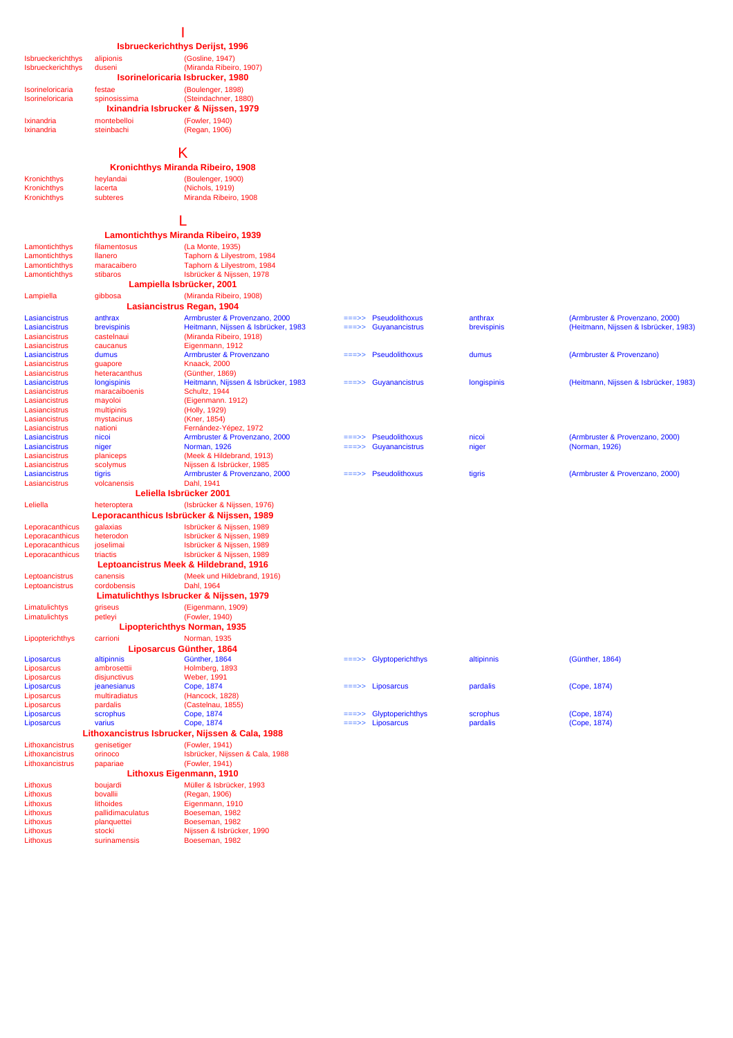## **Isbrueckerichthys Derijst, 1996**

| Isbrueckerichthys | alipionis    | (Gosline, 1947)                      |
|-------------------|--------------|--------------------------------------|
| Isbrueckerichthys | duseni       | (Miranda Ribeiro, 1907)              |
|                   |              | Isorineloricaria Isbrucker, 1980     |
| Isorineloricaria  | festae       | (Boulenger, 1898)                    |
| Isorineloricaria  | spinosissima | (Steindachner, 1880)                 |
|                   |              | Ixinandria Isbrucker & Nijssen, 1979 |
| Ixinandria        | montebelloi  | (Fowler, 1940)                       |

Ixinandria steinbachi (Regan, 1906)

#### K

#### **Kronichthys Miranda Ribeiro, 1908**

| Kronichthys        | heylandai | (Boulenger, 1900)     |
|--------------------|-----------|-----------------------|
| <b>Kronichthys</b> | lacerta   | (Nichols, 1919)       |
| <b>Kronichthys</b> | subteres  | Miranda Ribeiro, 1908 |

L **Lamontichthys Miranda Ribeiro, 1939**

stibaros Isbrücker & Nijssen, 1978 Lampiella gibbosa (Miranda Ribeiro, 1908)

**Lampiella Isbrücker, 2001**

#### Lamontichthys filamentosus (La Monte, 1935) Lamontichthys llanero Taphorn & Lilyestrom, 1984<br>
Lamontichthys llanero Taphorn & Lilyestrom, 1984<br>
Lamontichthys maracaibero Taphorn & Lilyestrom, 1984 Lamontichthys maracaibero Taphorn & Lilyestrom, 1984<br>
Lamontichthys stibaros Missen, 1978

| ampie |  |  |
|-------|--|--|
|       |  |  |

|                      |               | Lasiancistrus Regan, 1904                 |                 |                                            |             |                                       |
|----------------------|---------------|-------------------------------------------|-----------------|--------------------------------------------|-------------|---------------------------------------|
| Lasiancistrus        | anthrax       | Armbruster & Provenzano, 2000             | $=$ $=$ $>$ $>$ | <b>Pseudolithoxus</b>                      | anthrax     | (Armbruster & Provenzano, 2000)       |
| Lasiancistrus        | brevispinis   | Heitmann, Nijssen & Isbrücker, 1983       | $=$ $=$ $>$ $>$ | Guyanancistrus                             | brevispinis | (Heitmann, Nijssen & Isbrücker, 1983) |
| Lasiancistrus        | castelnaui    | (Miranda Ribeiro, 1918)                   |                 |                                            |             |                                       |
| Lasiancistrus        | caucanus      | Eigenmann, 1912                           |                 |                                            |             |                                       |
| Lasiancistrus        | dumus         | Armbruster & Provenzano                   | $=$ $=$ >>      | <b>Pseudolithoxus</b>                      | dumus       | (Armbruster & Provenzano)             |
| Lasiancistrus        | guapore       | <b>Knaack, 2000</b>                       |                 |                                            |             |                                       |
| Lasiancistrus        | heteracanthus | (Günther, 1869)                           |                 |                                            |             |                                       |
| <b>Lasiancistrus</b> | longispinis   | Heitmann, Nijssen & Isbrücker, 1983       |                 | $\equiv \equiv \Rightarrow$ Guyanancistrus | longispinis | (Heitmann, Nijssen & Isbrücker, 1983) |
| Lasiancistrus        | maracaiboenis | Schultz, 1944                             |                 |                                            |             |                                       |
| Lasiancistrus        | mayoloi       | (Eigenmann. 1912)                         |                 |                                            |             |                                       |
| Lasiancistrus        | multipinis    | (Holly, 1929)                             |                 |                                            |             |                                       |
| Lasiancistrus        | mystacinus    | (Kner, 1854)                              |                 |                                            |             |                                       |
| Lasiancistrus        | nationi       | Fernández-Yépez, 1972                     |                 |                                            |             |                                       |
| Lasiancistrus        | nicoi         | Armbruster & Provenzano, 2000             | $=$ $=$ $>$ $>$ | <b>Pseudolithoxus</b>                      | nicoi       | (Armbruster & Provenzano, 2000)       |
| Lasiancistrus        | niger         | <b>Norman, 1926</b>                       | $=$ $=$ $>$ $>$ | Guyanancistrus                             | niger       | (Norman, 1926)                        |
| Lasiancistrus        | planiceps     | (Meek & Hildebrand, 1913)                 |                 |                                            |             |                                       |
| Lasiancistrus        | scolymus      | Nijssen & Isbrücker, 1985                 |                 |                                            |             |                                       |
| Lasiancistrus        | tigris        | Armbruster & Provenzano, 2000             | $=$ $=$ $>$ $>$ | <b>Pseudolithoxus</b>                      | tigris      | (Armbruster & Provenzano, 2000)       |
| Lasiancistrus        | volcanensis   | Dahl, 1941                                |                 |                                            |             |                                       |
|                      |               | Leliella Isbrücker 2001                   |                 |                                            |             |                                       |
| Leliella             | heteroptera   | (Isbrücker & Nijssen, 1976)               |                 |                                            |             |                                       |
|                      |               | Leporacanthicus Isbrücker & Nijssen, 1989 |                 |                                            |             |                                       |

#### Leporacanthicus galaxias Isbrücker & Nijssen, 1989<br>
Leporacanthicus heterodon Isbrücker & Nijssen, 1989 Leporacanthicus heterodon Isbrücker & Nijssen, 1989<br>Leporacanthicus joselimai Isbrücker & Nijssen, 1989 Leporacanthicus triactis Isbrücker & Nijssen, 1989

Leptoancistrus canensis (Meek und Hildebrand, 1916) Leptoancistrus Limatulichtys griseus (Eigenmann, 1909) Limatulichtys petleyi (Fowler, 1940) Lipopterichthys carrioni Norman, 1935 **Liposarcus Günther, 1864 Leptoancistrus Meek & Hildebrand, 1916 Limatulichthys Isbrucker & Nijssen, 1979 Lipopterichthys Norman, 1935** 

# Liposarcus ambrosettii Holmberg, 1893<br>Liposarcus ambrosettii Holmberg, 1893<br>Liposarcus disjunctivus Weber, 1991 Liposarcus ieanesianus Cope, 1874<br>
Liposarcus multiradiatus (Hancock, 1828)<br>
Liposarcus pardalis (Castelnau 1855

Lithoxancistrus genisetiger (Fowler, 1941) Lithoxancistrus orinoco **Isbrücker, Nijssen & Cala, 1988**<br>
Lithoxancistrus papariae (Fowler, 1941) **Lithoxancistrus Isbrucker, Nijssen & Cala, 1988**

Lithoxus boujardi Müller & Isbrücker, 1993 Lithoxus bovallii (Regan, 1906) Lithoxus lithoides Eigenmann, 1910<br>Lithoxus lithoides Eigenmann, 1910<br>pallidimaculatus Boeseman, 1982

Lithoxus planquettei Boeseman, 1982<br>
Lithoxus stocki Nijssen & Isbrück Lithoxus stocki Nijssen & Isbrücker, 1990<br>Lithoxus stocki Nijssen & Isbrücker, 1990<br>Lithoxus surinamensis Boeseman, 1982

Isbrücker & Nijssen, 1989

Weber, 1991

 $(Fower, 1941)$ 

Boeseman, 1982

Lithoxus surinamensis Boeseman, 1982

pardalis (Castelnau, 1855)<br>scrophus Cope, 1874

**Lithoxus Eigenmann, 1910**

# Liposarcus altipinnis Cünther, 1864 ===>> Glyptoperichthys altipinnis (Günther, 1864)<br>
Liposarcus ambrosettii Holmberg, 1893 Liposarcus jeanesianus Cope, 1874 ===>> Liposarcus pardalis (Cope, 1874) Liposarcus paramas (Cope, 1874)<br>
Liposarcus scrophus Cope, 1874 – Electronic entre Cope, 1874<br>
Liposarcus varius Cope, 1874 – Liposarcus pardalis (Cope, 1874) Liposarcus varius Cope, 1874 ===>> Liposarcus pardalis (Cope, 1874)

- 
- Isorine<br>Isorine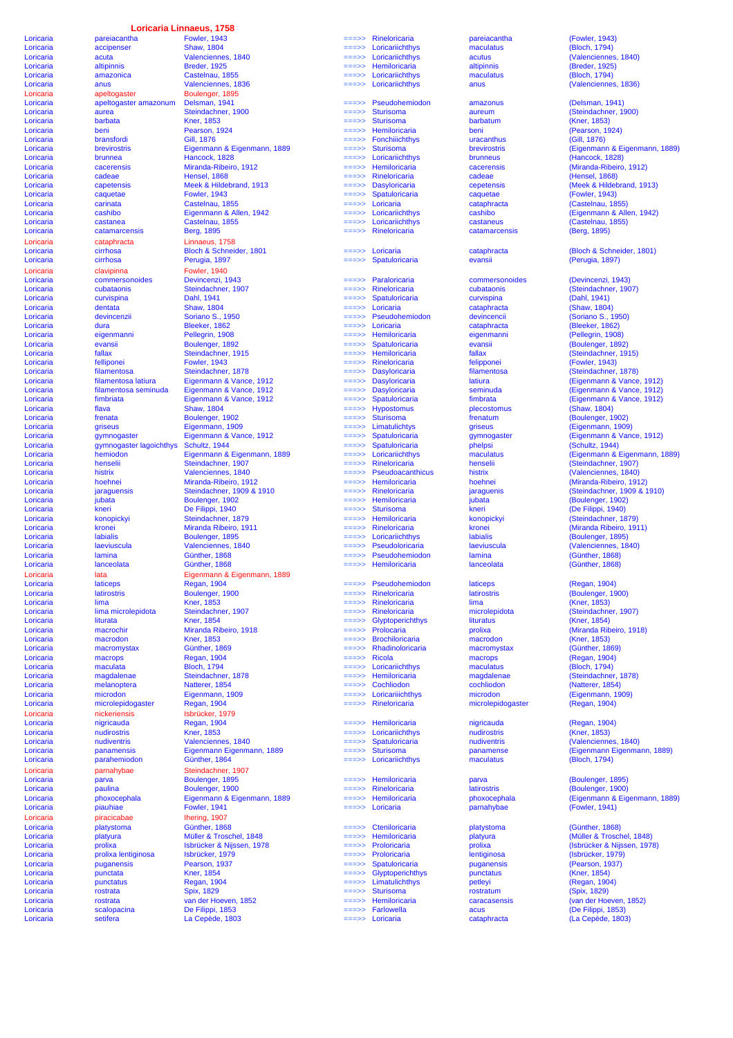# **Loricaria Linnaeus, 1758**<br>Fowler, 1943

Loricaria accipenser Shaw, 1804 ===>> Loricariichthys maculatus (Bloch, 1794) Loricaria accipenser Shaw, 1804 ==>> Loricariichthys maculatus (Bloch, 1794)<br>
Loricaria acuta Valenciennes, 1840 ==>> Loricariichthys acutus (Valenciennes, 1840)<br>
Loricaria attpinnis Breder, 1925 ==>> Hemiloricaria altipin Loricaria altipinnis Breder, 1925 ===>> Hemiloricaria altipinnis (Breder, 1925) Loricaria amazonica Castelnau, 1855 ===>> Loricariichthys maculatus (Bloch, 1794) Loricaria anus Valenciennes, 1836 ===>> Loricariichthys anus (Valenciennes, 1836) Loricaria apeltogaster amazonum Delsman, 1941 ===>> Pseudohemiodon amazonus (Delsman, 1941) Loricaria aurea Steindachner, 1900 ===>> Sturisoma aureum (Steindachner, 1900) Loricaria barbata Kner, 1853 ===>> Sturisoma barbatum (Kner, 1853) Loricaria beni Pearson, 1924 ===>> Hemiloricaria beni (Pearson, 1924) Loricaria bransfordi Gill, 1876 ===>> Fonchiiichthys uracanthus (Gill, 1876) Loricaria brunnea Hancock, 1828 ===>> Loricariichthys brunneus (Hancock, 1828) Loricaria cacerensis Miranda-Ribeiro, 1912 ===>> Hemiloricaria cacerensis (Miranda-Ribeiro, 1912)<br>Loricaria cadeae Hensel, 1868 ==>> Rineloricaria cadeae (Hensel, 1868) Loricaria cadeae Hensel, 1868 ===>> Rineloricaria cadeae (Hensel, 1868) Loricaria cadeae Meek & Hildebrand, 1913<br>
Loricaria capetensis Meek & Hildebrand, 1913<br>
Loricaria capetensis Meek & Hildebrand, 1913<br>
Loricaria capetensis (Meek & Hildebrand, 1913)<br>
Loricaria capetensis (Meek & Hildebrand, Loricaria caquetae Fowler, 1943 ===>> Spatuloricaria caquetae (Fowler, 1943) Loricaria carinata Castelnau, 1855 ===>> Loricaria cataphracta (Castelnau, 1855) Loricaria cashibo Eigenmann & Allen, 1942 ===>> Loricariichthys cashibo (Eigenmann & Allen, 1942)<br>
Loricaria castanea Castelnau, 1855 ===>> Loricariichthys castaneus (Castelnau, 1855) Loricaria castanea Castelnau, 1855 ===>> Loricariichthys castaneus (Castelnau, 1855) Loricaria catamarcensis Berg, 1895 ===>> Rineloricaria catamarcensis (Berg, 1895) Loricaria cataphracta Linnaeus, 1758 Loricaria cirrhosa Bloch & Schneider, 1801 ===>> Loricaria cataphracta (Bloch & Schneider, 1801) Loricaria cirrhosa Perugia, 1897 ===>> Spatuloricaria evansii (Perugia, 1897) Loricaria commersonoides Devincenzi, 1943 ===>> Paraloricaria commersonoides (Devincenzi, 1943) Loricaria cubataonis Steindachner, 1907 ===>> Rineloricaria cubataonis (Steindachner, 1907) Loricaria curvispina Dahl, 1941 ===>> Spatuloricaria curvispina (Dahl, 1941) Loricaria dentata Shaw, 1804 ===>> Loricaria cataphracta (Shaw, 1804) Loricaria devincenzii Shaw, 1804<br>
Loricaria devincenzii Soriano S., 1950<br>
Loricaria devincenzii Soriano S., 1950<br>
Loricaria devincenzii Soriano S., 1950<br>
Loricaria devincenzii Soriano S., 1950<br>
Loricaria devincencii (Soria Loricaria dura Bleeker, 1862 ===>> Loricaria cataphracta (Bleeker, 1862) Loricaria eigenmanni Pellegrin, 1908 ===>> Hemiloricaria eigenmanni (Pellegrin, 1908) Loricaria evansii Boulenger, 1892 ===>> Spatuloricaria evansii (Boulenger, 1892) Loricaria fallax Steindachner, 1915 ===>> Hemiloricaria fallax (Steindachner, 1915) Loricaria 1993 - Fowler, 1943 - Mine Loricaria 1993 - Power, 1943 - Power, 1943<br>
Loricaria 1993 - Disploricaria 1998 - Disploricaria 1998 - Mine Loricaria 1999 - Mine Loricaria 1999 - Disploricaria 1998 - Disploricaria 199 Loricaria filamentosa Steindachner, 1878 ===>> Dasyloricaria filamentosa (Steindachner, 1878) Loricaria filamentosa latiura Eigenmann & Vance, 1912 ===>> Dasyloricaria latiura (Eigenmann & Vance, 1912) Loricaria filamentosa seminuda Eigenmann & Vance, 1912 ===>> Dasyloricaria seminuda (Eigenmann & Vance, 1912) Loricaria fimbriata Eigenmann & Vance, 1912 ===>> Spatuloricaria fimbrata (Eigenmann & Vance, 1912) Loricaria flava Shaw, 1804 ===>> Hypostomus plecostomus (Shaw, 1804) Loricaria frenata Boulenger, 1902 ===>> Sturisoma frenatum (Boulenger, 1902) Loricaria griseus Eigenmann, 1909 ===>> Limatulichtys griseus (Eigenmann, 1909)<br>Loricaria gymnogaster Eigenmann & Vance, 1912 ===>> Spatuloricaria gymnogaster (Eigenmann & Vance, 1912) Loricaria gymnogaster Eigenmann, Novo et al. (Eigenmann, Novo et al. 2003)<br>
Loricaria gymnogaster lagoichthys Schultz, 1944 ===>> Spatuloricaria gymnogaster (Sigenmann, Novo et al. 2014<br>
Loricaria hemiodon Eigenmann & Eige Loricaria emiodon Eigenmann & Eigenmann & Eigenmann, 1889 ===>> Loricariichthys maculatus (Eigenmann & Eigenmann, 1889)<br>Loricaria hemiodon Bigenmann & Eigenmann, 1889 ===>> Loricariichthys maculatus (Eigenmann & Eigenmann, Loricaria histrix 1940 / Valenciennes, 1840 ===>> Pseudoacanthicus histrix histrix (Valenciennes, 1840 ===>> Pseudoacanthicus histrix (Valenciennes, 1912 ===>> Hemiloricaria hoehnei Loricaria hoehnei Miranda-Ribeiro, 1912 ===>> Hemiloricaria hoehnei (Miranda-Ribeiro, 1912)<br>Loricaria paguensis Steindachner, 1909 & 1910 ===>> Rineloricaria jaraguenis (Steindachner, 1909 & 1912) Loricaria jubata Boulenger, 1902 ===>> Hemiloricaria jubata (Boulenger, 1902) Loricaria kneri De Filippi, 1940 ===>> Sturisoma kneri (De Filippi, 1940) Loricaria konopickyi Steindachner, 1879 ===>> Hemiloricaria konopickyi (Steindachner, 1879) Loricaria kronei Miranda Ribeiro, 1911 ===>> Rineloricaria kronei (Miranda Ribeiro, 1911) Loricaria labialis Boulenger, 1895 ===>> Loricariichthys labialis (Boulenger, 1895) Loricaria laeviuscula Valenciennes, 1840  $\frac{1}{2}$ <br>Loricaria laeviuscula Valenciennes, 1840  $\frac{1}{2}$ <br>Loricaria lamina Günther, 1868  $\frac{1}{2}$  Pseudoloricaria laeviuscula (Valenciennes, 1840) Loricaria laeviuscula Valenciennes, 1840<br>
Loricaria lamina Günther, 1868 - Pseudohemiodon lamina (Valenciennes, 1840<br>
Loricaria lamina Günther, 1868 - Pseudohemiodon lamina (Günther, 1868<br>
Loricaria lanceolata Günther, 186 Loricaria lanceolata Günther, 1868 ===>> Hemiloricaria lanceolata (Günther, 1868) **Loricaria lata lata algumann & Eigenmann, 1889**<br> **Loricaria** laticeps Regan, 1904 Loricaria laticeps Regan, 1904 ===>> Pseudohemiodon laticeps (Regan, 1904) Loricaria latirostris Doulenger, 1900<br>
Loricaria latirostris Boulenger, 1900<br>
Loricaria lima (Kner, 1853) – Rineloricaria lima (Kner, 1853) – Rineloricaria lima (Kner, 1853) Loricaria lativey experimental conservations and the conservations of the conservation of the conservation of the conservation of the conservation of the conservation of the conservation of the conservation of the conserva Loricaria lima microlepidota Steindachner, 1907 ===>> Rineloricaria microlepidota (Steindachner, 1907) Loricaria liturata Kner, 1854 ===>> Glyptoperichthys lituratus (Kner, 1854) Loricaria macrochir Miranda Ribeiro, 1918<br>
Loricaria macrochir Miranda Ribeiro, 1918 = = >> Prolocaria prolixa (Miranda Ribeiro, 1918)<br>
Loricaria macrochir Miranda Ribeiro, 1918 = >> Prolocaria prolixa (Miranda Ribeiro, 19 Loricaria macrodon Kner, 1853 ===>> Brochiloricaria macrodon (Kner, 1853) Loricaria macromystax Günther, 1869 ===>> Rhadinoloricaria macromystax (Günther, 1869) Loricaria macrops Regan, 1904 ===>> Ricola macrops (Regan, 1904) Loricaria maculata Bloch, 1794 ===>> Loricariichthys maculatus (Bloch, 1794) Loricaria magdalenae Steindachner, 1878 ===>> Hemiloricaria magdalenae (Steindachner, 1878)<br>Loricaria magdalenae Steindachner, 1878 ===>> Hemiloricaria magdalenae (Steindachner, 1878)<br>Loricaria melanoptera Natterer, 1854 = Loricaria melanoptera Natterer, 1854 ===>> Cochliodon cochliodon (Natterer, 1854) Loricaria microdon Eigenmann, 1909 ===>> Loricariiichthys microdon (Eigenmann, 1909)<br>
Loricaria microlepidogaster Regan, 1904 ===>> Rineloricaria microlepidogaster (Regan, 1904) Loricaria microlepidogaster Regan, 1904 ===>> Rineloricaria microlepidogaster (Regan, 1904) Loricaria nigricauda Regan, 1904 ===>> Hemiloricaria nigricauda (Regan, 1904) Loricaria nudirostris Kner, 1853 ===>> Loricariichthys nudirostris (Kner, 1853) Loricaria 1982 - Material 1982 - Loricaria 1989 - Loricaria 1989 - Loricaria 1989 - Loricaria (Valenciennes, 1840)<br>
Loricaria panamensis Eigenmann Eigenmann, 1889 - Sturisoma panamense (Eigenmann Eigenmann, 1889) Loricaria panamensis Eigenmann Eigenmann, 1889 ===>> Sturisoma panamense (Eigenmann Eigenmann, 1889) Loricaria parahemiodon Günther, 1864 ===>> Loricariichthys maculatus (Bloch, 1794) Loricaria parva Boulenger, 1895 ===>> Hemiloricaria parva (Boulenger, 1895) Loricaria paulina - Boulenger, 1900<br>
Loricaria paulina - Boulenger, 1900<br>
Loricaria phoxocephala - Eigenmann & Eigenmann, 1889 - --->> Hemiloricaria phoxocephala (Eigenmann & Eig Loricaria phoxocephala Eigenmann & Eigenmann, 1889 ===>> Hemiloricaria phoxocephala (Eigenmann & Eigenmann, 1889) Loricaria piauhiae Fowler, 1941 ===>> Loricaria parnahybae (Fowler, 1941) Loricaria platystoma Günther, 1868 ===>> Cteniloricaria platystoma (Günther, 1868) Loricaria platyura Müller & Troschel, 1848 ===>> Hemiloricaria platyura (Müller & Troschel, 1848) Loricaria prolixa Isbrücker & Nijssen, 1978 ===>> Proloricaria prolixa (Isbrücker & Nijssen, 1978) Loricaria prolixa lentiginosa Isbrücker, 1979 ===>> Proloricaria lentiginosa (Isbrücker, 1979) Loricaria puganensis Pearson, 1937 ===>> Spatuloricaria puganensis (Pearson, 1937) Loricaria punctata Kner, 1854 ===>> Glyptoperichthys punctatus (Kner, 1854) Loricaria punctatus Regan, 1904 ===>> Limatulichthys petleyi (Regan, 1904) Loricaria rostrata Spix, 1829 ===>> Sturisoma rostratum (Spix, 1829) Coricaria Costrata rostrata Spix, 1829 ===>> Sturisoma caracasensis (Spix, 1829)<br>
Coricaria rostrata van der Hoeven, 1852 ===>> Hemiloricaria caracasensis (van der Hoeven, 1852)<br>
Coricaria scalopacina De Filippi, 1853 ===> Loricaria scalopacina De Filippi, 1853 ===>> Farlowella acus (De Filippi, 1853) Loricaria setifera La Cepède, 1803 ===>> Loricaria cataphracta (La Cepède, 1803)

|           |                         | Loricaria Linnaeus, 1758    |          |                         |                    |                  |
|-----------|-------------------------|-----------------------------|----------|-------------------------|--------------------|------------------|
| Loricaria | pareiacantha            | <b>Fowler, 1943</b>         | $=$ ==>> | Rineloricaria           | pareiacantha       | (Fowler, 1943)   |
|           |                         |                             | $==->>$  | Loricariichthys         |                    |                  |
| Loricaria | accipenser              | <b>Shaw, 1804</b>           |          |                         | maculatus          | (Bloch, 1794)    |
| Loricaria | acuta                   | Valenciennes, 1840          | ===>>    | Loricariichthys         | acutus             | (Valenciennes    |
| Loricaria | altipinnis              | <b>Breder, 1925</b>         | $=$ ==>> | Hemiloricaria           | altipinnis         | (Breder, 1925)   |
| Loricaria | amazonica               | Castelnau, 1855             | $=$ ==>> | Loricariichthys         | maculatus          | (Bloch, 1794)    |
| Loricaria | anus                    | Valenciennes, 1836          | ===>>    | Loricariichthys         | anus               | (Valenciennes    |
| Loricaria | apeltogaster            | Boulenger, 1895             |          |                         |                    |                  |
| Loricaria | apeltogaster amazonum   | Delsman, 1941               | ===>>    | Pseudohemiodon          | amazonus           | (Delsman, 194    |
| Loricaria | aurea                   | Steindachner, 1900          | ===>>    | <b>Sturisoma</b>        | aureum             | (Steindachner    |
|           |                         |                             |          |                         |                    |                  |
| Loricaria | barbata                 | <b>Kner, 1853</b>           | ===>>    | <b>Sturisoma</b>        | barbatum           | (Kner, 1853)     |
| Loricaria | beni                    | Pearson, 1924               | $==->>$  | Hemiloricaria           | beni               | (Pearson, 192    |
| Loricaria | bransfordi              | <b>Gill, 1876</b>           | $==->>$  | <b>Fonchilichthys</b>   | uracanthus         | (Gill, 1876)     |
| Loricaria | brevirostris            | Eigenmann & Eigenmann, 1889 | ===>>    | <b>Sturisoma</b>        | brevirostris       | (Eigenmann &     |
| Loricaria | brunnea                 | Hancock, 1828               | ===>>    | Loricariichthys         | brunneus           | (Hancock, 182    |
| Loricaria | cacerensis              | Miranda-Ribeiro, 1912       | ===>>    | Hemiloricaria           | cacerensis         | (Miranda-Ribe    |
| Loricaria | cadeae                  | Hensel, 1868                | ===>>    | Rineloricaria           | cadeae             | (Hensel, 1868)   |
|           |                         |                             |          |                         |                    |                  |
| Loricaria | capetensis              | Meek & Hildebrand, 1913     | ===>>    | <b>Dasyloricaria</b>    | cepetensis         | (Meek & Hilde    |
| Loricaria | caquetae                | <b>Fowler, 1943</b>         | ===>>    | Spatuloricaria          | caquetae           | (Fowler, 1943)   |
| Loricaria | carinata                | Castelnau, 1855             | $==->>$  | Loricaria               | cataphracta        | (Castelnau, 18   |
| Loricaria | cashibo                 | Eigenmann & Allen, 1942     | ===>>    | Loricariichthys         | cashibo            | (Eigenmann &     |
| Loricaria | castanea                | Castelnau, 1855             | ===>>    | Loricariichthys         | castaneus          | (Castelnau, 18   |
| Loricaria | catamarcensis           | Berg, 1895                  | ===>>    | Rineloricaria           | catamarcensis      | (Berg, 1895)     |
|           |                         |                             |          |                         |                    |                  |
| Loricaria | cataphracta             | Linnaeus, 1758              |          |                         |                    |                  |
| Loricaria | cirrhosa                | Bloch & Schneider, 1801     | ===>>    | Loricaria               | cataphracta        | (Bloch & Schn    |
| Loricaria | cirrhosa                | Perugia, 1897               | ===>>    | Spatuloricaria          | evansii            | (Perugia, 1897   |
| Loricaria | clavipinna              | <b>Fowler, 1940</b>         |          |                         |                    |                  |
| Loricaria | commersonoides          | Devincenzi, 1943            | $==>>$   | Paraloricaria           | commersonoides     | (Devincenzi, 1   |
|           |                         |                             |          |                         |                    |                  |
| Loricaria | cubataonis              | Steindachner, 1907          | ===>>    | Rineloricaria           | cubataonis         | (Steindachner    |
| Loricaria | curvispina              | Dahl, 1941                  | ===>>    | Spatuloricaria          | curvispina         | (Dahl, 1941)     |
| Loricaria | dentata                 | <b>Shaw, 1804</b>           | ===>>    | Loricaria               | cataphracta        | (Shaw, 1804)     |
| Loricaria | devincenzii             | Soriano S., 1950            | ===>>    | Pseudohemiodon          | devincencii        | (Soriano S., 19  |
| Loricaria | dura                    | Bleeker, 1862               | ===>>    | Loricaria               | cataphracta        | (Bleeker, 1862   |
|           |                         | Pellegrin, 1908             |          | Hemiloricaria           | eigenmanni         | (Pellegrin, 190  |
| Loricaria | eigenmanni              |                             | ===>>    |                         |                    |                  |
| Loricaria | evansii                 | Boulenger, 1892             | ===>>    | Spatuloricaria          | evansii            | (Boulenger, 18   |
| Loricaria | fallax                  | Steindachner, 1915          | ===>>    | Hemiloricaria           | fallax             | (Steindachner    |
| Loricaria | felliponei              | <b>Fowler, 1943</b>         | ===>>    | Rineloricaria           | felipponei         | (Fowler, 1943)   |
| Loricaria | filamentosa             | Steindachner, 1878          | ===>>    | <b>Dasyloricaria</b>    | filamentosa        | (Steindachner    |
|           |                         |                             | $==->>$  |                         |                    | (Eigenmann &     |
| Loricaria | filamentosa latiura     | Eigenmann & Vance, 1912     |          | <b>Dasyloricaria</b>    | latiura            |                  |
| Loricaria | filamentosa seminuda    | Eigenmann & Vance, 1912     | ===>>    | <b>Dasyloricaria</b>    | seminuda           | (Eigenmann &     |
| Loricaria | fimbriata               | Eigenmann & Vance, 1912     | $==->>$  | Spatuloricaria          | fimbrata           | (Eigenmann &     |
| Loricaria | flava                   | <b>Shaw, 1804</b>           | ===>>    | <b>Hypostomus</b>       | plecostomus        | (Shaw, 1804)     |
| Loricaria | frenata                 | Boulenger, 1902             | $==->>$  | <b>Sturisoma</b>        | frenatum           | (Boulenger, 19   |
|           | griseus                 | Eigenmann, 1909             | $==->>$  | Limatulichtys           |                    | (Eigenmann, 1    |
| Loricaria |                         |                             |          |                         | griseus            |                  |
| Loricaria | gymnogaster             | Eigenmann & Vance, 1912     | $=$ ==>> | Spatuloricaria          | gymnogaster        | (Eigenmann &     |
| Loricaria | gymnogaster lagoichthys | Schultz, 1944               | $==->>$  | Spatuloricaria          | phelpsi            | (Schultz, 1944   |
| Loricaria | hemiodon                | Eigenmann & Eigenmann, 1889 | $==->>$  | Loricariichthys         | maculatus          | (Eigenmann &     |
| Loricaria | henselii                | Steindachner, 1907          | $==->>$  | Rineloricaria           | henselii           | (Steindachner    |
| Loricaria | histrix                 | Valenciennes, 1840          | $==->>$  | <b>Pseudoacanthicus</b> | histrix            | (Valenciennes    |
|           |                         |                             |          |                         |                    |                  |
| Loricaria | hoehnei                 | Miranda-Ribeiro, 1912       | ===>>    | Hemiloricaria           | hoehnei            | (Miranda-Ribe    |
| Loricaria | jaraguensis             | Steindachner, 1909 & 1910   | $==->>$  | Rineloricaria           | jaraguenis         | (Steindachner    |
| Loricaria | jubata                  | Boulenger, 1902             | $==->>$  | Hemiloricaria           | jubata             | (Boulenger, 19   |
| Loricaria | kneri                   | De Filippi, 1940            | $==->>$  | <b>Sturisoma</b>        | kneri              | (De Filippi, 194 |
| Loricaria | konopickyi              | Steindachner, 1879          | $=$ ==>> | Hemiloricaria           | konopickyi         | (Steindachner    |
|           |                         |                             |          |                         |                    |                  |
| Loricaria | kronei                  | Miranda Ribeiro, 1911       | ===>>    | Rineloricaria           | kronei             | (Miranda Ribe    |
| Loricaria | <b>labialis</b>         | Boulenger, 1895             | ===>>    | Loricariichthys         | <b>labialis</b>    | (Boulenger, 18   |
| Loricaria | laeviuscula             | Valenciennes, 1840          | ===>>    | Pseudoloricaria         | laeviuscula        | (Valenciennes    |
| Loricaria | lamina                  | Günther, 1868               |          | Pseudohemiodon          | lamina             | (Günther, 1868   |
| Loricaria | lanceolata              | Günther, 1868               | ===>>    | Hemiloricaria           | lanceolata         | (Günther, 1868   |
|           |                         |                             |          |                         |                    |                  |
| Loricaria | lata                    | Eigenmann & Eigenmann, 1889 |          |                         |                    |                  |
| Loricaria | laticeps                | <b>Regan, 1904</b>          | ===>>    | Pseudohemiodon          | laticeps           | (Regan, 1904)    |
| Loricaria | latirostris             | Boulenger, 1900             | ===>>    | Rineloricaria           | latirostris        | (Boulenger, 19   |
| Loricaria | lima                    | <b>Kner, 1853</b>           | ===>>    | Rineloricaria           | lima               | (Kner, 1853)     |
| Loricaria | lima microlepidota      | Steindachner, 1907          | $==>>$   | Rineloricaria           | microlepidota      | (Steindachner    |
|           |                         |                             |          |                         |                    |                  |
| Loricaria | liturata                | <b>Kner, 1854</b>           | $==->$   | Glyptoperichthys        | lituratus          | (Kner, 1854)     |
| Loricaria | macrochir               | Miranda Ribeiro, 1918       | $=$ ==>> | Prolocaria              | prolixa            | (Miranda Ribe    |
| Loricaria | macrodon                | <b>Kner, 1853</b>           | ===>>    | <b>Brochiloricaria</b>  | macrodon           | (Kner, 1853)     |
| Loricaria | macromystax             | Günther, 1869               | ===>>    | Rhadinoloricaria        | macromystax        | (Günther, 1869   |
| Loricaria | macrops                 | <b>Regan, 1904</b>          | ===>>    | <b>Ricola</b>           | macrops            | (Regan, 1904)    |
| Loricaria | maculata                | <b>Bloch, 1794</b>          | ===>>    | Loricariichthys         | maculatus          | (Bloch, 1794)    |
| Loricaria | magdalenae              | Steindachner, 1878          | $==->>$  | Hemiloricaria           | magdalenae         | (Steindachner    |
|           |                         |                             |          |                         |                    |                  |
| Loricaria | melanoptera             | Natterer, 1854              | ===>>    | Cochliodon              | cochliodon         | (Natterer, 1854  |
| Loricaria | microdon                | Eigenmann, 1909             | ===>>    | Loricariiichthys        | microdon           | (Eigenmann, 1    |
| Loricaria | microlepidogaster       | <b>Regan, 1904</b>          | ===>>    | Rineloricaria           | microlepidogaster  | (Regan, 1904)    |
| Loricaria | nickeriensis            | Isbrücker, 1979             |          |                         |                    |                  |
|           |                         |                             |          |                         |                    |                  |
| Loricaria | nigricauda              | <b>Regan, 1904</b>          | ===>>    | Hemiloricaria           | nigricauda         | (Regan, 1904)    |
| Loricaria | nudirostris             | <b>Kner, 1853</b>           | ===>>    | Loricariichthys         | nudirostris        | (Kner, 1853)     |
| Loricaria | nudiventris             | Valenciennes, 1840          | ===>>    | Spatuloricaria          | nudiventris        | (Valenciennes    |
| Loricaria | panamensis              | Eigenmann Eigenmann, 1889   | ===>>    | <b>Sturisoma</b>        | panamense          | (Eigenmann E     |
| Loricaria | parahemiodon            | Günther, 1864               | ===>>    | Loricariichthys         | maculatus          | (Bloch, 1794)    |
|           |                         |                             |          |                         |                    |                  |
| Loricaria | parnahybae              | Steindachner, 1907          |          |                         |                    |                  |
| Loricaria | parva                   | Boulenger, 1895             | ===>>    | Hemiloricaria           | parva              | (Boulenger, 18   |
| Loricaria | paulina                 | Boulenger, 1900             | ===>>    | Rineloricaria           | <b>latirostris</b> | (Boulenger, 19   |
| Loricaria | phoxocephala            | Eigenmann & Eigenmann, 1889 | ===>>    | Hemiloricaria           | phoxocephala       | (Eigenmann &     |
|           |                         |                             |          |                         |                    |                  |
| Loricaria | piauhiae                | <b>Fowler, 1941</b>         | ===>>    | Loricaria               | parnahybae         | (Fowler, 1941)   |
| Loricaria | piracicabae             | Ihering, 1907               |          |                         |                    |                  |
| Loricaria | platystoma              | Günther, 1868               | ===>>    | Cteniloricaria          | platystoma         | (Günther, 1868   |
| Loricaria | platyura                | Müller & Troschel, 1848     | ===>>    | Hemiloricaria           | platyura           | (Müller & Tros   |
|           |                         |                             |          |                         |                    |                  |
| Loricaria | prolixa                 | Isbrücker & Nijssen, 1978   | ===>>    | Proloricaria            | prolixa            | (Isbrücker & N   |
| Loricaria | prolixa lentiginosa     | Isbrücker, 1979             | ===>>    | Proloricaria            | lentiginosa        | (Isbrücker, 197  |
| Loricaria | puganensis              | Pearson, 1937               | ===>>    | Spatuloricaria          | puganensis         | (Pearson, 193    |
| Loricaria | punctata                | <b>Kner, 1854</b>           | ===>>    | Glyptoperichthys        | punctatus          | (Kner, 1854)     |
| Loricaria | punctatus               | <b>Regan, 1904</b>          | ===>>    | Limatulichthys          |                    | (Regan, 1904)    |
|           |                         |                             |          |                         | petleyi            |                  |
| Loricaria | rostrata                | Spix, 1829                  | ===>>    | <b>Sturisoma</b>        | rostratum          | (Spix, 1829)     |
| Loricaria | rostrata                | van der Hoeven, 1852        | ===>>    | Hemiloricaria           | caracasensis       | (van der Hoev    |
| Loricaria | scalopacina             | De Filippi, 1853            | ===>>    | Farlowella              | acus               | (De Filippi, 18  |
| Loricaria | setifera                | La Cepède, 1803             | ===>>    | Loricaria               | cataphracta        | (La Cepède, 1    |
|           |                         |                             |          |                         |                    |                  |
|           |                         |                             |          |                         |                    |                  |

Loricaria Dialectris Companion Companion (Companion Companion Companion Companion Companion Companion Companio<br>Loricaria brevirostris Eigenmann & Eigenmann & Eigenmann, 1889 ===>> Sturisoma brevirostris (Eigenmann & Eigenm

Loricaria henselii Steindachner, 1907)<br>
(Valenciennes, 1840) Steindachner, 1909 & 1910)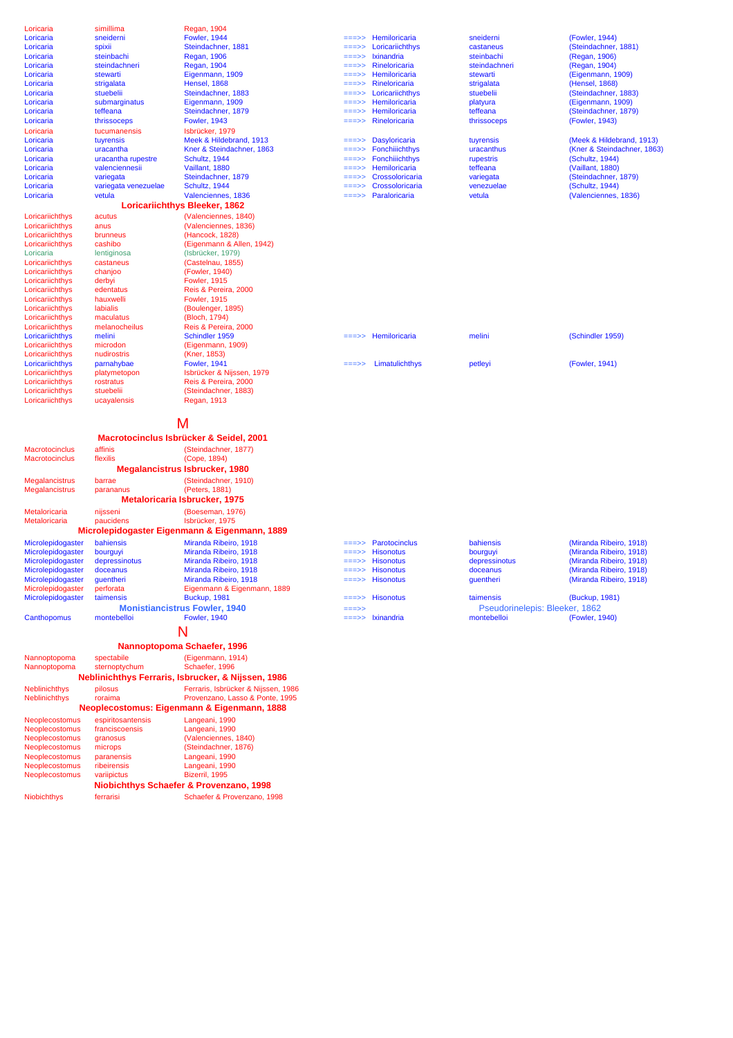| Loricaria             | simillima            | Regan, 1904                                                            |               |                                  |                                |                             |
|-----------------------|----------------------|------------------------------------------------------------------------|---------------|----------------------------------|--------------------------------|-----------------------------|
| Loricaria             | sneiderni            | <b>Fowler, 1944</b>                                                    | ===>>         | Hemiloricaria                    | sneiderni                      | (Fowler, 1944)              |
| Loricaria             | spixii               | Steindachner, 1881                                                     | ===>>         | Loricariichthys                  | castaneus                      | (Steindachner, 1881)        |
| Loricaria             | steinbachi           | <b>Regan, 1906</b>                                                     | ===>>         | Ixinandria                       | steinbachi                     | (Regan, 1906)               |
| Loricaria             | steindachneri        | <b>Regan, 1904</b>                                                     | $=$ ==>>      | Rineloricaria                    | steindachneri                  | (Regan, 1904)               |
| Loricaria             | stewarti             | Eigenmann, 1909                                                        | $==->>$       | Hemiloricaria                    | stewarti                       | (Eigenmann, 1909)           |
| Loricaria             | strigalata           | Hensel, 1868                                                           | $==->>$       | Rineloricaria                    | strigalata                     | (Hensel, 1868)              |
| Loricaria             | stuebelii            | Steindachner, 1883                                                     | ===>>         | Loricariichthys                  | stuebelii                      | (Steindachner, 1883)        |
| Loricaria             | submarginatus        | Eigenmann, 1909                                                        | $==->>$       | Hemiloricaria                    | platyura                       | (Eigenmann, 1909)           |
| Loricaria             | teffeana             | Steindachner, 1879                                                     | ===>>         | Hemiloricaria                    | teffeana                       | (Steindachner, 1879)        |
| Loricaria             | thrissoceps          | <b>Fowler, 1943</b>                                                    | $==->>$       | Rineloricaria                    | thrissoceps                    | (Fowler, 1943)              |
| Loricaria             | tucumanensis         | Isbrücker, 1979                                                        |               |                                  |                                |                             |
| Loricaria             | tuyrensis            | Meek & Hildebrand, 1913                                                | ===>>         | <b>Dasyloricaria</b>             | tuyrensis                      | (Meek & Hildebrand, 1913)   |
| Loricaria             | uracantha            | Kner & Steindachner, 1863                                              | ===>>         | Fonchiiichthys                   | uracanthus                     | (Kner & Steindachner, 1863) |
| Loricaria             | uracantha rupestre   | Schultz, 1944                                                          | ===>>         | Fonchiiichthys                   | rupestris                      | (Schultz, 1944)             |
| Loricaria             | valenciennesii       | Vaillant, 1880                                                         | ===>>         | Hemiloricaria                    | teffeana                       | (Vaillant, 1880)            |
| Loricaria             | variegata            | Steindachner, 1879                                                     | ===>>         | Crossoloricaria                  | variegata                      | (Steindachner, 1879)        |
| Loricaria             | variegata venezuelae | Schultz, 1944                                                          | ===>>         | Crossoloricaria                  | venezuelae                     | (Schultz, 1944)             |
| Loricaria             | vetula               | Valenciennes, 1836                                                     | $=$ ==>>      | Paraloricaria                    | vetula                         | (Valenciennes, 1836)        |
|                       |                      | Loricariichthys Bleeker, 1862                                          |               |                                  |                                |                             |
| Loricariichthys       | acutus               | (Valenciennes, 1840)                                                   |               |                                  |                                |                             |
| Loricariichthys       | anus                 | (Valenciennes, 1836)                                                   |               |                                  |                                |                             |
| Loricariichthys       | brunneus             | (Hancock, 1828)                                                        |               |                                  |                                |                             |
| Loricariichthys       | cashibo              | (Eigenmann & Allen, 1942)                                              |               |                                  |                                |                             |
| Loricaria             | lentiginosa          | (Isbrücker, 1979)                                                      |               |                                  |                                |                             |
| Loricariichthys       | castaneus            | (Castelnau, 1855)                                                      |               |                                  |                                |                             |
| Loricariichthys       | chanjoo              | (Fowler, 1940)                                                         |               |                                  |                                |                             |
| Loricariichthys       | derbyi               | <b>Fowler, 1915</b>                                                    |               |                                  |                                |                             |
| Loricariichthys       | edentatus            | Reis & Pereira, 2000                                                   |               |                                  |                                |                             |
| Loricariichthys       | hauxwelli            | <b>Fowler, 1915</b>                                                    |               |                                  |                                |                             |
| Loricariichthys       | labialis             | (Boulenger, 1895)                                                      |               |                                  |                                |                             |
| Loricariichthys       | maculatus            | (Bloch, 1794)                                                          |               |                                  |                                |                             |
| Loricariichthys       | melanocheilus        | Reis & Pereira, 2000                                                   |               |                                  |                                |                             |
| Loricariichthys       | melini               | Schindler 1959                                                         | ===>>         | Hemiloricaria                    | melini                         | (Schindler 1959)            |
| Loricariichthys       | microdon             | (Eigenmann, 1909)                                                      |               |                                  |                                |                             |
| Loricariichthys       | nudirostris          | (Kner, 1853)                                                           |               |                                  |                                |                             |
| Loricariichthys       | parnahybae           | <b>Fowler, 1941</b>                                                    | ===>>         | Limatulichthys                   | petleyi                        | (Fowler, 1941)              |
| Loricariichthys       | platymetopon         | Isbrücker & Nijssen, 1979                                              |               |                                  |                                |                             |
| Loricariichthys       | rostratus            | Reis & Pereira, 2000                                                   |               |                                  |                                |                             |
| Loricariichthys       | stuebelii            | (Steindachner, 1883)                                                   |               |                                  |                                |                             |
| Loricariichthys       | ucayalensis          | <b>Regan, 1913</b>                                                     |               |                                  |                                |                             |
|                       |                      |                                                                        |               |                                  |                                |                             |
|                       |                      |                                                                        |               |                                  |                                |                             |
|                       |                      |                                                                        |               |                                  |                                |                             |
|                       |                      | M                                                                      |               |                                  |                                |                             |
|                       |                      | Macrotocinclus Isbrücker & Seidel, 2001                                |               |                                  |                                |                             |
| <b>Macrotocinclus</b> | affinis              | (Steindachner, 1877)                                                   |               |                                  |                                |                             |
| <b>Macrotocinclus</b> | flexilis             | (Cope, 1894)                                                           |               |                                  |                                |                             |
|                       |                      | Megalancistrus Isbrucker, 1980                                         |               |                                  |                                |                             |
|                       |                      |                                                                        |               |                                  |                                |                             |
| Megalancistrus        | barrae               | (Steindachner, 1910)                                                   |               |                                  |                                |                             |
| Megalancistrus        | parananus            | (Peters, 1881)                                                         |               |                                  |                                |                             |
|                       |                      | Metaloricaria Isbrucker, 1975                                          |               |                                  |                                |                             |
| Metaloricaria         | nijsseni             | (Boeseman, 1976)                                                       |               |                                  |                                |                             |
| Metaloricaria         | paucidens            | Isbrücker, 1975                                                        |               |                                  |                                |                             |
|                       |                      | Microlepidogaster Eigenmann & Eigenmann, 1889                          |               |                                  |                                |                             |
| Microlepidogaster     | bahiensis            | Miranda Ribeiro, 1918                                                  | ===>>         | Parotocinclus                    | bahiensis                      | (Miranda Ribeiro, 1918)     |
| Microlepidogaster     | bourguyi             | Miranda Ribeiro, 1918                                                  | ===>>         | <b>Hisonotus</b>                 | bourguyi                       | (Miranda Ribeiro, 1918)     |
| Microlepidogaster     | depressinotus        | Miranda Ribeiro, 1918                                                  | $=\!=\!=\!>>$ | <b>Hisonotus</b>                 | depressinotus                  | (Miranda Ribeiro, 1918)     |
| Microlepidogaster     | doceanus             | Miranda Ribeiro, 1918                                                  | ===>>         | <b>Hisonotus</b>                 | doceanus                       | (Miranda Ribeiro, 1918)     |
| Microlepidogaster     | guentheri            | Miranda Ribeiro, 1918                                                  | ===>>         | <b>Hisonotus</b>                 | guentheri                      | (Miranda Ribeiro, 1918)     |
| Microlepidogaster     | perforata            | Eigenmann & Eigenmann, 1889                                            |               |                                  |                                |                             |
| Microlepidogaster     | taimensis            | Buckup, 1981                                                           | ===>>         | <b>Hisonotus</b>                 | taimensis                      | (Buckup, 1981)              |
|                       |                      | <b>Monistiancistrus Fowler, 1940</b>                                   | $==->>$       |                                  | Pseudorinelepis: Bleeker, 1862 |                             |
| Canthopomus           | montebelloi          | <b>Fowler, 1940</b>                                                    |               | $=\equiv \Rightarrow$ Ixinandria | montebelloi                    | (Fowler, 1940)              |
|                       |                      |                                                                        |               |                                  |                                |                             |
|                       |                      |                                                                        |               |                                  |                                |                             |
|                       |                      | Nannoptopoma Schaefer, 1996                                            |               |                                  |                                |                             |
| Nannoptopoma          | spectabile           | (Eigenmann, 1914)                                                      |               |                                  |                                |                             |
| Nannoptopoma          | sternoptychum        | Schaefer, 1996                                                         |               |                                  |                                |                             |
|                       |                      |                                                                        |               |                                  |                                |                             |
|                       |                      | Neblinichthys Ferraris, Isbrucker, & Nijssen, 1986                     |               |                                  |                                |                             |
| <b>Neblinichthys</b>  | pilosus              | Ferraris, Isbrücker & Nijssen, 1986                                    |               |                                  |                                |                             |
| Neblinichthys         | roraima              | Provenzano, Lasso & Ponte, 1995                                        |               |                                  |                                |                             |
|                       |                      | Neoplecostomus: Eigenmann & Eigenmann, 1888                            |               |                                  |                                |                             |
| Neoplecostomus        | espiritosantensis    | Langeani, 1990                                                         |               |                                  |                                |                             |
| Neoplecostomus        | franciscoensis       | Langeani, 1990                                                         |               |                                  |                                |                             |
| Neoplecostomus        | granosus             | (Valenciennes, 1840)                                                   |               |                                  |                                |                             |
| Neoplecostomus        | microps              | (Steindachner, 1876)                                                   |               |                                  |                                |                             |
| Neoplecostomus        | paranensis           | Langeani, 1990                                                         |               |                                  |                                |                             |
| Neoplecostomus        | ribeirensis          | Langeani, 1990                                                         |               |                                  |                                |                             |
| Neoplecostomus        | variipictus          | Bizerril, 1995                                                         |               |                                  |                                |                             |
|                       |                      | Niobichthys Schaefer & Provenzano, 1998<br>Schaefer & Provenzano, 1998 |               |                                  |                                |                             |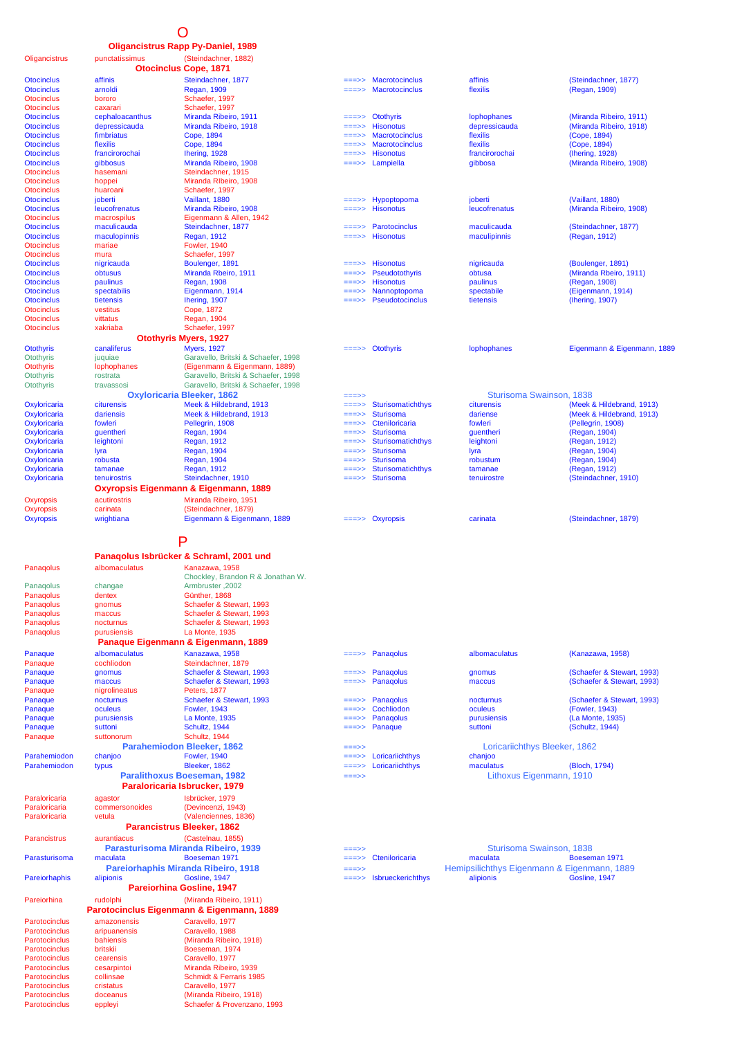### O

#### **Oligancistrus Rapp Py-Daniel, 1989**

Oligancistrus punctatissimus (Steindachner, 1882)

| Otocinclus Cope, 1871<br>affinis<br>Steindachner, 1877<br><b>Macrotocinclus</b><br>affinis<br><b>Otocinclus</b><br>===>><br>arnoldi<br><b>Regan, 1909</b><br><b>Macrotocinclus</b><br>flexilis<br><b>Otocinclus</b><br>===>><br><b>Otocinclus</b><br>Schaefer, 1997<br>bororo<br><b>Otocinclus</b><br>Schaefer, 1997<br>caxarari<br><b>Otocinclus</b><br>cephaloacanthus<br>Miranda Ribeiro, 1911<br><b>Otothyris</b><br>lophophanes<br>===>><br><b>Otocinclus</b><br>depressicauda<br>Miranda Ribeiro, 1918<br><b>Hisonotus</b><br>depressicauda<br>===>><br>fimbriatus<br>Cope, 1894<br><b>Macrotocinclus</b><br>flexilis<br>===>><br>flexilis<br>Cope, 1894<br><b>Macrotocinclus</b><br>flexilis<br>===>><br>francirorochai<br>Ihering, 1928<br><b>Hisonotus</b><br>francirorochai<br>===>><br>gibbosus<br>Miranda Ribeiro, 1908<br>===>> Lampiella<br>gibbosa<br>Steindachner, 1915<br>hasemani<br>Miranda RIbeiro, 1908<br>hoppei<br>huaroani<br>Schaefer, 1997<br>joberti<br>Vaillant, 1880<br>Hypoptopoma<br>joberti<br>===>><br>Miranda Ribeiro, 1908<br><b>Hisonotus</b><br>leucofrenatus<br>leucofrenatus<br>===>><br>macrospilus<br>Eigenmann & Allen, 1942<br>Steindachner, 1877<br>maculicauda<br>Parotocinclus<br>maculicauda<br>===>><br><b>Hisonotus</b><br>maculopinnis<br><b>Regan, 1912</b><br>maculipinnis<br>===>><br><b>Fowler, 1940</b><br>mariae<br>mura<br>Schaefer, 1997<br>Boulenger, 1891<br><b>Hisonotus</b><br>nigricauda<br>nigricauda<br>===>><br>obtusus<br>Miranda Rbeiro, 1911<br>Pseudotothyris<br>obtusa<br>===>><br>paulinus<br><b>Regan, 1908</b><br><b>Hisonotus</b><br>paulinus<br>===>><br>Nannoptopoma<br>spectabilis<br>Eigenmann, 1914<br>spectabile<br>Ihering, 1907<br>Pseudotocinclus<br>tietensis<br>tietensis<br>vestitus<br>Cope, 1872<br>vittatus<br>Regan, 1904<br>xakriaba<br>Schaefer, 1997<br>Otothyris Myers, 1927<br>canaliferus<br><b>Myers, 1927</b><br>$===>$ Otothyris<br>lophophanes<br>Garavello, Britski & Schaefer, 1998<br>juquiae<br>(Eigenmann & Eigenmann, 1889)<br>lophophanes<br>Garavello, Britski & Schaefer, 1998<br>rostrata<br>Garavello, Britski & Schaefer, 1998<br>travassosi<br>Sturisoma Swainson, 1838<br><b>Oxyloricaria Bleeker, 1862</b><br>===>><br>citurensis<br>Meek & Hildebrand, 1913<br>Sturisomatichthys<br>citurensis<br>===>><br>dariensis<br>Meek & Hildebrand, 1913<br><b>Sturisoma</b><br>dariense<br>===>><br>fowleri<br>Cteniloricaria<br>Pellegrin, 1908<br>fowleri<br>===>><br><b>Regan, 1904</b><br><b>Sturisoma</b><br>guentheri<br>guentheri<br>===>><br><b>Regan, 1912</b><br>Sturisomatichthys<br>leightoni<br>leightoni<br>===>><br><b>Sturisoma</b><br>lyra<br><b>Regan, 1904</b><br>lyra<br>===>><br>Regan, 1904<br><b>Sturisoma</b><br>robusta<br>robustum<br>===>><br>Regan, 1912<br>Sturisomatichthys<br>tamanae<br>tamanae<br>===>><br>Steindachner, 1910<br><b>Sturisoma</b><br>tenuirostris<br>tenuirostre<br>===>><br>Oxyropsis Eigenmann & Eigenmann, 1889<br>acutirostris<br>Miranda Ribeiro, 1951<br>(Steindachner, 1879)<br>carinata<br>wrightiana<br>Eigenmann & Eigenmann, 1889<br>$=\equiv 5$ Oxyropsis<br>carinata<br>P<br>Panagolus Isbrücker & Schraml, 2001 und<br>albomaculatus<br>Kanazawa, 1958<br>Chockley, Brandon R & Jonathan W.<br>Armbruster, 2002<br>changae<br>Günther, 1868<br>dentex<br>Schaefer & Stewart, 1993<br>gnomus<br>maccus<br>Schaefer & Stewart, 1993<br>Schaefer & Stewart, 1993<br>nocturnus<br>purusiensis<br>La Monte, 1935<br>Panaque Eigenmann & Eigenmann, 1889<br>albomaculatus<br>Kanazawa, 1958<br>Panagolus<br>Panaque<br>albomaculatus<br>===>><br>Panaque<br>cochliodon<br>Steindachner, 1879<br>Schaefer & Stewart, 1993<br>Panagolus<br>gnomus<br>gnomus<br>===>><br>Schaefer & Stewart, 1993<br>Panagolus<br>maccus<br>maccus<br><b>Peters, 1877</b><br>nigrolineatus<br>Schaefer & Stewart, 1993<br>Panagolus<br>nocturnus<br>nocturnus<br>Cochliodon<br><b>Fowler, 1943</b><br>oculeus<br>oculeus<br>La Monte, 1935<br>Panagolus<br>purusiensis<br>purusiensis<br>Schultz, 1944<br>Panaque<br>suttoni<br>suttoni<br>Schultz, 1944<br>Panaque<br>suttonorum<br><b>Parahemiodon Bleeker, 1862</b><br>Loricariichthys Bleeker, 1862<br>===>><br><b>Fowler, 1940</b><br>Loricariichthys<br>chanjoo<br>chanjoo<br>===>><br>Bleeker, 1862<br>Loricariichthys<br>maculatus<br>typus<br>===>><br><b>Paralithoxus Boeseman, 1982</b><br>Lithoxus Eigenmann, 1910<br>$==->$<br>Paraloricaria Isbrucker, 1979<br>Isbrücker, 1979<br>agastor<br>(Devincenzi, 1943)<br>commersonoides<br>(Valenciennes, 1836)<br>vetula<br><b>Parancistrus Bleeker, 1862</b><br>(Castelnau, 1855)<br>Parancistrus<br>aurantiacus<br>Sturisoma Swainson, 1838<br>Parasturisoma Miranda Ribeiro, 1939<br>===>><br>maculata<br>Boeseman 1971<br>Cteniloricaria<br>maculata<br>===>><br>Pareiorhaphis Miranda Ribeiro, 1918<br>Hemipsilichthys Eigenmann & Eigenmann, 1889<br>===>><br>Gosline, 1947<br>alipionis<br>alipionis<br>Isbrueckerichthys<br>===>><br><b>Pareiorhina Gosline, 1947</b><br>rudolphi<br>(Miranda Ribeiro, 1911)<br>Pareiorhina<br>Parotocinclus Eigenmann & Eigenmann, 1889<br>Caravello, 1977<br>amazonensis<br>Parotocinclus<br>Caravello, 1988<br>Parotocinclus<br>aripuanensis<br>bahiensis<br>(Miranda Ribeiro, 1918)<br>Parotocinclus<br>britskii<br>Parotocinclus<br>Boeseman, 1974<br>Caravello, 1977<br>Parotocinclus<br>cearensis<br>Miranda Ribeiro, 1939<br>Parotocinclus<br>cesarpintoi<br>collinsae<br>Schmidt & Ferraris 1985 |               |                             |  |
|---------------------------------------------------------------------------------------------------------------------------------------------------------------------------------------------------------------------------------------------------------------------------------------------------------------------------------------------------------------------------------------------------------------------------------------------------------------------------------------------------------------------------------------------------------------------------------------------------------------------------------------------------------------------------------------------------------------------------------------------------------------------------------------------------------------------------------------------------------------------------------------------------------------------------------------------------------------------------------------------------------------------------------------------------------------------------------------------------------------------------------------------------------------------------------------------------------------------------------------------------------------------------------------------------------------------------------------------------------------------------------------------------------------------------------------------------------------------------------------------------------------------------------------------------------------------------------------------------------------------------------------------------------------------------------------------------------------------------------------------------------------------------------------------------------------------------------------------------------------------------------------------------------------------------------------------------------------------------------------------------------------------------------------------------------------------------------------------------------------------------------------------------------------------------------------------------------------------------------------------------------------------------------------------------------------------------------------------------------------------------------------------------------------------------------------------------------------------------------------------------------------------------------------------------------------------------------------------------------------------------------------------------------------------------------------------------------------------------------------------------------------------------------------------------------------------------------------------------------------------------------------------------------------------------------------------------------------------------------------------------------------------------------------------------------------------------------------------------------------------------------------------------------------------------------------------------------------------------------------------------------------------------------------------------------------------------------------------------------------------------------------------------------------------------------------------------------------------------------------------------------------------------------------------------------------------------------------------------------------------------------------------------------------------------------------------------------------------------------------------------------------------------------------------------------------------------------------------------------------------------------------------------------------------------------------------------------------------------------------------------------------------------------------------------------------------------------------------------------------------------------------------------------------------------------------------------------------------------------------------------------------------------------------------------------------------------------------------------------------------------------------------------------------------------------------------------------------------------------------------------------------------------------------------------------------------------------------------------------------------------------------------------------------------------------------------------------------------------------------------------------------------------------------------------------------------------------------------------------------------------------------------------------------------------------------------------------------------------------------------------------------------------------------------------------------------------------------------------------------------------------------------------------------------------------------------------------------------------------------------------------------------------------------------------------------------------------------------------------------------------------------------------------------------------------------------------------------------------------------------------------------|---------------|-----------------------------|--|
|                                                                                                                                                                                                                                                                                                                                                                                                                                                                                                                                                                                                                                                                                                                                                                                                                                                                                                                                                                                                                                                                                                                                                                                                                                                                                                                                                                                                                                                                                                                                                                                                                                                                                                                                                                                                                                                                                                                                                                                                                                                                                                                                                                                                                                                                                                                                                                                                                                                                                                                                                                                                                                                                                                                                                                                                                                                                                                                                                                                                                                                                                                                                                                                                                                                                                                                                                                                                                                                                                                                                                                                                                                                                                                                                                                                                                                                                                                                                                                                                                                                                                                                                                                                                                                                                                                                                                                                                                                                                                                                                                                                                                                                                                                                                                                                                                                                                                                                                                                                                                                                                                                                                                                                                                                                                                                                                                                                                                                                                                                               |               | (Steindachner, 1877)        |  |
|                                                                                                                                                                                                                                                                                                                                                                                                                                                                                                                                                                                                                                                                                                                                                                                                                                                                                                                                                                                                                                                                                                                                                                                                                                                                                                                                                                                                                                                                                                                                                                                                                                                                                                                                                                                                                                                                                                                                                                                                                                                                                                                                                                                                                                                                                                                                                                                                                                                                                                                                                                                                                                                                                                                                                                                                                                                                                                                                                                                                                                                                                                                                                                                                                                                                                                                                                                                                                                                                                                                                                                                                                                                                                                                                                                                                                                                                                                                                                                                                                                                                                                                                                                                                                                                                                                                                                                                                                                                                                                                                                                                                                                                                                                                                                                                                                                                                                                                                                                                                                                                                                                                                                                                                                                                                                                                                                                                                                                                                                                               |               |                             |  |
|                                                                                                                                                                                                                                                                                                                                                                                                                                                                                                                                                                                                                                                                                                                                                                                                                                                                                                                                                                                                                                                                                                                                                                                                                                                                                                                                                                                                                                                                                                                                                                                                                                                                                                                                                                                                                                                                                                                                                                                                                                                                                                                                                                                                                                                                                                                                                                                                                                                                                                                                                                                                                                                                                                                                                                                                                                                                                                                                                                                                                                                                                                                                                                                                                                                                                                                                                                                                                                                                                                                                                                                                                                                                                                                                                                                                                                                                                                                                                                                                                                                                                                                                                                                                                                                                                                                                                                                                                                                                                                                                                                                                                                                                                                                                                                                                                                                                                                                                                                                                                                                                                                                                                                                                                                                                                                                                                                                                                                                                                                               |               | (Regan, 1909)               |  |
|                                                                                                                                                                                                                                                                                                                                                                                                                                                                                                                                                                                                                                                                                                                                                                                                                                                                                                                                                                                                                                                                                                                                                                                                                                                                                                                                                                                                                                                                                                                                                                                                                                                                                                                                                                                                                                                                                                                                                                                                                                                                                                                                                                                                                                                                                                                                                                                                                                                                                                                                                                                                                                                                                                                                                                                                                                                                                                                                                                                                                                                                                                                                                                                                                                                                                                                                                                                                                                                                                                                                                                                                                                                                                                                                                                                                                                                                                                                                                                                                                                                                                                                                                                                                                                                                                                                                                                                                                                                                                                                                                                                                                                                                                                                                                                                                                                                                                                                                                                                                                                                                                                                                                                                                                                                                                                                                                                                                                                                                                                               |               |                             |  |
|                                                                                                                                                                                                                                                                                                                                                                                                                                                                                                                                                                                                                                                                                                                                                                                                                                                                                                                                                                                                                                                                                                                                                                                                                                                                                                                                                                                                                                                                                                                                                                                                                                                                                                                                                                                                                                                                                                                                                                                                                                                                                                                                                                                                                                                                                                                                                                                                                                                                                                                                                                                                                                                                                                                                                                                                                                                                                                                                                                                                                                                                                                                                                                                                                                                                                                                                                                                                                                                                                                                                                                                                                                                                                                                                                                                                                                                                                                                                                                                                                                                                                                                                                                                                                                                                                                                                                                                                                                                                                                                                                                                                                                                                                                                                                                                                                                                                                                                                                                                                                                                                                                                                                                                                                                                                                                                                                                                                                                                                                                               |               |                             |  |
|                                                                                                                                                                                                                                                                                                                                                                                                                                                                                                                                                                                                                                                                                                                                                                                                                                                                                                                                                                                                                                                                                                                                                                                                                                                                                                                                                                                                                                                                                                                                                                                                                                                                                                                                                                                                                                                                                                                                                                                                                                                                                                                                                                                                                                                                                                                                                                                                                                                                                                                                                                                                                                                                                                                                                                                                                                                                                                                                                                                                                                                                                                                                                                                                                                                                                                                                                                                                                                                                                                                                                                                                                                                                                                                                                                                                                                                                                                                                                                                                                                                                                                                                                                                                                                                                                                                                                                                                                                                                                                                                                                                                                                                                                                                                                                                                                                                                                                                                                                                                                                                                                                                                                                                                                                                                                                                                                                                                                                                                                                               |               |                             |  |
|                                                                                                                                                                                                                                                                                                                                                                                                                                                                                                                                                                                                                                                                                                                                                                                                                                                                                                                                                                                                                                                                                                                                                                                                                                                                                                                                                                                                                                                                                                                                                                                                                                                                                                                                                                                                                                                                                                                                                                                                                                                                                                                                                                                                                                                                                                                                                                                                                                                                                                                                                                                                                                                                                                                                                                                                                                                                                                                                                                                                                                                                                                                                                                                                                                                                                                                                                                                                                                                                                                                                                                                                                                                                                                                                                                                                                                                                                                                                                                                                                                                                                                                                                                                                                                                                                                                                                                                                                                                                                                                                                                                                                                                                                                                                                                                                                                                                                                                                                                                                                                                                                                                                                                                                                                                                                                                                                                                                                                                                                                               |               | (Miranda Ribeiro, 1911)     |  |
| <b>Otocinclus</b><br><b>Otocinclus</b><br><b>Otocinclus</b><br><b>Otocinclus</b><br>Otocinclus<br><b>Otocinclus</b><br><b>Otocinclus</b><br><b>Otocinclus</b><br><b>Otocinclus</b><br>Otocinclus<br><b>Otocinclus</b><br><b>Otocinclus</b><br>Otocinclus<br>Otocinclus<br><b>Otocinclus</b><br><b>Otocinclus</b><br><b>Otocinclus</b><br><b>Otocinclus</b><br><b>Otocinclus</b><br><b>Otocinclus</b><br><b>Otocinclus</b><br><b>Otocinclus</b><br>Otothyris<br><b>Otothyris</b><br><b>Otothyris</b><br><b>Otothyris</b><br>Otothyris<br>Oxyloricaria<br>Oxyloricaria<br>Oxyloricaria<br>Oxyloricaria<br>Oxyloricaria<br>Oxyloricaria<br>Oxyloricaria<br>Oxyloricaria<br>Oxyloricaria<br>Oxyropsis<br>Oxyropsis<br><b>Oxyropsis</b><br>Panaqolus<br>Panagolus<br>Panaqolus<br>Panaqolus<br>Panaqolus<br>Panaqolus<br>Panaqolus<br>Panaque<br>Panaque<br>Panaque<br>Panaque<br>Panaque<br>Panaque<br>Panaque<br>Parahemiodon<br>Parahemiodon<br>Paraloricaria<br>Paraloricaria<br>Paraloricaria<br>Parasturisoma<br>Pareiorhaphis                                                                                                                                                                                                                                                                                                                                                                                                                                                                                                                                                                                                                                                                                                                                                                                                                                                                                                                                                                                                                                                                                                                                                                                                                                                                                                                                                                                                                                                                                                                                                                                                                                                                                                                                                                                                                                                                                                                                                                                                                                                                                                                                                                                                                                                                                                                                                                                                                                                                                                                                                                                                                                                                                                                                                                                                                                                                                                                                                                                                                                                                                                                                                                                                                                                                                                                                                                                                                                                                                                                                                                                                                                                                                                                                                                                                                                                                                                                                                                                                                                                                                                                                                                                                                                                                                                                                                                                                                                                                               |               | (Miranda Ribeiro, 1918)     |  |
|                                                                                                                                                                                                                                                                                                                                                                                                                                                                                                                                                                                                                                                                                                                                                                                                                                                                                                                                                                                                                                                                                                                                                                                                                                                                                                                                                                                                                                                                                                                                                                                                                                                                                                                                                                                                                                                                                                                                                                                                                                                                                                                                                                                                                                                                                                                                                                                                                                                                                                                                                                                                                                                                                                                                                                                                                                                                                                                                                                                                                                                                                                                                                                                                                                                                                                                                                                                                                                                                                                                                                                                                                                                                                                                                                                                                                                                                                                                                                                                                                                                                                                                                                                                                                                                                                                                                                                                                                                                                                                                                                                                                                                                                                                                                                                                                                                                                                                                                                                                                                                                                                                                                                                                                                                                                                                                                                                                                                                                                                                               |               | (Cope, 1894)                |  |
|                                                                                                                                                                                                                                                                                                                                                                                                                                                                                                                                                                                                                                                                                                                                                                                                                                                                                                                                                                                                                                                                                                                                                                                                                                                                                                                                                                                                                                                                                                                                                                                                                                                                                                                                                                                                                                                                                                                                                                                                                                                                                                                                                                                                                                                                                                                                                                                                                                                                                                                                                                                                                                                                                                                                                                                                                                                                                                                                                                                                                                                                                                                                                                                                                                                                                                                                                                                                                                                                                                                                                                                                                                                                                                                                                                                                                                                                                                                                                                                                                                                                                                                                                                                                                                                                                                                                                                                                                                                                                                                                                                                                                                                                                                                                                                                                                                                                                                                                                                                                                                                                                                                                                                                                                                                                                                                                                                                                                                                                                                               |               | (Cope, 1894)                |  |
|                                                                                                                                                                                                                                                                                                                                                                                                                                                                                                                                                                                                                                                                                                                                                                                                                                                                                                                                                                                                                                                                                                                                                                                                                                                                                                                                                                                                                                                                                                                                                                                                                                                                                                                                                                                                                                                                                                                                                                                                                                                                                                                                                                                                                                                                                                                                                                                                                                                                                                                                                                                                                                                                                                                                                                                                                                                                                                                                                                                                                                                                                                                                                                                                                                                                                                                                                                                                                                                                                                                                                                                                                                                                                                                                                                                                                                                                                                                                                                                                                                                                                                                                                                                                                                                                                                                                                                                                                                                                                                                                                                                                                                                                                                                                                                                                                                                                                                                                                                                                                                                                                                                                                                                                                                                                                                                                                                                                                                                                                                               |               |                             |  |
|                                                                                                                                                                                                                                                                                                                                                                                                                                                                                                                                                                                                                                                                                                                                                                                                                                                                                                                                                                                                                                                                                                                                                                                                                                                                                                                                                                                                                                                                                                                                                                                                                                                                                                                                                                                                                                                                                                                                                                                                                                                                                                                                                                                                                                                                                                                                                                                                                                                                                                                                                                                                                                                                                                                                                                                                                                                                                                                                                                                                                                                                                                                                                                                                                                                                                                                                                                                                                                                                                                                                                                                                                                                                                                                                                                                                                                                                                                                                                                                                                                                                                                                                                                                                                                                                                                                                                                                                                                                                                                                                                                                                                                                                                                                                                                                                                                                                                                                                                                                                                                                                                                                                                                                                                                                                                                                                                                                                                                                                                                               |               | (Ihering, 1928)             |  |
|                                                                                                                                                                                                                                                                                                                                                                                                                                                                                                                                                                                                                                                                                                                                                                                                                                                                                                                                                                                                                                                                                                                                                                                                                                                                                                                                                                                                                                                                                                                                                                                                                                                                                                                                                                                                                                                                                                                                                                                                                                                                                                                                                                                                                                                                                                                                                                                                                                                                                                                                                                                                                                                                                                                                                                                                                                                                                                                                                                                                                                                                                                                                                                                                                                                                                                                                                                                                                                                                                                                                                                                                                                                                                                                                                                                                                                                                                                                                                                                                                                                                                                                                                                                                                                                                                                                                                                                                                                                                                                                                                                                                                                                                                                                                                                                                                                                                                                                                                                                                                                                                                                                                                                                                                                                                                                                                                                                                                                                                                                               |               | (Miranda Ribeiro, 1908)     |  |
|                                                                                                                                                                                                                                                                                                                                                                                                                                                                                                                                                                                                                                                                                                                                                                                                                                                                                                                                                                                                                                                                                                                                                                                                                                                                                                                                                                                                                                                                                                                                                                                                                                                                                                                                                                                                                                                                                                                                                                                                                                                                                                                                                                                                                                                                                                                                                                                                                                                                                                                                                                                                                                                                                                                                                                                                                                                                                                                                                                                                                                                                                                                                                                                                                                                                                                                                                                                                                                                                                                                                                                                                                                                                                                                                                                                                                                                                                                                                                                                                                                                                                                                                                                                                                                                                                                                                                                                                                                                                                                                                                                                                                                                                                                                                                                                                                                                                                                                                                                                                                                                                                                                                                                                                                                                                                                                                                                                                                                                                                                               |               |                             |  |
|                                                                                                                                                                                                                                                                                                                                                                                                                                                                                                                                                                                                                                                                                                                                                                                                                                                                                                                                                                                                                                                                                                                                                                                                                                                                                                                                                                                                                                                                                                                                                                                                                                                                                                                                                                                                                                                                                                                                                                                                                                                                                                                                                                                                                                                                                                                                                                                                                                                                                                                                                                                                                                                                                                                                                                                                                                                                                                                                                                                                                                                                                                                                                                                                                                                                                                                                                                                                                                                                                                                                                                                                                                                                                                                                                                                                                                                                                                                                                                                                                                                                                                                                                                                                                                                                                                                                                                                                                                                                                                                                                                                                                                                                                                                                                                                                                                                                                                                                                                                                                                                                                                                                                                                                                                                                                                                                                                                                                                                                                                               |               |                             |  |
|                                                                                                                                                                                                                                                                                                                                                                                                                                                                                                                                                                                                                                                                                                                                                                                                                                                                                                                                                                                                                                                                                                                                                                                                                                                                                                                                                                                                                                                                                                                                                                                                                                                                                                                                                                                                                                                                                                                                                                                                                                                                                                                                                                                                                                                                                                                                                                                                                                                                                                                                                                                                                                                                                                                                                                                                                                                                                                                                                                                                                                                                                                                                                                                                                                                                                                                                                                                                                                                                                                                                                                                                                                                                                                                                                                                                                                                                                                                                                                                                                                                                                                                                                                                                                                                                                                                                                                                                                                                                                                                                                                                                                                                                                                                                                                                                                                                                                                                                                                                                                                                                                                                                                                                                                                                                                                                                                                                                                                                                                                               |               |                             |  |
|                                                                                                                                                                                                                                                                                                                                                                                                                                                                                                                                                                                                                                                                                                                                                                                                                                                                                                                                                                                                                                                                                                                                                                                                                                                                                                                                                                                                                                                                                                                                                                                                                                                                                                                                                                                                                                                                                                                                                                                                                                                                                                                                                                                                                                                                                                                                                                                                                                                                                                                                                                                                                                                                                                                                                                                                                                                                                                                                                                                                                                                                                                                                                                                                                                                                                                                                                                                                                                                                                                                                                                                                                                                                                                                                                                                                                                                                                                                                                                                                                                                                                                                                                                                                                                                                                                                                                                                                                                                                                                                                                                                                                                                                                                                                                                                                                                                                                                                                                                                                                                                                                                                                                                                                                                                                                                                                                                                                                                                                                                               |               |                             |  |
|                                                                                                                                                                                                                                                                                                                                                                                                                                                                                                                                                                                                                                                                                                                                                                                                                                                                                                                                                                                                                                                                                                                                                                                                                                                                                                                                                                                                                                                                                                                                                                                                                                                                                                                                                                                                                                                                                                                                                                                                                                                                                                                                                                                                                                                                                                                                                                                                                                                                                                                                                                                                                                                                                                                                                                                                                                                                                                                                                                                                                                                                                                                                                                                                                                                                                                                                                                                                                                                                                                                                                                                                                                                                                                                                                                                                                                                                                                                                                                                                                                                                                                                                                                                                                                                                                                                                                                                                                                                                                                                                                                                                                                                                                                                                                                                                                                                                                                                                                                                                                                                                                                                                                                                                                                                                                                                                                                                                                                                                                                               |               | (Vaillant, 1880)            |  |
|                                                                                                                                                                                                                                                                                                                                                                                                                                                                                                                                                                                                                                                                                                                                                                                                                                                                                                                                                                                                                                                                                                                                                                                                                                                                                                                                                                                                                                                                                                                                                                                                                                                                                                                                                                                                                                                                                                                                                                                                                                                                                                                                                                                                                                                                                                                                                                                                                                                                                                                                                                                                                                                                                                                                                                                                                                                                                                                                                                                                                                                                                                                                                                                                                                                                                                                                                                                                                                                                                                                                                                                                                                                                                                                                                                                                                                                                                                                                                                                                                                                                                                                                                                                                                                                                                                                                                                                                                                                                                                                                                                                                                                                                                                                                                                                                                                                                                                                                                                                                                                                                                                                                                                                                                                                                                                                                                                                                                                                                                                               |               | (Miranda Ribeiro, 1908)     |  |
|                                                                                                                                                                                                                                                                                                                                                                                                                                                                                                                                                                                                                                                                                                                                                                                                                                                                                                                                                                                                                                                                                                                                                                                                                                                                                                                                                                                                                                                                                                                                                                                                                                                                                                                                                                                                                                                                                                                                                                                                                                                                                                                                                                                                                                                                                                                                                                                                                                                                                                                                                                                                                                                                                                                                                                                                                                                                                                                                                                                                                                                                                                                                                                                                                                                                                                                                                                                                                                                                                                                                                                                                                                                                                                                                                                                                                                                                                                                                                                                                                                                                                                                                                                                                                                                                                                                                                                                                                                                                                                                                                                                                                                                                                                                                                                                                                                                                                                                                                                                                                                                                                                                                                                                                                                                                                                                                                                                                                                                                                                               |               |                             |  |
|                                                                                                                                                                                                                                                                                                                                                                                                                                                                                                                                                                                                                                                                                                                                                                                                                                                                                                                                                                                                                                                                                                                                                                                                                                                                                                                                                                                                                                                                                                                                                                                                                                                                                                                                                                                                                                                                                                                                                                                                                                                                                                                                                                                                                                                                                                                                                                                                                                                                                                                                                                                                                                                                                                                                                                                                                                                                                                                                                                                                                                                                                                                                                                                                                                                                                                                                                                                                                                                                                                                                                                                                                                                                                                                                                                                                                                                                                                                                                                                                                                                                                                                                                                                                                                                                                                                                                                                                                                                                                                                                                                                                                                                                                                                                                                                                                                                                                                                                                                                                                                                                                                                                                                                                                                                                                                                                                                                                                                                                                                               |               | (Steindachner, 1877)        |  |
|                                                                                                                                                                                                                                                                                                                                                                                                                                                                                                                                                                                                                                                                                                                                                                                                                                                                                                                                                                                                                                                                                                                                                                                                                                                                                                                                                                                                                                                                                                                                                                                                                                                                                                                                                                                                                                                                                                                                                                                                                                                                                                                                                                                                                                                                                                                                                                                                                                                                                                                                                                                                                                                                                                                                                                                                                                                                                                                                                                                                                                                                                                                                                                                                                                                                                                                                                                                                                                                                                                                                                                                                                                                                                                                                                                                                                                                                                                                                                                                                                                                                                                                                                                                                                                                                                                                                                                                                                                                                                                                                                                                                                                                                                                                                                                                                                                                                                                                                                                                                                                                                                                                                                                                                                                                                                                                                                                                                                                                                                                               |               |                             |  |
|                                                                                                                                                                                                                                                                                                                                                                                                                                                                                                                                                                                                                                                                                                                                                                                                                                                                                                                                                                                                                                                                                                                                                                                                                                                                                                                                                                                                                                                                                                                                                                                                                                                                                                                                                                                                                                                                                                                                                                                                                                                                                                                                                                                                                                                                                                                                                                                                                                                                                                                                                                                                                                                                                                                                                                                                                                                                                                                                                                                                                                                                                                                                                                                                                                                                                                                                                                                                                                                                                                                                                                                                                                                                                                                                                                                                                                                                                                                                                                                                                                                                                                                                                                                                                                                                                                                                                                                                                                                                                                                                                                                                                                                                                                                                                                                                                                                                                                                                                                                                                                                                                                                                                                                                                                                                                                                                                                                                                                                                                                               |               | (Regan, 1912)               |  |
|                                                                                                                                                                                                                                                                                                                                                                                                                                                                                                                                                                                                                                                                                                                                                                                                                                                                                                                                                                                                                                                                                                                                                                                                                                                                                                                                                                                                                                                                                                                                                                                                                                                                                                                                                                                                                                                                                                                                                                                                                                                                                                                                                                                                                                                                                                                                                                                                                                                                                                                                                                                                                                                                                                                                                                                                                                                                                                                                                                                                                                                                                                                                                                                                                                                                                                                                                                                                                                                                                                                                                                                                                                                                                                                                                                                                                                                                                                                                                                                                                                                                                                                                                                                                                                                                                                                                                                                                                                                                                                                                                                                                                                                                                                                                                                                                                                                                                                                                                                                                                                                                                                                                                                                                                                                                                                                                                                                                                                                                                                               |               |                             |  |
|                                                                                                                                                                                                                                                                                                                                                                                                                                                                                                                                                                                                                                                                                                                                                                                                                                                                                                                                                                                                                                                                                                                                                                                                                                                                                                                                                                                                                                                                                                                                                                                                                                                                                                                                                                                                                                                                                                                                                                                                                                                                                                                                                                                                                                                                                                                                                                                                                                                                                                                                                                                                                                                                                                                                                                                                                                                                                                                                                                                                                                                                                                                                                                                                                                                                                                                                                                                                                                                                                                                                                                                                                                                                                                                                                                                                                                                                                                                                                                                                                                                                                                                                                                                                                                                                                                                                                                                                                                                                                                                                                                                                                                                                                                                                                                                                                                                                                                                                                                                                                                                                                                                                                                                                                                                                                                                                                                                                                                                                                                               |               |                             |  |
|                                                                                                                                                                                                                                                                                                                                                                                                                                                                                                                                                                                                                                                                                                                                                                                                                                                                                                                                                                                                                                                                                                                                                                                                                                                                                                                                                                                                                                                                                                                                                                                                                                                                                                                                                                                                                                                                                                                                                                                                                                                                                                                                                                                                                                                                                                                                                                                                                                                                                                                                                                                                                                                                                                                                                                                                                                                                                                                                                                                                                                                                                                                                                                                                                                                                                                                                                                                                                                                                                                                                                                                                                                                                                                                                                                                                                                                                                                                                                                                                                                                                                                                                                                                                                                                                                                                                                                                                                                                                                                                                                                                                                                                                                                                                                                                                                                                                                                                                                                                                                                                                                                                                                                                                                                                                                                                                                                                                                                                                                                               |               | (Boulenger, 1891)           |  |
|                                                                                                                                                                                                                                                                                                                                                                                                                                                                                                                                                                                                                                                                                                                                                                                                                                                                                                                                                                                                                                                                                                                                                                                                                                                                                                                                                                                                                                                                                                                                                                                                                                                                                                                                                                                                                                                                                                                                                                                                                                                                                                                                                                                                                                                                                                                                                                                                                                                                                                                                                                                                                                                                                                                                                                                                                                                                                                                                                                                                                                                                                                                                                                                                                                                                                                                                                                                                                                                                                                                                                                                                                                                                                                                                                                                                                                                                                                                                                                                                                                                                                                                                                                                                                                                                                                                                                                                                                                                                                                                                                                                                                                                                                                                                                                                                                                                                                                                                                                                                                                                                                                                                                                                                                                                                                                                                                                                                                                                                                                               |               |                             |  |
|                                                                                                                                                                                                                                                                                                                                                                                                                                                                                                                                                                                                                                                                                                                                                                                                                                                                                                                                                                                                                                                                                                                                                                                                                                                                                                                                                                                                                                                                                                                                                                                                                                                                                                                                                                                                                                                                                                                                                                                                                                                                                                                                                                                                                                                                                                                                                                                                                                                                                                                                                                                                                                                                                                                                                                                                                                                                                                                                                                                                                                                                                                                                                                                                                                                                                                                                                                                                                                                                                                                                                                                                                                                                                                                                                                                                                                                                                                                                                                                                                                                                                                                                                                                                                                                                                                                                                                                                                                                                                                                                                                                                                                                                                                                                                                                                                                                                                                                                                                                                                                                                                                                                                                                                                                                                                                                                                                                                                                                                                                               |               | (Miranda Rbeiro, 1911)      |  |
|                                                                                                                                                                                                                                                                                                                                                                                                                                                                                                                                                                                                                                                                                                                                                                                                                                                                                                                                                                                                                                                                                                                                                                                                                                                                                                                                                                                                                                                                                                                                                                                                                                                                                                                                                                                                                                                                                                                                                                                                                                                                                                                                                                                                                                                                                                                                                                                                                                                                                                                                                                                                                                                                                                                                                                                                                                                                                                                                                                                                                                                                                                                                                                                                                                                                                                                                                                                                                                                                                                                                                                                                                                                                                                                                                                                                                                                                                                                                                                                                                                                                                                                                                                                                                                                                                                                                                                                                                                                                                                                                                                                                                                                                                                                                                                                                                                                                                                                                                                                                                                                                                                                                                                                                                                                                                                                                                                                                                                                                                                               |               | (Regan, 1908)               |  |
|                                                                                                                                                                                                                                                                                                                                                                                                                                                                                                                                                                                                                                                                                                                                                                                                                                                                                                                                                                                                                                                                                                                                                                                                                                                                                                                                                                                                                                                                                                                                                                                                                                                                                                                                                                                                                                                                                                                                                                                                                                                                                                                                                                                                                                                                                                                                                                                                                                                                                                                                                                                                                                                                                                                                                                                                                                                                                                                                                                                                                                                                                                                                                                                                                                                                                                                                                                                                                                                                                                                                                                                                                                                                                                                                                                                                                                                                                                                                                                                                                                                                                                                                                                                                                                                                                                                                                                                                                                                                                                                                                                                                                                                                                                                                                                                                                                                                                                                                                                                                                                                                                                                                                                                                                                                                                                                                                                                                                                                                                                               |               | (Eigenmann, 1914)           |  |
|                                                                                                                                                                                                                                                                                                                                                                                                                                                                                                                                                                                                                                                                                                                                                                                                                                                                                                                                                                                                                                                                                                                                                                                                                                                                                                                                                                                                                                                                                                                                                                                                                                                                                                                                                                                                                                                                                                                                                                                                                                                                                                                                                                                                                                                                                                                                                                                                                                                                                                                                                                                                                                                                                                                                                                                                                                                                                                                                                                                                                                                                                                                                                                                                                                                                                                                                                                                                                                                                                                                                                                                                                                                                                                                                                                                                                                                                                                                                                                                                                                                                                                                                                                                                                                                                                                                                                                                                                                                                                                                                                                                                                                                                                                                                                                                                                                                                                                                                                                                                                                                                                                                                                                                                                                                                                                                                                                                                                                                                                                               |               | (Ihering, 1907)             |  |
|                                                                                                                                                                                                                                                                                                                                                                                                                                                                                                                                                                                                                                                                                                                                                                                                                                                                                                                                                                                                                                                                                                                                                                                                                                                                                                                                                                                                                                                                                                                                                                                                                                                                                                                                                                                                                                                                                                                                                                                                                                                                                                                                                                                                                                                                                                                                                                                                                                                                                                                                                                                                                                                                                                                                                                                                                                                                                                                                                                                                                                                                                                                                                                                                                                                                                                                                                                                                                                                                                                                                                                                                                                                                                                                                                                                                                                                                                                                                                                                                                                                                                                                                                                                                                                                                                                                                                                                                                                                                                                                                                                                                                                                                                                                                                                                                                                                                                                                                                                                                                                                                                                                                                                                                                                                                                                                                                                                                                                                                                                               |               |                             |  |
|                                                                                                                                                                                                                                                                                                                                                                                                                                                                                                                                                                                                                                                                                                                                                                                                                                                                                                                                                                                                                                                                                                                                                                                                                                                                                                                                                                                                                                                                                                                                                                                                                                                                                                                                                                                                                                                                                                                                                                                                                                                                                                                                                                                                                                                                                                                                                                                                                                                                                                                                                                                                                                                                                                                                                                                                                                                                                                                                                                                                                                                                                                                                                                                                                                                                                                                                                                                                                                                                                                                                                                                                                                                                                                                                                                                                                                                                                                                                                                                                                                                                                                                                                                                                                                                                                                                                                                                                                                                                                                                                                                                                                                                                                                                                                                                                                                                                                                                                                                                                                                                                                                                                                                                                                                                                                                                                                                                                                                                                                                               |               |                             |  |
|                                                                                                                                                                                                                                                                                                                                                                                                                                                                                                                                                                                                                                                                                                                                                                                                                                                                                                                                                                                                                                                                                                                                                                                                                                                                                                                                                                                                                                                                                                                                                                                                                                                                                                                                                                                                                                                                                                                                                                                                                                                                                                                                                                                                                                                                                                                                                                                                                                                                                                                                                                                                                                                                                                                                                                                                                                                                                                                                                                                                                                                                                                                                                                                                                                                                                                                                                                                                                                                                                                                                                                                                                                                                                                                                                                                                                                                                                                                                                                                                                                                                                                                                                                                                                                                                                                                                                                                                                                                                                                                                                                                                                                                                                                                                                                                                                                                                                                                                                                                                                                                                                                                                                                                                                                                                                                                                                                                                                                                                                                               |               |                             |  |
|                                                                                                                                                                                                                                                                                                                                                                                                                                                                                                                                                                                                                                                                                                                                                                                                                                                                                                                                                                                                                                                                                                                                                                                                                                                                                                                                                                                                                                                                                                                                                                                                                                                                                                                                                                                                                                                                                                                                                                                                                                                                                                                                                                                                                                                                                                                                                                                                                                                                                                                                                                                                                                                                                                                                                                                                                                                                                                                                                                                                                                                                                                                                                                                                                                                                                                                                                                                                                                                                                                                                                                                                                                                                                                                                                                                                                                                                                                                                                                                                                                                                                                                                                                                                                                                                                                                                                                                                                                                                                                                                                                                                                                                                                                                                                                                                                                                                                                                                                                                                                                                                                                                                                                                                                                                                                                                                                                                                                                                                                                               |               |                             |  |
|                                                                                                                                                                                                                                                                                                                                                                                                                                                                                                                                                                                                                                                                                                                                                                                                                                                                                                                                                                                                                                                                                                                                                                                                                                                                                                                                                                                                                                                                                                                                                                                                                                                                                                                                                                                                                                                                                                                                                                                                                                                                                                                                                                                                                                                                                                                                                                                                                                                                                                                                                                                                                                                                                                                                                                                                                                                                                                                                                                                                                                                                                                                                                                                                                                                                                                                                                                                                                                                                                                                                                                                                                                                                                                                                                                                                                                                                                                                                                                                                                                                                                                                                                                                                                                                                                                                                                                                                                                                                                                                                                                                                                                                                                                                                                                                                                                                                                                                                                                                                                                                                                                                                                                                                                                                                                                                                                                                                                                                                                                               |               |                             |  |
|                                                                                                                                                                                                                                                                                                                                                                                                                                                                                                                                                                                                                                                                                                                                                                                                                                                                                                                                                                                                                                                                                                                                                                                                                                                                                                                                                                                                                                                                                                                                                                                                                                                                                                                                                                                                                                                                                                                                                                                                                                                                                                                                                                                                                                                                                                                                                                                                                                                                                                                                                                                                                                                                                                                                                                                                                                                                                                                                                                                                                                                                                                                                                                                                                                                                                                                                                                                                                                                                                                                                                                                                                                                                                                                                                                                                                                                                                                                                                                                                                                                                                                                                                                                                                                                                                                                                                                                                                                                                                                                                                                                                                                                                                                                                                                                                                                                                                                                                                                                                                                                                                                                                                                                                                                                                                                                                                                                                                                                                                                               |               |                             |  |
|                                                                                                                                                                                                                                                                                                                                                                                                                                                                                                                                                                                                                                                                                                                                                                                                                                                                                                                                                                                                                                                                                                                                                                                                                                                                                                                                                                                                                                                                                                                                                                                                                                                                                                                                                                                                                                                                                                                                                                                                                                                                                                                                                                                                                                                                                                                                                                                                                                                                                                                                                                                                                                                                                                                                                                                                                                                                                                                                                                                                                                                                                                                                                                                                                                                                                                                                                                                                                                                                                                                                                                                                                                                                                                                                                                                                                                                                                                                                                                                                                                                                                                                                                                                                                                                                                                                                                                                                                                                                                                                                                                                                                                                                                                                                                                                                                                                                                                                                                                                                                                                                                                                                                                                                                                                                                                                                                                                                                                                                                                               |               | Eigenmann & Eigenmann, 1889 |  |
|                                                                                                                                                                                                                                                                                                                                                                                                                                                                                                                                                                                                                                                                                                                                                                                                                                                                                                                                                                                                                                                                                                                                                                                                                                                                                                                                                                                                                                                                                                                                                                                                                                                                                                                                                                                                                                                                                                                                                                                                                                                                                                                                                                                                                                                                                                                                                                                                                                                                                                                                                                                                                                                                                                                                                                                                                                                                                                                                                                                                                                                                                                                                                                                                                                                                                                                                                                                                                                                                                                                                                                                                                                                                                                                                                                                                                                                                                                                                                                                                                                                                                                                                                                                                                                                                                                                                                                                                                                                                                                                                                                                                                                                                                                                                                                                                                                                                                                                                                                                                                                                                                                                                                                                                                                                                                                                                                                                                                                                                                                               |               |                             |  |
|                                                                                                                                                                                                                                                                                                                                                                                                                                                                                                                                                                                                                                                                                                                                                                                                                                                                                                                                                                                                                                                                                                                                                                                                                                                                                                                                                                                                                                                                                                                                                                                                                                                                                                                                                                                                                                                                                                                                                                                                                                                                                                                                                                                                                                                                                                                                                                                                                                                                                                                                                                                                                                                                                                                                                                                                                                                                                                                                                                                                                                                                                                                                                                                                                                                                                                                                                                                                                                                                                                                                                                                                                                                                                                                                                                                                                                                                                                                                                                                                                                                                                                                                                                                                                                                                                                                                                                                                                                                                                                                                                                                                                                                                                                                                                                                                                                                                                                                                                                                                                                                                                                                                                                                                                                                                                                                                                                                                                                                                                                               |               |                             |  |
|                                                                                                                                                                                                                                                                                                                                                                                                                                                                                                                                                                                                                                                                                                                                                                                                                                                                                                                                                                                                                                                                                                                                                                                                                                                                                                                                                                                                                                                                                                                                                                                                                                                                                                                                                                                                                                                                                                                                                                                                                                                                                                                                                                                                                                                                                                                                                                                                                                                                                                                                                                                                                                                                                                                                                                                                                                                                                                                                                                                                                                                                                                                                                                                                                                                                                                                                                                                                                                                                                                                                                                                                                                                                                                                                                                                                                                                                                                                                                                                                                                                                                                                                                                                                                                                                                                                                                                                                                                                                                                                                                                                                                                                                                                                                                                                                                                                                                                                                                                                                                                                                                                                                                                                                                                                                                                                                                                                                                                                                                                               |               |                             |  |
|                                                                                                                                                                                                                                                                                                                                                                                                                                                                                                                                                                                                                                                                                                                                                                                                                                                                                                                                                                                                                                                                                                                                                                                                                                                                                                                                                                                                                                                                                                                                                                                                                                                                                                                                                                                                                                                                                                                                                                                                                                                                                                                                                                                                                                                                                                                                                                                                                                                                                                                                                                                                                                                                                                                                                                                                                                                                                                                                                                                                                                                                                                                                                                                                                                                                                                                                                                                                                                                                                                                                                                                                                                                                                                                                                                                                                                                                                                                                                                                                                                                                                                                                                                                                                                                                                                                                                                                                                                                                                                                                                                                                                                                                                                                                                                                                                                                                                                                                                                                                                                                                                                                                                                                                                                                                                                                                                                                                                                                                                                               |               |                             |  |
|                                                                                                                                                                                                                                                                                                                                                                                                                                                                                                                                                                                                                                                                                                                                                                                                                                                                                                                                                                                                                                                                                                                                                                                                                                                                                                                                                                                                                                                                                                                                                                                                                                                                                                                                                                                                                                                                                                                                                                                                                                                                                                                                                                                                                                                                                                                                                                                                                                                                                                                                                                                                                                                                                                                                                                                                                                                                                                                                                                                                                                                                                                                                                                                                                                                                                                                                                                                                                                                                                                                                                                                                                                                                                                                                                                                                                                                                                                                                                                                                                                                                                                                                                                                                                                                                                                                                                                                                                                                                                                                                                                                                                                                                                                                                                                                                                                                                                                                                                                                                                                                                                                                                                                                                                                                                                                                                                                                                                                                                                                               |               |                             |  |
|                                                                                                                                                                                                                                                                                                                                                                                                                                                                                                                                                                                                                                                                                                                                                                                                                                                                                                                                                                                                                                                                                                                                                                                                                                                                                                                                                                                                                                                                                                                                                                                                                                                                                                                                                                                                                                                                                                                                                                                                                                                                                                                                                                                                                                                                                                                                                                                                                                                                                                                                                                                                                                                                                                                                                                                                                                                                                                                                                                                                                                                                                                                                                                                                                                                                                                                                                                                                                                                                                                                                                                                                                                                                                                                                                                                                                                                                                                                                                                                                                                                                                                                                                                                                                                                                                                                                                                                                                                                                                                                                                                                                                                                                                                                                                                                                                                                                                                                                                                                                                                                                                                                                                                                                                                                                                                                                                                                                                                                                                                               |               |                             |  |
|                                                                                                                                                                                                                                                                                                                                                                                                                                                                                                                                                                                                                                                                                                                                                                                                                                                                                                                                                                                                                                                                                                                                                                                                                                                                                                                                                                                                                                                                                                                                                                                                                                                                                                                                                                                                                                                                                                                                                                                                                                                                                                                                                                                                                                                                                                                                                                                                                                                                                                                                                                                                                                                                                                                                                                                                                                                                                                                                                                                                                                                                                                                                                                                                                                                                                                                                                                                                                                                                                                                                                                                                                                                                                                                                                                                                                                                                                                                                                                                                                                                                                                                                                                                                                                                                                                                                                                                                                                                                                                                                                                                                                                                                                                                                                                                                                                                                                                                                                                                                                                                                                                                                                                                                                                                                                                                                                                                                                                                                                                               |               |                             |  |
|                                                                                                                                                                                                                                                                                                                                                                                                                                                                                                                                                                                                                                                                                                                                                                                                                                                                                                                                                                                                                                                                                                                                                                                                                                                                                                                                                                                                                                                                                                                                                                                                                                                                                                                                                                                                                                                                                                                                                                                                                                                                                                                                                                                                                                                                                                                                                                                                                                                                                                                                                                                                                                                                                                                                                                                                                                                                                                                                                                                                                                                                                                                                                                                                                                                                                                                                                                                                                                                                                                                                                                                                                                                                                                                                                                                                                                                                                                                                                                                                                                                                                                                                                                                                                                                                                                                                                                                                                                                                                                                                                                                                                                                                                                                                                                                                                                                                                                                                                                                                                                                                                                                                                                                                                                                                                                                                                                                                                                                                                                               |               | (Meek & Hildebrand, 1913)   |  |
|                                                                                                                                                                                                                                                                                                                                                                                                                                                                                                                                                                                                                                                                                                                                                                                                                                                                                                                                                                                                                                                                                                                                                                                                                                                                                                                                                                                                                                                                                                                                                                                                                                                                                                                                                                                                                                                                                                                                                                                                                                                                                                                                                                                                                                                                                                                                                                                                                                                                                                                                                                                                                                                                                                                                                                                                                                                                                                                                                                                                                                                                                                                                                                                                                                                                                                                                                                                                                                                                                                                                                                                                                                                                                                                                                                                                                                                                                                                                                                                                                                                                                                                                                                                                                                                                                                                                                                                                                                                                                                                                                                                                                                                                                                                                                                                                                                                                                                                                                                                                                                                                                                                                                                                                                                                                                                                                                                                                                                                                                                               |               | (Meek & Hildebrand, 1913)   |  |
|                                                                                                                                                                                                                                                                                                                                                                                                                                                                                                                                                                                                                                                                                                                                                                                                                                                                                                                                                                                                                                                                                                                                                                                                                                                                                                                                                                                                                                                                                                                                                                                                                                                                                                                                                                                                                                                                                                                                                                                                                                                                                                                                                                                                                                                                                                                                                                                                                                                                                                                                                                                                                                                                                                                                                                                                                                                                                                                                                                                                                                                                                                                                                                                                                                                                                                                                                                                                                                                                                                                                                                                                                                                                                                                                                                                                                                                                                                                                                                                                                                                                                                                                                                                                                                                                                                                                                                                                                                                                                                                                                                                                                                                                                                                                                                                                                                                                                                                                                                                                                                                                                                                                                                                                                                                                                                                                                                                                                                                                                                               |               | (Pellegrin, 1908)           |  |
|                                                                                                                                                                                                                                                                                                                                                                                                                                                                                                                                                                                                                                                                                                                                                                                                                                                                                                                                                                                                                                                                                                                                                                                                                                                                                                                                                                                                                                                                                                                                                                                                                                                                                                                                                                                                                                                                                                                                                                                                                                                                                                                                                                                                                                                                                                                                                                                                                                                                                                                                                                                                                                                                                                                                                                                                                                                                                                                                                                                                                                                                                                                                                                                                                                                                                                                                                                                                                                                                                                                                                                                                                                                                                                                                                                                                                                                                                                                                                                                                                                                                                                                                                                                                                                                                                                                                                                                                                                                                                                                                                                                                                                                                                                                                                                                                                                                                                                                                                                                                                                                                                                                                                                                                                                                                                                                                                                                                                                                                                                               |               |                             |  |
|                                                                                                                                                                                                                                                                                                                                                                                                                                                                                                                                                                                                                                                                                                                                                                                                                                                                                                                                                                                                                                                                                                                                                                                                                                                                                                                                                                                                                                                                                                                                                                                                                                                                                                                                                                                                                                                                                                                                                                                                                                                                                                                                                                                                                                                                                                                                                                                                                                                                                                                                                                                                                                                                                                                                                                                                                                                                                                                                                                                                                                                                                                                                                                                                                                                                                                                                                                                                                                                                                                                                                                                                                                                                                                                                                                                                                                                                                                                                                                                                                                                                                                                                                                                                                                                                                                                                                                                                                                                                                                                                                                                                                                                                                                                                                                                                                                                                                                                                                                                                                                                                                                                                                                                                                                                                                                                                                                                                                                                                                                               |               | (Regan, 1904)               |  |
|                                                                                                                                                                                                                                                                                                                                                                                                                                                                                                                                                                                                                                                                                                                                                                                                                                                                                                                                                                                                                                                                                                                                                                                                                                                                                                                                                                                                                                                                                                                                                                                                                                                                                                                                                                                                                                                                                                                                                                                                                                                                                                                                                                                                                                                                                                                                                                                                                                                                                                                                                                                                                                                                                                                                                                                                                                                                                                                                                                                                                                                                                                                                                                                                                                                                                                                                                                                                                                                                                                                                                                                                                                                                                                                                                                                                                                                                                                                                                                                                                                                                                                                                                                                                                                                                                                                                                                                                                                                                                                                                                                                                                                                                                                                                                                                                                                                                                                                                                                                                                                                                                                                                                                                                                                                                                                                                                                                                                                                                                                               |               | (Regan, 1912)               |  |
|                                                                                                                                                                                                                                                                                                                                                                                                                                                                                                                                                                                                                                                                                                                                                                                                                                                                                                                                                                                                                                                                                                                                                                                                                                                                                                                                                                                                                                                                                                                                                                                                                                                                                                                                                                                                                                                                                                                                                                                                                                                                                                                                                                                                                                                                                                                                                                                                                                                                                                                                                                                                                                                                                                                                                                                                                                                                                                                                                                                                                                                                                                                                                                                                                                                                                                                                                                                                                                                                                                                                                                                                                                                                                                                                                                                                                                                                                                                                                                                                                                                                                                                                                                                                                                                                                                                                                                                                                                                                                                                                                                                                                                                                                                                                                                                                                                                                                                                                                                                                                                                                                                                                                                                                                                                                                                                                                                                                                                                                                                               |               | (Regan, 1904)               |  |
|                                                                                                                                                                                                                                                                                                                                                                                                                                                                                                                                                                                                                                                                                                                                                                                                                                                                                                                                                                                                                                                                                                                                                                                                                                                                                                                                                                                                                                                                                                                                                                                                                                                                                                                                                                                                                                                                                                                                                                                                                                                                                                                                                                                                                                                                                                                                                                                                                                                                                                                                                                                                                                                                                                                                                                                                                                                                                                                                                                                                                                                                                                                                                                                                                                                                                                                                                                                                                                                                                                                                                                                                                                                                                                                                                                                                                                                                                                                                                                                                                                                                                                                                                                                                                                                                                                                                                                                                                                                                                                                                                                                                                                                                                                                                                                                                                                                                                                                                                                                                                                                                                                                                                                                                                                                                                                                                                                                                                                                                                                               |               | (Regan, 1904)               |  |
|                                                                                                                                                                                                                                                                                                                                                                                                                                                                                                                                                                                                                                                                                                                                                                                                                                                                                                                                                                                                                                                                                                                                                                                                                                                                                                                                                                                                                                                                                                                                                                                                                                                                                                                                                                                                                                                                                                                                                                                                                                                                                                                                                                                                                                                                                                                                                                                                                                                                                                                                                                                                                                                                                                                                                                                                                                                                                                                                                                                                                                                                                                                                                                                                                                                                                                                                                                                                                                                                                                                                                                                                                                                                                                                                                                                                                                                                                                                                                                                                                                                                                                                                                                                                                                                                                                                                                                                                                                                                                                                                                                                                                                                                                                                                                                                                                                                                                                                                                                                                                                                                                                                                                                                                                                                                                                                                                                                                                                                                                                               |               |                             |  |
|                                                                                                                                                                                                                                                                                                                                                                                                                                                                                                                                                                                                                                                                                                                                                                                                                                                                                                                                                                                                                                                                                                                                                                                                                                                                                                                                                                                                                                                                                                                                                                                                                                                                                                                                                                                                                                                                                                                                                                                                                                                                                                                                                                                                                                                                                                                                                                                                                                                                                                                                                                                                                                                                                                                                                                                                                                                                                                                                                                                                                                                                                                                                                                                                                                                                                                                                                                                                                                                                                                                                                                                                                                                                                                                                                                                                                                                                                                                                                                                                                                                                                                                                                                                                                                                                                                                                                                                                                                                                                                                                                                                                                                                                                                                                                                                                                                                                                                                                                                                                                                                                                                                                                                                                                                                                                                                                                                                                                                                                                                               |               | (Regan, 1912)               |  |
|                                                                                                                                                                                                                                                                                                                                                                                                                                                                                                                                                                                                                                                                                                                                                                                                                                                                                                                                                                                                                                                                                                                                                                                                                                                                                                                                                                                                                                                                                                                                                                                                                                                                                                                                                                                                                                                                                                                                                                                                                                                                                                                                                                                                                                                                                                                                                                                                                                                                                                                                                                                                                                                                                                                                                                                                                                                                                                                                                                                                                                                                                                                                                                                                                                                                                                                                                                                                                                                                                                                                                                                                                                                                                                                                                                                                                                                                                                                                                                                                                                                                                                                                                                                                                                                                                                                                                                                                                                                                                                                                                                                                                                                                                                                                                                                                                                                                                                                                                                                                                                                                                                                                                                                                                                                                                                                                                                                                                                                                                                               |               | (Steindachner, 1910)        |  |
|                                                                                                                                                                                                                                                                                                                                                                                                                                                                                                                                                                                                                                                                                                                                                                                                                                                                                                                                                                                                                                                                                                                                                                                                                                                                                                                                                                                                                                                                                                                                                                                                                                                                                                                                                                                                                                                                                                                                                                                                                                                                                                                                                                                                                                                                                                                                                                                                                                                                                                                                                                                                                                                                                                                                                                                                                                                                                                                                                                                                                                                                                                                                                                                                                                                                                                                                                                                                                                                                                                                                                                                                                                                                                                                                                                                                                                                                                                                                                                                                                                                                                                                                                                                                                                                                                                                                                                                                                                                                                                                                                                                                                                                                                                                                                                                                                                                                                                                                                                                                                                                                                                                                                                                                                                                                                                                                                                                                                                                                                                               |               |                             |  |
|                                                                                                                                                                                                                                                                                                                                                                                                                                                                                                                                                                                                                                                                                                                                                                                                                                                                                                                                                                                                                                                                                                                                                                                                                                                                                                                                                                                                                                                                                                                                                                                                                                                                                                                                                                                                                                                                                                                                                                                                                                                                                                                                                                                                                                                                                                                                                                                                                                                                                                                                                                                                                                                                                                                                                                                                                                                                                                                                                                                                                                                                                                                                                                                                                                                                                                                                                                                                                                                                                                                                                                                                                                                                                                                                                                                                                                                                                                                                                                                                                                                                                                                                                                                                                                                                                                                                                                                                                                                                                                                                                                                                                                                                                                                                                                                                                                                                                                                                                                                                                                                                                                                                                                                                                                                                                                                                                                                                                                                                                                               |               |                             |  |
|                                                                                                                                                                                                                                                                                                                                                                                                                                                                                                                                                                                                                                                                                                                                                                                                                                                                                                                                                                                                                                                                                                                                                                                                                                                                                                                                                                                                                                                                                                                                                                                                                                                                                                                                                                                                                                                                                                                                                                                                                                                                                                                                                                                                                                                                                                                                                                                                                                                                                                                                                                                                                                                                                                                                                                                                                                                                                                                                                                                                                                                                                                                                                                                                                                                                                                                                                                                                                                                                                                                                                                                                                                                                                                                                                                                                                                                                                                                                                                                                                                                                                                                                                                                                                                                                                                                                                                                                                                                                                                                                                                                                                                                                                                                                                                                                                                                                                                                                                                                                                                                                                                                                                                                                                                                                                                                                                                                                                                                                                                               |               |                             |  |
|                                                                                                                                                                                                                                                                                                                                                                                                                                                                                                                                                                                                                                                                                                                                                                                                                                                                                                                                                                                                                                                                                                                                                                                                                                                                                                                                                                                                                                                                                                                                                                                                                                                                                                                                                                                                                                                                                                                                                                                                                                                                                                                                                                                                                                                                                                                                                                                                                                                                                                                                                                                                                                                                                                                                                                                                                                                                                                                                                                                                                                                                                                                                                                                                                                                                                                                                                                                                                                                                                                                                                                                                                                                                                                                                                                                                                                                                                                                                                                                                                                                                                                                                                                                                                                                                                                                                                                                                                                                                                                                                                                                                                                                                                                                                                                                                                                                                                                                                                                                                                                                                                                                                                                                                                                                                                                                                                                                                                                                                                                               |               |                             |  |
|                                                                                                                                                                                                                                                                                                                                                                                                                                                                                                                                                                                                                                                                                                                                                                                                                                                                                                                                                                                                                                                                                                                                                                                                                                                                                                                                                                                                                                                                                                                                                                                                                                                                                                                                                                                                                                                                                                                                                                                                                                                                                                                                                                                                                                                                                                                                                                                                                                                                                                                                                                                                                                                                                                                                                                                                                                                                                                                                                                                                                                                                                                                                                                                                                                                                                                                                                                                                                                                                                                                                                                                                                                                                                                                                                                                                                                                                                                                                                                                                                                                                                                                                                                                                                                                                                                                                                                                                                                                                                                                                                                                                                                                                                                                                                                                                                                                                                                                                                                                                                                                                                                                                                                                                                                                                                                                                                                                                                                                                                                               |               | (Steindachner, 1879)        |  |
|                                                                                                                                                                                                                                                                                                                                                                                                                                                                                                                                                                                                                                                                                                                                                                                                                                                                                                                                                                                                                                                                                                                                                                                                                                                                                                                                                                                                                                                                                                                                                                                                                                                                                                                                                                                                                                                                                                                                                                                                                                                                                                                                                                                                                                                                                                                                                                                                                                                                                                                                                                                                                                                                                                                                                                                                                                                                                                                                                                                                                                                                                                                                                                                                                                                                                                                                                                                                                                                                                                                                                                                                                                                                                                                                                                                                                                                                                                                                                                                                                                                                                                                                                                                                                                                                                                                                                                                                                                                                                                                                                                                                                                                                                                                                                                                                                                                                                                                                                                                                                                                                                                                                                                                                                                                                                                                                                                                                                                                                                                               |               |                             |  |
|                                                                                                                                                                                                                                                                                                                                                                                                                                                                                                                                                                                                                                                                                                                                                                                                                                                                                                                                                                                                                                                                                                                                                                                                                                                                                                                                                                                                                                                                                                                                                                                                                                                                                                                                                                                                                                                                                                                                                                                                                                                                                                                                                                                                                                                                                                                                                                                                                                                                                                                                                                                                                                                                                                                                                                                                                                                                                                                                                                                                                                                                                                                                                                                                                                                                                                                                                                                                                                                                                                                                                                                                                                                                                                                                                                                                                                                                                                                                                                                                                                                                                                                                                                                                                                                                                                                                                                                                                                                                                                                                                                                                                                                                                                                                                                                                                                                                                                                                                                                                                                                                                                                                                                                                                                                                                                                                                                                                                                                                                                               |               |                             |  |
|                                                                                                                                                                                                                                                                                                                                                                                                                                                                                                                                                                                                                                                                                                                                                                                                                                                                                                                                                                                                                                                                                                                                                                                                                                                                                                                                                                                                                                                                                                                                                                                                                                                                                                                                                                                                                                                                                                                                                                                                                                                                                                                                                                                                                                                                                                                                                                                                                                                                                                                                                                                                                                                                                                                                                                                                                                                                                                                                                                                                                                                                                                                                                                                                                                                                                                                                                                                                                                                                                                                                                                                                                                                                                                                                                                                                                                                                                                                                                                                                                                                                                                                                                                                                                                                                                                                                                                                                                                                                                                                                                                                                                                                                                                                                                                                                                                                                                                                                                                                                                                                                                                                                                                                                                                                                                                                                                                                                                                                                                                               |               |                             |  |
|                                                                                                                                                                                                                                                                                                                                                                                                                                                                                                                                                                                                                                                                                                                                                                                                                                                                                                                                                                                                                                                                                                                                                                                                                                                                                                                                                                                                                                                                                                                                                                                                                                                                                                                                                                                                                                                                                                                                                                                                                                                                                                                                                                                                                                                                                                                                                                                                                                                                                                                                                                                                                                                                                                                                                                                                                                                                                                                                                                                                                                                                                                                                                                                                                                                                                                                                                                                                                                                                                                                                                                                                                                                                                                                                                                                                                                                                                                                                                                                                                                                                                                                                                                                                                                                                                                                                                                                                                                                                                                                                                                                                                                                                                                                                                                                                                                                                                                                                                                                                                                                                                                                                                                                                                                                                                                                                                                                                                                                                                                               |               |                             |  |
|                                                                                                                                                                                                                                                                                                                                                                                                                                                                                                                                                                                                                                                                                                                                                                                                                                                                                                                                                                                                                                                                                                                                                                                                                                                                                                                                                                                                                                                                                                                                                                                                                                                                                                                                                                                                                                                                                                                                                                                                                                                                                                                                                                                                                                                                                                                                                                                                                                                                                                                                                                                                                                                                                                                                                                                                                                                                                                                                                                                                                                                                                                                                                                                                                                                                                                                                                                                                                                                                                                                                                                                                                                                                                                                                                                                                                                                                                                                                                                                                                                                                                                                                                                                                                                                                                                                                                                                                                                                                                                                                                                                                                                                                                                                                                                                                                                                                                                                                                                                                                                                                                                                                                                                                                                                                                                                                                                                                                                                                                                               |               |                             |  |
|                                                                                                                                                                                                                                                                                                                                                                                                                                                                                                                                                                                                                                                                                                                                                                                                                                                                                                                                                                                                                                                                                                                                                                                                                                                                                                                                                                                                                                                                                                                                                                                                                                                                                                                                                                                                                                                                                                                                                                                                                                                                                                                                                                                                                                                                                                                                                                                                                                                                                                                                                                                                                                                                                                                                                                                                                                                                                                                                                                                                                                                                                                                                                                                                                                                                                                                                                                                                                                                                                                                                                                                                                                                                                                                                                                                                                                                                                                                                                                                                                                                                                                                                                                                                                                                                                                                                                                                                                                                                                                                                                                                                                                                                                                                                                                                                                                                                                                                                                                                                                                                                                                                                                                                                                                                                                                                                                                                                                                                                                                               |               |                             |  |
|                                                                                                                                                                                                                                                                                                                                                                                                                                                                                                                                                                                                                                                                                                                                                                                                                                                                                                                                                                                                                                                                                                                                                                                                                                                                                                                                                                                                                                                                                                                                                                                                                                                                                                                                                                                                                                                                                                                                                                                                                                                                                                                                                                                                                                                                                                                                                                                                                                                                                                                                                                                                                                                                                                                                                                                                                                                                                                                                                                                                                                                                                                                                                                                                                                                                                                                                                                                                                                                                                                                                                                                                                                                                                                                                                                                                                                                                                                                                                                                                                                                                                                                                                                                                                                                                                                                                                                                                                                                                                                                                                                                                                                                                                                                                                                                                                                                                                                                                                                                                                                                                                                                                                                                                                                                                                                                                                                                                                                                                                                               |               |                             |  |
|                                                                                                                                                                                                                                                                                                                                                                                                                                                                                                                                                                                                                                                                                                                                                                                                                                                                                                                                                                                                                                                                                                                                                                                                                                                                                                                                                                                                                                                                                                                                                                                                                                                                                                                                                                                                                                                                                                                                                                                                                                                                                                                                                                                                                                                                                                                                                                                                                                                                                                                                                                                                                                                                                                                                                                                                                                                                                                                                                                                                                                                                                                                                                                                                                                                                                                                                                                                                                                                                                                                                                                                                                                                                                                                                                                                                                                                                                                                                                                                                                                                                                                                                                                                                                                                                                                                                                                                                                                                                                                                                                                                                                                                                                                                                                                                                                                                                                                                                                                                                                                                                                                                                                                                                                                                                                                                                                                                                                                                                                                               |               |                             |  |
|                                                                                                                                                                                                                                                                                                                                                                                                                                                                                                                                                                                                                                                                                                                                                                                                                                                                                                                                                                                                                                                                                                                                                                                                                                                                                                                                                                                                                                                                                                                                                                                                                                                                                                                                                                                                                                                                                                                                                                                                                                                                                                                                                                                                                                                                                                                                                                                                                                                                                                                                                                                                                                                                                                                                                                                                                                                                                                                                                                                                                                                                                                                                                                                                                                                                                                                                                                                                                                                                                                                                                                                                                                                                                                                                                                                                                                                                                                                                                                                                                                                                                                                                                                                                                                                                                                                                                                                                                                                                                                                                                                                                                                                                                                                                                                                                                                                                                                                                                                                                                                                                                                                                                                                                                                                                                                                                                                                                                                                                                                               |               |                             |  |
|                                                                                                                                                                                                                                                                                                                                                                                                                                                                                                                                                                                                                                                                                                                                                                                                                                                                                                                                                                                                                                                                                                                                                                                                                                                                                                                                                                                                                                                                                                                                                                                                                                                                                                                                                                                                                                                                                                                                                                                                                                                                                                                                                                                                                                                                                                                                                                                                                                                                                                                                                                                                                                                                                                                                                                                                                                                                                                                                                                                                                                                                                                                                                                                                                                                                                                                                                                                                                                                                                                                                                                                                                                                                                                                                                                                                                                                                                                                                                                                                                                                                                                                                                                                                                                                                                                                                                                                                                                                                                                                                                                                                                                                                                                                                                                                                                                                                                                                                                                                                                                                                                                                                                                                                                                                                                                                                                                                                                                                                                                               |               |                             |  |
|                                                                                                                                                                                                                                                                                                                                                                                                                                                                                                                                                                                                                                                                                                                                                                                                                                                                                                                                                                                                                                                                                                                                                                                                                                                                                                                                                                                                                                                                                                                                                                                                                                                                                                                                                                                                                                                                                                                                                                                                                                                                                                                                                                                                                                                                                                                                                                                                                                                                                                                                                                                                                                                                                                                                                                                                                                                                                                                                                                                                                                                                                                                                                                                                                                                                                                                                                                                                                                                                                                                                                                                                                                                                                                                                                                                                                                                                                                                                                                                                                                                                                                                                                                                                                                                                                                                                                                                                                                                                                                                                                                                                                                                                                                                                                                                                                                                                                                                                                                                                                                                                                                                                                                                                                                                                                                                                                                                                                                                                                                               |               |                             |  |
|                                                                                                                                                                                                                                                                                                                                                                                                                                                                                                                                                                                                                                                                                                                                                                                                                                                                                                                                                                                                                                                                                                                                                                                                                                                                                                                                                                                                                                                                                                                                                                                                                                                                                                                                                                                                                                                                                                                                                                                                                                                                                                                                                                                                                                                                                                                                                                                                                                                                                                                                                                                                                                                                                                                                                                                                                                                                                                                                                                                                                                                                                                                                                                                                                                                                                                                                                                                                                                                                                                                                                                                                                                                                                                                                                                                                                                                                                                                                                                                                                                                                                                                                                                                                                                                                                                                                                                                                                                                                                                                                                                                                                                                                                                                                                                                                                                                                                                                                                                                                                                                                                                                                                                                                                                                                                                                                                                                                                                                                                                               |               |                             |  |
|                                                                                                                                                                                                                                                                                                                                                                                                                                                                                                                                                                                                                                                                                                                                                                                                                                                                                                                                                                                                                                                                                                                                                                                                                                                                                                                                                                                                                                                                                                                                                                                                                                                                                                                                                                                                                                                                                                                                                                                                                                                                                                                                                                                                                                                                                                                                                                                                                                                                                                                                                                                                                                                                                                                                                                                                                                                                                                                                                                                                                                                                                                                                                                                                                                                                                                                                                                                                                                                                                                                                                                                                                                                                                                                                                                                                                                                                                                                                                                                                                                                                                                                                                                                                                                                                                                                                                                                                                                                                                                                                                                                                                                                                                                                                                                                                                                                                                                                                                                                                                                                                                                                                                                                                                                                                                                                                                                                                                                                                                                               |               |                             |  |
|                                                                                                                                                                                                                                                                                                                                                                                                                                                                                                                                                                                                                                                                                                                                                                                                                                                                                                                                                                                                                                                                                                                                                                                                                                                                                                                                                                                                                                                                                                                                                                                                                                                                                                                                                                                                                                                                                                                                                                                                                                                                                                                                                                                                                                                                                                                                                                                                                                                                                                                                                                                                                                                                                                                                                                                                                                                                                                                                                                                                                                                                                                                                                                                                                                                                                                                                                                                                                                                                                                                                                                                                                                                                                                                                                                                                                                                                                                                                                                                                                                                                                                                                                                                                                                                                                                                                                                                                                                                                                                                                                                                                                                                                                                                                                                                                                                                                                                                                                                                                                                                                                                                                                                                                                                                                                                                                                                                                                                                                                                               |               | (Kanazawa, 1958)            |  |
|                                                                                                                                                                                                                                                                                                                                                                                                                                                                                                                                                                                                                                                                                                                                                                                                                                                                                                                                                                                                                                                                                                                                                                                                                                                                                                                                                                                                                                                                                                                                                                                                                                                                                                                                                                                                                                                                                                                                                                                                                                                                                                                                                                                                                                                                                                                                                                                                                                                                                                                                                                                                                                                                                                                                                                                                                                                                                                                                                                                                                                                                                                                                                                                                                                                                                                                                                                                                                                                                                                                                                                                                                                                                                                                                                                                                                                                                                                                                                                                                                                                                                                                                                                                                                                                                                                                                                                                                                                                                                                                                                                                                                                                                                                                                                                                                                                                                                                                                                                                                                                                                                                                                                                                                                                                                                                                                                                                                                                                                                                               |               |                             |  |
|                                                                                                                                                                                                                                                                                                                                                                                                                                                                                                                                                                                                                                                                                                                                                                                                                                                                                                                                                                                                                                                                                                                                                                                                                                                                                                                                                                                                                                                                                                                                                                                                                                                                                                                                                                                                                                                                                                                                                                                                                                                                                                                                                                                                                                                                                                                                                                                                                                                                                                                                                                                                                                                                                                                                                                                                                                                                                                                                                                                                                                                                                                                                                                                                                                                                                                                                                                                                                                                                                                                                                                                                                                                                                                                                                                                                                                                                                                                                                                                                                                                                                                                                                                                                                                                                                                                                                                                                                                                                                                                                                                                                                                                                                                                                                                                                                                                                                                                                                                                                                                                                                                                                                                                                                                                                                                                                                                                                                                                                                                               |               | (Schaefer & Stewart, 1993)  |  |
|                                                                                                                                                                                                                                                                                                                                                                                                                                                                                                                                                                                                                                                                                                                                                                                                                                                                                                                                                                                                                                                                                                                                                                                                                                                                                                                                                                                                                                                                                                                                                                                                                                                                                                                                                                                                                                                                                                                                                                                                                                                                                                                                                                                                                                                                                                                                                                                                                                                                                                                                                                                                                                                                                                                                                                                                                                                                                                                                                                                                                                                                                                                                                                                                                                                                                                                                                                                                                                                                                                                                                                                                                                                                                                                                                                                                                                                                                                                                                                                                                                                                                                                                                                                                                                                                                                                                                                                                                                                                                                                                                                                                                                                                                                                                                                                                                                                                                                                                                                                                                                                                                                                                                                                                                                                                                                                                                                                                                                                                                                               |               |                             |  |
|                                                                                                                                                                                                                                                                                                                                                                                                                                                                                                                                                                                                                                                                                                                                                                                                                                                                                                                                                                                                                                                                                                                                                                                                                                                                                                                                                                                                                                                                                                                                                                                                                                                                                                                                                                                                                                                                                                                                                                                                                                                                                                                                                                                                                                                                                                                                                                                                                                                                                                                                                                                                                                                                                                                                                                                                                                                                                                                                                                                                                                                                                                                                                                                                                                                                                                                                                                                                                                                                                                                                                                                                                                                                                                                                                                                                                                                                                                                                                                                                                                                                                                                                                                                                                                                                                                                                                                                                                                                                                                                                                                                                                                                                                                                                                                                                                                                                                                                                                                                                                                                                                                                                                                                                                                                                                                                                                                                                                                                                                                               |               | (Schaefer & Stewart, 1993)  |  |
|                                                                                                                                                                                                                                                                                                                                                                                                                                                                                                                                                                                                                                                                                                                                                                                                                                                                                                                                                                                                                                                                                                                                                                                                                                                                                                                                                                                                                                                                                                                                                                                                                                                                                                                                                                                                                                                                                                                                                                                                                                                                                                                                                                                                                                                                                                                                                                                                                                                                                                                                                                                                                                                                                                                                                                                                                                                                                                                                                                                                                                                                                                                                                                                                                                                                                                                                                                                                                                                                                                                                                                                                                                                                                                                                                                                                                                                                                                                                                                                                                                                                                                                                                                                                                                                                                                                                                                                                                                                                                                                                                                                                                                                                                                                                                                                                                                                                                                                                                                                                                                                                                                                                                                                                                                                                                                                                                                                                                                                                                                               |               |                             |  |
|                                                                                                                                                                                                                                                                                                                                                                                                                                                                                                                                                                                                                                                                                                                                                                                                                                                                                                                                                                                                                                                                                                                                                                                                                                                                                                                                                                                                                                                                                                                                                                                                                                                                                                                                                                                                                                                                                                                                                                                                                                                                                                                                                                                                                                                                                                                                                                                                                                                                                                                                                                                                                                                                                                                                                                                                                                                                                                                                                                                                                                                                                                                                                                                                                                                                                                                                                                                                                                                                                                                                                                                                                                                                                                                                                                                                                                                                                                                                                                                                                                                                                                                                                                                                                                                                                                                                                                                                                                                                                                                                                                                                                                                                                                                                                                                                                                                                                                                                                                                                                                                                                                                                                                                                                                                                                                                                                                                                                                                                                                               |               | (Schaefer & Stewart, 1993)  |  |
|                                                                                                                                                                                                                                                                                                                                                                                                                                                                                                                                                                                                                                                                                                                                                                                                                                                                                                                                                                                                                                                                                                                                                                                                                                                                                                                                                                                                                                                                                                                                                                                                                                                                                                                                                                                                                                                                                                                                                                                                                                                                                                                                                                                                                                                                                                                                                                                                                                                                                                                                                                                                                                                                                                                                                                                                                                                                                                                                                                                                                                                                                                                                                                                                                                                                                                                                                                                                                                                                                                                                                                                                                                                                                                                                                                                                                                                                                                                                                                                                                                                                                                                                                                                                                                                                                                                                                                                                                                                                                                                                                                                                                                                                                                                                                                                                                                                                                                                                                                                                                                                                                                                                                                                                                                                                                                                                                                                                                                                                                                               |               | (Fowler, 1943)              |  |
|                                                                                                                                                                                                                                                                                                                                                                                                                                                                                                                                                                                                                                                                                                                                                                                                                                                                                                                                                                                                                                                                                                                                                                                                                                                                                                                                                                                                                                                                                                                                                                                                                                                                                                                                                                                                                                                                                                                                                                                                                                                                                                                                                                                                                                                                                                                                                                                                                                                                                                                                                                                                                                                                                                                                                                                                                                                                                                                                                                                                                                                                                                                                                                                                                                                                                                                                                                                                                                                                                                                                                                                                                                                                                                                                                                                                                                                                                                                                                                                                                                                                                                                                                                                                                                                                                                                                                                                                                                                                                                                                                                                                                                                                                                                                                                                                                                                                                                                                                                                                                                                                                                                                                                                                                                                                                                                                                                                                                                                                                                               |               |                             |  |
|                                                                                                                                                                                                                                                                                                                                                                                                                                                                                                                                                                                                                                                                                                                                                                                                                                                                                                                                                                                                                                                                                                                                                                                                                                                                                                                                                                                                                                                                                                                                                                                                                                                                                                                                                                                                                                                                                                                                                                                                                                                                                                                                                                                                                                                                                                                                                                                                                                                                                                                                                                                                                                                                                                                                                                                                                                                                                                                                                                                                                                                                                                                                                                                                                                                                                                                                                                                                                                                                                                                                                                                                                                                                                                                                                                                                                                                                                                                                                                                                                                                                                                                                                                                                                                                                                                                                                                                                                                                                                                                                                                                                                                                                                                                                                                                                                                                                                                                                                                                                                                                                                                                                                                                                                                                                                                                                                                                                                                                                                                               |               | (La Monte, 1935)            |  |
|                                                                                                                                                                                                                                                                                                                                                                                                                                                                                                                                                                                                                                                                                                                                                                                                                                                                                                                                                                                                                                                                                                                                                                                                                                                                                                                                                                                                                                                                                                                                                                                                                                                                                                                                                                                                                                                                                                                                                                                                                                                                                                                                                                                                                                                                                                                                                                                                                                                                                                                                                                                                                                                                                                                                                                                                                                                                                                                                                                                                                                                                                                                                                                                                                                                                                                                                                                                                                                                                                                                                                                                                                                                                                                                                                                                                                                                                                                                                                                                                                                                                                                                                                                                                                                                                                                                                                                                                                                                                                                                                                                                                                                                                                                                                                                                                                                                                                                                                                                                                                                                                                                                                                                                                                                                                                                                                                                                                                                                                                                               |               | (Schultz, 1944)             |  |
|                                                                                                                                                                                                                                                                                                                                                                                                                                                                                                                                                                                                                                                                                                                                                                                                                                                                                                                                                                                                                                                                                                                                                                                                                                                                                                                                                                                                                                                                                                                                                                                                                                                                                                                                                                                                                                                                                                                                                                                                                                                                                                                                                                                                                                                                                                                                                                                                                                                                                                                                                                                                                                                                                                                                                                                                                                                                                                                                                                                                                                                                                                                                                                                                                                                                                                                                                                                                                                                                                                                                                                                                                                                                                                                                                                                                                                                                                                                                                                                                                                                                                                                                                                                                                                                                                                                                                                                                                                                                                                                                                                                                                                                                                                                                                                                                                                                                                                                                                                                                                                                                                                                                                                                                                                                                                                                                                                                                                                                                                                               |               |                             |  |
|                                                                                                                                                                                                                                                                                                                                                                                                                                                                                                                                                                                                                                                                                                                                                                                                                                                                                                                                                                                                                                                                                                                                                                                                                                                                                                                                                                                                                                                                                                                                                                                                                                                                                                                                                                                                                                                                                                                                                                                                                                                                                                                                                                                                                                                                                                                                                                                                                                                                                                                                                                                                                                                                                                                                                                                                                                                                                                                                                                                                                                                                                                                                                                                                                                                                                                                                                                                                                                                                                                                                                                                                                                                                                                                                                                                                                                                                                                                                                                                                                                                                                                                                                                                                                                                                                                                                                                                                                                                                                                                                                                                                                                                                                                                                                                                                                                                                                                                                                                                                                                                                                                                                                                                                                                                                                                                                                                                                                                                                                                               |               |                             |  |
|                                                                                                                                                                                                                                                                                                                                                                                                                                                                                                                                                                                                                                                                                                                                                                                                                                                                                                                                                                                                                                                                                                                                                                                                                                                                                                                                                                                                                                                                                                                                                                                                                                                                                                                                                                                                                                                                                                                                                                                                                                                                                                                                                                                                                                                                                                                                                                                                                                                                                                                                                                                                                                                                                                                                                                                                                                                                                                                                                                                                                                                                                                                                                                                                                                                                                                                                                                                                                                                                                                                                                                                                                                                                                                                                                                                                                                                                                                                                                                                                                                                                                                                                                                                                                                                                                                                                                                                                                                                                                                                                                                                                                                                                                                                                                                                                                                                                                                                                                                                                                                                                                                                                                                                                                                                                                                                                                                                                                                                                                                               |               |                             |  |
|                                                                                                                                                                                                                                                                                                                                                                                                                                                                                                                                                                                                                                                                                                                                                                                                                                                                                                                                                                                                                                                                                                                                                                                                                                                                                                                                                                                                                                                                                                                                                                                                                                                                                                                                                                                                                                                                                                                                                                                                                                                                                                                                                                                                                                                                                                                                                                                                                                                                                                                                                                                                                                                                                                                                                                                                                                                                                                                                                                                                                                                                                                                                                                                                                                                                                                                                                                                                                                                                                                                                                                                                                                                                                                                                                                                                                                                                                                                                                                                                                                                                                                                                                                                                                                                                                                                                                                                                                                                                                                                                                                                                                                                                                                                                                                                                                                                                                                                                                                                                                                                                                                                                                                                                                                                                                                                                                                                                                                                                                                               |               |                             |  |
|                                                                                                                                                                                                                                                                                                                                                                                                                                                                                                                                                                                                                                                                                                                                                                                                                                                                                                                                                                                                                                                                                                                                                                                                                                                                                                                                                                                                                                                                                                                                                                                                                                                                                                                                                                                                                                                                                                                                                                                                                                                                                                                                                                                                                                                                                                                                                                                                                                                                                                                                                                                                                                                                                                                                                                                                                                                                                                                                                                                                                                                                                                                                                                                                                                                                                                                                                                                                                                                                                                                                                                                                                                                                                                                                                                                                                                                                                                                                                                                                                                                                                                                                                                                                                                                                                                                                                                                                                                                                                                                                                                                                                                                                                                                                                                                                                                                                                                                                                                                                                                                                                                                                                                                                                                                                                                                                                                                                                                                                                                               |               | (Bloch, 1794)               |  |
|                                                                                                                                                                                                                                                                                                                                                                                                                                                                                                                                                                                                                                                                                                                                                                                                                                                                                                                                                                                                                                                                                                                                                                                                                                                                                                                                                                                                                                                                                                                                                                                                                                                                                                                                                                                                                                                                                                                                                                                                                                                                                                                                                                                                                                                                                                                                                                                                                                                                                                                                                                                                                                                                                                                                                                                                                                                                                                                                                                                                                                                                                                                                                                                                                                                                                                                                                                                                                                                                                                                                                                                                                                                                                                                                                                                                                                                                                                                                                                                                                                                                                                                                                                                                                                                                                                                                                                                                                                                                                                                                                                                                                                                                                                                                                                                                                                                                                                                                                                                                                                                                                                                                                                                                                                                                                                                                                                                                                                                                                                               |               |                             |  |
|                                                                                                                                                                                                                                                                                                                                                                                                                                                                                                                                                                                                                                                                                                                                                                                                                                                                                                                                                                                                                                                                                                                                                                                                                                                                                                                                                                                                                                                                                                                                                                                                                                                                                                                                                                                                                                                                                                                                                                                                                                                                                                                                                                                                                                                                                                                                                                                                                                                                                                                                                                                                                                                                                                                                                                                                                                                                                                                                                                                                                                                                                                                                                                                                                                                                                                                                                                                                                                                                                                                                                                                                                                                                                                                                                                                                                                                                                                                                                                                                                                                                                                                                                                                                                                                                                                                                                                                                                                                                                                                                                                                                                                                                                                                                                                                                                                                                                                                                                                                                                                                                                                                                                                                                                                                                                                                                                                                                                                                                                                               |               |                             |  |
|                                                                                                                                                                                                                                                                                                                                                                                                                                                                                                                                                                                                                                                                                                                                                                                                                                                                                                                                                                                                                                                                                                                                                                                                                                                                                                                                                                                                                                                                                                                                                                                                                                                                                                                                                                                                                                                                                                                                                                                                                                                                                                                                                                                                                                                                                                                                                                                                                                                                                                                                                                                                                                                                                                                                                                                                                                                                                                                                                                                                                                                                                                                                                                                                                                                                                                                                                                                                                                                                                                                                                                                                                                                                                                                                                                                                                                                                                                                                                                                                                                                                                                                                                                                                                                                                                                                                                                                                                                                                                                                                                                                                                                                                                                                                                                                                                                                                                                                                                                                                                                                                                                                                                                                                                                                                                                                                                                                                                                                                                                               |               |                             |  |
|                                                                                                                                                                                                                                                                                                                                                                                                                                                                                                                                                                                                                                                                                                                                                                                                                                                                                                                                                                                                                                                                                                                                                                                                                                                                                                                                                                                                                                                                                                                                                                                                                                                                                                                                                                                                                                                                                                                                                                                                                                                                                                                                                                                                                                                                                                                                                                                                                                                                                                                                                                                                                                                                                                                                                                                                                                                                                                                                                                                                                                                                                                                                                                                                                                                                                                                                                                                                                                                                                                                                                                                                                                                                                                                                                                                                                                                                                                                                                                                                                                                                                                                                                                                                                                                                                                                                                                                                                                                                                                                                                                                                                                                                                                                                                                                                                                                                                                                                                                                                                                                                                                                                                                                                                                                                                                                                                                                                                                                                                                               |               |                             |  |
|                                                                                                                                                                                                                                                                                                                                                                                                                                                                                                                                                                                                                                                                                                                                                                                                                                                                                                                                                                                                                                                                                                                                                                                                                                                                                                                                                                                                                                                                                                                                                                                                                                                                                                                                                                                                                                                                                                                                                                                                                                                                                                                                                                                                                                                                                                                                                                                                                                                                                                                                                                                                                                                                                                                                                                                                                                                                                                                                                                                                                                                                                                                                                                                                                                                                                                                                                                                                                                                                                                                                                                                                                                                                                                                                                                                                                                                                                                                                                                                                                                                                                                                                                                                                                                                                                                                                                                                                                                                                                                                                                                                                                                                                                                                                                                                                                                                                                                                                                                                                                                                                                                                                                                                                                                                                                                                                                                                                                                                                                                               |               |                             |  |
|                                                                                                                                                                                                                                                                                                                                                                                                                                                                                                                                                                                                                                                                                                                                                                                                                                                                                                                                                                                                                                                                                                                                                                                                                                                                                                                                                                                                                                                                                                                                                                                                                                                                                                                                                                                                                                                                                                                                                                                                                                                                                                                                                                                                                                                                                                                                                                                                                                                                                                                                                                                                                                                                                                                                                                                                                                                                                                                                                                                                                                                                                                                                                                                                                                                                                                                                                                                                                                                                                                                                                                                                                                                                                                                                                                                                                                                                                                                                                                                                                                                                                                                                                                                                                                                                                                                                                                                                                                                                                                                                                                                                                                                                                                                                                                                                                                                                                                                                                                                                                                                                                                                                                                                                                                                                                                                                                                                                                                                                                                               |               |                             |  |
|                                                                                                                                                                                                                                                                                                                                                                                                                                                                                                                                                                                                                                                                                                                                                                                                                                                                                                                                                                                                                                                                                                                                                                                                                                                                                                                                                                                                                                                                                                                                                                                                                                                                                                                                                                                                                                                                                                                                                                                                                                                                                                                                                                                                                                                                                                                                                                                                                                                                                                                                                                                                                                                                                                                                                                                                                                                                                                                                                                                                                                                                                                                                                                                                                                                                                                                                                                                                                                                                                                                                                                                                                                                                                                                                                                                                                                                                                                                                                                                                                                                                                                                                                                                                                                                                                                                                                                                                                                                                                                                                                                                                                                                                                                                                                                                                                                                                                                                                                                                                                                                                                                                                                                                                                                                                                                                                                                                                                                                                                                               |               |                             |  |
|                                                                                                                                                                                                                                                                                                                                                                                                                                                                                                                                                                                                                                                                                                                                                                                                                                                                                                                                                                                                                                                                                                                                                                                                                                                                                                                                                                                                                                                                                                                                                                                                                                                                                                                                                                                                                                                                                                                                                                                                                                                                                                                                                                                                                                                                                                                                                                                                                                                                                                                                                                                                                                                                                                                                                                                                                                                                                                                                                                                                                                                                                                                                                                                                                                                                                                                                                                                                                                                                                                                                                                                                                                                                                                                                                                                                                                                                                                                                                                                                                                                                                                                                                                                                                                                                                                                                                                                                                                                                                                                                                                                                                                                                                                                                                                                                                                                                                                                                                                                                                                                                                                                                                                                                                                                                                                                                                                                                                                                                                                               |               |                             |  |
|                                                                                                                                                                                                                                                                                                                                                                                                                                                                                                                                                                                                                                                                                                                                                                                                                                                                                                                                                                                                                                                                                                                                                                                                                                                                                                                                                                                                                                                                                                                                                                                                                                                                                                                                                                                                                                                                                                                                                                                                                                                                                                                                                                                                                                                                                                                                                                                                                                                                                                                                                                                                                                                                                                                                                                                                                                                                                                                                                                                                                                                                                                                                                                                                                                                                                                                                                                                                                                                                                                                                                                                                                                                                                                                                                                                                                                                                                                                                                                                                                                                                                                                                                                                                                                                                                                                                                                                                                                                                                                                                                                                                                                                                                                                                                                                                                                                                                                                                                                                                                                                                                                                                                                                                                                                                                                                                                                                                                                                                                                               |               |                             |  |
|                                                                                                                                                                                                                                                                                                                                                                                                                                                                                                                                                                                                                                                                                                                                                                                                                                                                                                                                                                                                                                                                                                                                                                                                                                                                                                                                                                                                                                                                                                                                                                                                                                                                                                                                                                                                                                                                                                                                                                                                                                                                                                                                                                                                                                                                                                                                                                                                                                                                                                                                                                                                                                                                                                                                                                                                                                                                                                                                                                                                                                                                                                                                                                                                                                                                                                                                                                                                                                                                                                                                                                                                                                                                                                                                                                                                                                                                                                                                                                                                                                                                                                                                                                                                                                                                                                                                                                                                                                                                                                                                                                                                                                                                                                                                                                                                                                                                                                                                                                                                                                                                                                                                                                                                                                                                                                                                                                                                                                                                                                               |               |                             |  |
|                                                                                                                                                                                                                                                                                                                                                                                                                                                                                                                                                                                                                                                                                                                                                                                                                                                                                                                                                                                                                                                                                                                                                                                                                                                                                                                                                                                                                                                                                                                                                                                                                                                                                                                                                                                                                                                                                                                                                                                                                                                                                                                                                                                                                                                                                                                                                                                                                                                                                                                                                                                                                                                                                                                                                                                                                                                                                                                                                                                                                                                                                                                                                                                                                                                                                                                                                                                                                                                                                                                                                                                                                                                                                                                                                                                                                                                                                                                                                                                                                                                                                                                                                                                                                                                                                                                                                                                                                                                                                                                                                                                                                                                                                                                                                                                                                                                                                                                                                                                                                                                                                                                                                                                                                                                                                                                                                                                                                                                                                                               |               |                             |  |
|                                                                                                                                                                                                                                                                                                                                                                                                                                                                                                                                                                                                                                                                                                                                                                                                                                                                                                                                                                                                                                                                                                                                                                                                                                                                                                                                                                                                                                                                                                                                                                                                                                                                                                                                                                                                                                                                                                                                                                                                                                                                                                                                                                                                                                                                                                                                                                                                                                                                                                                                                                                                                                                                                                                                                                                                                                                                                                                                                                                                                                                                                                                                                                                                                                                                                                                                                                                                                                                                                                                                                                                                                                                                                                                                                                                                                                                                                                                                                                                                                                                                                                                                                                                                                                                                                                                                                                                                                                                                                                                                                                                                                                                                                                                                                                                                                                                                                                                                                                                                                                                                                                                                                                                                                                                                                                                                                                                                                                                                                                               |               | Boeseman 1971               |  |
|                                                                                                                                                                                                                                                                                                                                                                                                                                                                                                                                                                                                                                                                                                                                                                                                                                                                                                                                                                                                                                                                                                                                                                                                                                                                                                                                                                                                                                                                                                                                                                                                                                                                                                                                                                                                                                                                                                                                                                                                                                                                                                                                                                                                                                                                                                                                                                                                                                                                                                                                                                                                                                                                                                                                                                                                                                                                                                                                                                                                                                                                                                                                                                                                                                                                                                                                                                                                                                                                                                                                                                                                                                                                                                                                                                                                                                                                                                                                                                                                                                                                                                                                                                                                                                                                                                                                                                                                                                                                                                                                                                                                                                                                                                                                                                                                                                                                                                                                                                                                                                                                                                                                                                                                                                                                                                                                                                                                                                                                                                               |               |                             |  |
|                                                                                                                                                                                                                                                                                                                                                                                                                                                                                                                                                                                                                                                                                                                                                                                                                                                                                                                                                                                                                                                                                                                                                                                                                                                                                                                                                                                                                                                                                                                                                                                                                                                                                                                                                                                                                                                                                                                                                                                                                                                                                                                                                                                                                                                                                                                                                                                                                                                                                                                                                                                                                                                                                                                                                                                                                                                                                                                                                                                                                                                                                                                                                                                                                                                                                                                                                                                                                                                                                                                                                                                                                                                                                                                                                                                                                                                                                                                                                                                                                                                                                                                                                                                                                                                                                                                                                                                                                                                                                                                                                                                                                                                                                                                                                                                                                                                                                                                                                                                                                                                                                                                                                                                                                                                                                                                                                                                                                                                                                                               |               |                             |  |
|                                                                                                                                                                                                                                                                                                                                                                                                                                                                                                                                                                                                                                                                                                                                                                                                                                                                                                                                                                                                                                                                                                                                                                                                                                                                                                                                                                                                                                                                                                                                                                                                                                                                                                                                                                                                                                                                                                                                                                                                                                                                                                                                                                                                                                                                                                                                                                                                                                                                                                                                                                                                                                                                                                                                                                                                                                                                                                                                                                                                                                                                                                                                                                                                                                                                                                                                                                                                                                                                                                                                                                                                                                                                                                                                                                                                                                                                                                                                                                                                                                                                                                                                                                                                                                                                                                                                                                                                                                                                                                                                                                                                                                                                                                                                                                                                                                                                                                                                                                                                                                                                                                                                                                                                                                                                                                                                                                                                                                                                                                               |               | Gosline, 1947               |  |
|                                                                                                                                                                                                                                                                                                                                                                                                                                                                                                                                                                                                                                                                                                                                                                                                                                                                                                                                                                                                                                                                                                                                                                                                                                                                                                                                                                                                                                                                                                                                                                                                                                                                                                                                                                                                                                                                                                                                                                                                                                                                                                                                                                                                                                                                                                                                                                                                                                                                                                                                                                                                                                                                                                                                                                                                                                                                                                                                                                                                                                                                                                                                                                                                                                                                                                                                                                                                                                                                                                                                                                                                                                                                                                                                                                                                                                                                                                                                                                                                                                                                                                                                                                                                                                                                                                                                                                                                                                                                                                                                                                                                                                                                                                                                                                                                                                                                                                                                                                                                                                                                                                                                                                                                                                                                                                                                                                                                                                                                                                               |               |                             |  |
|                                                                                                                                                                                                                                                                                                                                                                                                                                                                                                                                                                                                                                                                                                                                                                                                                                                                                                                                                                                                                                                                                                                                                                                                                                                                                                                                                                                                                                                                                                                                                                                                                                                                                                                                                                                                                                                                                                                                                                                                                                                                                                                                                                                                                                                                                                                                                                                                                                                                                                                                                                                                                                                                                                                                                                                                                                                                                                                                                                                                                                                                                                                                                                                                                                                                                                                                                                                                                                                                                                                                                                                                                                                                                                                                                                                                                                                                                                                                                                                                                                                                                                                                                                                                                                                                                                                                                                                                                                                                                                                                                                                                                                                                                                                                                                                                                                                                                                                                                                                                                                                                                                                                                                                                                                                                                                                                                                                                                                                                                                               |               |                             |  |
|                                                                                                                                                                                                                                                                                                                                                                                                                                                                                                                                                                                                                                                                                                                                                                                                                                                                                                                                                                                                                                                                                                                                                                                                                                                                                                                                                                                                                                                                                                                                                                                                                                                                                                                                                                                                                                                                                                                                                                                                                                                                                                                                                                                                                                                                                                                                                                                                                                                                                                                                                                                                                                                                                                                                                                                                                                                                                                                                                                                                                                                                                                                                                                                                                                                                                                                                                                                                                                                                                                                                                                                                                                                                                                                                                                                                                                                                                                                                                                                                                                                                                                                                                                                                                                                                                                                                                                                                                                                                                                                                                                                                                                                                                                                                                                                                                                                                                                                                                                                                                                                                                                                                                                                                                                                                                                                                                                                                                                                                                                               |               |                             |  |
|                                                                                                                                                                                                                                                                                                                                                                                                                                                                                                                                                                                                                                                                                                                                                                                                                                                                                                                                                                                                                                                                                                                                                                                                                                                                                                                                                                                                                                                                                                                                                                                                                                                                                                                                                                                                                                                                                                                                                                                                                                                                                                                                                                                                                                                                                                                                                                                                                                                                                                                                                                                                                                                                                                                                                                                                                                                                                                                                                                                                                                                                                                                                                                                                                                                                                                                                                                                                                                                                                                                                                                                                                                                                                                                                                                                                                                                                                                                                                                                                                                                                                                                                                                                                                                                                                                                                                                                                                                                                                                                                                                                                                                                                                                                                                                                                                                                                                                                                                                                                                                                                                                                                                                                                                                                                                                                                                                                                                                                                                                               |               |                             |  |
|                                                                                                                                                                                                                                                                                                                                                                                                                                                                                                                                                                                                                                                                                                                                                                                                                                                                                                                                                                                                                                                                                                                                                                                                                                                                                                                                                                                                                                                                                                                                                                                                                                                                                                                                                                                                                                                                                                                                                                                                                                                                                                                                                                                                                                                                                                                                                                                                                                                                                                                                                                                                                                                                                                                                                                                                                                                                                                                                                                                                                                                                                                                                                                                                                                                                                                                                                                                                                                                                                                                                                                                                                                                                                                                                                                                                                                                                                                                                                                                                                                                                                                                                                                                                                                                                                                                                                                                                                                                                                                                                                                                                                                                                                                                                                                                                                                                                                                                                                                                                                                                                                                                                                                                                                                                                                                                                                                                                                                                                                                               |               |                             |  |
|                                                                                                                                                                                                                                                                                                                                                                                                                                                                                                                                                                                                                                                                                                                                                                                                                                                                                                                                                                                                                                                                                                                                                                                                                                                                                                                                                                                                                                                                                                                                                                                                                                                                                                                                                                                                                                                                                                                                                                                                                                                                                                                                                                                                                                                                                                                                                                                                                                                                                                                                                                                                                                                                                                                                                                                                                                                                                                                                                                                                                                                                                                                                                                                                                                                                                                                                                                                                                                                                                                                                                                                                                                                                                                                                                                                                                                                                                                                                                                                                                                                                                                                                                                                                                                                                                                                                                                                                                                                                                                                                                                                                                                                                                                                                                                                                                                                                                                                                                                                                                                                                                                                                                                                                                                                                                                                                                                                                                                                                                                               |               |                             |  |
|                                                                                                                                                                                                                                                                                                                                                                                                                                                                                                                                                                                                                                                                                                                                                                                                                                                                                                                                                                                                                                                                                                                                                                                                                                                                                                                                                                                                                                                                                                                                                                                                                                                                                                                                                                                                                                                                                                                                                                                                                                                                                                                                                                                                                                                                                                                                                                                                                                                                                                                                                                                                                                                                                                                                                                                                                                                                                                                                                                                                                                                                                                                                                                                                                                                                                                                                                                                                                                                                                                                                                                                                                                                                                                                                                                                                                                                                                                                                                                                                                                                                                                                                                                                                                                                                                                                                                                                                                                                                                                                                                                                                                                                                                                                                                                                                                                                                                                                                                                                                                                                                                                                                                                                                                                                                                                                                                                                                                                                                                                               |               |                             |  |
|                                                                                                                                                                                                                                                                                                                                                                                                                                                                                                                                                                                                                                                                                                                                                                                                                                                                                                                                                                                                                                                                                                                                                                                                                                                                                                                                                                                                                                                                                                                                                                                                                                                                                                                                                                                                                                                                                                                                                                                                                                                                                                                                                                                                                                                                                                                                                                                                                                                                                                                                                                                                                                                                                                                                                                                                                                                                                                                                                                                                                                                                                                                                                                                                                                                                                                                                                                                                                                                                                                                                                                                                                                                                                                                                                                                                                                                                                                                                                                                                                                                                                                                                                                                                                                                                                                                                                                                                                                                                                                                                                                                                                                                                                                                                                                                                                                                                                                                                                                                                                                                                                                                                                                                                                                                                                                                                                                                                                                                                                                               |               |                             |  |
|                                                                                                                                                                                                                                                                                                                                                                                                                                                                                                                                                                                                                                                                                                                                                                                                                                                                                                                                                                                                                                                                                                                                                                                                                                                                                                                                                                                                                                                                                                                                                                                                                                                                                                                                                                                                                                                                                                                                                                                                                                                                                                                                                                                                                                                                                                                                                                                                                                                                                                                                                                                                                                                                                                                                                                                                                                                                                                                                                                                                                                                                                                                                                                                                                                                                                                                                                                                                                                                                                                                                                                                                                                                                                                                                                                                                                                                                                                                                                                                                                                                                                                                                                                                                                                                                                                                                                                                                                                                                                                                                                                                                                                                                                                                                                                                                                                                                                                                                                                                                                                                                                                                                                                                                                                                                                                                                                                                                                                                                                                               |               |                             |  |
|                                                                                                                                                                                                                                                                                                                                                                                                                                                                                                                                                                                                                                                                                                                                                                                                                                                                                                                                                                                                                                                                                                                                                                                                                                                                                                                                                                                                                                                                                                                                                                                                                                                                                                                                                                                                                                                                                                                                                                                                                                                                                                                                                                                                                                                                                                                                                                                                                                                                                                                                                                                                                                                                                                                                                                                                                                                                                                                                                                                                                                                                                                                                                                                                                                                                                                                                                                                                                                                                                                                                                                                                                                                                                                                                                                                                                                                                                                                                                                                                                                                                                                                                                                                                                                                                                                                                                                                                                                                                                                                                                                                                                                                                                                                                                                                                                                                                                                                                                                                                                                                                                                                                                                                                                                                                                                                                                                                                                                                                                                               |               |                             |  |
|                                                                                                                                                                                                                                                                                                                                                                                                                                                                                                                                                                                                                                                                                                                                                                                                                                                                                                                                                                                                                                                                                                                                                                                                                                                                                                                                                                                                                                                                                                                                                                                                                                                                                                                                                                                                                                                                                                                                                                                                                                                                                                                                                                                                                                                                                                                                                                                                                                                                                                                                                                                                                                                                                                                                                                                                                                                                                                                                                                                                                                                                                                                                                                                                                                                                                                                                                                                                                                                                                                                                                                                                                                                                                                                                                                                                                                                                                                                                                                                                                                                                                                                                                                                                                                                                                                                                                                                                                                                                                                                                                                                                                                                                                                                                                                                                                                                                                                                                                                                                                                                                                                                                                                                                                                                                                                                                                                                                                                                                                                               |               |                             |  |
|                                                                                                                                                                                                                                                                                                                                                                                                                                                                                                                                                                                                                                                                                                                                                                                                                                                                                                                                                                                                                                                                                                                                                                                                                                                                                                                                                                                                                                                                                                                                                                                                                                                                                                                                                                                                                                                                                                                                                                                                                                                                                                                                                                                                                                                                                                                                                                                                                                                                                                                                                                                                                                                                                                                                                                                                                                                                                                                                                                                                                                                                                                                                                                                                                                                                                                                                                                                                                                                                                                                                                                                                                                                                                                                                                                                                                                                                                                                                                                                                                                                                                                                                                                                                                                                                                                                                                                                                                                                                                                                                                                                                                                                                                                                                                                                                                                                                                                                                                                                                                                                                                                                                                                                                                                                                                                                                                                                                                                                                                                               |               |                             |  |
|                                                                                                                                                                                                                                                                                                                                                                                                                                                                                                                                                                                                                                                                                                                                                                                                                                                                                                                                                                                                                                                                                                                                                                                                                                                                                                                                                                                                                                                                                                                                                                                                                                                                                                                                                                                                                                                                                                                                                                                                                                                                                                                                                                                                                                                                                                                                                                                                                                                                                                                                                                                                                                                                                                                                                                                                                                                                                                                                                                                                                                                                                                                                                                                                                                                                                                                                                                                                                                                                                                                                                                                                                                                                                                                                                                                                                                                                                                                                                                                                                                                                                                                                                                                                                                                                                                                                                                                                                                                                                                                                                                                                                                                                                                                                                                                                                                                                                                                                                                                                                                                                                                                                                                                                                                                                                                                                                                                                                                                                                                               | Parotocinclus |                             |  |
|                                                                                                                                                                                                                                                                                                                                                                                                                                                                                                                                                                                                                                                                                                                                                                                                                                                                                                                                                                                                                                                                                                                                                                                                                                                                                                                                                                                                                                                                                                                                                                                                                                                                                                                                                                                                                                                                                                                                                                                                                                                                                                                                                                                                                                                                                                                                                                                                                                                                                                                                                                                                                                                                                                                                                                                                                                                                                                                                                                                                                                                                                                                                                                                                                                                                                                                                                                                                                                                                                                                                                                                                                                                                                                                                                                                                                                                                                                                                                                                                                                                                                                                                                                                                                                                                                                                                                                                                                                                                                                                                                                                                                                                                                                                                                                                                                                                                                                                                                                                                                                                                                                                                                                                                                                                                                                                                                                                                                                                                                                               |               |                             |  |
| Caravello, 1977<br>Parotocinclus<br>cristatus                                                                                                                                                                                                                                                                                                                                                                                                                                                                                                                                                                                                                                                                                                                                                                                                                                                                                                                                                                                                                                                                                                                                                                                                                                                                                                                                                                                                                                                                                                                                                                                                                                                                                                                                                                                                                                                                                                                                                                                                                                                                                                                                                                                                                                                                                                                                                                                                                                                                                                                                                                                                                                                                                                                                                                                                                                                                                                                                                                                                                                                                                                                                                                                                                                                                                                                                                                                                                                                                                                                                                                                                                                                                                                                                                                                                                                                                                                                                                                                                                                                                                                                                                                                                                                                                                                                                                                                                                                                                                                                                                                                                                                                                                                                                                                                                                                                                                                                                                                                                                                                                                                                                                                                                                                                                                                                                                                                                                                                                 |               |                             |  |
| (Miranda Ribeiro, 1918)<br>Parotocinclus<br>doceanus                                                                                                                                                                                                                                                                                                                                                                                                                                                                                                                                                                                                                                                                                                                                                                                                                                                                                                                                                                                                                                                                                                                                                                                                                                                                                                                                                                                                                                                                                                                                                                                                                                                                                                                                                                                                                                                                                                                                                                                                                                                                                                                                                                                                                                                                                                                                                                                                                                                                                                                                                                                                                                                                                                                                                                                                                                                                                                                                                                                                                                                                                                                                                                                                                                                                                                                                                                                                                                                                                                                                                                                                                                                                                                                                                                                                                                                                                                                                                                                                                                                                                                                                                                                                                                                                                                                                                                                                                                                                                                                                                                                                                                                                                                                                                                                                                                                                                                                                                                                                                                                                                                                                                                                                                                                                                                                                                                                                                                                          |               |                             |  |
| Parotocinclus<br>Schaefer & Provenzano, 1993<br>eppleyi                                                                                                                                                                                                                                                                                                                                                                                                                                                                                                                                                                                                                                                                                                                                                                                                                                                                                                                                                                                                                                                                                                                                                                                                                                                                                                                                                                                                                                                                                                                                                                                                                                                                                                                                                                                                                                                                                                                                                                                                                                                                                                                                                                                                                                                                                                                                                                                                                                                                                                                                                                                                                                                                                                                                                                                                                                                                                                                                                                                                                                                                                                                                                                                                                                                                                                                                                                                                                                                                                                                                                                                                                                                                                                                                                                                                                                                                                                                                                                                                                                                                                                                                                                                                                                                                                                                                                                                                                                                                                                                                                                                                                                                                                                                                                                                                                                                                                                                                                                                                                                                                                                                                                                                                                                                                                                                                                                                                                                                       |               |                             |  |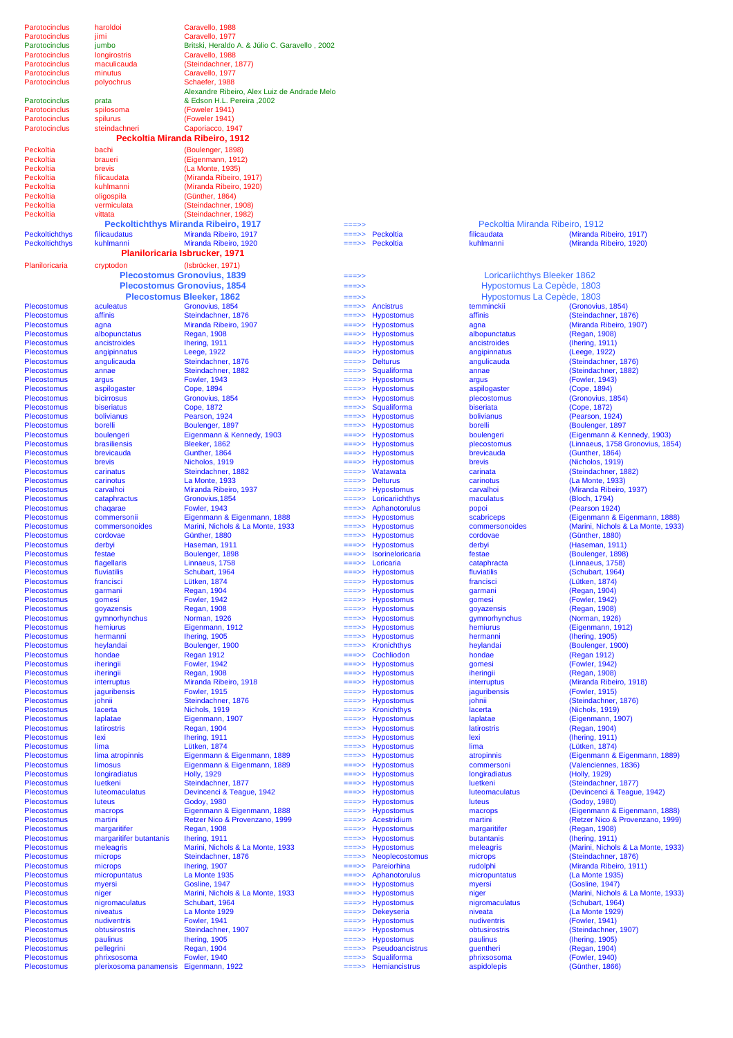| Parotocinclus                                  | haroldoi                               | Caravello, 1988                                                |                  |                                        |                                 |                                                        |
|------------------------------------------------|----------------------------------------|----------------------------------------------------------------|------------------|----------------------------------------|---------------------------------|--------------------------------------------------------|
| Parotocinclus                                  | jimi                                   | Caravello, 1977                                                |                  |                                        |                                 |                                                        |
| Parotocinclus                                  | jumbo                                  | Britski, Heraldo A. & Júlio C. Garavello, 2002                 |                  |                                        |                                 |                                                        |
| Parotocinclus                                  | longirostris                           | Caravello, 1988                                                |                  |                                        |                                 |                                                        |
| Parotocinclus                                  | maculicauda                            | (Steindachner, 1877)                                           |                  |                                        |                                 |                                                        |
| Parotocinclus                                  | minutus                                | Caravello, 1977                                                |                  |                                        |                                 |                                                        |
| Parotocinclus                                  | polyochrus                             | Schaefer, 1988<br>Alexandre Ribeiro, Alex Luiz de Andrade Melo |                  |                                        |                                 |                                                        |
| Parotocinclus                                  | prata                                  | & Edson H.L. Pereira .2002                                     |                  |                                        |                                 |                                                        |
| Parotocinclus                                  | spilosoma                              | (Foweler 1941)                                                 |                  |                                        |                                 |                                                        |
| Parotocinclus                                  | spilurus                               | (Foweler 1941)                                                 |                  |                                        |                                 |                                                        |
| Parotocinclus                                  | steindachneri                          | Caporiacco, 1947                                               |                  |                                        |                                 |                                                        |
|                                                |                                        | Peckoltia Miranda Ribeiro, 1912                                |                  |                                        |                                 |                                                        |
| Peckoltia                                      | bachi                                  | (Boulenger, 1898)                                              |                  |                                        |                                 |                                                        |
| Peckoltia                                      | braueri                                | (Eigenmann, 1912)                                              |                  |                                        |                                 |                                                        |
| Peckoltia                                      | brevis                                 | (La Monte, 1935)                                               |                  |                                        |                                 |                                                        |
| Peckoltia                                      | filicaudata                            | (Miranda Ribeiro, 1917)                                        |                  |                                        |                                 |                                                        |
| Peckoltia                                      | kuhlmanni                              | (Miranda Ribeiro, 1920)                                        |                  |                                        |                                 |                                                        |
| Peckoltia                                      | oligospila                             | (Günther, 1864)                                                |                  |                                        |                                 |                                                        |
| Peckoltia                                      | vermiculata                            | (Steindachner, 1908)                                           |                  |                                        |                                 |                                                        |
| Peckoltia                                      | vittata                                | (Steindachner, 1982)                                           |                  |                                        |                                 |                                                        |
|                                                |                                        | <b>Peckoltichthys Miranda Ribeiro, 1917</b>                    | ===>>            |                                        | Peckoltia Miranda Ribeiro, 1912 |                                                        |
| <b>Peckoltichthys</b><br><b>Peckoltichthys</b> | filicaudatus<br>kuhlmanni              | Miranda Ribeiro, 1917<br>Miranda Ribeiro, 1920                 | ===>><br>===>>   | Peckoltia<br>Peckoltia                 | filicaudata<br>kuhlmanni        | (Miranda Ribeiro, 1917)<br>(Miranda Ribeiro, 1920)     |
|                                                |                                        | Planiloricaria Isbrucker, 1971                                 |                  |                                        |                                 |                                                        |
|                                                |                                        |                                                                |                  |                                        |                                 |                                                        |
| Planiloricaria                                 | cryptodon                              | (Isbrücker, 1971)                                              |                  |                                        |                                 |                                                        |
|                                                |                                        | <b>Plecostomus Gronovius, 1839</b>                             | ===>>            |                                        | Loricariichthys Bleeker 1862    |                                                        |
|                                                |                                        | <b>Plecostomus Gronovius, 1854</b>                             | ===>>            |                                        | Hypostomus La Cepède, 1803      |                                                        |
|                                                |                                        | <b>Plecostomus Bleeker, 1862</b>                               | ===>>            |                                        | Hypostomus La Cepède, 1803      |                                                        |
| <b>Plecostomus</b>                             | aculeatus                              | Gronovius, 1854                                                | $=$ ==>>         | <b>Ancistrus</b>                       | temminckii                      | (Gronovius, 1854)                                      |
| <b>Plecostomus</b>                             | affinis                                | Steindachner, 1876                                             | ===>>            | <b>Hypostomus</b>                      | affinis                         | (Steindachner, 1876)                                   |
| <b>Plecostomus</b>                             | agna                                   | Miranda Ribeiro, 1907<br><b>Regan, 1908</b>                    | ===>>            | <b>Hypostomus</b><br><b>Hypostomus</b> | agna                            | (Miranda Ribeiro, 1907)                                |
| <b>Plecostomus</b><br><b>Plecostomus</b>       | albopunctatus<br>ancistroides          |                                                                | ===>>            |                                        | albopunctatus<br>ancistroides   | (Regan, 1908)                                          |
| <b>Plecostomus</b>                             | angipinnatus                           | Ihering, 1911<br>Leege, 1922                                   | ===>><br>===>>   | <b>Hypostomus</b><br><b>Hypostomus</b> | angipinnatus                    | (Ihering, 1911)<br>(Leege, 1922)                       |
| <b>Plecostomus</b>                             | angulicauda                            | Steindachner, 1876                                             | ===>>            | <b>Delturus</b>                        | angulicauda                     | (Steindachner, 1876)                                   |
| <b>Plecostomus</b>                             | annae                                  | Steindachner, 1882                                             | ===>>            | Squaliforma                            | annae                           | (Steindachner, 1882)                                   |
| <b>Plecostomus</b>                             | argus                                  | <b>Fowler, 1943</b>                                            | ===>>            | <b>Hypostomus</b>                      | argus                           | (Fowler, 1943)                                         |
| <b>Plecostomus</b>                             | aspilogaster                           | Cope, 1894                                                     | ===>>            | <b>Hypostomus</b>                      | aspilogaster                    | (Cope, 1894)                                           |
| <b>Plecostomus</b>                             | bicirrosus                             | Gronovius, 1854                                                | ===>>            | <b>Hypostomus</b>                      | plecostomus                     | (Gronovius, 1854)                                      |
| <b>Plecostomus</b>                             | biseriatus                             | Cope, 1872                                                     | ===>>            | Squaliforma                            | biseriata                       | (Cope, 1872)                                           |
| <b>Plecostomus</b>                             | bolivianus                             | Pearson, 1924                                                  | ===>>            | <b>Hypostomus</b>                      | bolivianus                      | (Pearson, 1924)                                        |
| <b>Plecostomus</b>                             | borelli                                | Boulenger, 1897                                                | ===>>            | <b>Hypostomus</b>                      | borelli                         | (Boulenger, 1897                                       |
| <b>Plecostomus</b>                             | boulengeri                             | Eigenmann & Kennedy, 1903                                      | ===>>            | <b>Hypostomus</b>                      | boulengeri                      | (Eigenmann & Kennedy, 1903)                            |
| <b>Plecostomus</b>                             | brasiliensis                           | Bleeker, 1862                                                  | ===>>            | <b>Hypostomus</b>                      | plecostomus                     | (Linnaeus, 1758 Gronovius, 1854)                       |
| <b>Plecostomus</b>                             | brevicauda                             | Gunther, 1864                                                  | ===>>            | <b>Hypostomus</b>                      | brevicauda                      | (Gunther, 1864)                                        |
| <b>Plecostomus</b><br><b>Plecostomus</b>       | brevis<br>carinatus                    | Nicholos, 1919<br>Steindachner, 1882                           | ===>>            | <b>Hypostomus</b><br>Watawata          | brevis<br>carinata              | (Nicholos, 1919)<br>(Steindachner, 1882)               |
| <b>Plecostomus</b>                             | carinotus                              | La Monte, 1933                                                 | ===>><br>===>>   | <b>Delturus</b>                        | carinotus                       | (La Monte, 1933)                                       |
| <b>Plecostomus</b>                             | carvalhoi                              | Miranda Ribeiro, 1937                                          | $=$ ==>>         | <b>Hypostomus</b>                      | carvalhoi                       | (Miranda Ribeiro, 1937)                                |
| <b>Plecostomus</b>                             | cataphractus                           | Gronovius, 1854                                                | $=$ ==>>         | Loricariichthys                        | maculatus                       | (Bloch, 1794)                                          |
| <b>Plecostomus</b>                             | chagarae                               | <b>Fowler, 1943</b>                                            | $=$ ==>>         | Aphanotorulus                          | popoi                           | (Pearson 1924)                                         |
| <b>Plecostomus</b>                             | commersonii                            | Eigenmann & Eigenmann, 1888                                    | $=$ ==>>         | <b>Hypostomus</b>                      | scabriceps                      | (Eigenmann & Eigenmann, 1888)                          |
| <b>Plecostomus</b>                             | commersonoides                         | Marini, Nichols & La Monte, 1933                               | $=$ ==>>         | <b>Hypostomus</b>                      | commersonoides                  | (Marini, Nichols & La Monte, 1933)                     |
| <b>Plecostomus</b>                             | cordovae                               | Günther, 1880                                                  | $=$ ==>>         | Hypostomus                             | cordovae                        | (Günther, 1880)                                        |
| <b>Plecostomus</b>                             | derbyi                                 | Haseman, 1911                                                  | ===>>            | <b>Hypostomus</b>                      | derbyi                          | (Haseman, 1911)                                        |
| <b>Plecostomus</b>                             | festae                                 | Boulenger, 1898                                                | ===>>            | Isorineloricaria                       | festae                          | (Boulenger, 1898)                                      |
| <b>Plecostomus</b>                             | flagellaris                            | Linnaeus, 1758                                                 | $=$ ==>>         | Loricaria                              | cataphracta                     | (Linnaeus, 1758)                                       |
| Plecostomus                                    | fluviatilis                            | Schubart, 1964                                                 |                  | <b>Hypostomus</b>                      | fluviatilis                     | (Schubart, 1964)                                       |
| <b>Plecostomus</b><br><b>Plecostomus</b>       | francisci<br>garmani                   | Lütken, 1874<br><b>Regan, 1904</b>                             | ===>><br>$==->>$ | <b>Hypostomus</b><br><b>Hypostomus</b> | francisci<br>qarmani            | (Lütken, 1874)<br>(Regan, 1904)                        |
| <b>Plecostomus</b>                             | gomesi                                 | <b>Fowler, 1942</b>                                            | ===>>            | <b>Hypostomus</b>                      | gomesi                          | (Fowler, 1942)                                         |
| <b>Plecostomus</b>                             | goyazensis                             | <b>Regan, 1908</b>                                             | ===>>            | <b>Hypostomus</b>                      | goyazensis                      | (Regan, 1908)                                          |
| <b>Plecostomus</b>                             | gymnorhynchus                          | Norman, 1926                                                   | ===>>            | <b>Hypostomus</b>                      | gymnorhynchus                   | (Norman, 1926)                                         |
| <b>Plecostomus</b>                             | hemiurus                               | Eigenmann, 1912                                                | ===>>            | <b>Hypostomus</b>                      | hemiurus                        | (Eigenmann, 1912)                                      |
| <b>Plecostomus</b>                             | hermanni                               | Ihering, 1905                                                  |                  | <b>Hypostomus</b>                      | hermanni                        | (Ihering, 1905)                                        |
| <b>Plecostomus</b>                             | heylandai                              | Boulenger, 1900                                                | ===>>            | <b>Kronichthys</b>                     | heylandai                       | (Boulenger, 1900)                                      |
| <b>Plecostomus</b>                             | hondae                                 | Regan 1912                                                     | ===>>            | Cochliodon                             | hondae                          | (Regan 1912)                                           |
| <b>Plecostomus</b>                             | iheringii                              | <b>Fowler, 1942</b>                                            | ===>>            | <b>Hypostomus</b>                      | gomesi                          | (Fowler, 1942)                                         |
| <b>Plecostomus</b>                             | iheringii                              | <b>Regan, 1908</b>                                             | ===>>            | <b>Hypostomus</b>                      | iheringii                       | (Regan, 1908)<br>(Miranda Ribeiro, 1918)               |
| <b>Plecostomus</b><br><b>Plecostomus</b>       | interruptus<br>jaguribensis            | Miranda Ribeiro, 1918<br><b>Fowler, 1915</b>                   | ===>><br>===>>   | <b>Hypostomus</b><br><b>Hypostomus</b> | interruptus<br>jaguribensis     | (Fowler, 1915)                                         |
| <b>Plecostomus</b>                             | johnii                                 | Steindachner, 1876                                             | ===>>            | <b>Hypostomus</b>                      | johnii                          | (Steindachner, 1876)                                   |
| <b>Plecostomus</b>                             | lacerta                                | Nichols, 1919                                                  | ===>>            | <b>Kronichthys</b>                     | lacerta                         | (Nichols, 1919)                                        |
| <b>Plecostomus</b>                             | laplatae                               | Eigenmann, 1907                                                | ===>>            | <b>Hypostomus</b>                      | laplatae                        | (Eigenmann, 1907)                                      |
| <b>Plecostomus</b>                             | latirostris                            | <b>Regan, 1904</b>                                             | ===>>            | <b>Hypostomus</b>                      | latirostris                     | (Regan, 1904)                                          |
| <b>Plecostomus</b>                             | lexi                                   | Ihering, 1911                                                  | ===>>            | <b>Hypostomus</b>                      | lexi                            | (Ihering, 1911)                                        |
| <b>Plecostomus</b>                             | lima                                   | Lütken, 1874                                                   | ===>>            | <b>Hypostomus</b>                      | lima                            | (Lütken, 1874)                                         |
| Plecostomus                                    | lima atropinnis                        | Eigenmann & Eigenmann, 1889                                    | ===>>            | <b>Hypostomus</b>                      | atropinnis                      | (Eigenmann & Eigenmann, 1889)                          |
| <b>Plecostomus</b>                             | limosus                                | Eigenmann & Eigenmann, 1889                                    | ===>>            | <b>Hypostomus</b>                      | commersoni                      | (Valenciennes, 1836)                                   |
| <b>Plecostomus</b>                             | longiradiatus<br>luetkeni              | <b>Holly, 1929</b>                                             | ===>>            | <b>Hypostomus</b>                      | longiradiatus                   | (Holly, 1929)                                          |
| <b>Plecostomus</b><br><b>Plecostomus</b>       | luteomaculatus                         | Steindachner, 1877<br>Devincenci & Teague, 1942                | ===>><br>===>>   | <b>Hypostomus</b><br><b>Hypostomus</b> | luetkeni<br>luteomaculatus      | (Steindachner, 1877)<br>(Devincenci & Teague, 1942)    |
| <b>Plecostomus</b>                             | luteus                                 | Godoy, 1980                                                    | ===>>            | <b>Hypostomus</b>                      | luteus                          | (Godoy, 1980)                                          |
| <b>Plecostomus</b>                             | macrops                                | Eigenmann & Eigenmann, 1888                                    | ===>>            | <b>Hypostomus</b>                      | macrops                         | (Eigenmann & Eigenmann, 1888)                          |
| <b>Plecostomus</b>                             | martini                                | Retzer Nico & Provenzano, 1999                                 | ===>>            | Acestridium                            | martini                         | (Retzer Nico & Provenzano, 1999)                       |
| <b>Plecostomus</b>                             | margaritifer                           | <b>Regan, 1908</b>                                             | ===>>            | <b>Hypostomus</b>                      | margaritifer                    | (Regan, 1908)                                          |
| <b>Plecostomus</b>                             | margaritifer butantanis                | Ihering, 1911                                                  | ===>>            | <b>Hypostomus</b>                      | butantanis                      | (Ihering, 1911)                                        |
| <b>Plecostomus</b>                             | meleagris                              | Marini, Nichols & La Monte, 1933                               | ===>>            | <b>Hypostomus</b>                      | meleagris                       | (Marini, Nichols & La Monte, 1933)                     |
| <b>Plecostomus</b>                             | microps                                | Steindachner, 1876                                             | ===>>            | Neoplecostomus                         | microps                         | (Steindachner, 1876)                                   |
| <b>Plecostomus</b>                             | microps                                | Ihering, 1907                                                  | ===>>            | Pareiorhina                            | rudolphi                        | (Miranda Ribeiro, 1911)                                |
| <b>Plecostomus</b>                             | micropuntatus                          | La Monte 1935                                                  | ===>>            | Aphanotorulus                          | micropuntatus                   | (La Monte 1935)                                        |
| <b>Plecostomus</b>                             | myersi                                 | Gosline, 1947                                                  |                  | <b>Hypostomus</b>                      | myersi                          | (Gosline, 1947)                                        |
| <b>Plecostomus</b><br><b>Plecostomus</b>       | niger                                  | Marini, Nichols & La Monte, 1933<br>Schubart, 1964             | ===>>            | <b>Hypostomus</b><br><b>Hypostomus</b> | niger                           | (Marini, Nichols & La Monte, 1933)<br>(Schubart, 1964) |
| <b>Plecostomus</b>                             | nigromaculatus<br>niveatus             | La Monte 1929                                                  | ===>>            | Dekeyseria                             | nigromaculatus<br>niveata       | (La Monte 1929)                                        |
| <b>Plecostomus</b>                             | nudiventris                            | <b>Fowler, 1941</b>                                            | ===>>            | <b>Hypostomus</b>                      | nudiventris                     | (Fowler, 1941)                                         |
| <b>Plecostomus</b>                             | obtusirostris                          | Steindachner, 1907                                             | ===>>            | <b>Hypostomus</b>                      | obtusirostris                   | (Steindachner, 1907)                                   |
| <b>Plecostomus</b>                             | paulinus                               | Ihering, 1905                                                  | ===>>            | Hypostomus                             | paulinus                        | (Ihering, 1905)                                        |
| <b>Plecostomus</b>                             | pellegrini                             | Regan, 1904                                                    | ===>>            | Pseudoancistrus                        | guentheri                       | (Regan, 1904)                                          |
| <b>Plecostomus</b>                             | phrixsosoma                            | <b>Fowler, 1940</b>                                            | ===>>            | Squaliforma                            | phrixsosoma                     | (Fowler, 1940)                                         |
| Plecostomus                                    | plerixosoma panamensis Eigenmann, 1922 |                                                                | ===>>            | Hemiancistrus                          | aspidolepis                     | (Günther, 1866)                                        |
|                                                |                                        |                                                                |                  |                                        |                                 |                                                        |

|                     | $\overline{\phantom{a}}$ |
|---------------------|--------------------------|
|                     | Hy                       |
|                     | ły                       |
|                     | temmi                    |
|                     | affinis                  |
| 。<br>。<br>。         | agna                     |
|                     | albopu                   |
|                     | ancistr                  |
|                     | angipir                  |
|                     | angulio                  |
|                     | annae                    |
|                     | argus                    |
| i<br>i<br>i         | aspilog                  |
|                     | plecos                   |
| <br> <br> <br> <br> | biseria                  |
|                     | bolivia                  |
|                     | borelli                  |
|                     | boulen                   |
|                     | plecos<br>brevica        |
|                     | brevis                   |
|                     | carinat                  |
|                     | carinot                  |
|                     | carvall                  |
|                     | macula                   |
| us                  | popoi                    |
|                     | scabrio                  |
| s<br>s<br>ria       | <b>comme</b>             |
|                     | cordov                   |
|                     | derbyi                   |
|                     | festae                   |
|                     | cataph                   |
|                     | fluviati                 |
|                     | francis                  |
|                     | garma                    |
|                     | gomes                    |
|                     | goyaze                   |
|                     | gymno                    |
|                     | hemiur                   |
|                     | herma                    |
|                     | heylan                   |
|                     | honda                    |
|                     | gomes                    |
|                     | ihering                  |
|                     | interru                  |
|                     | jagurib                  |
|                     | johnii                   |
|                     | lacerta                  |
|                     | laplata                  |
|                     | latirost                 |
|                     | lexi                     |
|                     | lima                     |
|                     | atropin                  |
|                     | <b>comm</b>              |
|                     | longira                  |
|                     | luetker<br>luteom        |
|                     | luteus                   |
|                     | macro                    |
|                     | martini                  |
|                     | marga                    |
|                     | butanta                  |
| i<br>i<br>i         | melea                    |
| mus                 | microp                   |
|                     | rudolpl                  |
| us                  | microp                   |
|                     | myersi                   |
| i<br>Si             | niger                    |
|                     | nigrom                   |
|                     | niveata                  |
|                     | nudive                   |
|                     | obtusir                  |
|                     | paulint                  |
| ;<br>;<br>strus     | guenth                   |
|                     | phrixso                  |
| us                  | aspido                   |
|                     |                          |

| Peckoltia Miranda Ribeiro, 1912 |                        |
|---------------------------------|------------------------|
| ilicaudata                      | (Miranda Ribeiro, 191) |
| uhlmanni                        | (Miranda Ribeiro, 192  |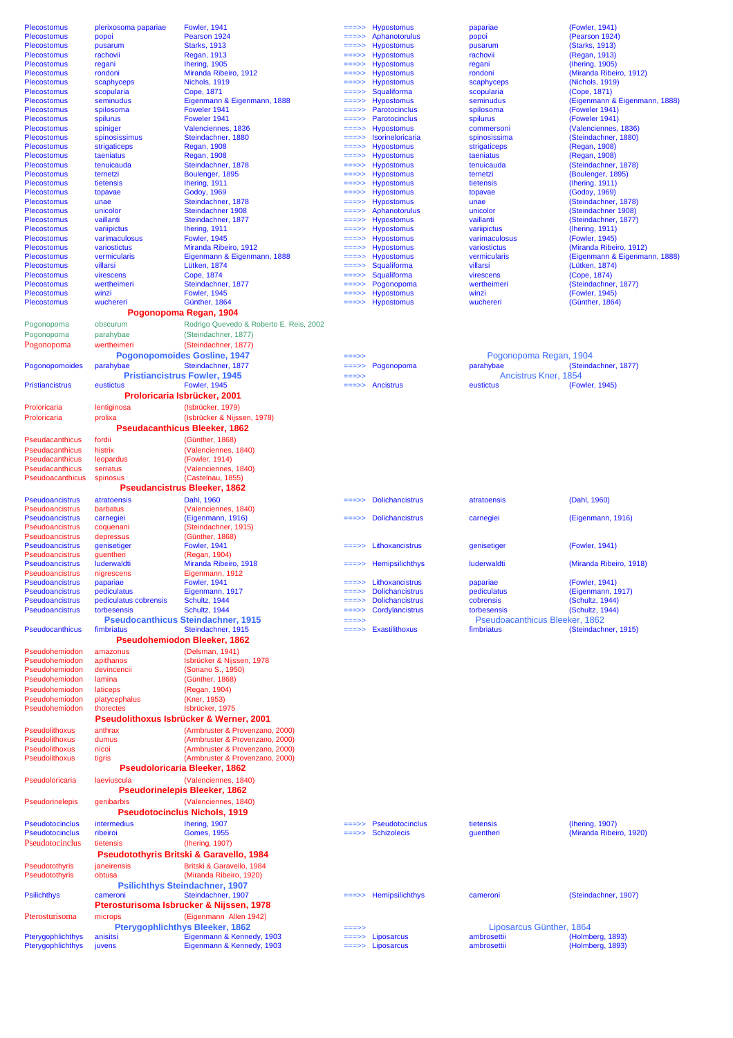|                                        |                                                     | <b>Fowler, 1941</b>                                                |                  |                             |                                | (Fowler, 1941)                       |
|----------------------------------------|-----------------------------------------------------|--------------------------------------------------------------------|------------------|-----------------------------|--------------------------------|--------------------------------------|
| <b>Plecostomus</b>                     | plerixosoma papariae                                |                                                                    | $=$ ==>>         | <b>Hypostomus</b>           | papariae                       |                                      |
| Plecostomus                            | popoi                                               | Pearson 1924                                                       | ===>>            | Aphanotorulus               | popoi                          | (Pearson 1924)                       |
| <b>Plecostomus</b>                     | pusarum                                             | <b>Starks, 1913</b>                                                | ===>>            | <b>Hypostomus</b>           | pusarum                        | (Starks, 1913)                       |
| <b>Plecostomus</b>                     | rachovii                                            | Regan, 1913                                                        | ===>>            | <b>Hypostomus</b>           | rachovii                       | (Regan, 1913)                        |
| <b>Plecostomus</b>                     | regani                                              | Ihering, 1905                                                      | ===>>            | <b>Hypostomus</b>           | regani                         | (Ihering, 1905)                      |
| Plecostomus                            | rondoni                                             | Miranda Ribeiro, 1912                                              | ===>>            | <b>Hypostomus</b>           | rondoni                        | (Miranda Ribeiro, 1912)              |
| <b>Plecostomus</b>                     | scaphyceps                                          | Nichols, 1919                                                      | ===>>            | <b>Hypostomus</b>           | scaphyceps                     | (Nichols, 1919)                      |
| <b>Plecostomus</b>                     | scopularia                                          | Cope, 1871                                                         |                  | Squaliforma                 | scopularia                     | (Cope, 1871)                         |
| <b>Plecostomus</b>                     | seminudus                                           | Eigenmann & Eigenmann, 1888                                        |                  | <b>Hypostomus</b>           | seminudus                      | (Eigenmann & Eigenmann, 1888)        |
| <b>Plecostomus</b>                     | spilosoma                                           | Foweler 1941                                                       | ===>>            | Parotocinclus               | spilosoma                      | (Foweler 1941)                       |
|                                        |                                                     |                                                                    |                  |                             |                                |                                      |
| <b>Plecostomus</b>                     | spilurus                                            | Foweler 1941                                                       | ===>>            | Parotocinclus               | spilurus                       | (Foweler 1941)                       |
| <b>Plecostomus</b>                     | spiniger                                            | Valenciennes, 1836                                                 | ===>>            | <b>Hypostomus</b>           | commersoni                     | (Valenciennes, 1836)                 |
| <b>Plecostomus</b>                     | spinosissimus                                       | Steindachner, 1880                                                 | ===>>            | Isorineloricaria            | spinosissima                   | (Steindachner, 1880)                 |
| <b>Plecostomus</b>                     | strigaticeps                                        | <b>Regan, 1908</b>                                                 | ===>>            | <b>Hypostomus</b>           | strigaticeps                   | (Regan, 1908)                        |
| <b>Plecostomus</b>                     | taeniatus                                           | <b>Regan, 1908</b>                                                 | ===>>            | <b>Hypostomus</b>           | taeniatus                      | (Regan, 1908)                        |
| <b>Plecostomus</b>                     | tenuicauda                                          | Steindachner, 1878                                                 | ===>>            | <b>Hypostomus</b>           | tenuicauda                     | (Steindachner, 1878)                 |
| <b>Plecostomus</b>                     | ternetzi                                            | Boulenger, 1895                                                    | ===>>            | <b>Hypostomus</b>           | ternetzi                       | (Boulenger, 1895)                    |
| <b>Plecostomus</b>                     | tietensis                                           | Ihering, 1911                                                      | ===>>            | Hypostomus                  | tietensis                      | (Ihering, 1911)                      |
| Plecostomus                            |                                                     |                                                                    | ===>>            | <b>Hypostomus</b>           |                                | (Godoy, 1969)                        |
|                                        | topavae                                             | Godoy, 1969                                                        |                  |                             | topavae                        |                                      |
| <b>Plecostomus</b>                     | unae                                                | Steindachner, 1878                                                 | ===>>            | <b>Hypostomus</b>           | unae                           | (Steindachner, 1878)                 |
| <b>Plecostomus</b>                     | unicolor                                            | Steindachner 1908                                                  | ===>>            | Aphanotorulus               | unicolor                       | (Steindachner 1908)                  |
| <b>Plecostomus</b>                     | vaillanti                                           | Steindachner, 1877                                                 | ===>>            | <b>Hypostomus</b>           | vaillanti                      | (Steindachner, 1877)                 |
| <b>Plecostomus</b>                     | variipictus                                         | Ihering, 1911                                                      | ===>>            | <b>Hypostomus</b>           | variipictus                    | (Ihering, 1911)                      |
| <b>Plecostomus</b>                     | varimaculosus                                       | <b>Fowler, 1945</b>                                                | ===>>            | <b>Hypostomus</b>           | varimaculosus                  | (Fowler, 1945)                       |
| <b>Plecostomus</b>                     | variostictus                                        | Miranda Ribeiro, 1912                                              | ===>>            | <b>Hypostomus</b>           | variostictus                   | (Miranda Ribeiro, 1912)              |
| <b>Plecostomus</b>                     | vermicularis                                        | Eigenmann & Eigenmann, 1888                                        | ===>>            | <b>Hypostomus</b>           | vermicularis                   | (Eigenmann & Eigenmann, 1888)        |
| <b>Plecostomus</b>                     | villarsi                                            | Lütken, 1874                                                       | ===>>            | Squaliforma                 | villarsi                       | (Lütken, 1874)                       |
|                                        |                                                     |                                                                    |                  |                             |                                |                                      |
| <b>Plecostomus</b>                     | virescens                                           | Cope, 1874                                                         | $==->>$          | Squaliforma                 | virescens                      | (Cope, 1874)                         |
| <b>Plecostomus</b>                     | wertheimeri                                         | Steindachner, 1877                                                 | ===>>            | Pogonopoma                  | wertheimeri                    | (Steindachner, 1877)                 |
| <b>Plecostomus</b>                     | winzi                                               | <b>Fowler, 1945</b>                                                | ===>>            | <b>Hypostomus</b>           | winzi                          | (Fowler, 1945)                       |
| <b>Plecostomus</b>                     | wuchereri                                           | Günther, 1864                                                      | ===>>            | <b>Hypostomus</b>           | wuchereri                      | (Günther, 1864)                      |
|                                        | Pogonopoma Regan, 1904                              |                                                                    |                  |                             |                                |                                      |
|                                        |                                                     |                                                                    |                  |                             |                                |                                      |
| Pogonopoma                             | obscurum                                            | Rodrigo Quevedo & Roberto E. Reis, 2002                            |                  |                             |                                |                                      |
| Pogonopoma                             | parahybae                                           | (Steindachner, 1877)                                               |                  |                             |                                |                                      |
| Pogonopoma                             | wertheimeri                                         | (Steindachner, 1877)                                               |                  |                             |                                |                                      |
|                                        | <b>Pogonopomoides Gosline, 1947</b>                 |                                                                    | $==->>$          |                             | Pogonopoma Regan, 1904         |                                      |
|                                        |                                                     |                                                                    |                  |                             |                                |                                      |
| Pogonopomoides                         | parahybae                                           | Steindachner, 1877                                                 | ===>>            | Pogonopoma                  | parahybae                      | (Steindachner, 1877)                 |
|                                        | <b>Pristiancistrus Fowler, 1945</b>                 |                                                                    | ===>>            |                             | Ancistrus Kner, 1854           |                                      |
| <b>Pristiancistrus</b>                 | eustictus                                           | <b>Fowler, 1945</b>                                                | ===>>            | Ancistrus                   | eustictus                      | (Fowler, 1945)                       |
|                                        | Proloricaria Isbrücker, 2001                        |                                                                    |                  |                             |                                |                                      |
|                                        |                                                     |                                                                    |                  |                             |                                |                                      |
| Proloricaria                           | lentiginosa                                         | (Isbrücker, 1979)                                                  |                  |                             |                                |                                      |
| Proloricaria                           | prolixa                                             | (Isbrücker & Nijssen, 1978)                                        |                  |                             |                                |                                      |
|                                        | <b>Pseudacanthicus Bleeker, 1862</b>                |                                                                    |                  |                             |                                |                                      |
|                                        | fordii                                              |                                                                    |                  |                             |                                |                                      |
| Pseudacanthicus                        |                                                     | (Günther, 1868)                                                    |                  |                             |                                |                                      |
| Pseudacanthicus                        | histrix                                             | (Valenciennes, 1840)                                               |                  |                             |                                |                                      |
| Pseudacanthicus                        | leopardus                                           | (Fowler, 1914)                                                     |                  |                             |                                |                                      |
| Pseudacanthicus                        | serratus                                            | (Valenciennes, 1840)                                               |                  |                             |                                |                                      |
| <b>Pseudoacanthicus</b>                | spinosus                                            | (Castelnau, 1855)                                                  |                  |                             |                                |                                      |
|                                        | <b>Pseudancistrus Bleeker, 1862</b>                 |                                                                    |                  |                             |                                |                                      |
|                                        |                                                     |                                                                    |                  |                             |                                |                                      |
|                                        |                                                     |                                                                    |                  |                             |                                |                                      |
| <b>Pseudoancistrus</b>                 | atratoensis                                         | Dahl. 1960                                                         |                  | <b>Dolichancistrus</b>      | atratoensis                    | (Dahl, 1960)                         |
| Pseudoancistrus                        | barbatus                                            | (Valenciennes, 1840)                                               |                  |                             |                                |                                      |
|                                        |                                                     |                                                                    | ===>>            |                             |                                |                                      |
| <b>Pseudoancistrus</b>                 | carnegiei                                           | (Eigenmann, 1916)                                                  |                  | <b>Dolichancistrus</b>      | carnegiei                      | (Eigenmann, 1916)                    |
| Pseudoancistrus                        | coquenani                                           | (Steindachner, 1915)                                               |                  |                             |                                |                                      |
| Pseudoancistrus                        | depressus                                           | (Günther, 1868)                                                    |                  |                             |                                |                                      |
| Pseudoancistrus                        | genisetiger                                         | <b>Fowler, 1941</b>                                                |                  | Lithoxancistrus             | genisetiger                    | (Fowler, 1941)                       |
| Pseudoancistrus                        | guentheri                                           | (Regan, 1904)                                                      |                  |                             |                                |                                      |
| <b>Pseudoancistrus</b>                 | luderwaldti                                         | Miranda Ribeiro, 1918                                              |                  | $=\equiv 5$ Hemipsilichthys | luderwaldti                    | (Miranda Ribeiro, 1918)              |
| <b>Pseudoancistrus</b>                 | nigrescens                                          | Eigenmann, 1912                                                    |                  |                             |                                |                                      |
| <b>Pseudoancistrus</b>                 |                                                     | <b>Fowler, 1941</b>                                                | ===>>            | Lithoxancistrus             |                                | (Fowler, 1941)                       |
|                                        | papariae                                            |                                                                    | ===>>            |                             | papariae                       |                                      |
| <b>Pseudoancistrus</b>                 | pediculatus                                         | Eigenmann, 1917                                                    |                  | <b>Dolichancistrus</b>      | pediculatus                    | (Eigenmann, 1917)                    |
| <b>Pseudoancistrus</b>                 | pediculatus cobrensis                               | Schultz, 1944                                                      |                  | <b>Dolichancistrus</b>      | cobrensis                      | (Schultz, 1944)                      |
| <b>Pseudoancistrus</b>                 | torbesensis                                         | Schultz, 1944                                                      | ===>>            | Cordylancistrus             | torbesensis                    | (Schultz, 1944)                      |
|                                        | <b>Pseudocanthicus Steindachner, 1915</b>           |                                                                    | ===>>            |                             | Pseudoacanthicus Bleeker, 1862 |                                      |
| <b>Pseudocanthicus</b>                 | fimbriatus                                          | Steindachner, 1915                                                 | ===>>            | <b>Exastilithoxus</b>       | fimbriatus                     | (Steindachner, 1915)                 |
|                                        | <b>Pseudohemiodon Bleeker, 1862</b>                 |                                                                    |                  |                             |                                |                                      |
|                                        |                                                     |                                                                    |                  |                             |                                |                                      |
| Pseudohemiodon                         | amazonus                                            | (Delsman, 1941)                                                    |                  |                             |                                |                                      |
| Pseudohemiodon                         | apithanos                                           | Isbrücker & Nijssen, 1978                                          |                  |                             |                                |                                      |
| Pseudohemiodon                         | devincencii                                         | (Soriano S., 1950)                                                 |                  |                             |                                |                                      |
| Pseudohemiodon                         | lamina                                              | (Günther, 1868)                                                    |                  |                             |                                |                                      |
| Pseudohemiodon                         | laticeps                                            | (Regan, 1904)                                                      |                  |                             |                                |                                      |
|                                        |                                                     |                                                                    |                  |                             |                                |                                      |
| Pseudohemiodon                         | platycephalus                                       | (Kner, 1953)                                                       |                  |                             |                                |                                      |
| Pseudohemiodon                         | thorectes                                           | Isbrücker, 1975                                                    |                  |                             |                                |                                      |
|                                        | Pseudolithoxus Isbrücker & Werner, 2001             |                                                                    |                  |                             |                                |                                      |
| <b>Pseudolithoxus</b>                  |                                                     |                                                                    |                  |                             |                                |                                      |
| <b>Pseudolithoxus</b>                  | anthrax<br>dumus                                    | (Armbruster & Provenzano, 2000)<br>(Armbruster & Provenzano, 2000) |                  |                             |                                |                                      |
|                                        |                                                     |                                                                    |                  |                             |                                |                                      |
| <b>Pseudolithoxus</b>                  | nicoi                                               | (Armbruster & Provenzano, 2000)                                    |                  |                             |                                |                                      |
| <b>Pseudolithoxus</b>                  | tigris                                              | (Armbruster & Provenzano, 2000)                                    |                  |                             |                                |                                      |
|                                        | <b>Pseudoloricaria Bleeker, 1862</b>                |                                                                    |                  |                             |                                |                                      |
| Pseudoloricaria                        | laeviuscula                                         |                                                                    |                  |                             |                                |                                      |
|                                        |                                                     | (Valenciennes, 1840)                                               |                  |                             |                                |                                      |
|                                        | <b>Pseudorinelepis Bleeker, 1862</b>                |                                                                    |                  |                             |                                |                                      |
| Pseudorinelepis                        | genibarbis                                          | (Valenciennes, 1840)                                               |                  |                             |                                |                                      |
|                                        |                                                     |                                                                    |                  |                             |                                |                                      |
|                                        | <b>Pseudotocinclus Nichols, 1919</b>                |                                                                    |                  |                             |                                |                                      |
| Pseudotocinclus                        | intermedius                                         | Ihering, 1907                                                      |                  | <b>Pseudotocinclus</b>      | tietensis                      | (Ihering, 1907)                      |
| <b>Pseudotocinclus</b>                 | ribeiroi                                            | <b>Gomes, 1955</b>                                                 |                  | <b>Schizolecis</b>          | guentheri                      | (Miranda Ribeiro, 1920)              |
| Pseudotocinclus                        | tietensis                                           | (Ihering, 1907)                                                    |                  |                             |                                |                                      |
|                                        |                                                     |                                                                    |                  |                             |                                |                                      |
|                                        | <b>Pseudotothyris Britski &amp; Garavello, 1984</b> |                                                                    |                  |                             |                                |                                      |
| <b>Pseudotothyris</b>                  | janeirensis                                         | Britski & Garavello, 1984                                          |                  |                             |                                |                                      |
| Pseudotothyris                         | obtusa                                              | (Miranda Ribeiro, 1920)                                            |                  |                             |                                |                                      |
|                                        |                                                     |                                                                    |                  |                             |                                |                                      |
|                                        | <b>Psilichthys Steindachner, 1907</b>               |                                                                    |                  |                             |                                |                                      |
| <b>Psilichthys</b>                     | cameroni                                            | Steindachner, 1907                                                 | ===>>            | Hemipsilichthys             | cameroni                       | (Steindachner, 1907)                 |
|                                        | Pterosturisoma Isbrucker & Nijssen, 1978            |                                                                    |                  |                             |                                |                                      |
| Pterosturisoma                         | microps                                             | (Eigenmann Allen 1942)                                             |                  |                             |                                |                                      |
|                                        |                                                     |                                                                    | ===>>            |                             |                                |                                      |
|                                        | <b>Pterygophlichthys Bleeker, 1862</b>              |                                                                    |                  |                             | Liposarcus Günther, 1864       |                                      |
| Pterygophlichthys<br>Pterygophlichthys | anisitsi<br>juvens                                  | Eigenmann & Kennedy, 1903<br>Eigenmann & Kennedy, 1903             | ===>><br>$==->>$ | Liposarcus<br>Liposarcus    | ambrosettii<br>ambrosettii     | (Holmberg, 1893)<br>(Holmberg, 1893) |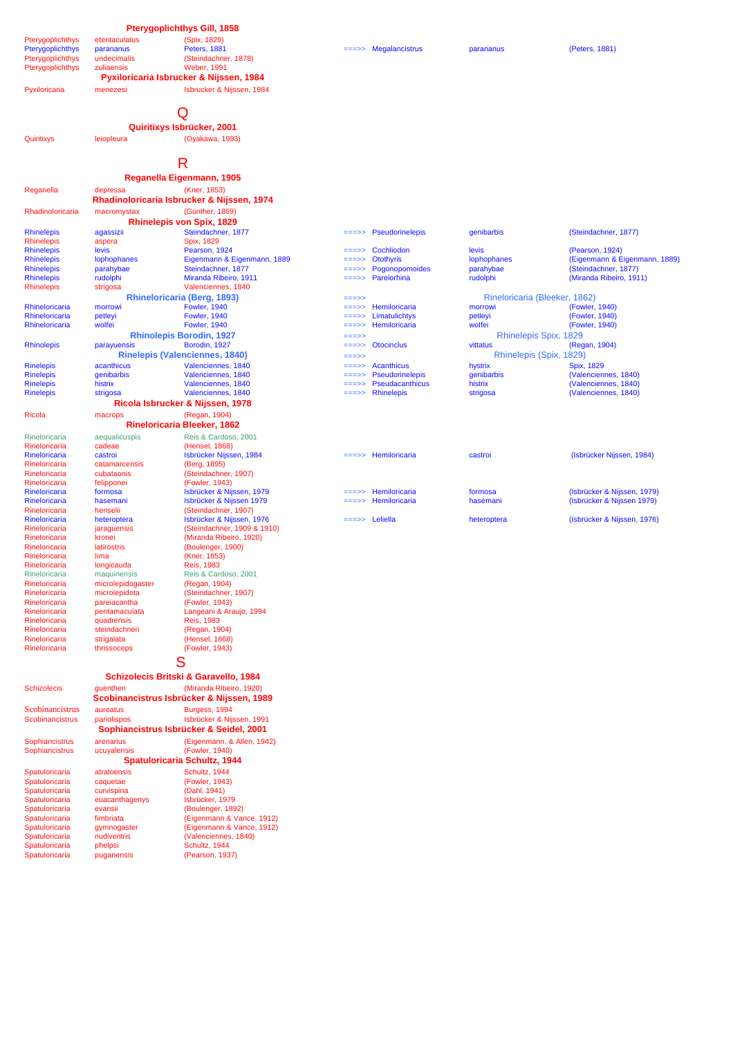|                                        |                                  | <b>Pterygoplichthys Gill, 1858</b>                               |                    |                                      |                                     |                                                 |
|----------------------------------------|----------------------------------|------------------------------------------------------------------|--------------------|--------------------------------------|-------------------------------------|-------------------------------------------------|
| Pterygoplichthys                       | etentaculatus                    | (Spix. 1829)                                                     |                    |                                      |                                     |                                                 |
| Pterygoplichthys<br>Pterygoplichthys   | parananus<br>undecimalis         | <b>Peters, 1881</b><br>(Steindachner, 1878)                      |                    | Megalancistrus                       | parananus                           | (Peters, 1881)                                  |
| Pterygoplichthys                       | zuliaensis                       | <b>Weber, 1991</b>                                               |                    |                                      |                                     |                                                 |
|                                        |                                  | Pyxiloricaria Isbrucker & Nijssen, 1984                          |                    |                                      |                                     |                                                 |
| Pyxiloricaria                          | menezesi                         | Isbrucker & Nijssen, 1984                                        |                    |                                      |                                     |                                                 |
|                                        |                                  |                                                                  |                    |                                      |                                     |                                                 |
|                                        |                                  | Q                                                                |                    |                                      |                                     |                                                 |
|                                        |                                  | Quiritixys Isbrücker, 2001                                       |                    |                                      |                                     |                                                 |
| Quiritixys                             | leiopleura                       | (Oyakawa, 1993)                                                  |                    |                                      |                                     |                                                 |
|                                        |                                  |                                                                  |                    |                                      |                                     |                                                 |
|                                        |                                  | R                                                                |                    |                                      |                                     |                                                 |
|                                        |                                  | Reganella Eigenmann, 1905                                        |                    |                                      |                                     |                                                 |
| Reganella                              | depressa                         | (Kner, 1853)<br>Rhadinoloricaria Isbrucker & Nijssen, 1974       |                    |                                      |                                     |                                                 |
| Rhadinoloricaria                       | macromystax                      | (Günther, 1869)                                                  |                    |                                      |                                     |                                                 |
|                                        |                                  | Rhinelepis von Spix, 1829                                        |                    |                                      |                                     |                                                 |
| <b>Rhinelepis</b>                      | agassizii                        | Steindachner, 1877                                               |                    | <b>Pseudorinelepis</b>               | genibarbis                          | (Steindachner, 1877)                            |
| Rhinelepis<br><b>Rhinelepis</b>        | aspera<br>levis                  | Spix, 1829<br>Pearson, 1924                                      | ===>>              | Cochliodon                           | levis                               | (Pearson, 1924)                                 |
| <b>Rhinelepis</b>                      | lophophanes                      | Eigenmann & Eigenmann, 1889                                      |                    | <b>Otothyris</b>                     | lophophanes                         | (Eigenmann & Eigenmann, 1889)                   |
| <b>Rhinelepis</b><br><b>Rhinelepis</b> | parahybae<br>rudolphi            | Steindachner, 1877<br>Miranda Ribeiro, 1911                      | =>><br>===>>       | Pogonopomoides<br>Pareiorhina        | parahybae<br>rudolphi               | (Steindachner, 1877)<br>(Miranda Ribeiro, 1911) |
| <b>Rhinelepis</b>                      | strigosa                         | Valenciennes, 1840                                               |                    |                                      |                                     |                                                 |
|                                        |                                  | Rhineloricaria (Berg, 1893)                                      | ===>>              |                                      | Rineloricaria (Bleeker, 1862)       |                                                 |
| Rhineloricaria<br>Rhineloricaria       | morrowi                          | <b>Fowler, 1940</b><br><b>Fowler, 1940</b>                       | ===>>              | Hemiloricaria<br>Limatulichtys       | morrowi                             | (Fowler, 1940)<br>(Fowler, 1940)                |
| Rhineloricaria                         | petleyi<br>wolfei                | <b>Fowler, 1940</b>                                              | ===>><br>===>>     | Hemiloricaria                        | petleyi<br>wolfei                   | (Fowler, 1940)                                  |
|                                        |                                  | <b>Rhinolepis Borodin, 1927</b>                                  | $==>>$             |                                      | Rhinelepis Spix, 1829               |                                                 |
| <b>Rhinolepis</b>                      | parayuensis                      | Borodin, 1927<br><b>Rinelepis (Valenciennes, 1840)</b>           | ===>>              | <b>Otocinclus</b>                    | vittatus<br>Rhinelepis (Spix, 1829) | (Regan, 1904)                                   |
| <b>Rinelepis</b>                       | acanthicus                       | Valenciennes, 1840                                               | $==->>$<br>$==->>$ | <b>Acanthicus</b>                    | hystrix                             | Spix, 1829                                      |
| <b>Rinelepis</b>                       | denibarbis                       | Valenciennes, 1840                                               | ===>>              | Pseudorinelepis                      | qenibarbis                          | (Valenciennes, 1840)                            |
| <b>Rinelepis</b><br><b>Rinelepis</b>   | histrix<br>strigosa              | Valenciennes, 1840<br>Valenciennes, 1840                         | ===>>              | Pseudacanthicus<br><b>Rhinelepis</b> | histrix<br>strigosa                 | (Valenciennes, 1840)<br>(Valenciennes, 1840)    |
|                                        |                                  | Ricola Isbrucker & Nijssen, 1978                                 |                    |                                      |                                     |                                                 |
| Ricola                                 | macrops                          | (Regan, 1904)                                                    |                    |                                      |                                     |                                                 |
|                                        |                                  | <b>Rineloricaria Bleeker, 1862</b>                               |                    |                                      |                                     |                                                 |
| Rineloricaria                          | aequalicuspis                    | Reis & Cardoso, 2001                                             |                    |                                      |                                     |                                                 |
| Rineloricaria<br>Rineloricaria         | cadeae<br>castroi                | (Hensel, 1868)<br>Isbrücker Nijssen, 1984                        |                    | Hemiloricaria                        | castroi                             | (Isbrücker Nijssen, 1984)                       |
| Rineloricaria                          | catamarcensis                    | (Berg, 1895)                                                     |                    |                                      |                                     |                                                 |
| Rineloricaria<br>Rineloricaria         | cubataonis<br>felipponei         | (Steindachner, 1907)<br>(Fowler, 1943)                           |                    |                                      |                                     |                                                 |
| Rineloricaria                          | formosa                          | Isbrücker & Nijssen, 1979                                        |                    | Hemiloricaria                        | formosa                             | (Isbrücker & Nijssen, 1979)                     |
| Rineloricaria                          | hasemani                         | Isbrücker & Nijssen 1979                                         |                    | Hemiloricaria                        | hasemani                            | (Isbrücker & Nijssen 1979)                      |
| Rineloricaria<br>Rineloricaria         | henselii<br>heteroptera          | (Steindachner, 1907)<br>Isbrücker & Nijssen, 1976                | ===>>              | Leliella                             | heteroptera                         | (Isbrücker & Nijssen, 1976)                     |
| Rineloricaria                          | jaraguensis                      | (Steindachner, 1909 & 1910)                                      |                    |                                      |                                     |                                                 |
| Rineloricaria<br>Rineloricaria         | kronei<br>latirostris            | (Miranda Ribeiro, 1920)                                          |                    |                                      |                                     |                                                 |
| Rineloricaria                          | lima                             | (Boulenger, 1900)<br>(Kner, 1853)                                |                    |                                      |                                     |                                                 |
| Rineloricaria                          | longicauda                       | <b>Reis, 1983</b>                                                |                    |                                      |                                     |                                                 |
| Rineloricaria<br>Rineloricaria         | maquinensis<br>microlepidogaster | Reis & Cardoso, 2001<br>(Regan, 1904)                            |                    |                                      |                                     |                                                 |
| Rineloricaria                          | microlepidota                    | (Steindachner, 1907)                                             |                    |                                      |                                     |                                                 |
| Rineloricaria                          | pareiacantha                     | (Fowler, 1943)                                                   |                    |                                      |                                     |                                                 |
| Rineloricaria<br>Rineloricaria         | pentamaculata<br>quadrensis      | Langeani & Araujo, 1994<br><b>Reis, 1983</b>                     |                    |                                      |                                     |                                                 |
| Rineloricaria                          | steindachneri                    | (Regan, 1904)                                                    |                    |                                      |                                     |                                                 |
| Rineloricaria<br>Rineloricaria         | strigalata<br>thrissoceps        | (Hensel, 1868)<br>(Fowler, 1943)                                 |                    |                                      |                                     |                                                 |
|                                        |                                  |                                                                  |                    |                                      |                                     |                                                 |
|                                        |                                  | S                                                                |                    |                                      |                                     |                                                 |
|                                        |                                  | Schizolecis Britski & Garavello, 1984<br>(Miranda Ribeiro, 1920) |                    |                                      |                                     |                                                 |
| <b>Schizolecis</b>                     | guentheri                        | Scobinancistrus Isbrücker & Nijssen, 1989                        |                    |                                      |                                     |                                                 |
| Scobinancistrus                        | aureatus                         | Burgess, 1994                                                    |                    |                                      |                                     |                                                 |
| Scobinancistrus                        | pariolispos                      | Isbrücker & Nijssen, 1991                                        |                    |                                      |                                     |                                                 |
|                                        |                                  | Sophiancistrus Isbrücker & Seidel, 2001                          |                    |                                      |                                     |                                                 |
| Sophiancistrus<br>Sophiancistrus       | arenarius<br>ucuyalensis         | (Eigenmann, & Allen, 1942)<br>(Fowler, 1940)                     |                    |                                      |                                     |                                                 |
|                                        |                                  | <b>Spatuloricaria Schultz, 1944</b>                              |                    |                                      |                                     |                                                 |
| Spatuloricaria                         | atratoensis                      | Schultz, 1944                                                    |                    |                                      |                                     |                                                 |
| Spatuloricaria<br>Spatuloricaria       | caquetae<br>curvispina           | (Fowler, 1943)<br>(Dahl, 1941)                                   |                    |                                      |                                     |                                                 |
| Spatuloricaria                         | euacanthagenys                   | Isbrücker, 1979                                                  |                    |                                      |                                     |                                                 |
| Spatuloricaria                         | evansii                          | (Boulenger, 1892)                                                |                    |                                      |                                     |                                                 |
| Spatuloricaria<br>Spatuloricaria       | fimbriata<br>gymnogaster         | (Eigenmann & Vance, 1912)<br>(Eigenmann & Vance, 1912)           |                    |                                      |                                     |                                                 |
| Spatuloricaria                         | nudiventris                      | (Valenciennes, 1840)                                             |                    |                                      |                                     |                                                 |
| Spatuloricaria<br>Spatuloricaria       | phelpsi<br>puganensis            | Schultz, 1944<br>(Pearson, 1937)                                 |                    |                                      |                                     |                                                 |
|                                        |                                  |                                                                  |                    |                                      |                                     |                                                 |